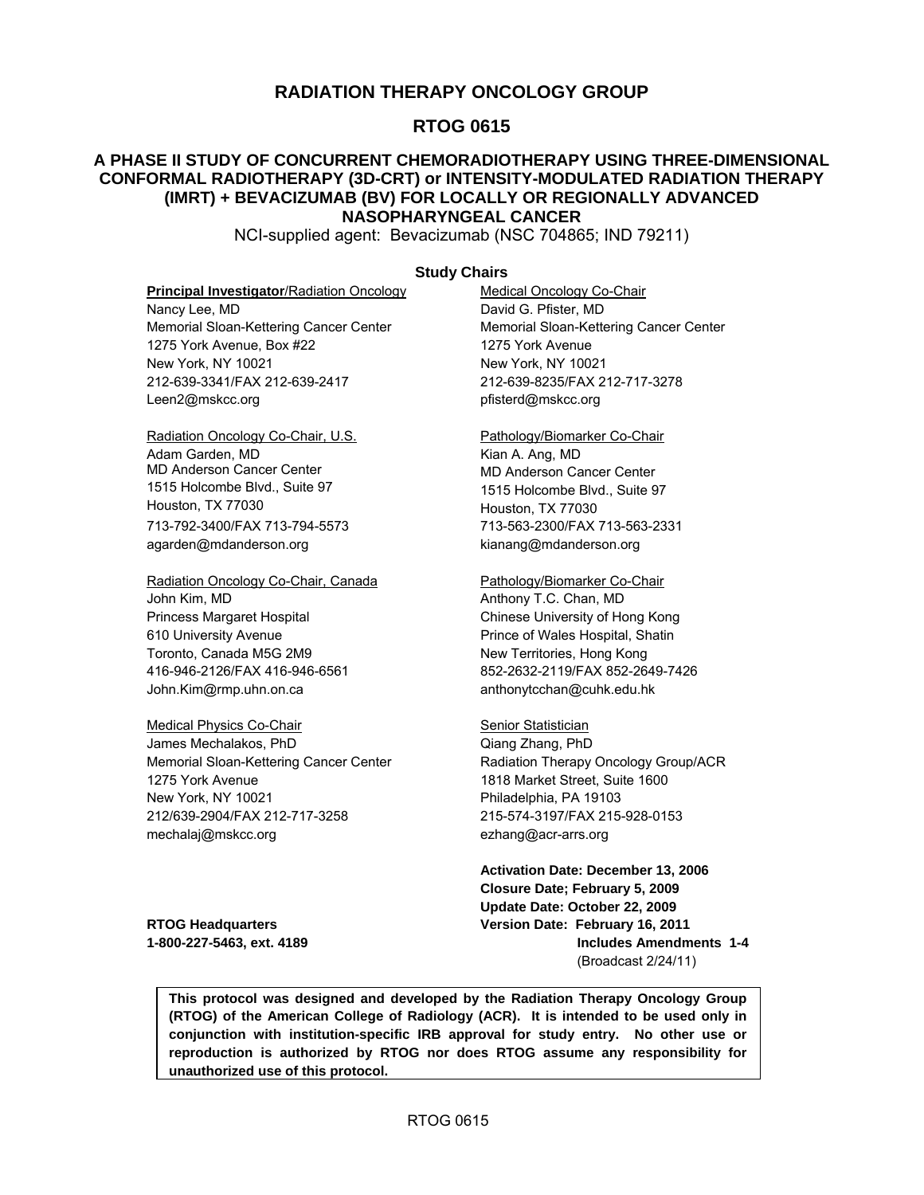### **RADIATION THERAPY ONCOLOGY GROUP**

### **RTOG 0615**

#### **A PHASE II STUDY OF CONCURRENT CHEMORADIOTHERAPY USING THREE-DIMENSIONAL CONFORMAL RADIOTHERAPY (3D-CRT) or INTENSITY-MODULATED RADIATION THERAPY (IMRT) + BEVACIZUMAB (BV) FOR LOCALLY OR REGIONALLY ADVANCED NASOPHARYNGEAL CANCER**

NCI-supplied agent: Bevacizumab (NSC 704865; IND 79211)

#### **Study Chairs**

#### **Principal Investigator/Radiation Oncology Medical Oncology Co-Chair**

Nancy Lee, MD **David G. Pfister, MD** 1275 York Avenue, Box #22 1275 York Avenue New York, NY 10021 New York, NY 10021 212-639-3341/FAX 212-639-2417 212-639-8235/FAX 212-717-3278 [Leen2@mskcc.org](mailto:Leen2@mskcc.org) pfisterd@mskcc.org

Radiation Oncology Co-Chair, U.S. Pathology/Biomarker Co-Chair Adam Garden, MD **Kian A. Ang, MD** MD Anderson Cancer Center MD Anderson Cancer Center 1515 Holcombe Blvd., Suite 97 1515 Holcombe Blvd., Suite 97 Houston, TX 77030 Houston, TX 77030 713-792-3400/FAX 713-794-5573 713-563-2300/FAX 713-563-2331 [agarden@mdanderson.org](mailto:agarden@mdanderson.org) [kianang@mdanderson.org](mailto:kianang@mdanderson.org) 

Radiation Oncology Co-Chair, Canada Pathology/Biomarker Co-Chair John Kim, MD **Anthony T.C. Chan, MD** Anthony T.C. Chan, MD Princess Margaret Hospital Chinese University of Hong Kong 610 University Avenue Prince of Wales Hospital, Shatin Toronto, Canada M5G 2M9 New Territories, Hong Kong 416-946-2126/FAX 416-946-6561 852-2632-2119/FAX 852-2649-7426 John[.Kim@rmp.uhn.on.ca](mailto:Kim@rmp.uhn.on.ca) [anthonytcchan@cuhk.edu.hk](mailto:anthonytcchan@cuhk.edu.hk) 

Medical Physics Co-Chair Senior Statistician James Mechalakos, PhD Qiang Zhang, PhD 1275 York Avenue 1818 Market Street, Suite 1600 New York, NY 10021 Philadelphia, PA 19103 212/639-2904/FAX 212-717-3258 215-574-3197/FAX 215-928-0153 [mechalaj@mskcc.org](mailto:mechalaj@mskcc.org) ezhang@acr-arrs.org

Memorial Sloan-Kettering Cancer Center Memorial Sloan-Kettering Cancer Center

Memorial Sloan-Kettering Cancer Center **Radiation Therapy Oncology Group/ACR** 

**Activation Date: December 13, 2006 Closure Date; February 5, 2009 Update Date: October 22, 2009 RTOG Headquarters Version Date: February 16, 2011 1-800-227-5463, ext. 4189 Includes Amendments 1-4**  (Broadcast 2/24/11)

**This protocol was designed and developed by the Radiation Therapy Oncology Group (RTOG) of the American College of Radiology (ACR). It is intended to be used only in conjunction with institution-specific IRB approval for study entry. No other use or reproduction is authorized by RTOG nor does RTOG assume any responsibility for unauthorized use of this protocol.**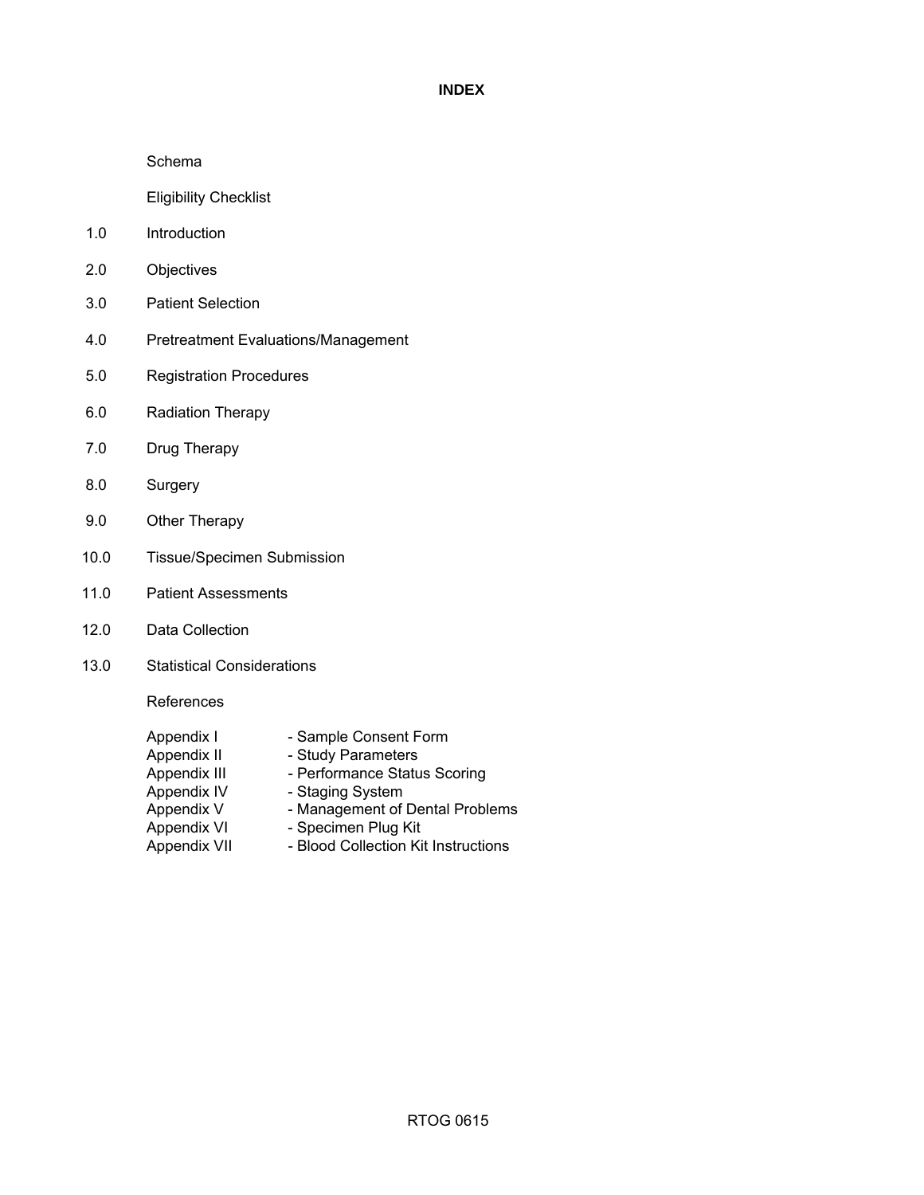#### **INDEX**

#### Schema

Eligibility Checklist

- 1.0 Introduction
- 2.0 Objectives
- 3.0 Patient Selection
- 4.0 Pretreatment Evaluations/Management
- 5.0 Registration Procedures
- 6.0 Radiation Therapy
- 7.0 Drug Therapy
- 8.0 Surgery
- 9.0 Other Therapy
- 10.0 Tissue/Specimen Submission
- 11.0 Patient Assessments
- 12.0 Data Collection
- 13.0 Statistical Considerations

References

| Appendix I   | - Sample Consent Form               |
|--------------|-------------------------------------|
| Appendix II  | - Study Parameters                  |
| Appendix III | - Performance Status Scoring        |
| Appendix IV  | - Staging System                    |
| Appendix V   | - Management of Dental Problems     |
| Appendix VI  | - Specimen Plug Kit                 |
| Appendix VII | - Blood Collection Kit Instructions |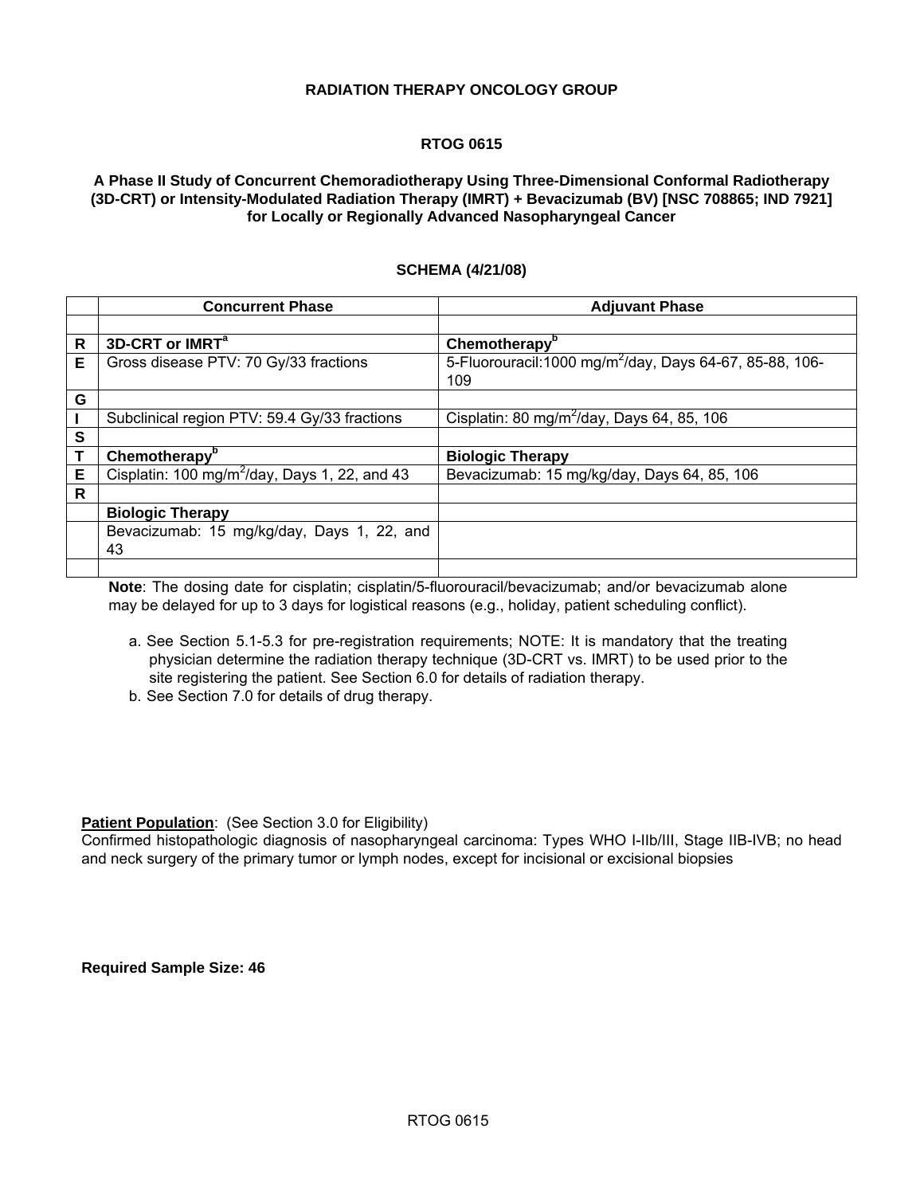#### **RADIATION THERAPY ONCOLOGY GROUP**

#### **RTOG 0615**

#### **A Phase II Study of Concurrent Chemoradiotherapy Using Three-Dimensional Conformal Radiotherapy (3D-CRT) or Intensity-Modulated Radiation Therapy (IMRT) + Bevacizumab (BV) [NSC 708865; IND 7921] for Locally or Regionally Advanced Nasopharyngeal Cancer**

#### **SCHEMA (4/21/08)**

|   | <b>Concurrent Phase</b>                                   | <b>Adjuvant Phase</b>                                               |
|---|-----------------------------------------------------------|---------------------------------------------------------------------|
|   |                                                           |                                                                     |
| R | 3D-CRT or IMRT <sup>a</sup>                               | Chemotherapy <sup>b</sup>                                           |
| Е | Gross disease PTV: 70 Gy/33 fractions                     | 5-Fluorouracil:1000 mg/m <sup>2</sup> /day, Days 64-67, 85-88, 106- |
|   |                                                           | 109                                                                 |
| G |                                                           |                                                                     |
|   | Subclinical region PTV: 59.4 Gy/33 fractions              | Cisplatin: 80 mg/m <sup>2</sup> /day, Days 64, 85, 106              |
| S |                                                           |                                                                     |
|   | Chemotherapy <sup>b</sup>                                 | <b>Biologic Therapy</b>                                             |
| Е | Cisplatin: 100 mg/m <sup>2</sup> /day, Days 1, 22, and 43 | Bevacizumab: 15 mg/kg/day, Days 64, 85, 106                         |
| R |                                                           |                                                                     |
|   | <b>Biologic Therapy</b>                                   |                                                                     |
|   | Bevacizumab: 15 mg/kg/day, Days 1, 22, and                |                                                                     |
|   | 43                                                        |                                                                     |
|   |                                                           |                                                                     |

**Note**: The dosing date for cisplatin; cisplatin/5-fluorouracil/bevacizumab; and/or bevacizumab alone may be delayed for up to 3 days for logistical reasons (e.g., holiday, patient scheduling conflict).

- a. See Section 5.1-5.3 for pre-registration requirements; NOTE: It is mandatory that the treating physician determine the radiation therapy technique (3D-CRT vs. IMRT) to be used prior to the site registering the patient. See Section 6.0 for details of radiation therapy.
- b. See Section 7.0 for details of drug therapy.

**Patient Population:** (See Section 3.0 for Eligibility)

Confirmed histopathologic diagnosis of nasopharyngeal carcinoma: Types WHO I-IIb/III, Stage IIB-IVB; no head and neck surgery of the primary tumor or lymph nodes, except for incisional or excisional biopsies

**Required Sample Size: 46**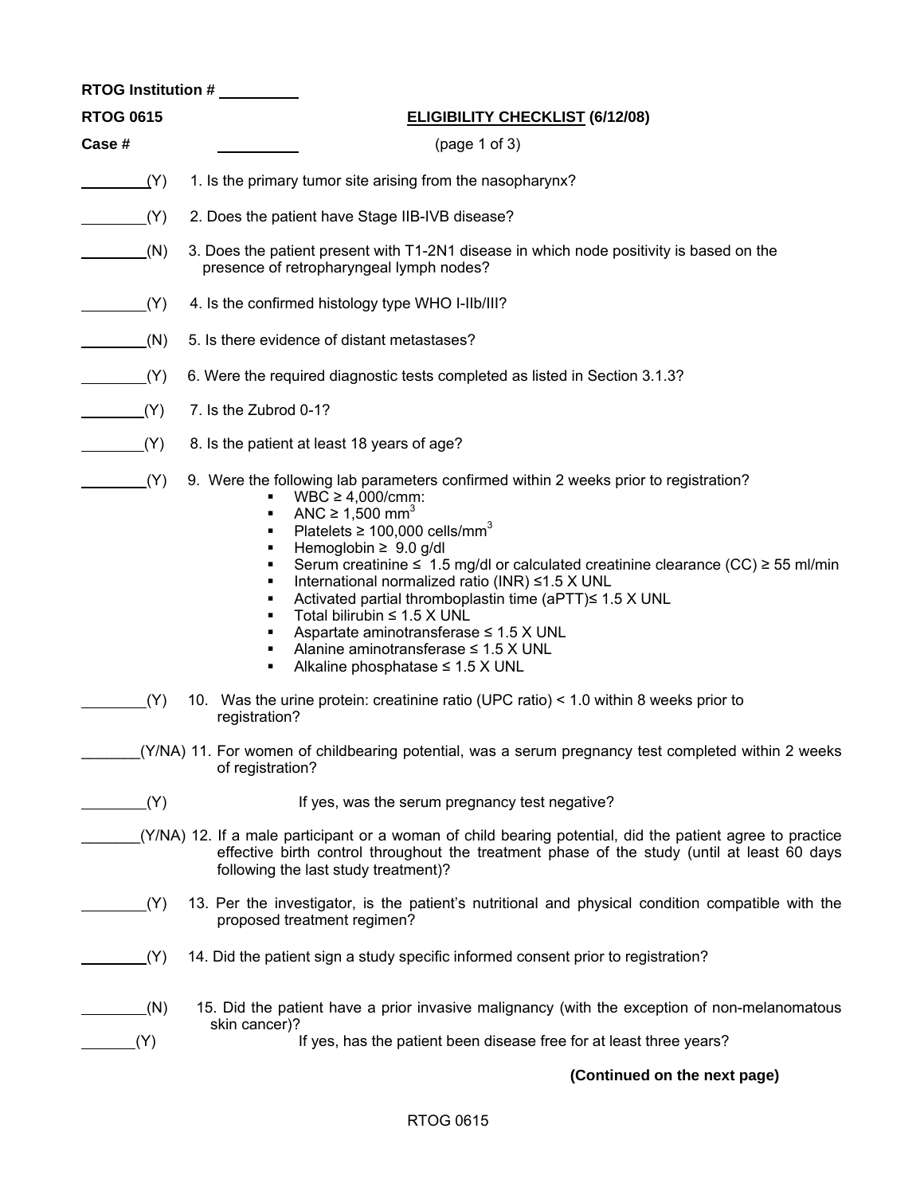|                  | RTOG Institution #                                                                                                                                                                                                                                                                                                                                                                                                                                                                                                                                                                                                                                                   |
|------------------|----------------------------------------------------------------------------------------------------------------------------------------------------------------------------------------------------------------------------------------------------------------------------------------------------------------------------------------------------------------------------------------------------------------------------------------------------------------------------------------------------------------------------------------------------------------------------------------------------------------------------------------------------------------------|
| <b>RTOG 0615</b> | <b>ELIGIBILITY CHECKLIST (6/12/08)</b>                                                                                                                                                                                                                                                                                                                                                                                                                                                                                                                                                                                                                               |
| Case #           | (page 1 of 3)                                                                                                                                                                                                                                                                                                                                                                                                                                                                                                                                                                                                                                                        |
| (Y)              | 1. Is the primary tumor site arising from the nasopharynx?                                                                                                                                                                                                                                                                                                                                                                                                                                                                                                                                                                                                           |
| (Y)              | 2. Does the patient have Stage IIB-IVB disease?                                                                                                                                                                                                                                                                                                                                                                                                                                                                                                                                                                                                                      |
| (N)              | 3. Does the patient present with T1-2N1 disease in which node positivity is based on the<br>presence of retropharyngeal lymph nodes?                                                                                                                                                                                                                                                                                                                                                                                                                                                                                                                                 |
| (Y)              | 4. Is the confirmed histology type WHO I-IIb/III?                                                                                                                                                                                                                                                                                                                                                                                                                                                                                                                                                                                                                    |
| (N)              | 5. Is there evidence of distant metastases?                                                                                                                                                                                                                                                                                                                                                                                                                                                                                                                                                                                                                          |
| (Y)              | 6. Were the required diagnostic tests completed as listed in Section 3.1.3?                                                                                                                                                                                                                                                                                                                                                                                                                                                                                                                                                                                          |
| (Y)              | 7. Is the Zubrod 0-1?                                                                                                                                                                                                                                                                                                                                                                                                                                                                                                                                                                                                                                                |
| (Y)              | 8. Is the patient at least 18 years of age?                                                                                                                                                                                                                                                                                                                                                                                                                                                                                                                                                                                                                          |
| (Y)              | 9. Were the following lab parameters confirmed within 2 weeks prior to registration?<br>$WBC \geq 4,000/cmm$ :<br>ANC $\geq 1,500$ mm <sup>3</sup><br>٠<br>Platelets $\geq 100,000$ cells/mm <sup>3</sup><br>Hemoglobin $\geq 9.0$ g/dl<br>٠<br>Serum creatinine $\leq 1.5$ mg/dl or calculated creatinine clearance (CC) $\geq 55$ ml/min<br>٠<br>International normalized ratio (INR) ≤1.5 X UNL<br>٠<br>Activated partial thromboplastin time (aPTT)≤ 1.5 X UNL<br>٠<br>Total bilirubin $\leq 1.5$ X UNL<br>٠<br>Aspartate aminotransferase $\leq 1.5$ X UNL<br>٠<br>Alanine aminotransferase $\leq$ 1.5 X UNL<br>٠<br>Alkaline phosphatase $\leq 1.5$ X UNL<br>٠ |
| (Y)              | 10. Was the urine protein: creatinine ratio (UPC ratio) < 1.0 within 8 weeks prior to<br>registration?                                                                                                                                                                                                                                                                                                                                                                                                                                                                                                                                                               |
|                  | (Y/NA) 11. For women of childbearing potential, was a serum pregnancy test completed within 2 weeks<br>of registration?                                                                                                                                                                                                                                                                                                                                                                                                                                                                                                                                              |
| (Y)              | If yes, was the serum pregnancy test negative?                                                                                                                                                                                                                                                                                                                                                                                                                                                                                                                                                                                                                       |
|                  | (Y/NA) 12. If a male participant or a woman of child bearing potential, did the patient agree to practice<br>effective birth control throughout the treatment phase of the study (until at least 60 days<br>following the last study treatment)?                                                                                                                                                                                                                                                                                                                                                                                                                     |
| (Y)              | 13. Per the investigator, is the patient's nutritional and physical condition compatible with the<br>proposed treatment regimen?                                                                                                                                                                                                                                                                                                                                                                                                                                                                                                                                     |
| (Y)              | 14. Did the patient sign a study specific informed consent prior to registration?                                                                                                                                                                                                                                                                                                                                                                                                                                                                                                                                                                                    |
| (N)              | 15. Did the patient have a prior invasive malignancy (with the exception of non-melanomatous<br>skin cancer)?                                                                                                                                                                                                                                                                                                                                                                                                                                                                                                                                                        |
| (Y)              | If yes, has the patient been disease free for at least three years?                                                                                                                                                                                                                                                                                                                                                                                                                                                                                                                                                                                                  |
|                  | (Continued on the next page)                                                                                                                                                                                                                                                                                                                                                                                                                                                                                                                                                                                                                                         |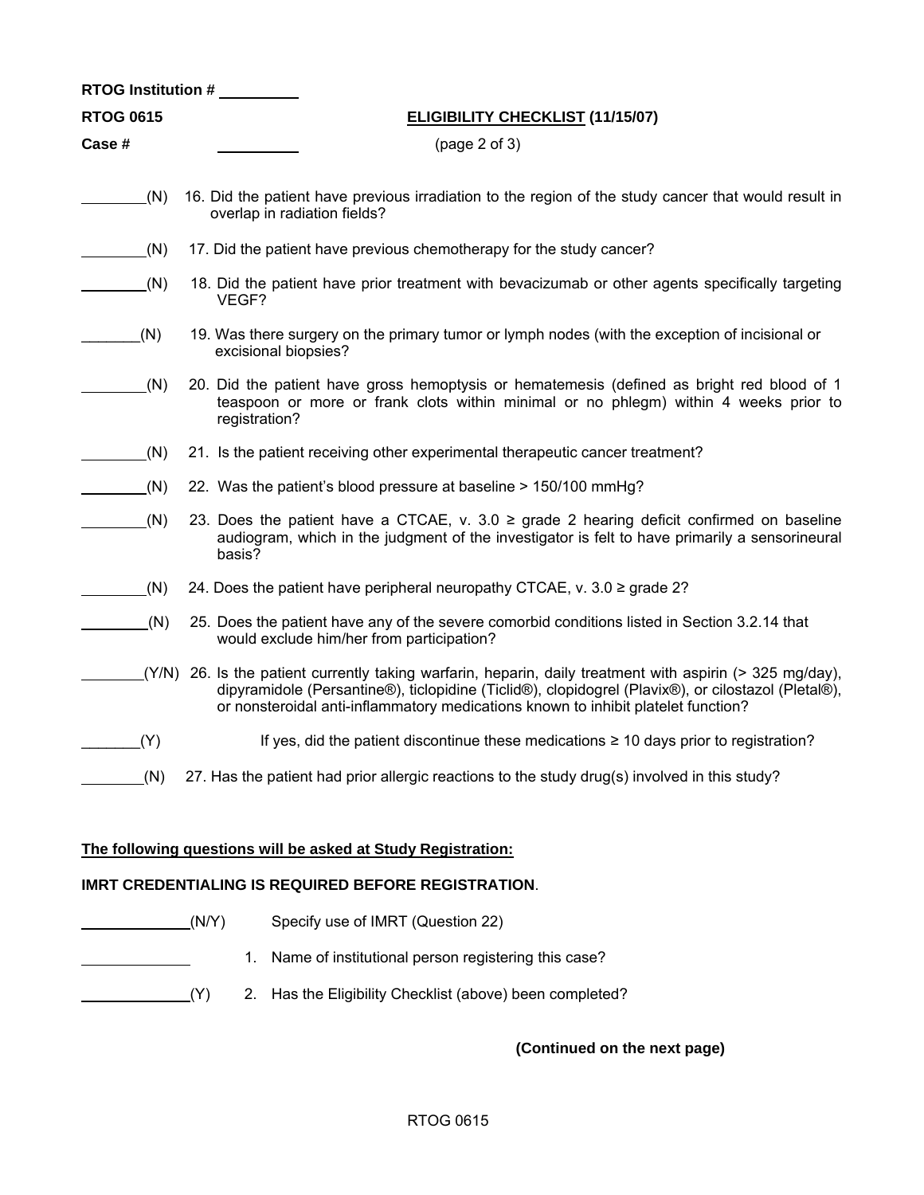| <b>RTOG Institution #</b> |                                                                                                                                                                                                                                                                                                      |  |
|---------------------------|------------------------------------------------------------------------------------------------------------------------------------------------------------------------------------------------------------------------------------------------------------------------------------------------------|--|
| <b>RTOG 0615</b>          | <b>ELIGIBILITY CHECKLIST (11/15/07)</b>                                                                                                                                                                                                                                                              |  |
| Case #                    | (page 2 of 3)                                                                                                                                                                                                                                                                                        |  |
|                           |                                                                                                                                                                                                                                                                                                      |  |
| (N)                       | 16. Did the patient have previous irradiation to the region of the study cancer that would result in<br>overlap in radiation fields?                                                                                                                                                                 |  |
| (N)                       | 17. Did the patient have previous chemotherapy for the study cancer?                                                                                                                                                                                                                                 |  |
| (N)                       | 18. Did the patient have prior treatment with bevacizumab or other agents specifically targeting<br>VEGF?                                                                                                                                                                                            |  |
| (N)                       | 19. Was there surgery on the primary tumor or lymph nodes (with the exception of incisional or<br>excisional biopsies?                                                                                                                                                                               |  |
| (N)                       | 20. Did the patient have gross hemoptysis or hematemesis (defined as bright red blood of 1<br>teaspoon or more or frank clots within minimal or no phlegm) within 4 weeks prior to<br>registration?                                                                                                  |  |
| (N)                       | 21. Is the patient receiving other experimental therapeutic cancer treatment?                                                                                                                                                                                                                        |  |
| (N)                       | 22. Was the patient's blood pressure at baseline > 150/100 mmHg?                                                                                                                                                                                                                                     |  |
| (N)                       | 23. Does the patient have a CTCAE, v. 3.0 $\ge$ grade 2 hearing deficit confirmed on baseline<br>audiogram, which in the judgment of the investigator is felt to have primarily a sensorineural<br>basis?                                                                                            |  |
| (N)                       | 24. Does the patient have peripheral neuropathy CTCAE, v. $3.0 \ge$ grade 2?                                                                                                                                                                                                                         |  |
| (N)                       | 25. Does the patient have any of the severe comorbid conditions listed in Section 3.2.14 that<br>would exclude him/her from participation?                                                                                                                                                           |  |
|                           | (Y/N) 26. Is the patient currently taking warfarin, heparin, daily treatment with aspirin (> 325 mg/day),<br>dipyramidole (Persantine®), ticlopidine (Ticlid®), clopidogrel (Plavix®), or cilostazol (Pletal®),<br>or nonsteroidal anti-inflammatory medications known to inhibit platelet function? |  |
| (Y)                       | If yes, did the patient discontinue these medications $\geq 10$ days prior to registration?                                                                                                                                                                                                          |  |
| (N)                       | 27. Has the patient had prior allergic reactions to the study drug(s) involved in this study?                                                                                                                                                                                                        |  |
|                           | The following questions will be asked at Study Registration:<br><b>IMRT CREDENTIALING IS REQUIRED BEFORE REGISTRATION.</b>                                                                                                                                                                           |  |
|                           | (N/Y)<br>Specify use of IMRT (Question 22)                                                                                                                                                                                                                                                           |  |
|                           | Name of institutional person registering this case?<br>1.                                                                                                                                                                                                                                            |  |

(Y) 2. Has the Eligibility Checklist (above) been completed?

**(Continued on the next page)**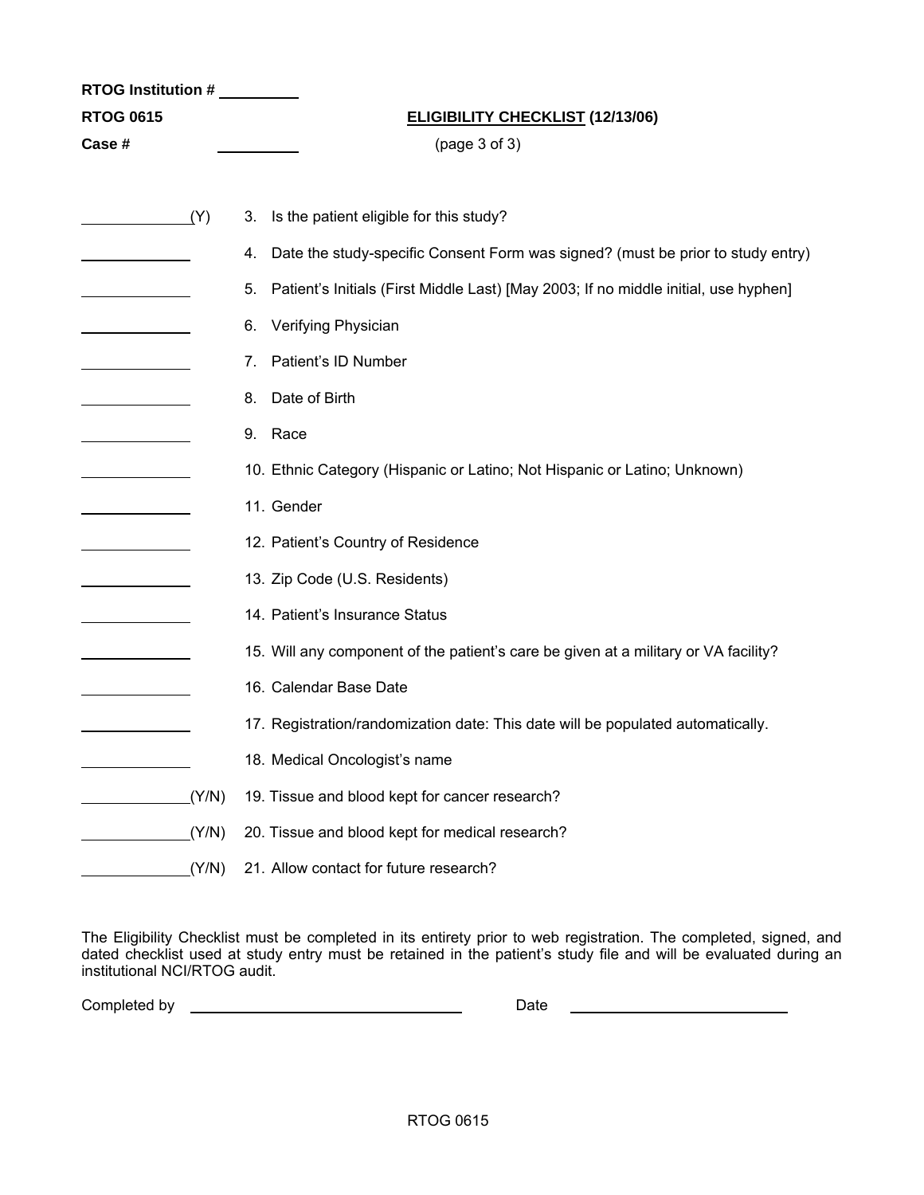| RTOG Institution # |       |                                                                                           |
|--------------------|-------|-------------------------------------------------------------------------------------------|
| <b>RTOG 0615</b>   |       | <b>ELIGIBILITY CHECKLIST (12/13/06)</b>                                                   |
| Case #             |       | (page 3 of 3)                                                                             |
|                    |       |                                                                                           |
|                    | (Y)   | Is the patient eligible for this study?<br>3.                                             |
|                    |       | Date the study-specific Consent Form was signed? (must be prior to study entry)<br>4.     |
|                    |       | Patient's Initials (First Middle Last) [May 2003; If no middle initial, use hyphen]<br>5. |
|                    |       | Verifying Physician<br>6.                                                                 |
|                    |       | Patient's ID Number<br>7.                                                                 |
|                    |       | Date of Birth<br>8.                                                                       |
|                    |       | 9. Race                                                                                   |
|                    |       | 10. Ethnic Category (Hispanic or Latino; Not Hispanic or Latino; Unknown)                 |
|                    |       | 11. Gender                                                                                |
|                    |       | 12. Patient's Country of Residence                                                        |
|                    |       | 13. Zip Code (U.S. Residents)                                                             |
|                    |       | 14. Patient's Insurance Status                                                            |
|                    |       | 15. Will any component of the patient's care be given at a military or VA facility?       |
|                    |       | 16. Calendar Base Date                                                                    |
|                    |       | 17. Registration/randomization date: This date will be populated automatically.           |
|                    |       | 18. Medical Oncologist's name                                                             |
|                    | (Y/N) | 19. Tissue and blood kept for cancer research?                                            |
|                    | (Y/N) | 20. Tissue and blood kept for medical research?                                           |
|                    | (Y/N) | 21. Allow contact for future research?                                                    |

The Eligibility Checklist must be completed in its entirety prior to web registration. The completed, signed, and dated checklist used at study entry must be retained in the patient's study file and will be evaluated during an institutional NCI/RTOG audit.

Completed by Date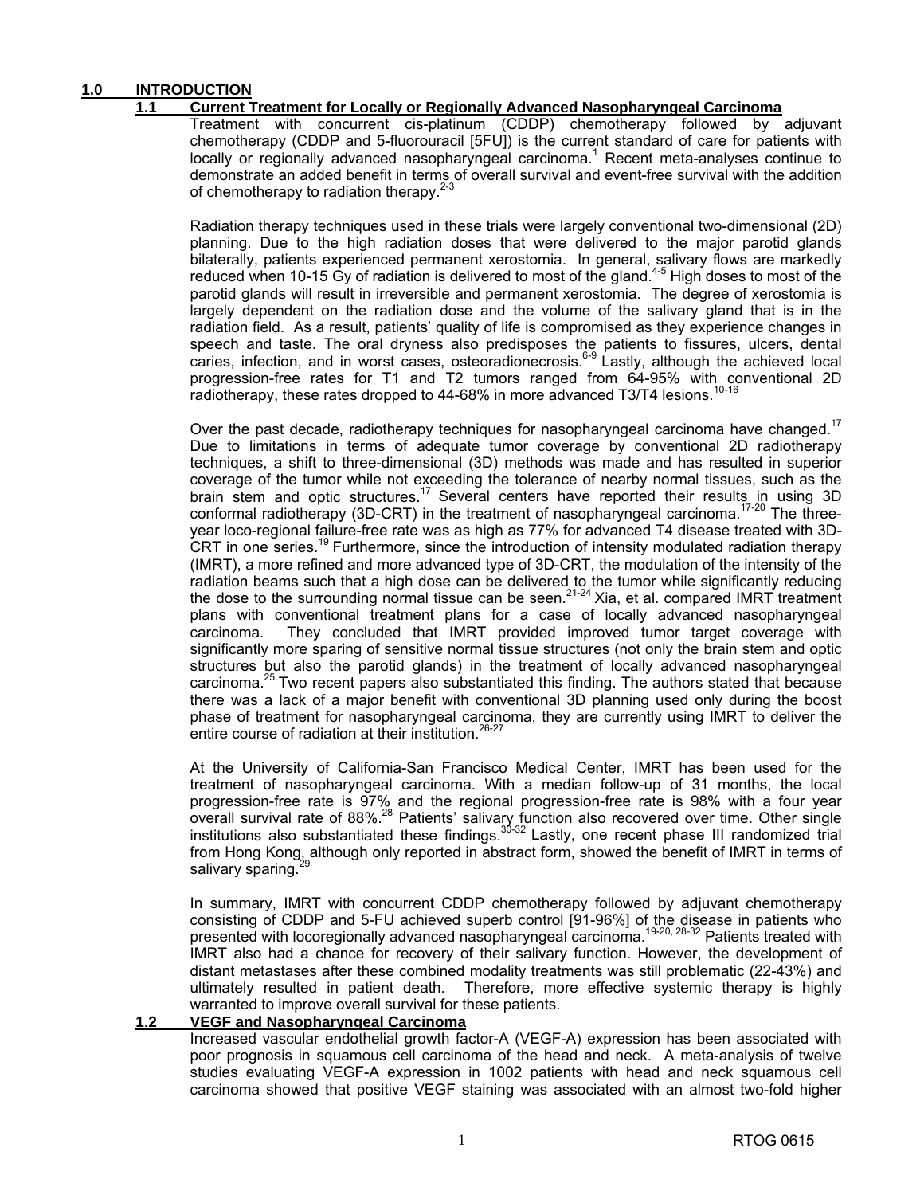#### **1.0 INTRODUCTION**

#### **1.1 Current Treatment for Locally or Regionally Advanced Nasopharyngeal Carcinoma**

 Treatment with concurrent cis-platinum (CDDP) chemotherapy followed by adjuvant chemotherapy (CDDP and 5-fluorouracil [5FU]) is the current standard of care for patients with locally or regionally advanced nasopharyngeal carcinoma.<sup>1</sup> Recent meta-analyses continue to demonstrate an added benefit in terms of overall survival and event-free survival with the addition of chemotherapy to radiation therapy.<sup>2-3</sup>

 Radiation therapy techniques used in these trials were largely conventional two-dimensional (2D) planning. Due to the high radiation doses that were delivered to the major parotid glands bilaterally, patients experienced permanent xerostomia. In general, salivary flows are markedly reduced when 10-15 Gy of radiation is delivered to most of the gland.<sup>4-5</sup> High doses to most of the parotid glands will result in irreversible and permanent xerostomia. The degree of xerostomia is largely dependent on the radiation dose and the volume of the salivary gland that is in the radiation field. As a result, patients' quality of life is compromised as they experience changes in speech and taste. The oral dryness also predisposes the patients to fissures, ulcers, dental caries, infection, and in worst cases, osteoradionecrosis.<sup>6-9</sup> Lastly, although the achieved local progression-free rates for T1 and T2 tumors ranged from 64-95% with conventional 2D radiotherapy, these rates dropped to 44-68% in more advanced T3/T4 lesions.<sup>10-16</sup>

Over the past decade, radiotherapy techniques for nasopharyngeal carcinoma have changed.<sup>17</sup> Due to limitations in terms of adequate tumor coverage by conventional 2D radiotherapy techniques, a shift to three-dimensional (3D) methods was made and has resulted in superior coverage of the tumor while not exceeding the tolerance of nearby normal tissues, such as the brain stem and optic structures.<sup>17</sup> Several centers have reported their results in using 3D conformal radiotherapy (3D-CRT) in the treatment of nasopharyngeal carcinoma.<sup>17-20</sup> The threeyear loco-regional failure-free rate was as high as 77% for advanced T4 disease treated with 3D-CRT in one series.19 Furthermore, since the introduction of intensity modulated radiation therapy (IMRT), a more refined and more advanced type of 3D-CRT, the modulation of the intensity of the radiation beams such that a high dose can be delivered to the tumor while significantly reducing the dose to the surrounding normal tissue can be seen.<sup>21-24</sup> Xia, et al. compared IMRT treatment plans with conventional treatment plans for a case of locally advanced nasopharyngeal carcinoma. They concluded that IMRT provided improved tumor target coverage with significantly more sparing of sensitive normal tissue structures (not only the brain stem and optic structures but also the parotid glands) in the treatment of locally advanced nasopharyngeal carcinoma.25 Two recent papers also substantiated this finding. The authors stated that because there was a lack of a major benefit with conventional 3D planning used only during the boost phase of treatment for nasopharyngeal carcinoma, they are currently using IMRT to deliver the entire course of radiation at their institution.<sup>26-27</sup>

 At the University of California-San Francisco Medical Center, IMRT has been used for the treatment of nasopharyngeal carcinoma. With a median follow-up of 31 months, the local progression-free rate is 97% and the regional progression-free rate is 98% with a four year overall survival rate of 88%.<sup>28</sup> Patients' salivary function also recovered over time. Other single institutions also substantiated these findings.<sup>30-32</sup> Lastly, one recent phase III randomized trial from Hong Kong, although only reported in abstract form, showed the benefit of IMRT in terms of salivary sparing.<sup>2</sup>

 In summary, IMRT with concurrent CDDP chemotherapy followed by adjuvant chemotherapy consisting of CDDP and 5-FU achieved superb control [91-96%] of the disease in patients who presented with locoregionally advanced nasopharyngeal carcinoma.<sup>19-20, 28-32</sup> Patients treated with IMRT also had a chance for recovery of their salivary function. However, the development of distant metastases after these combined modality treatments was still problematic (22-43%) and ultimately resulted in patient death. Therefore, more effective systemic therapy is highly warranted to improve overall survival for these patients.

#### **1.2 VEGF and Nasopharyngeal Carcinoma**

 Increased vascular endothelial growth factor-A (VEGF-A) expression has been associated with poor prognosis in squamous cell carcinoma of the head and neck. A meta-analysis of twelve studies evaluating VEGF-A expression in 1002 patients with head and neck squamous cell carcinoma showed that positive VEGF staining was associated with an almost two-fold higher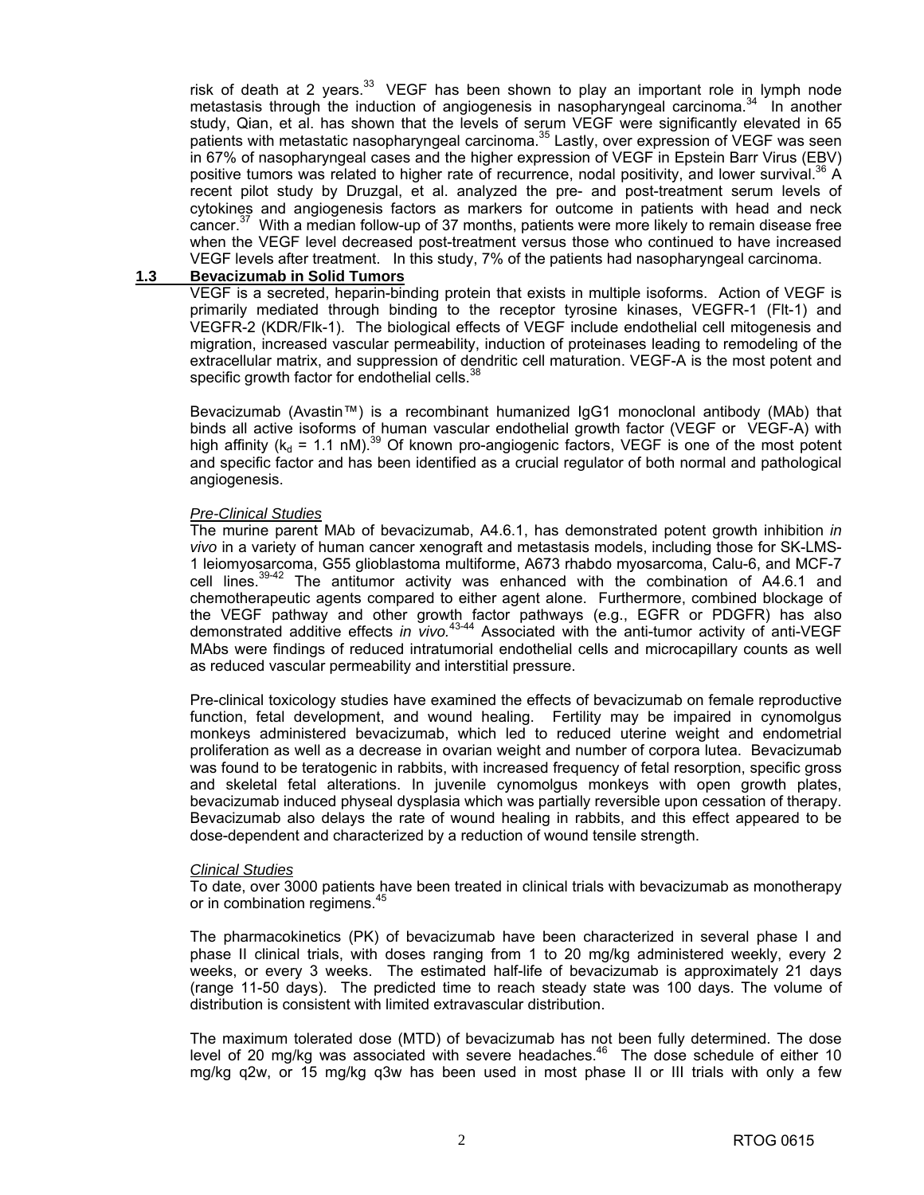risk of death at 2 years. $33$  VEGF has been shown to play an important role in lymph node metastasis through the induction of angiogenesis in nasopharyngeal carcinoma. $34$  In another study, Qian, et al. has shown that the levels of serum VEGF were significantly elevated in 65 patients with metastatic nasopharyngeal carcinoma.<sup>35</sup> Lastly, over expression of VEGF was seen in 67% of nasopharyngeal cases and the higher expression of VEGF in Epstein Barr Virus (EBV) positive tumors was related to higher rate of recurrence, nodal positivity, and lower survival.<sup>36</sup> A recent pilot study by Druzgal, et al. analyzed the pre- and post-treatment serum levels of cytokines and angiogenesis factors as markers for outcome in patients with head and neck cancer.<sup>37</sup> With a median follow-up of 37 months, patients were more likely to remain disease free when the VEGF level decreased post-treatment versus those who continued to have increased VEGF levels after treatment. In this study, 7% of the patients had nasopharyngeal carcinoma.

#### **1.3 Bevacizumab in Solid Tumors**

 VEGF is a secreted, heparin-binding protein that exists in multiple isoforms. Action of VEGF is primarily mediated through binding to the receptor tyrosine kinases, VEGFR-1 (Flt-1) and VEGFR-2 (KDR/Flk-1). The biological effects of VEGF include endothelial cell mitogenesis and migration, increased vascular permeability, induction of proteinases leading to remodeling of the extracellular matrix, and suppression of dendritic cell maturation. VEGF-A is the most potent and specific growth factor for endothelial cells. $38$ 

 Bevacizumab (Avastin™) is a recombinant humanized IgG1 monoclonal antibody (MAb) that binds all active isoforms of human vascular endothelial growth factor (VEGF or VEGF-A) with high affinity ( $k_d = 1.1$  nM).<sup>39</sup> Of known pro-angiogenic factors, VEGF is one of the most potent and specific factor and has been identified as a crucial regulator of both normal and pathological angiogenesis.

#### *Pre-Clinical Studies*

 The murine parent MAb of bevacizumab, A4.6.1, has demonstrated potent growth inhibition *in vivo* in a variety of human cancer xenograft and metastasis models, including those for SK-LMS-1 leiomyosarcoma, G55 glioblastoma multiforme, A673 rhabdo myosarcoma, Calu-6, and MCF-7 cell lines.<sup>39-42</sup> The antitumor activity was enhanced with the combination of A4.6.1 and chemotherapeutic agents compared to either agent alone. Furthermore, combined blockage of the VEGF pathway and other growth factor pathways (e.g., EGFR or PDGFR) has also demonstrated additive effects *in vivo.*43-44 Associated with the anti-tumor activity of anti-VEGF MAbs were findings of reduced intratumorial endothelial cells and microcapillary counts as well as reduced vascular permeability and interstitial pressure.

 Pre-clinical toxicology studies have examined the effects of bevacizumab on female reproductive function, fetal development, and wound healing. Fertility may be impaired in cynomolgus monkeys administered bevacizumab, which led to reduced uterine weight and endometrial proliferation as well as a decrease in ovarian weight and number of corpora lutea. Bevacizumab was found to be teratogenic in rabbits, with increased frequency of fetal resorption, specific gross and skeletal fetal alterations. In juvenile cynomolgus monkeys with open growth plates, bevacizumab induced physeal dysplasia which was partially reversible upon cessation of therapy. Bevacizumab also delays the rate of wound healing in rabbits, and this effect appeared to be dose-dependent and characterized by a reduction of wound tensile strength.

#### *Clinical Studies*

 To date, over 3000 patients have been treated in clinical trials with bevacizumab as monotherapy or in combination regimens.<sup>45</sup>

 The pharmacokinetics (PK) of bevacizumab have been characterized in several phase I and phase II clinical trials, with doses ranging from 1 to 20 mg/kg administered weekly, every 2 weeks, or every 3 weeks. The estimated half-life of bevacizumab is approximately 21 days (range 11-50 days). The predicted time to reach steady state was 100 days. The volume of distribution is consistent with limited extravascular distribution.

 The maximum tolerated dose (MTD) of bevacizumab has not been fully determined. The dose level of 20 mg/kg was associated with severe headaches.<sup>46</sup> The dose schedule of either 10 mg/kg q2w, or 15 mg/kg q3w has been used in most phase II or III trials with only a few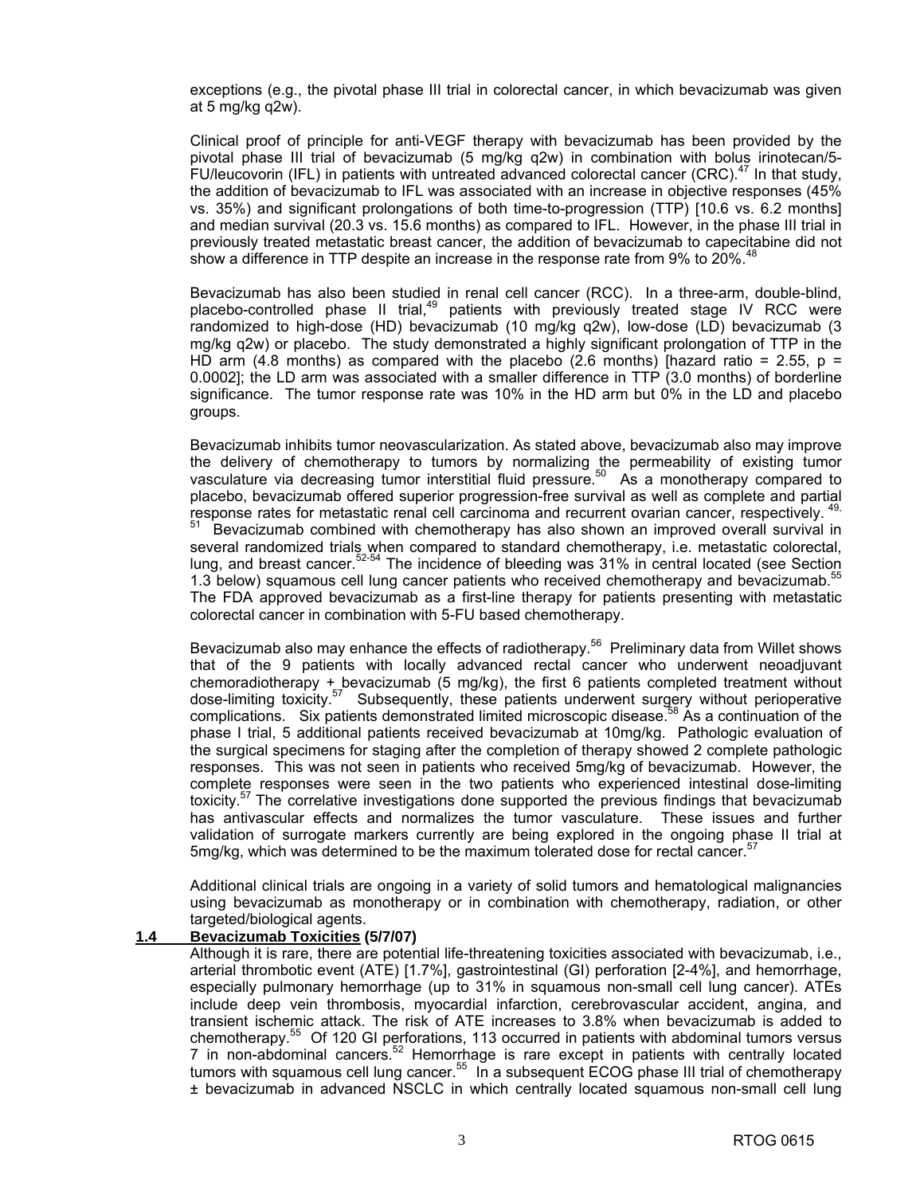exceptions (e.g., the pivotal phase III trial in colorectal cancer, in which bevacizumab was given at 5 mg/kg q2w).

 Clinical proof of principle for anti-VEGF therapy with bevacizumab has been provided by the pivotal phase III trial of bevacizumab (5 mg/kg q2w) in combination with bolus irinotecan/5- FU/leucovorin (IFL) in patients with untreated advanced colorectal cancer (CRC). $47$  In that study, the addition of bevacizumab to IFL was associated with an increase in objective responses (45% vs. 35%) and significant prolongations of both time-to-progression (TTP) [10.6 vs. 6.2 months] and median survival (20.3 vs. 15.6 months) as compared to IFL. However, in the phase III trial in previously treated metastatic breast cancer, the addition of bevacizumab to capecitabine did not show a difference in TTP despite an increase in the response rate from 9% to 20%.<sup>48</sup>

 Bevacizumab has also been studied in renal cell cancer (RCC). In a three-arm, double-blind, placebo-controlled phase II trial,<sup>49</sup> patients with previously treated stage IV RCC were randomized to high-dose (HD) bevacizumab (10 mg/kg q2w), low-dose (LD) bevacizumab (3 mg/kg q2w) or placebo. The study demonstrated a highly significant prolongation of TTP in the HD arm (4.8 months) as compared with the placebo (2.6 months) [hazard ratio = 2.55,  $p =$ 0.0002]; the LD arm was associated with a smaller difference in TTP (3.0 months) of borderline significance. The tumor response rate was 10% in the HD arm but 0% in the LD and placebo groups.

 Bevacizumab inhibits tumor neovascularization. As stated above, bevacizumab also may improve the delivery of chemotherapy to tumors by normalizing the permeability of existing tumor vasculature via decreasing tumor interstitial fluid pressure.<sup>50</sup> As a monotherapy compared to placebo, bevacizumab offered superior progression-free survival as well as complete and partial response rates for metastatic renal cell carcinoma and recurrent ovarian cancer, respectively. 4

Bevacizumab combined with chemotherapy has also shown an improved overall survival in several randomized trials when compared to standard chemotherapy, i.e. metastatic colorectal, lung, and breast cancer.<sup>52-54</sup> The incidence of bleeding was 31% in central located (see Section 1.3 below) squamous cell lung cancer patients who received chemotherapy and bevacizumab.<sup>55</sup> The FDA approved bevacizumab as a first-line therapy for patients presenting with metastatic colorectal cancer in combination with 5-FU based chemotherapy.

Bevacizumab also may enhance the effects of radiotherapy.<sup>56</sup> Preliminary data from Willet shows that of the 9 patients with locally advanced rectal cancer who underwent neoadjuvant chemoradiotherapy + bevacizumab (5 mg/kg), the first  $6$  patients completed treatment without dose-limiting toxicity.<sup>57</sup> Subsequently, these patients underwent surgery without perioperative complications. Six patients demonstrated limited microscopic disease.<sup>58</sup> As a continuation of the phase I trial, 5 additional patients received bevacizumab at 10mg/kg. Pathologic evaluation of the surgical specimens for staging after the completion of therapy showed 2 complete pathologic responses. This was not seen in patients who received 5mg/kg of bevacizumab. However, the complete responses were seen in the two patients who experienced intestinal dose-limiting toxicity.<sup>57</sup> The correlative investigations done supported the previous findings that bevacizumab has antivascular effects and normalizes the tumor vasculature. These issues and further validation of surrogate markers currently are being explored in the ongoing phase II trial at 5mg/kg, which was determined to be the maximum tolerated dose for rectal cancer.<sup>57</sup>

 Additional clinical trials are ongoing in a variety of solid tumors and hematological malignancies using bevacizumab as monotherapy or in combination with chemotherapy, radiation, or other targeted/biological agents.

#### **1.4 Bevacizumab Toxicities (5/7/07)**

 Although it is rare, there are potential life-threatening toxicities associated with bevacizumab, i.e., arterial thrombotic event (ATE) [1.7%], gastrointestinal (GI) perforation [2-4%], and hemorrhage, especially pulmonary hemorrhage (up to 31% in squamous non-small cell lung cancer). ATEs include deep vein thrombosis, myocardial infarction, cerebrovascular accident, angina, and transient ischemic attack. The risk of ATE increases to 3.8% when bevacizumab is added to chemotherapy.55 Of 120 GI perforations, 113 occurred in patients with abdominal tumors versus 7 in non-abdominal cancers.<sup>52</sup> Hemorrhage is rare except in patients with centrally located tumors with squamous cell lung cancer.<sup>55</sup> In a subsequent ECOG phase III trial of chemotherapy ± bevacizumab in advanced NSCLC in which centrally located squamous non-small cell lung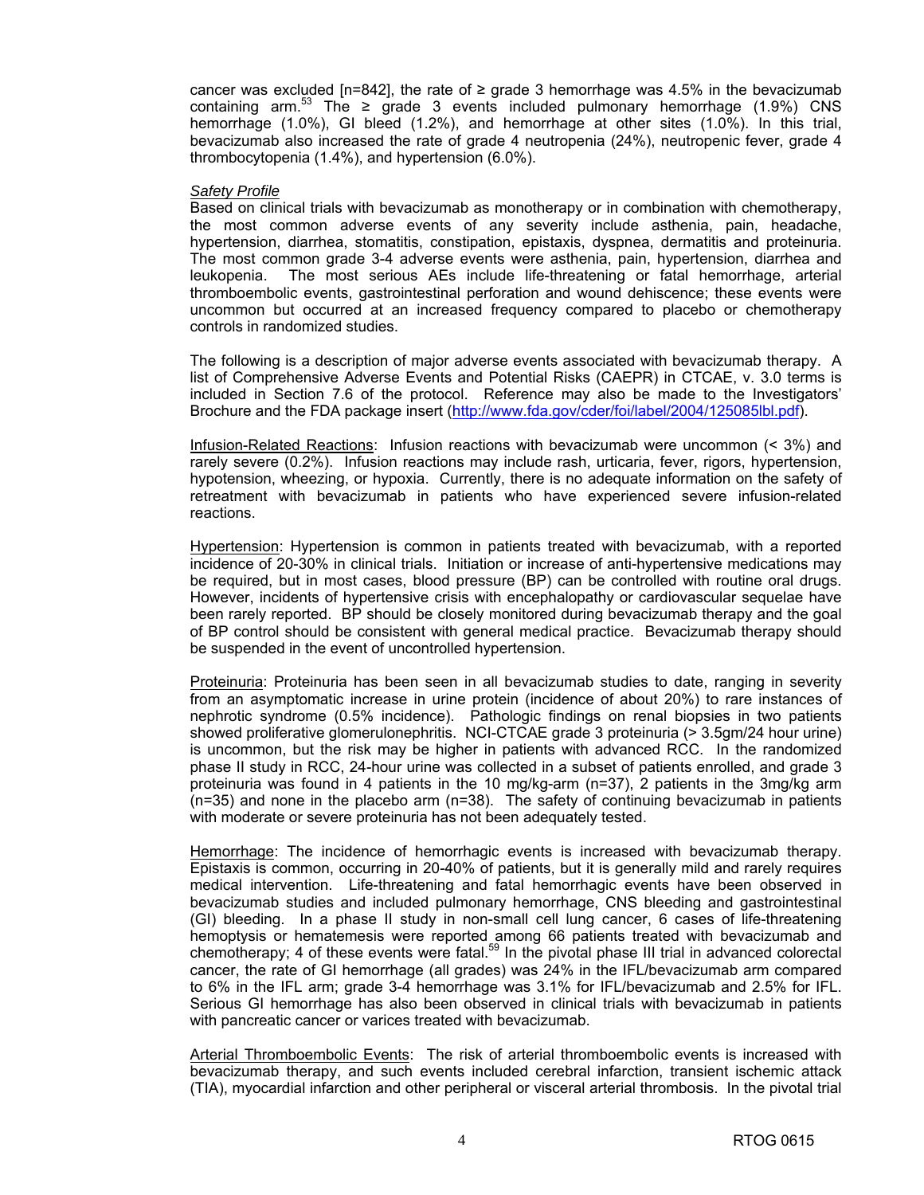cancer was excluded [n=842], the rate of  $\geq$  grade 3 hemorrhage was 4.5% in the bevacizumab containing arm.<sup>53</sup> The  $\geq$  grade 3 events included pulmonary hemorrhage (1.9%) CNS hemorrhage (1.0%), GI bleed (1.2%), and hemorrhage at other sites (1.0%). In this trial, bevacizumab also increased the rate of grade 4 neutropenia (24%), neutropenic fever, grade 4 thrombocytopenia (1.4%), and hypertension (6.0%).

#### *Safety Profile*

 Based on clinical trials with bevacizumab as monotherapy or in combination with chemotherapy, the most common adverse events of any severity include asthenia, pain, headache, hypertension, diarrhea, stomatitis, constipation, epistaxis, dyspnea, dermatitis and proteinuria. The most common grade 3-4 adverse events were asthenia, pain, hypertension, diarrhea and leukopenia. The most serious AEs include life-threatening or fatal hemorrhage, arterial thromboembolic events, gastrointestinal perforation and wound dehiscence; these events were uncommon but occurred at an increased frequency compared to placebo or chemotherapy controls in randomized studies.

 The following is a description of major adverse events associated with bevacizumab therapy. A list of Comprehensive Adverse Events and Potential Risks (CAEPR) in CTCAE, v. 3.0 terms is included in Section 7.6 of the protocol. Reference may also be made to the Investigators' Brochure and the FDA package insert (http://www.fda.gov/cder/foi/label/2004/125085lbl.pdf).

 Infusion-Related Reactions: Infusion reactions with bevacizumab were uncommon (< 3%) and rarely severe (0.2%). Infusion reactions may include rash, urticaria, fever, rigors, hypertension, hypotension, wheezing, or hypoxia. Currently, there is no adequate information on the safety of retreatment with bevacizumab in patients who have experienced severe infusion-related reactions.

Hypertension: Hypertension is common in patients treated with bevacizumab, with a reported incidence of 20-30% in clinical trials. Initiation or increase of anti-hypertensive medications may be required, but in most cases, blood pressure (BP) can be controlled with routine oral drugs. However, incidents of hypertensive crisis with encephalopathy or cardiovascular sequelae have been rarely reported. BP should be closely monitored during bevacizumab therapy and the goal of BP control should be consistent with general medical practice. Bevacizumab therapy should be suspended in the event of uncontrolled hypertension.

 Proteinuria: Proteinuria has been seen in all bevacizumab studies to date, ranging in severity from an asymptomatic increase in urine protein (incidence of about 20%) to rare instances of nephrotic syndrome (0.5% incidence). Pathologic findings on renal biopsies in two patients showed proliferative glomerulonephritis. NCI-CTCAE grade 3 proteinuria (> 3.5gm/24 hour urine) is uncommon, but the risk may be higher in patients with advanced RCC. In the randomized phase II study in RCC, 24-hour urine was collected in a subset of patients enrolled, and grade 3 proteinuria was found in 4 patients in the 10 mg/kg-arm (n=37), 2 patients in the 3mg/kg arm (n=35) and none in the placebo arm (n=38). The safety of continuing bevacizumab in patients with moderate or severe proteinuria has not been adequately tested.

 Hemorrhage: The incidence of hemorrhagic events is increased with bevacizumab therapy. Epistaxis is common, occurring in 20-40% of patients, but it is generally mild and rarely requires medical intervention. Life-threatening and fatal hemorrhagic events have been observed in bevacizumab studies and included pulmonary hemorrhage, CNS bleeding and gastrointestinal (GI) bleeding. In a phase II study in non-small cell lung cancer, 6 cases of life-threatening hemoptysis or hematemesis were reported among 66 patients treated with bevacizumab and chemotherapy; 4 of these events were fatal.<sup>59</sup> In the pivotal phase III trial in advanced colorectal cancer, the rate of GI hemorrhage (all grades) was 24% in the IFL/bevacizumab arm compared to 6% in the IFL arm; grade 3-4 hemorrhage was 3.1% for IFL/bevacizumab and 2.5% for IFL. Serious GI hemorrhage has also been observed in clinical trials with bevacizumab in patients with pancreatic cancer or varices treated with bevacizumab.

 Arterial Thromboembolic Events: The risk of arterial thromboembolic events is increased with bevacizumab therapy, and such events included cerebral infarction, transient ischemic attack (TIA), myocardial infarction and other peripheral or visceral arterial thrombosis. In the pivotal trial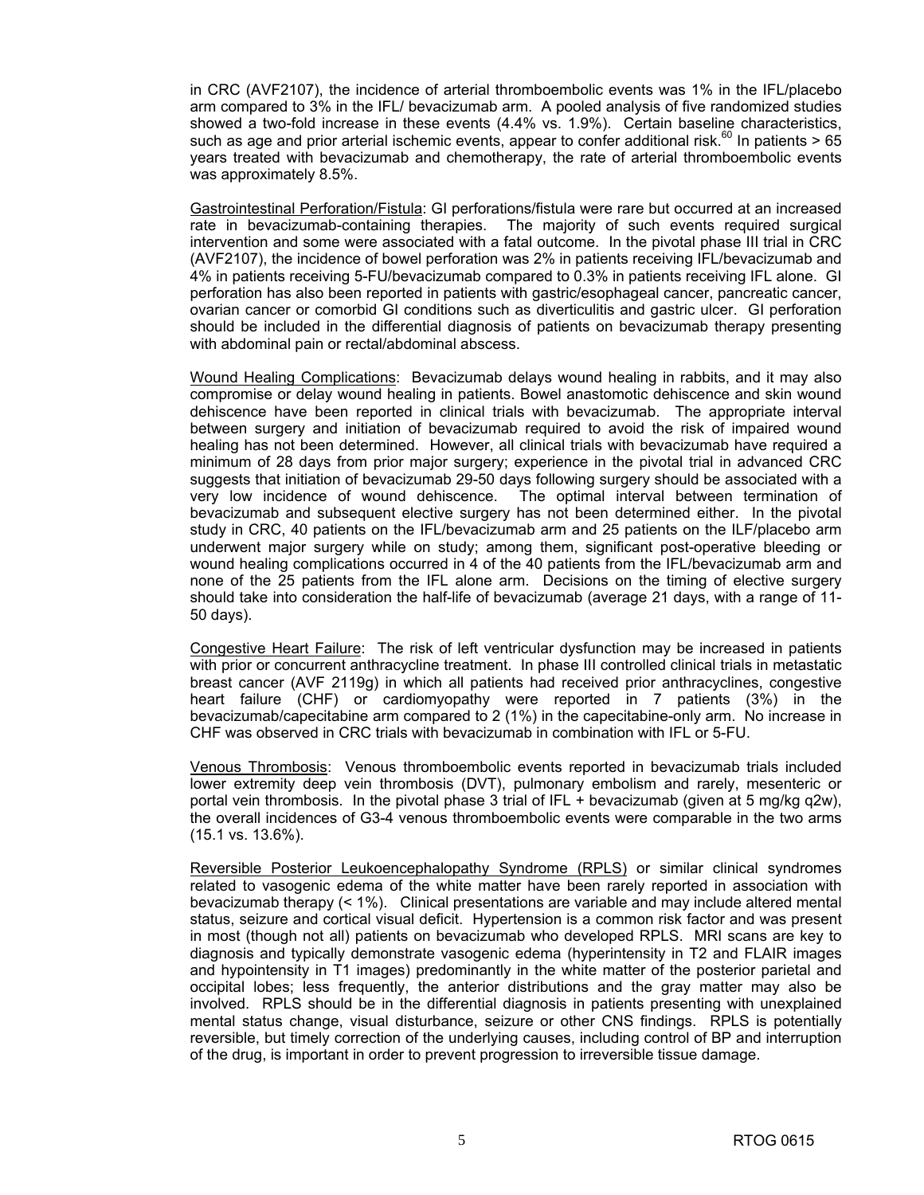in CRC (AVF2107), the incidence of arterial thromboembolic events was 1% in the IFL/placebo arm compared to 3% in the IFL/ bevacizumab arm. A pooled analysis of five randomized studies showed a two-fold increase in these events (4.4% vs. 1.9%). Certain baseline characteristics, such as age and prior arterial ischemic events, appear to confer additional risk.<sup>60</sup> In patients  $> 65$ years treated with bevacizumab and chemotherapy, the rate of arterial thromboembolic events was approximately 8.5%.

 Gastrointestinal Perforation/Fistula: GI perforations/fistula were rare but occurred at an increased rate in bevacizumab-containing therapies. The majority of such events required surgical intervention and some were associated with a fatal outcome. In the pivotal phase III trial in CRC (AVF2107), the incidence of bowel perforation was 2% in patients receiving IFL/bevacizumab and 4% in patients receiving 5-FU/bevacizumab compared to 0.3% in patients receiving IFL alone. GI perforation has also been reported in patients with gastric/esophageal cancer, pancreatic cancer, ovarian cancer or comorbid GI conditions such as diverticulitis and gastric ulcer. GI perforation should be included in the differential diagnosis of patients on bevacizumab therapy presenting with abdominal pain or rectal/abdominal abscess.

 Wound Healing Complications: Bevacizumab delays wound healing in rabbits, and it may also compromise or delay wound healing in patients. Bowel anastomotic dehiscence and skin wound dehiscence have been reported in clinical trials with bevacizumab. The appropriate interval between surgery and initiation of bevacizumab required to avoid the risk of impaired wound healing has not been determined. However, all clinical trials with bevacizumab have required a minimum of 28 days from prior major surgery; experience in the pivotal trial in advanced CRC suggests that initiation of bevacizumab 29-50 days following surgery should be associated with a very low incidence of wound dehiscence. The optimal interval between termination of bevacizumab and subsequent elective surgery has not been determined either. In the pivotal study in CRC, 40 patients on the IFL/bevacizumab arm and 25 patients on the ILF/placebo arm underwent major surgery while on study; among them, significant post-operative bleeding or wound healing complications occurred in 4 of the 40 patients from the IFL/bevacizumab arm and none of the 25 patients from the IFL alone arm. Decisions on the timing of elective surgery should take into consideration the half-life of bevacizumab (average 21 days, with a range of 11- 50 days).

 Congestive Heart Failure: The risk of left ventricular dysfunction may be increased in patients with prior or concurrent anthracycline treatment. In phase III controlled clinical trials in metastatic breast cancer (AVF 2119g) in which all patients had received prior anthracyclines, congestive heart failure (CHF) or cardiomyopathy were reported in 7 patients (3%) in the bevacizumab/capecitabine arm compared to 2 (1%) in the capecitabine-only arm. No increase in CHF was observed in CRC trials with bevacizumab in combination with IFL or 5-FU.

 Venous Thrombosis: Venous thromboembolic events reported in bevacizumab trials included lower extremity deep vein thrombosis (DVT), pulmonary embolism and rarely, mesenteric or portal vein thrombosis. In the pivotal phase 3 trial of IFL + bevacizumab (given at 5 mg/kg q2w), the overall incidences of G3-4 venous thromboembolic events were comparable in the two arms (15.1 vs. 13.6%).

 Reversible Posterior Leukoencephalopathy Syndrome (RPLS) or similar clinical syndromes related to vasogenic edema of the white matter have been rarely reported in association with bevacizumab therapy (< 1%). Clinical presentations are variable and may include altered mental status, seizure and cortical visual deficit. Hypertension is a common risk factor and was present in most (though not all) patients on bevacizumab who developed RPLS. MRI scans are key to diagnosis and typically demonstrate vasogenic edema (hyperintensity in T2 and FLAIR images and hypointensity in T1 images) predominantly in the white matter of the posterior parietal and occipital lobes; less frequently, the anterior distributions and the gray matter may also be involved. RPLS should be in the differential diagnosis in patients presenting with unexplained mental status change, visual disturbance, seizure or other CNS findings. RPLS is potentially reversible, but timely correction of the underlying causes, including control of BP and interruption of the drug, is important in order to prevent progression to irreversible tissue damage.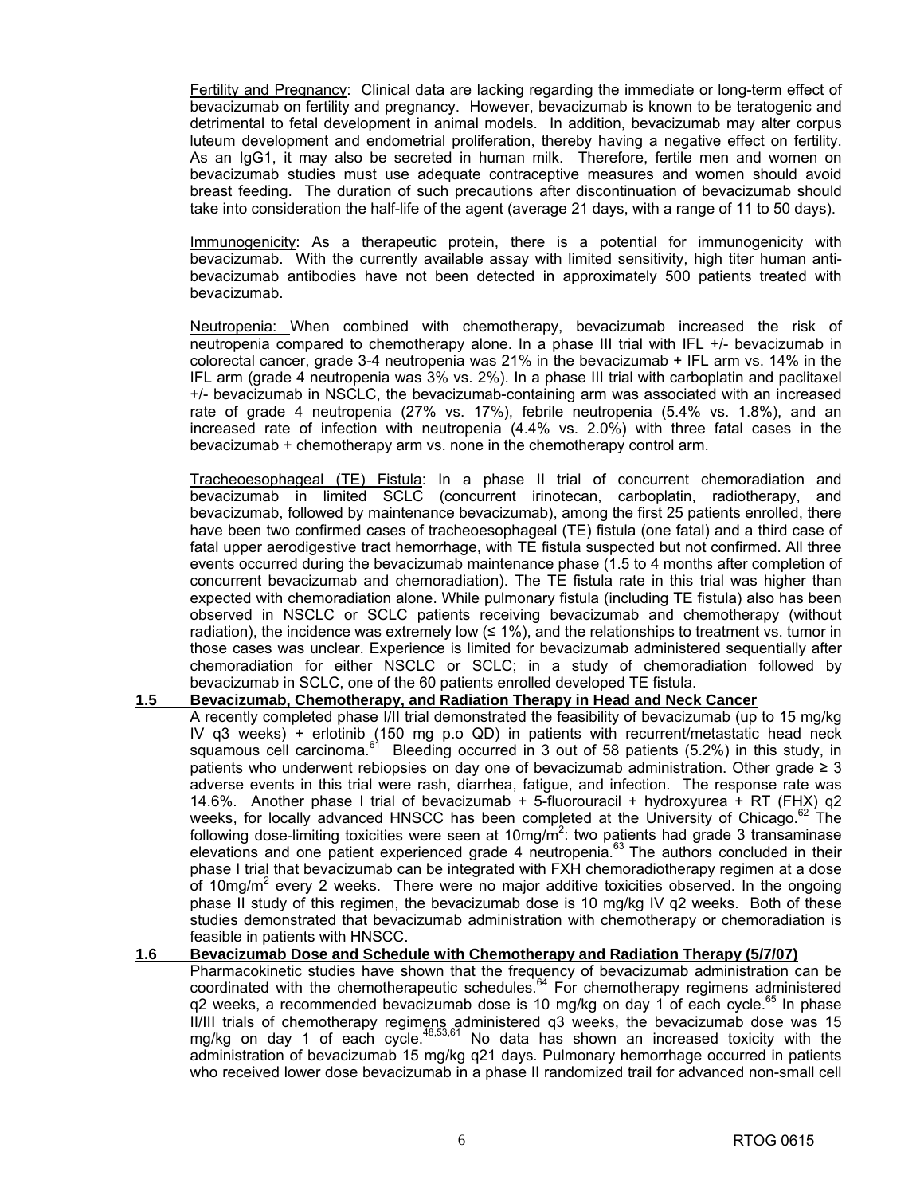Fertility and Pregnancy: Clinical data are lacking regarding the immediate or long-term effect of bevacizumab on fertility and pregnancy. However, bevacizumab is known to be teratogenic and detrimental to fetal development in animal models. In addition, bevacizumab may alter corpus luteum development and endometrial proliferation, thereby having a negative effect on fertility. As an IgG1, it may also be secreted in human milk. Therefore, fertile men and women on bevacizumab studies must use adequate contraceptive measures and women should avoid breast feeding. The duration of such precautions after discontinuation of bevacizumab should take into consideration the half-life of the agent (average 21 days, with a range of 11 to 50 days).

 Immunogenicity: As a therapeutic protein, there is a potential for immunogenicity with bevacizumab. With the currently available assay with limited sensitivity, high titer human antibevacizumab antibodies have not been detected in approximately 500 patients treated with bevacizumab.

 Neutropenia: When combined with chemotherapy, bevacizumab increased the risk of neutropenia compared to chemotherapy alone. In a phase III trial with IFL +/- bevacizumab in colorectal cancer, grade 3-4 neutropenia was 21% in the bevacizumab + IFL arm vs. 14% in the IFL arm (grade 4 neutropenia was 3% vs. 2%). In a phase III trial with carboplatin and paclitaxel +/- bevacizumab in NSCLC, the bevacizumab-containing arm was associated with an increased rate of grade 4 neutropenia (27% vs. 17%), febrile neutropenia (5.4% vs. 1.8%), and an increased rate of infection with neutropenia (4.4% vs. 2.0%) with three fatal cases in the bevacizumab + chemotherapy arm vs. none in the chemotherapy control arm.

 Tracheoesophageal (TE) Fistula: In a phase II trial of concurrent chemoradiation and bevacizumab in limited SCLC (concurrent irinotecan, carboplatin, radiotherapy, and bevacizumab, followed by maintenance bevacizumab), among the first 25 patients enrolled, there have been two confirmed cases of tracheoesophageal (TE) fistula (one fatal) and a third case of fatal upper aerodigestive tract hemorrhage, with TE fistula suspected but not confirmed. All three events occurred during the bevacizumab maintenance phase (1.5 to 4 months after completion of concurrent bevacizumab and chemoradiation). The TE fistula rate in this trial was higher than expected with chemoradiation alone. While pulmonary fistula (including TE fistula) also has been observed in NSCLC or SCLC patients receiving bevacizumab and chemotherapy (without radiation), the incidence was extremely low  $(≤ 1%)$ , and the relationships to treatment vs. tumor in those cases was unclear. Experience is limited for bevacizumab administered sequentially after chemoradiation for either NSCLC or SCLC; in a study of chemoradiation followed by bevacizumab in SCLC, one of the 60 patients enrolled developed TE fistula.

#### **1.5 Bevacizumab, Chemotherapy, and Radiation Therapy in Head and Neck Cancer**

 A recently completed phase I/II trial demonstrated the feasibility of bevacizumab (up to 15 mg/kg IV q3 weeks) + erlotinib  $(150 \text{ mg p.o QD})$  in patients with recurrent/metastatic head neck squamous cell carcinoma.<sup>61</sup> Bleeding occurred in 3 out of 58 patients (5.2%) in this study, in patients who underwent rebiopsies on day one of bevacizumab administration. Other grade ≥ 3 adverse events in this trial were rash, diarrhea, fatigue, and infection. The response rate was 14.6%. Another phase I trial of bevacizumab + 5-fluorouracil + hydroxyurea + RT (FHX) q2 weeks, for locally advanced HNSCC has been completed at the University of Chicago.<sup>62</sup> The following dose-limiting toxicities were seen at 10mg/m<sup>2</sup>: two patients had grade 3 transaminase elevations and one patient experienced grade 4 neutropenia.63 The authors concluded in their phase I trial that bevacizumab can be integrated with FXH chemoradiotherapy regimen at a dose of 10mg/m<sup>2</sup> every 2 weeks. There were no major additive toxicities observed. In the ongoing phase II study of this regimen, the bevacizumab dose is 10 mg/kg IV q2 weeks. Both of these studies demonstrated that bevacizumab administration with chemotherapy or chemoradiation is feasible in patients with HNSCC.

#### **1.6 Bevacizumab Dose and Schedule with Chemotherapy and Radiation Therapy (5/7/07)**

 Pharmacokinetic studies have shown that the frequency of bevacizumab administration can be coordinated with the chemotherapeutic schedules.<sup>64</sup> For chemotherapy regimens administered q2 weeks, a recommended bevacizumab dose is 10 mg/kg on day 1 of each cycle.<sup>65</sup> In phase II/III trials of chemotherapy regimens administered q3 weeks, the bevacizumab dose was 15 mg/kg on day 1 of each cycle. $48,53,61$  No data has shown an increased toxicity with the administration of bevacizumab 15 mg/kg q21 days. Pulmonary hemorrhage occurred in patients who received lower dose bevacizumab in a phase II randomized trail for advanced non-small cell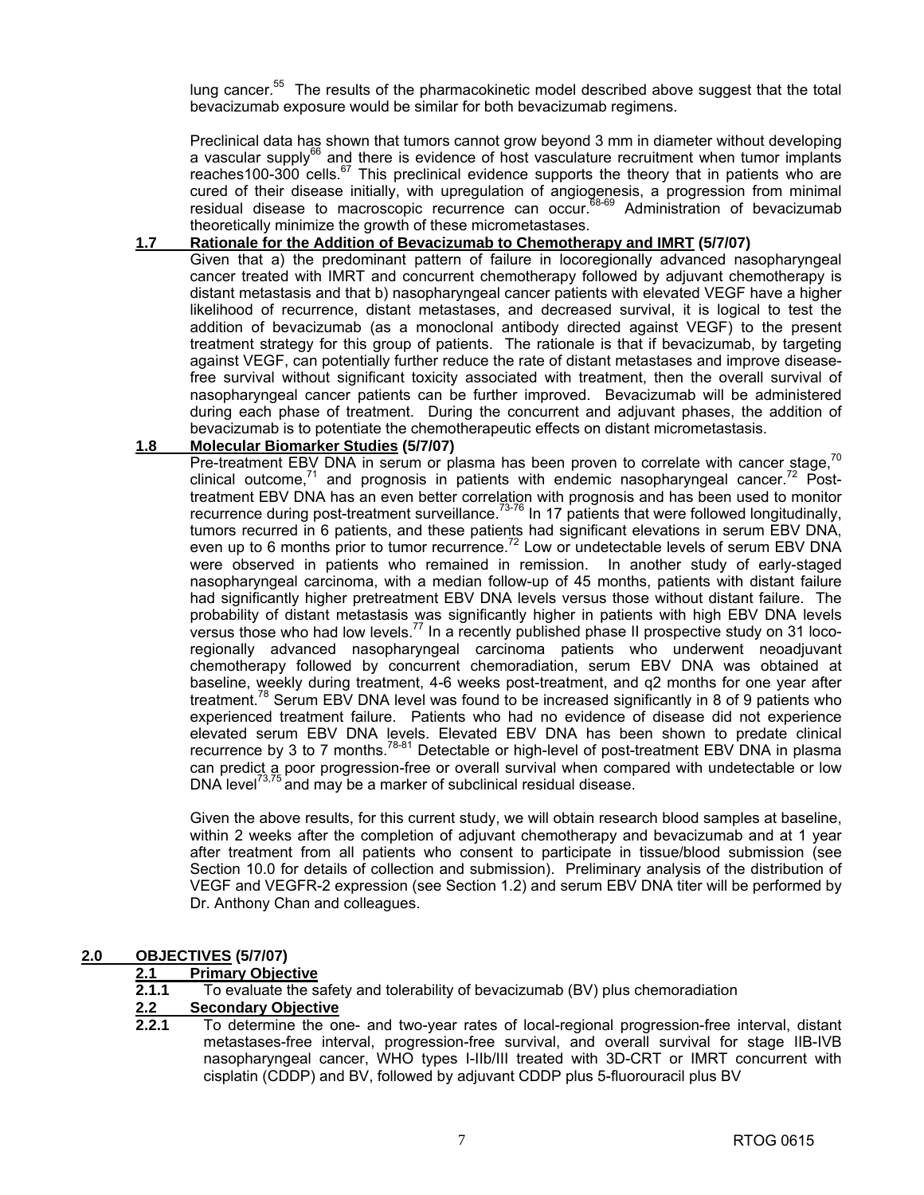lung cancer.<sup>55</sup> The results of the pharmacokinetic model described above suggest that the total bevacizumab exposure would be similar for both bevacizumab regimens.

 Preclinical data has shown that tumors cannot grow beyond 3 mm in diameter without developing a vascular supply $^{66}$  and there is evidence of host vasculature recruitment when tumor implants reaches100-300 cells.<sup>67</sup> This preclinical evidence supports the theory that in patients who are cured of their disease initially, with upregulation of angiogenesis, a progression from minimal residual disease to macroscopic recurrence can occur.68-69 Administration of bevacizumab theoretically minimize the growth of these micrometastases.

#### **1.7 Rationale for the Addition of Bevacizumab to Chemotherapy and IMRT (5/7/07)**

 Given that a) the predominant pattern of failure in locoregionally advanced nasopharyngeal cancer treated with IMRT and concurrent chemotherapy followed by adjuvant chemotherapy is distant metastasis and that b) nasopharyngeal cancer patients with elevated VEGF have a higher likelihood of recurrence, distant metastases, and decreased survival, it is logical to test the addition of bevacizumab (as a monoclonal antibody directed against VEGF) to the present treatment strategy for this group of patients. The rationale is that if bevacizumab, by targeting against VEGF, can potentially further reduce the rate of distant metastases and improve diseasefree survival without significant toxicity associated with treatment, then the overall survival of nasopharyngeal cancer patients can be further improved. Bevacizumab will be administered during each phase of treatment. During the concurrent and adjuvant phases, the addition of bevacizumab is to potentiate the chemotherapeutic effects on distant micrometastasis.

#### **1.8 Molecular Biomarker Studies (5/7/07)**

Pre-treatment EBV DNA in serum or plasma has been proven to correlate with cancer stage,<sup>70</sup> clinical outcome, $71$  and prognosis in patients with endemic nasopharyngeal cancer.<sup> $72$ </sup> Posttreatment EBV DNA has an even better correlation with prognosis and has been used to monitor recurrence during post-treatment surveillance.<sup>73-76</sup> In 17 patients that were followed longitudinally, tumors recurred in 6 patients, and these patients had significant elevations in serum EBV DNA, even up to 6 months prior to tumor recurrence.<sup>72</sup> Low or undetectable levels of serum EBV DNA were observed in patients who remained in remission. In another study of early-staged nasopharyngeal carcinoma, with a median follow-up of 45 months, patients with distant failure had significantly higher pretreatment EBV DNA levels versus those without distant failure. The probability of distant metastasis was significantly higher in patients with high EBV DNA levels versus those who had low levels.<sup>77</sup> In a recently published phase II prospective study on 31 locoregionally advanced nasopharyngeal carcinoma patients who underwent neoadjuvant chemotherapy followed by concurrent chemoradiation, serum EBV DNA was obtained at baseline, weekly during treatment, 4-6 weeks post-treatment, and q2 months for one year after treatment.78 Serum EBV DNA level was found to be increased significantly in 8 of 9 patients who experienced treatment failure. Patients who had no evidence of disease did not experience elevated serum EBV DNA levels. Elevated EBV DNA has been shown to predate clinical recurrence by 3 to 7 months.<sup>78-81</sup> Detectable or high-level of post-treatment EBV DNA in plasma can predict a poor progression-free or overall survival when compared with undetectable or low DNA level<sup> $73,75$ </sup> and may be a marker of subclinical residual disease.

 Given the above results, for this current study, we will obtain research blood samples at baseline, within 2 weeks after the completion of adjuvant chemotherapy and bevacizumab and at 1 year after treatment from all patients who consent to participate in tissue/blood submission (see Section 10.0 for details of collection and submission). Preliminary analysis of the distribution of VEGF and VEGFR-2 expression (see Section 1.2) and serum EBV DNA titer will be performed by Dr. Anthony Chan and colleagues.

#### **2.0 OBJECTIVES (5/7/07)**

# **2.1 Primary Objective**<br>**2.1.1** To evaluate the sa

**2.1.1** To evaluate the safety and tolerability of bevacizumab (BV) plus chemoradiation

#### **2.2 Secondary Objective**

**2.2.1** To determine the one- and two-year rates of local-regional progression-free interval, distant metastases-free interval, progression-free survival, and overall survival for stage IIB-IVB nasopharyngeal cancer, WHO types I-IIb/III treated with 3D-CRT or IMRT concurrent with cisplatin (CDDP) and BV, followed by adjuvant CDDP plus 5-fluorouracil plus BV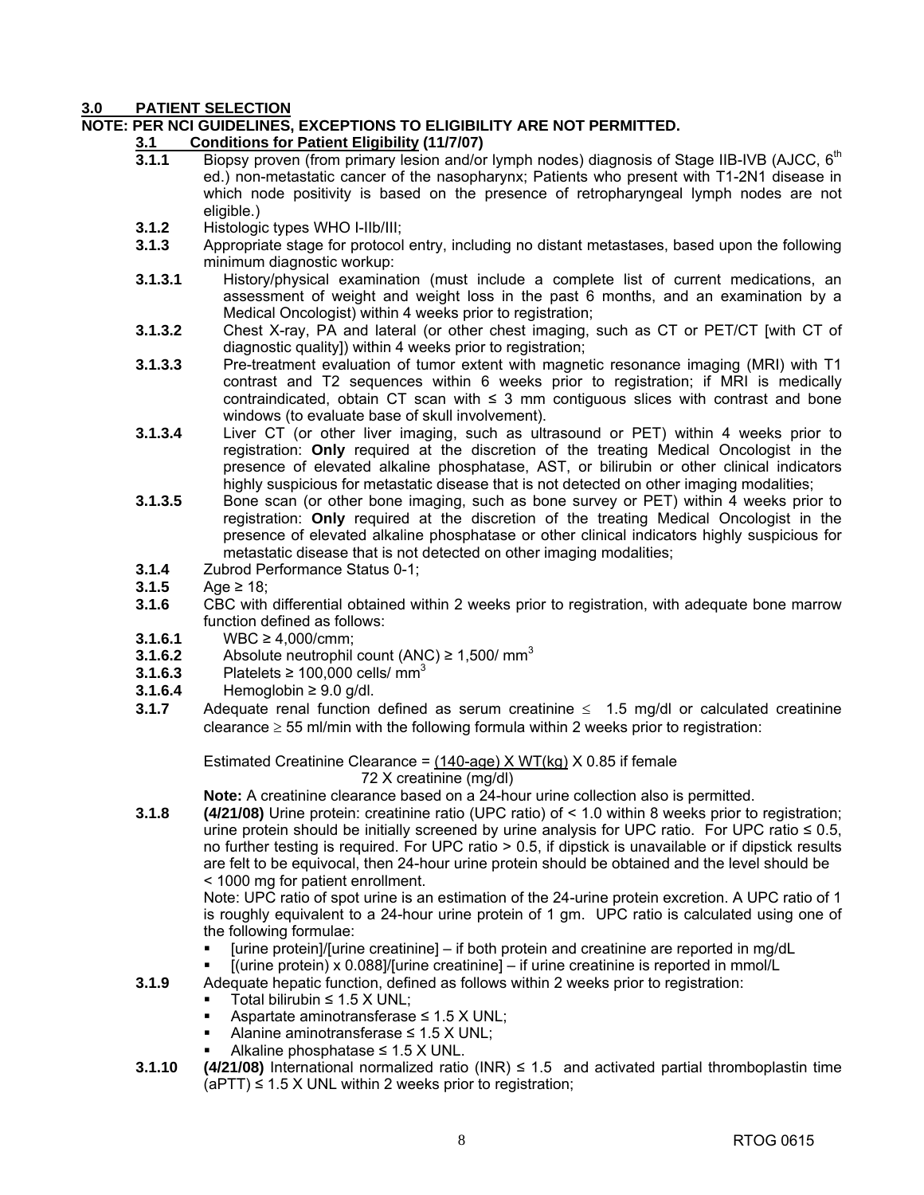#### **3.0 PATIENT SELECTION**

#### **NOTE: PER NCI GUIDELINES, EXCEPTIONS TO ELIGIBILITY ARE NOT PERMITTED.**

# **3.1 Conditions for Patient Eligibility (11/7/07)**

- Biopsy proven (from primary lesion and/or lymph nodes) diagnosis of Stage IIB-IVB (AJCC, 6<sup>th</sup> ed.) non-metastatic cancer of the nasopharynx; Patients who present with T1-2N1 disease in which node positivity is based on the presence of retropharyngeal lymph nodes are not eligible.)
- **3.1.2** Histologic types WHO I-IIb/III;
- **3.1.3** Appropriate stage for protocol entry, including no distant metastases, based upon the following minimum diagnostic workup:
- **3.1.3.1** History/physical examination (must include a complete list of current medications, an assessment of weight and weight loss in the past 6 months, and an examination by a Medical Oncologist) within 4 weeks prior to registration;
- **3.1.3.2** Chest X-ray, PA and lateral (or other chest imaging, such as CT or PET/CT [with CT of diagnostic quality]) within 4 weeks prior to registration;
- **3.1.3.3** Pre-treatment evaluation of tumor extent with magnetic resonance imaging (MRI) with T1 contrast and T2 sequences within 6 weeks prior to registration; if MRI is medically contraindicated, obtain CT scan with  $\leq$  3 mm contiguous slices with contrast and bone windows (to evaluate base of skull involvement).
- **3.1.3.4** Liver CT (or other liver imaging, such as ultrasound or PET) within 4 weeks prior to registration: **Only** required at the discretion of the treating Medical Oncologist in the presence of elevated alkaline phosphatase, AST, or bilirubin or other clinical indicators highly suspicious for metastatic disease that is not detected on other imaging modalities;
- **3.1.3.5** Bone scan (or other bone imaging, such as bone survey or PET) within 4 weeks prior to registration: **Only** required at the discretion of the treating Medical Oncologist in the presence of elevated alkaline phosphatase or other clinical indicators highly suspicious for metastatic disease that is not detected on other imaging modalities;
- **3.1.4** Zubrod Performance Status 0-1;
- **3.1.5** Age ≥ 18;
- **3.1.6** CBC with differential obtained within 2 weeks prior to registration, with adequate bone marrow function defined as follows:
- 
- **3.1.6.1 WBC ≥ 4,000/cmm;**<br>**3.1.6.2 Absolute neutrophil 3.1.6.2** Absolute neutrophil count (ANC) ≥ 1,500/ mm<sup>3</sup>
- **3.1.6.3** Platelets  $\geq 100,000$  cells/ mm<sup>3</sup>
- **3.1.6.4** Hemoglobin ≥ 9.0 g/dl.
- **3.1.7** Adequate renal function defined as serum creatinine ≤ 1.5 mg/dl or calculated creatinine clearance  $\geq$  55 ml/min with the following formula within 2 weeks prior to registration:

 Estimated Creatinine Clearance = (140-age) X WT(kg) X 0.85 if female 72 X creatinine (mg/dl)

 **Note:** A creatinine clearance based on a 24-hour urine collection also is permitted.

**3.1.8 (4/21/08)** Urine protein: creatinine ratio (UPC ratio) of < 1.0 within 8 weeks prior to registration; urine protein should be initially screened by urine analysis for UPC ratio. For UPC ratio  $\leq 0.5$ , no further testing is required. For UPC ratio > 0.5, if dipstick is unavailable or if dipstick results are felt to be equivocal, then 24-hour urine protein should be obtained and the level should be < 1000 mg for patient enrollment.

 Note: UPC ratio of spot urine is an estimation of the 24-urine protein excretion. A UPC ratio of 1 is roughly equivalent to a 24-hour urine protein of 1 gm. UPC ratio is calculated using one of the following formulae:

- [urine protein]/[urine creatinine] if both protein and creatinine are reported in mg/dL
- [(urine protein) x 0.088]/[urine creatinine] if urine creatinine is reported in mmol/L
- **3.1.9** Adequate hepatic function, defined as follows within 2 weeks prior to registration:
	- Total bilirubin ≤ 1.5  $X$  UNL:
	- Aspartate aminotransferase ≤ 1.5 X UNL;
	- Alanine aminotransferase ≤ 1.5 X UNL;
	- Alkaline phosphatase  $≤$  1.5 X UNL.
- **3.1.10 (4/21/08)** International normalized ratio (INR) ≤ 1.5 and activated partial thromboplastin time  $(aPTT) \le 1.5$  X UNL within 2 weeks prior to registration;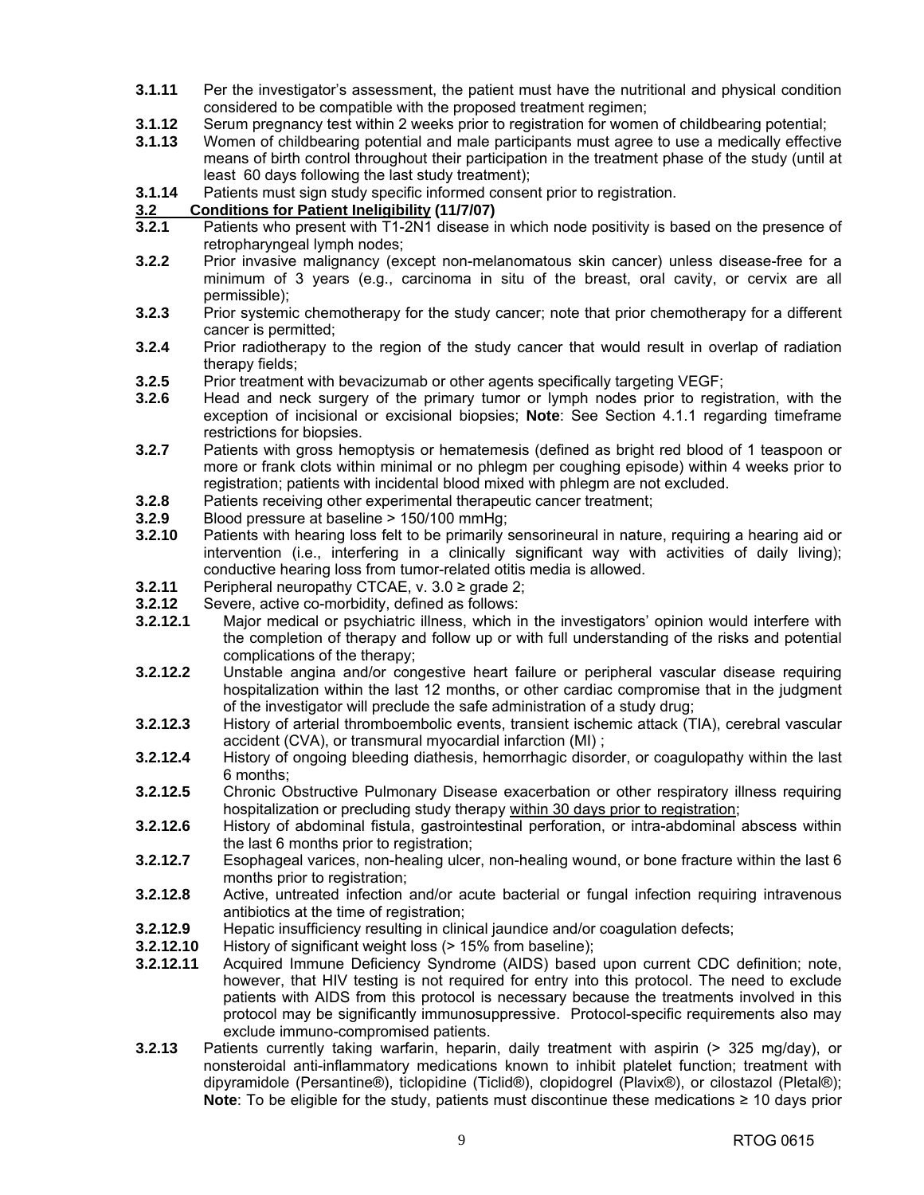- **3.1.11** Per the investigator's assessment, the patient must have the nutritional and physical condition considered to be compatible with the proposed treatment regimen;
- **3.1.12** Serum pregnancy test within 2 weeks prior to registration for women of childbearing potential;<br>**3.1.13** Women of childbearing potential and male participants must agree to use a medically effectiv
- **3.1.13** Women of childbearing potential and male participants must agree to use a medically effective means of birth control throughout their participation in the treatment phase of the study (until at least 60 days following the last study treatment);
- **3.1.14** Patients must sign study specific informed consent prior to registration.

#### **3.2 Conditions for Patient Ineligibility (11/7/07)**

- **3.2.1** Patients who present with T1-2N1 disease in which node positivity is based on the presence of retropharyngeal lymph nodes;
- **3.2.2** Prior invasive malignancy (except non-melanomatous skin cancer) unless disease-free for a minimum of 3 years (e.g., carcinoma in situ of the breast, oral cavity, or cervix are all permissible);
- **3.2.3** Prior systemic chemotherapy for the study cancer; note that prior chemotherapy for a different cancer is permitted;
- **3.2.4** Prior radiotherapy to the region of the study cancer that would result in overlap of radiation therapy fields;
- **3.2.5** Prior treatment with bevacizumab or other agents specifically targeting VEGF;
- **3.2.6** Head and neck surgery of the primary tumor or lymph nodes prior to registration, with the exception of incisional or excisional biopsies; **Note**: See Section 4.1.1 regarding timeframe restrictions for biopsies.
- **3.2.7** Patients with gross hemoptysis or hematemesis (defined as bright red blood of 1 teaspoon or more or frank clots within minimal or no phlegm per coughing episode) within 4 weeks prior to registration; patients with incidental blood mixed with phlegm are not excluded.
- **3.2.8** Patients receiving other experimental therapeutic cancer treatment;
- **3.2.9** Blood pressure at baseline > 150/100 mmHg;
- **3.2.10** Patients with hearing loss felt to be primarily sensorineural in nature, requiring a hearing aid or intervention (i.e., interfering in a clinically significant way with activities of daily living); conductive hearing loss from tumor-related otitis media is allowed.
- **3.2.11** Peripheral neuropathy CTCAE, v. 3.0 ≥ grade 2;
- **3.2.12** Severe, active co-morbidity, defined as follows:
- **3.2.12.1** Major medical or psychiatric illness, which in the investigators' opinion would interfere with the completion of therapy and follow up or with full understanding of the risks and potential complications of the therapy;
- **3.2.12.2** Unstable angina and/or congestive heart failure or peripheral vascular disease requiring hospitalization within the last 12 months, or other cardiac compromise that in the judgment of the investigator will preclude the safe administration of a study drug;
- **3.2.12.3** History of arterial thromboembolic events, transient ischemic attack (TIA), cerebral vascular accident (CVA), or transmural myocardial infarction (MI) ;
- **3.2.12.4** History of ongoing bleeding diathesis, hemorrhagic disorder, or coagulopathy within the last 6 months;
- **3.2.12.5** Chronic Obstructive Pulmonary Disease exacerbation or other respiratory illness requiring hospitalization or precluding study therapy within 30 days prior to registration;
- **3.2.12.6** History of abdominal fistula, gastrointestinal perforation, or intra-abdominal abscess within the last 6 months prior to registration;
- **3.2.12.7** Esophageal varices, non-healing ulcer, non-healing wound, or bone fracture within the last 6 months prior to registration;
- **3.2.12.8** Active, untreated infection and/or acute bacterial or fungal infection requiring intravenous antibiotics at the time of registration;
- **3.2.12.9** Hepatic insufficiency resulting in clinical jaundice and/or coagulation defects;
- **3.2.12.10** History of significant weight loss (> 15% from baseline);
- **3.2.12.11** Acquired Immune Deficiency Syndrome (AIDS) based upon current CDC definition; note, however, that HIV testing is not required for entry into this protocol. The need to exclude patients with AIDS from this protocol is necessary because the treatments involved in this protocol may be significantly immunosuppressive. Protocol-specific requirements also may exclude immuno-compromised patients.
- **3.2.13** Patients currently taking warfarin, heparin, daily treatment with aspirin (> 325 mg/day), or nonsteroidal anti-inflammatory medications known to inhibit platelet function; treatment with dipyramidole (Persantine®), ticlopidine (Ticlid®), clopidogrel (Plavix®), or cilostazol (Pletal®); **Note**: To be eligible for the study, patients must discontinue these medications ≥ 10 days prior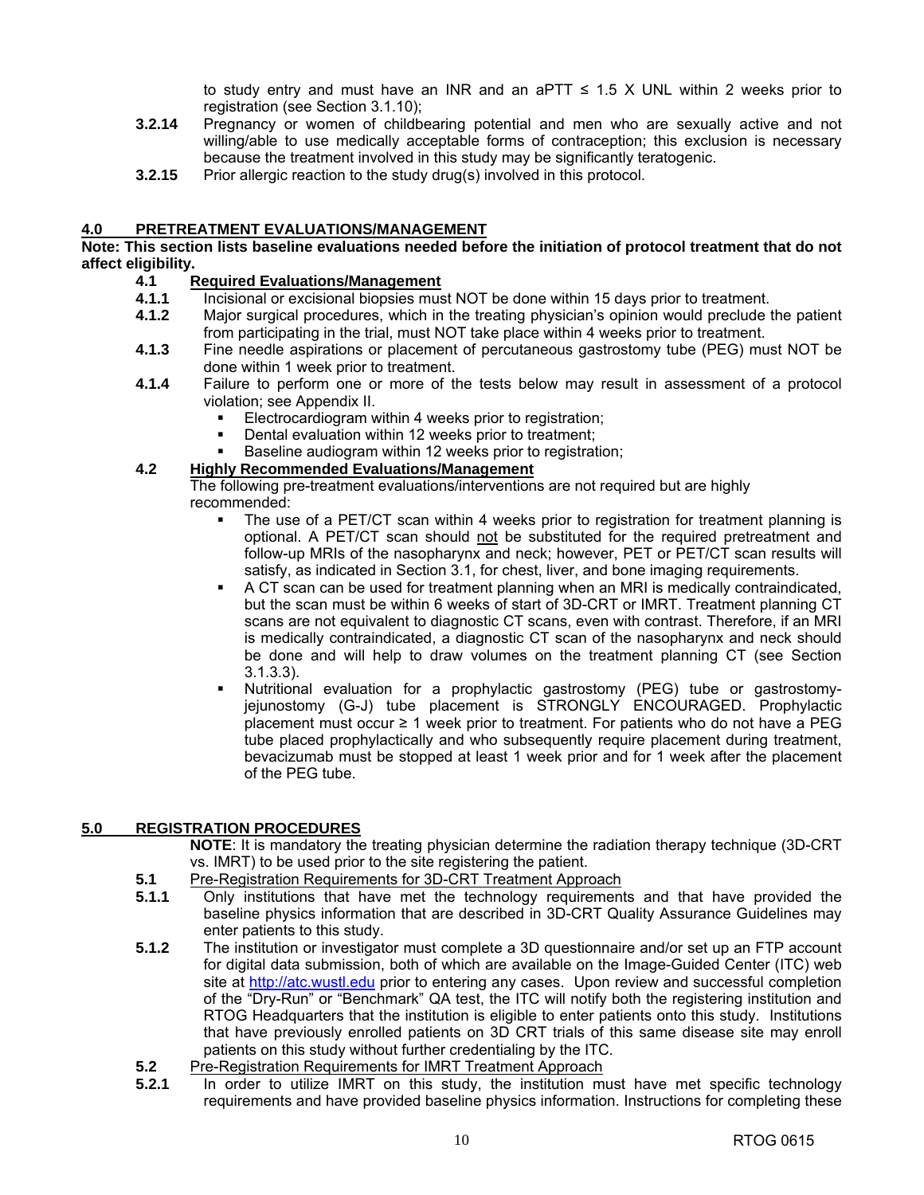to study entry and must have an INR and an aPTT  $\leq$  1.5 X UNL within 2 weeks prior to registration (see Section 3.1.10);

- **3.2.14** Pregnancy or women of childbearing potential and men who are sexually active and not willing/able to use medically acceptable forms of contraception; this exclusion is necessary because the treatment involved in this study may be significantly teratogenic.
- **3.2.15** Prior allergic reaction to the study drug(s) involved in this protocol.

#### **4.0 PRETREATMENT EVALUATIONS/MANAGEMENT**

#### **Note: This section lists baseline evaluations needed before the initiation of protocol treatment that do not affect eligibility.**

### **4.1 Required Evaluations/Management**<br>**4.1.1** Incisional or excisional biopsies mus

- **4.1.1** Incisional or excisional biopsies must NOT be done within 15 days prior to treatment.
- **4.1.2** Major surgical procedures, which in the treating physician's opinion would preclude the patient from participating in the trial, must NOT take place within 4 weeks prior to treatment.
- **4.1.3** Fine needle aspirations or placement of percutaneous gastrostomy tube (PEG) must NOT be done within 1 week prior to treatment.
- **4.1.4** Failure to perform one or more of the tests below may result in assessment of a protocol violation; see Appendix II.
	- Electrocardiogram within 4 weeks prior to registration;
	- Dental evaluation within 12 weeks prior to treatment;
	- Baseline audiogram within 12 weeks prior to registration;

### **4.2 Highly Recommended Evaluations/Management**

 The following pre-treatment evaluations/interventions are not required but are highly recommended:

- The use of a PET/CT scan within 4 weeks prior to registration for treatment planning is optional. A PET/CT scan should not be substituted for the required pretreatment and follow-up MRIs of the nasopharynx and neck; however, PET or PET/CT scan results will satisfy, as indicated in Section 3.1, for chest, liver, and bone imaging requirements.
- A CT scan can be used for treatment planning when an MRI is medically contraindicated, but the scan must be within 6 weeks of start of 3D-CRT or IMRT. Treatment planning CT scans are not equivalent to diagnostic CT scans, even with contrast. Therefore, if an MRI is medically contraindicated, a diagnostic CT scan of the nasopharynx and neck should be done and will help to draw volumes on the treatment planning CT (see Section 3.1.3.3).
- Nutritional evaluation for a prophylactic gastrostomy (PEG) tube or gastrostomyjejunostomy (G-J) tube placement is STRONGLY ENCOURAGED. Prophylactic placement must occur ≥ 1 week prior to treatment. For patients who do not have a PEG tube placed prophylactically and who subsequently require placement during treatment, bevacizumab must be stopped at least 1 week prior and for 1 week after the placement of the PEG tube.

#### **5.0 REGISTRATION PROCEDURES**

**NOTE**: It is mandatory the treating physician determine the radiation therapy technique (3D-CRT vs. IMRT) to be used prior to the site registering the patient.

- **5.1** Pre-Registration Requirements for 3D-CRT Treatment Approach<br>**5.1.1** Only institutions that have met the technology requirement
- **5.1.1** Only institutions that have met the technology requirements and that have provided the baseline physics information that are described in 3D-CRT Quality Assurance Guidelines may enter patients to this study.
- **5.1.2** The institution or investigator must complete a 3D questionnaire and/or set up an FTP account for digital data submission, both of which are available on the Image-Guided Center (ITC) web site at [http://atc.wustl.edu pr](http://atc.wustl.edu)ior to entering any cases. Upon review and successful completion of the "Dry-Run" or "Benchmark" QA test, the ITC will notify both the registering institution and RTOG Headquarters that the institution is eligible to enter patients onto this study. Institutions that have previously enrolled patients on 3D CRT trials of this same disease site may enroll patients on this study without further credentialing by the ITC.
- **5.2** Pre-Registration Requirements for IMRT Treatment Approach
- **5.2.1** In order to utilize IMRT on this study, the institution must have met specific technology requirements and have provided baseline physics information. Instructions for completing these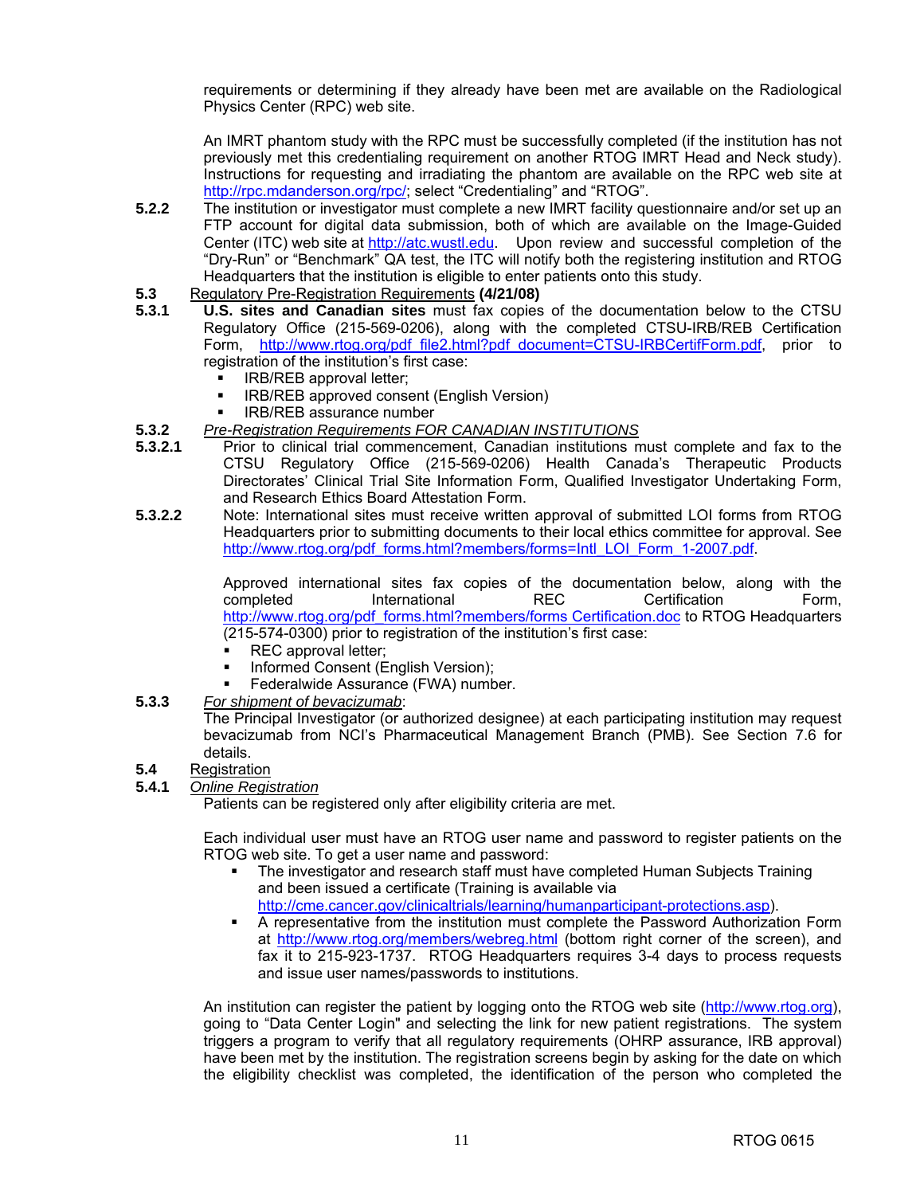requirements or determining if they already have been met are available on the Radiological Physics Center (RPC) web site.

 An IMRT phantom study with the RPC must be successfully completed (if the institution has not previously met this credentialing requirement on another RTOG IMRT Head and Neck study). Instructions for requesting and irradiating the phantom are available on the RPC web site at [http://rpc.mdanderson.org/rpc/; se](http://rpc.mdanderson.org/rpc)lect "Credentialing" and "RTOG".

- **5.2.2** The institution or investigator must complete a new IMRT facility questionnaire and/or set up an FTP account for digital data submission, both of which are available on the Image-Guided Center (ITC) web site at [http://atc.wustl.edu.](http://atc.wustl.edu) Upon review and successful completion of the "Dry-Run" or "Benchmark" QA test, the ITC will notify both the registering institution and RTOG Headquarters that the institution is eligible to enter patients onto this study.
- **5.3** Regulatory Pre-Registration Requirements **(4/21/08)**
- **5.3.1 U.S. sites and Canadian sites** must fax copies of the documentation below to the CTSU Regulatory Office (215-569-0206), along with the completed CTSU-IRB/REB Certification Form, [http://www.rtog.org/pdf\\_file2.html?pdf\\_document=CTSU-IRBCertifForm.pdf,](http://www.rtog.org/pdf_file2.html?pdf_document=CTSU-IRBCertifForm.pdf) prior to registration of the institution's first case:
	- **IRB/REB approval letter:**
	- **IRB/REB approved consent (English Version)**
	- IRB/REB assurance number
- **5.3.2** *Pre-Registration Requirements FOR CANADIAN INSTITUTIONS*
- **5.3.2.1** Prior to clinical trial commencement, Canadian institutions must complete and fax to the CTSU Regulatory Office (215-569-0206) Health Canada's Therapeutic Products Directorates' Clinical Trial Site Information Form, Qualified Investigator Undertaking Form, and Research Ethics Board Attestation Form.
- **5.3.2.2** Note: International sites must receive written approval of submitted LOI forms from RTOG Headquarters prior to submitting documents to their local ethics committee for approval. See http://www.rtog.org/pdf\_forms.html?members/forms=Intl\_LOI\_Form\_1-2007.pdf.

 Approved international sites fax copies of the documentation below, along with the completed International REC Certification Form, [http://www.rtog.org/pdf\\_forms.html?members/forms C](http://www.rtog.org/pdf_forms.html?members/forms)ertification.doc to RTOG Headquarters (215-574-0300) prior to registration of the institution's first case:

- REC approval letter;
- **Informed Consent (English Version);**
- Federalwide Assurance (FWA) number.
- **5.3.3** *For shipment of bevacizumab*:

 The Principal Investigator (or authorized designee) at each participating institution may request bevacizumab from NCI's Pharmaceutical Management Branch (PMB). See Section 7.6 for details.

**5.4** Registration

#### **5.4.1** *Online Registration*

Patients can be registered only after eligibility criteria are met.

Each individual user must have an RTOG user name and password to register patients on the RTOG web site. To get a user name and password:

- The investigator and research staff must have completed Human Subjects Training and been issued a certificate (Training is available via <http://cme.cancer.gov/clinicaltrials/learning/humanparticipant-protections.asp>).
- A representative from the institution must complete the Password Authorization Form at [http://www.rtog.org/members/webreg.html \(b](http://www.rtog.org/members/webreg.html)ottom right corner of the screen), and fax it to 215-923-1737. RTOG Headquarters requires 3-4 days to process requests and issue user names/passwords to institutions.

An institution can register the patient by logging onto the RTOG web site ([http://www.rtog.org\),](http://www.rtog.org)  going to "Data Center Login" and selecting the link for new patient registrations. The system triggers a program to verify that all regulatory requirements (OHRP assurance, IRB approval) have been met by the institution. The registration screens begin by asking for the date on which the eligibility checklist was completed, the identification of the person who completed the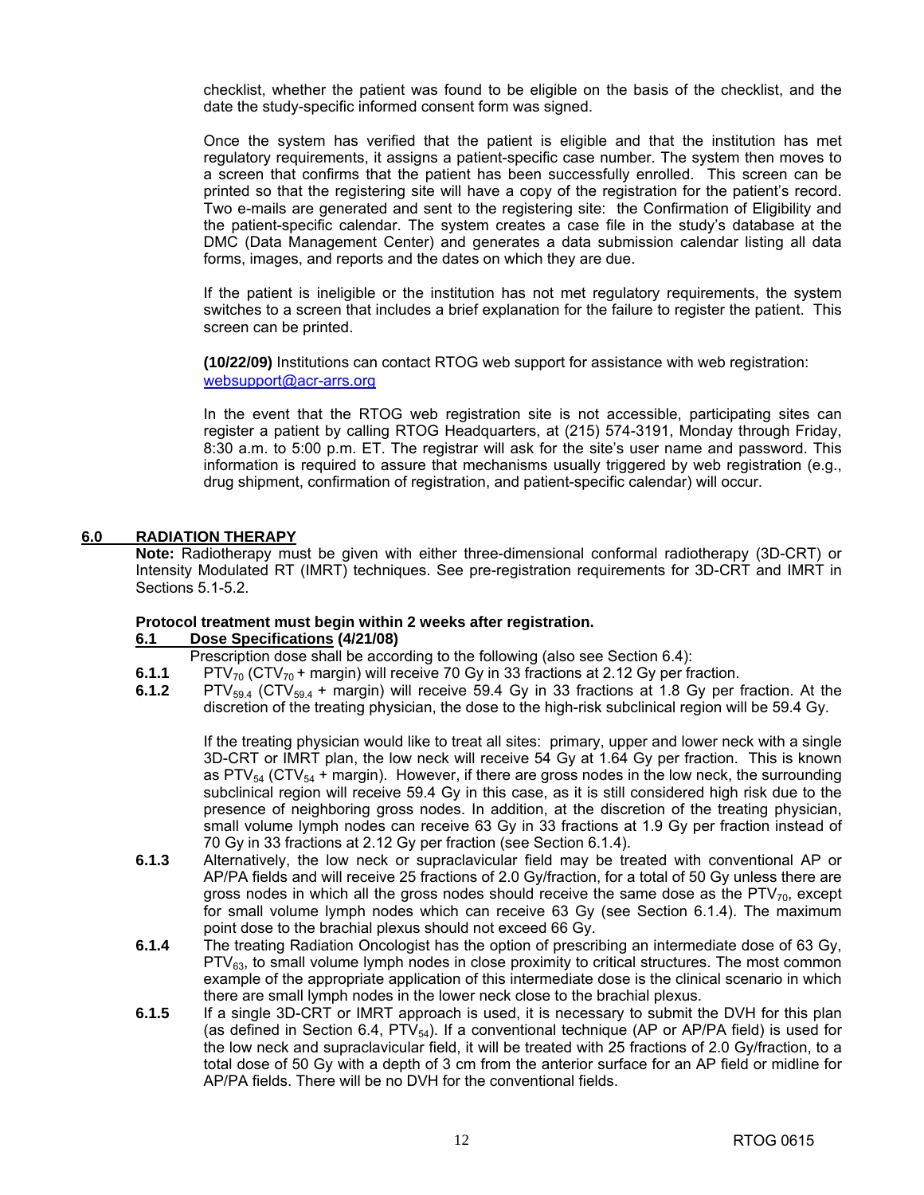checklist, whether the patient was found to be eligible on the basis of the checklist, and the date the study-specific informed consent form was signed.

Once the system has verified that the patient is eligible and that the institution has met regulatory requirements, it assigns a patient-specific case number. The system then moves to a screen that confirms that the patient has been successfully enrolled. This screen can be printed so that the registering site will have a copy of the registration for the patient's record. Two e-mails are generated and sent to the registering site: the Confirmation of Eligibility and the patient-specific calendar. The system creates a case file in the study's database at the DMC (Data Management Center) and generates a data submission calendar listing all data forms, images, and reports and the dates on which they are due.

 If the patient is ineligible or the institution has not met regulatory requirements, the system switches to a screen that includes a brief explanation for the failure to register the patient. This screen can be printed.

**(10/22/09)** Institutions can contact RTOG web support for assistance with web registration: [websupport@acr-arrs.org](mailto:websupport@acr-arrs.org)

In the event that the RTOG web registration site is not accessible, participating sites can register a patient by calling RTOG Headquarters, at (215) 574-3191, Monday through Friday, 8:30 a.m. to 5:00 p.m. ET. The registrar will ask for the site's user name and password. This information is required to assure that mechanisms usually triggered by web registration (e.g., drug shipment, confirmation of registration, and patient-specific calendar) will occur.

#### **6.0 RADIATION THERAPY**

**Note:** Radiotherapy must be given with either three-dimensional conformal radiotherapy (3D-CRT) or Intensity Modulated RT (IMRT) techniques. See pre-registration requirements for 3D-CRT and IMRT in Sections 5.1-5.2.

#### **Protocol treatment must begin within 2 weeks after registration.**

#### **6.1 Dose Specifications (4/21/08)**

Prescription dose shall be according to the following (also see Section 6.4):

- **6.1.1** PTV<sub>70</sub> (CTV<sub>70</sub> + margin) will receive 70 Gy in 33 fractions at 2.12 Gy per fraction.<br>**6.1.2** PTV<sub>59.4</sub> (CTV<sub>59.4</sub> + margin) will receive 59.4 Gy in 33 fractions at 1.8 Gy per f
- **6.1.2** PTV59.4 (CTV59.4 + margin) will receive 59.4 Gy in 33 fractions at 1.8 Gy per fraction. At the discretion of the treating physician, the dose to the high-risk subclinical region will be 59.4 Gy.

If the treating physician would like to treat all sites: primary, upper and lower neck with a single 3D-CRT or IMRT plan, the low neck will receive 54 Gy at 1.64 Gy per fraction. This is known as PTV<sub>54</sub> (CTV<sub>54</sub> + margin). However, if there are gross nodes in the low neck, the surrounding subclinical region will receive 59.4 Gy in this case, as it is still considered high risk due to the presence of neighboring gross nodes. In addition, at the discretion of the treating physician, small volume lymph nodes can receive 63 Gy in 33 fractions at 1.9 Gy per fraction instead of 70 Gy in 33 fractions at 2.12 Gy per fraction (see Section 6.1.4).

- **6.1.3** Alternatively, the low neck or supraclavicular field may be treated with conventional AP or AP/PA fields and will receive 25 fractions of 2.0 Gy/fraction, for a total of 50 Gy unless there are gross nodes in which all the gross nodes should receive the same dose as the  $PTV_{70}$ , except for small volume lymph nodes which can receive 63 Gy (see Section 6.1.4). The maximum point dose to the brachial plexus should not exceed 66 Gy.
- **6.1.4** The treating Radiation Oncologist has the option of prescribing an intermediate dose of 63 Gy, PTV<sub>63</sub>, to small volume lymph nodes in close proximity to critical structures. The most common example of the appropriate application of this intermediate dose is the clinical scenario in which there are small lymph nodes in the lower neck close to the brachial plexus.
- **6.1.5** If a single 3D-CRT or IMRT approach is used, it is necessary to submit the DVH for this plan (as defined in Section 6.4,  $PTV_{54}$ ). If a conventional technique (AP or AP/PA field) is used for the low neck and supraclavicular field, it will be treated with 25 fractions of 2.0 Gy/fraction, to a total dose of 50 Gy with a depth of 3 cm from the anterior surface for an AP field or midline for AP/PA fields. There will be no DVH for the conventional fields.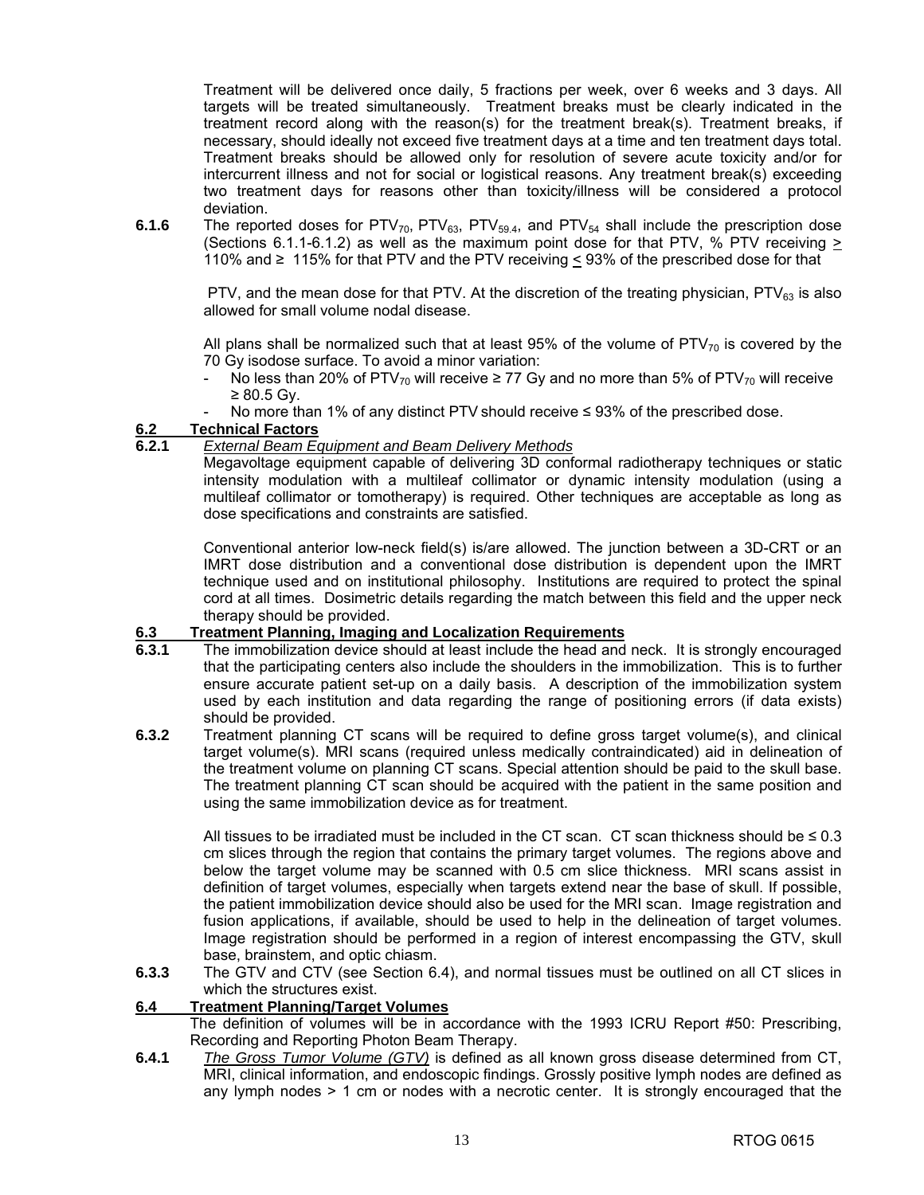Treatment will be delivered once daily, 5 fractions per week, over 6 weeks and 3 days. All targets will be treated simultaneously. Treatment breaks must be clearly indicated in the treatment record along with the reason(s) for the treatment break(s). Treatment breaks, if necessary, should ideally not exceed five treatment days at a time and ten treatment days total. Treatment breaks should be allowed only for resolution of severe acute toxicity and/or for intercurrent illness and not for social or logistical reasons. Any treatment break(s) exceeding two treatment days for reasons other than toxicity/illness will be considered a protocol deviation.

**6.1.6** The reported doses for  $PTV_{70}$ ,  $PTV_{63}$ ,  $PTV_{59.4}$ , and  $PTV_{54}$  shall include the prescription dose (Sections 6.1.1-6.1.2) as well as the maximum point dose for that PTV, % PTV receiving > 110% and ≥ 115% for that PTV and the PTV receiving < 93% of the prescribed dose for that

PTV, and the mean dose for that PTV. At the discretion of the treating physician, PTV $_{63}$  is also allowed for small volume nodal disease.

All plans shall be normalized such that at least 95% of the volume of PTV $_{70}$  is covered by the 70 Gy isodose surface. To avoid a minor variation:

- No less than 20% of PTV<sub>70</sub> will receive ≥ 77 Gy and no more than 5% of PTV<sub>70</sub> will receive ≥ 80.5 Gy.
- No more than 1% of any distinct PTV should receive  $\leq$  93% of the prescribed dose.

#### **6.2 Technical Factors**

#### **6.2.1** *External Beam Equipment and Beam Delivery Methods*

 Megavoltage equipment capable of delivering 3D conformal radiotherapy techniques or static intensity modulation with a multileaf collimator or dynamic intensity modulation (using a multileaf collimator or tomotherapy) is required. Other techniques are acceptable as long as dose specifications and constraints are satisfied.

 Conventional anterior low-neck field(s) is/are allowed. The junction between a 3D-CRT or an IMRT dose distribution and a conventional dose distribution is dependent upon the IMRT technique used and on institutional philosophy. Institutions are required to protect the spinal cord at all times. Dosimetric details regarding the match between this field and the upper neck therapy should be provided.

#### **6.3 Treatment Planning, Imaging and Localization Requirements**

- **6.3.1** The immobilization device should at least include the head and neck. It is strongly encouraged that the participating centers also include the shoulders in the immobilization. This is to further ensure accurate patient set-up on a daily basis. A description of the immobilization system used by each institution and data regarding the range of positioning errors (if data exists) should be provided.
- **6.3.2** Treatment planning CT scans will be required to define gross target volume(s), and clinical target volume(s). MRI scans (required unless medically contraindicated) aid in delineation of the treatment volume on planning CT scans. Special attention should be paid to the skull base. The treatment planning CT scan should be acquired with the patient in the same position and using the same immobilization device as for treatment.

All tissues to be irradiated must be included in the CT scan. CT scan thickness should be  $\leq 0.3$ cm slices through the region that contains the primary target volumes. The regions above and below the target volume may be scanned with 0.5 cm slice thickness. MRI scans assist in definition of target volumes, especially when targets extend near the base of skull. If possible, the patient immobilization device should also be used for the MRI scan. Image registration and fusion applications, if available, should be used to help in the delineation of target volumes. Image registration should be performed in a region of interest encompassing the GTV, skull base, brainstem, and optic chiasm.

**6.3.3** The GTV and CTV (see Section 6.4), and normal tissues must be outlined on all CT slices in which the structures exist.

#### **6.4 Treatment Planning/Target Volumes**

 The definition of volumes will be in accordance with the 1993 ICRU Report #50: Prescribing, Recording and Reporting Photon Beam Therapy.

**6.4.1** *The Gross Tumor Volume (GTV)* is defined as all known gross disease determined from CT, MRI, clinical information, and endoscopic findings. Grossly positive lymph nodes are defined as any lymph nodes > 1 cm or nodes with a necrotic center. It is strongly encouraged that the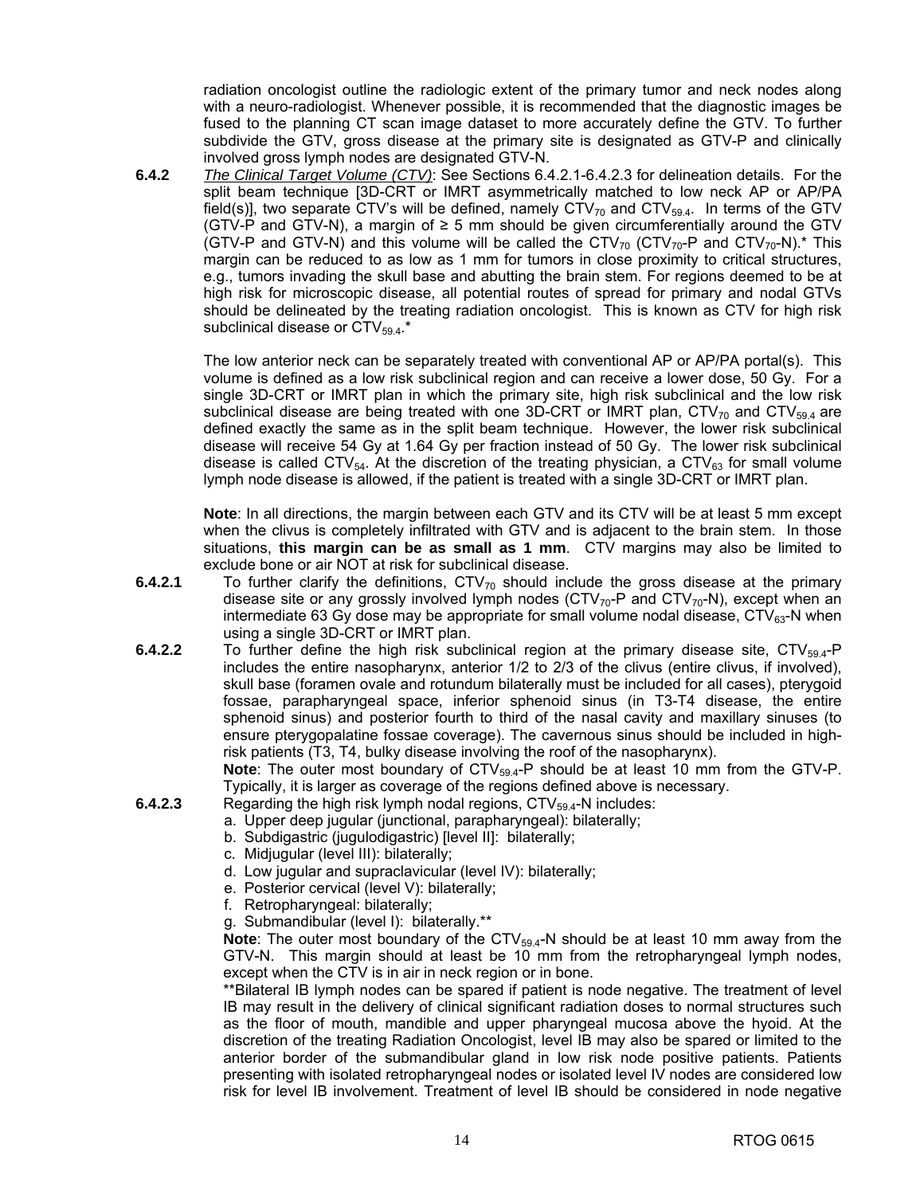radiation oncologist outline the radiologic extent of the primary tumor and neck nodes along with a neuro-radiologist. Whenever possible, it is recommended that the diagnostic images be fused to the planning CT scan image dataset to more accurately define the GTV. To further subdivide the GTV, gross disease at the primary site is designated as GTV-P and clinically involved gross lymph nodes are designated GTV-N.

**6.4.2** *The Clinical Target Volume (CTV)*: See Sections 6.4.2.1-6.4.2.3 for delineation details. For the split beam technique [3D-CRT or IMRT asymmetrically matched to low neck AP or AP/PA field(s)], two separate CTV's will be defined, namely  $\text{CTV}_{70}$  and  $\text{CTV}_{59.4}$ . In terms of the GTV (GTV-P and GTV-N), a margin of  $\geq$  5 mm should be given circumferentially around the GTV (GTV-P and GTV-N) and this volume will be called the  $\text{CTV}_{70}$  (CTV<sub>70</sub>-P and CTV<sub>70</sub>-N).<sup>\*</sup> This margin can be reduced to as low as 1 mm for tumors in close proximity to critical structures, e.g., tumors invading the skull base and abutting the brain stem. For regions deemed to be at high risk for microscopic disease, all potential routes of spread for primary and nodal GTVs should be delineated by the treating radiation oncologist. This is known as CTV for high risk subclinical disease or  $\text{CTV}_{59.4}$ .\*

 The low anterior neck can be separately treated with conventional AP or AP/PA portal(s). This volume is defined as a low risk subclinical region and can receive a lower dose, 50 Gy. For a single 3D-CRT or IMRT plan in which the primary site, high risk subclinical and the low risk subclinical disease are being treated with one 3D-CRT or IMRT plan, CTV $_{70}$  and CTV $_{59.4}$  are defined exactly the same as in the split beam technique. However, the lower risk subclinical disease will receive 54 Gy at 1.64 Gy per fraction instead of 50 Gy. The lower risk subclinical disease is called CTV<sub>54</sub>. At the discretion of the treating physician, a CTV<sub>63</sub> for small volume lymph node disease is allowed, if the patient is treated with a single 3D-CRT or IMRT plan.

**Note**: In all directions, the margin between each GTV and its CTV will be at least 5 mm except when the clivus is completely infiltrated with GTV and is adjacent to the brain stem. In those situations, **this margin can be as small as 1 mm**. CTV margins may also be limited to exclude bone or air NOT at risk for subclinical disease.

- 6.4.2.1 To further clarify the definitions, CTV<sub>70</sub> should include the gross disease at the primary disease site or any grossly involved lymph nodes (CTV $_{70}$ -P and CTV $_{70}$ -N), except when an intermediate 63 Gy dose may be appropriate for small volume nodal disease,  $\text{CTV}_{63}$ -N when using a single 3D-CRT or IMRT plan.
- **6.4.2.2** To further define the high risk subclinical region at the primary disease site, CTV<sub>59.4</sub>-P includes the entire nasopharynx, anterior 1/2 to 2/3 of the clivus (entire clivus, if involved), skull base (foramen ovale and rotundum bilaterally must be included for all cases), pterygoid fossae, parapharyngeal space, inferior sphenoid sinus (in T3-T4 disease, the entire sphenoid sinus) and posterior fourth to third of the nasal cavity and maxillary sinuses (to ensure pterygopalatine fossae coverage). The cavernous sinus should be included in highrisk patients (T3, T4, bulky disease involving the roof of the nasopharynx).

**Note**: The outer most boundary of CTV<sub>59.4</sub>-P should be at least 10 mm from the GTV-P. Typically, it is larger as coverage of the regions defined above is necessary.

- **6.4.2.3** Regarding the high risk lymph nodal regions,  $\text{CTV}_{59.4}$ -N includes:
	- a. Upper deep jugular (junctional, parapharyngeal): bilaterally;
	- b. Subdigastric (jugulodigastric) [level II]: bilaterally;
	- c. Midjugular (level III): bilaterally;
	- d. Low jugular and supraclavicular (level IV): bilaterally;
	- e. Posterior cervical (level V): bilaterally;
	- f. Retropharyngeal: bilaterally;
	- g. Submandibular (level I): bilaterally.\*\*

**Note**: The outer most boundary of the CTV<sub>59.4</sub>-N should be at least 10 mm away from the GTV-N. This margin should at least be 10 mm from the retropharyngeal lymph nodes, except when the CTV is in air in neck region or in bone.

 \*\*Bilateral IB lymph nodes can be spared if patient is node negative. The treatment of level IB may result in the delivery of clinical significant radiation doses to normal structures such as the floor of mouth, mandible and upper pharyngeal mucosa above the hyoid. At the discretion of the treating Radiation Oncologist, level IB may also be spared or limited to the anterior border of the submandibular gland in low risk node positive patients. Patients presenting with isolated retropharyngeal nodes or isolated level IV nodes are considered low risk for level IB involvement. Treatment of level IB should be considered in node negative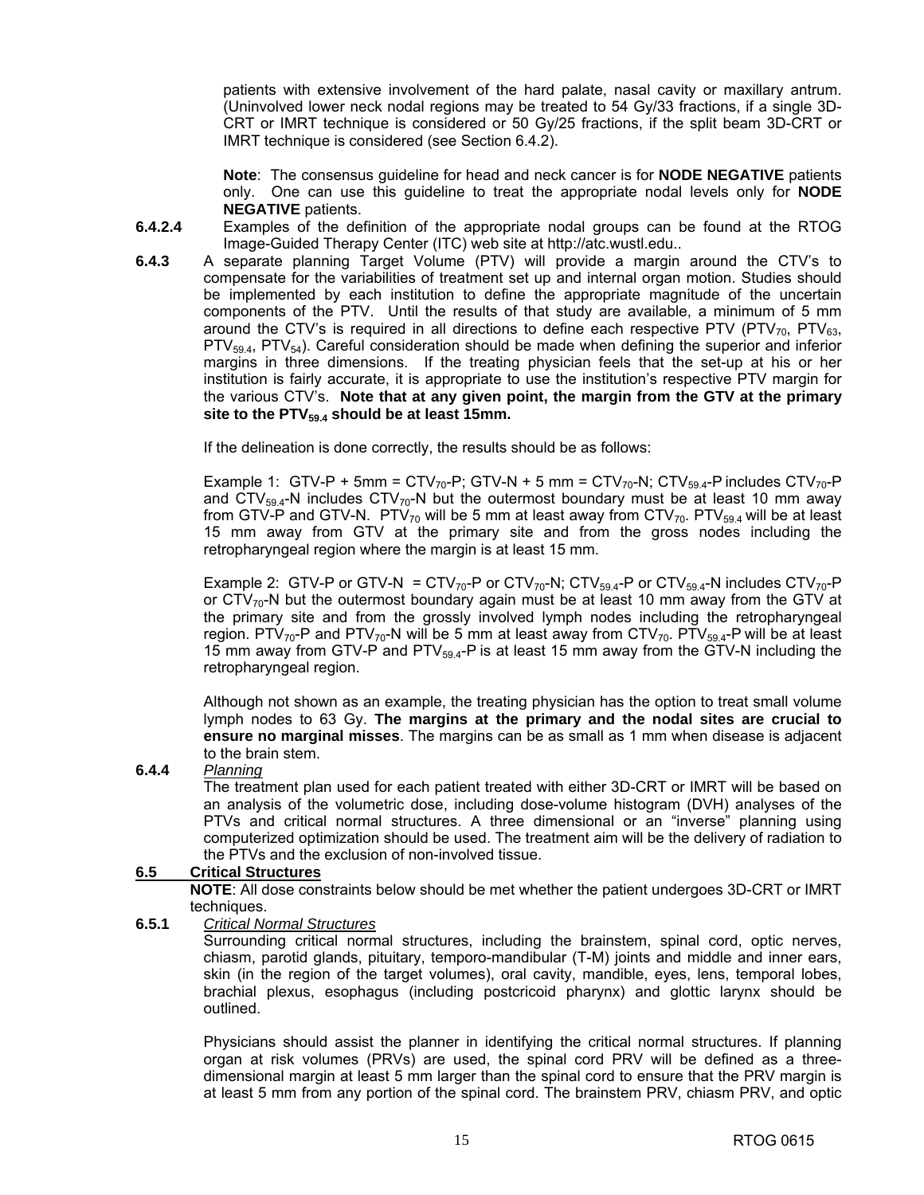patients with extensive involvement of the hard palate, nasal cavity or maxillary antrum. (Uninvolved lower neck nodal regions may be treated to 54 Gy/33 fractions, if a single 3D-CRT or IMRT technique is considered or 50 Gy/25 fractions, if the split beam 3D-CRT or IMRT technique is considered (see Section 6.4.2).

**Note**: The consensus guideline for head and neck cancer is for **NODE NEGATIVE** patients only. One can use this guideline to treat the appropriate nodal levels only for **NODE NEGATIVE** patients.

- **6.4.2.4** Examples of the definition of the appropriate nodal groups can be found at the RTOG Image-Guided Therapy Center (ITC) web site at [http://atc.wustl.edu..](http://atc.wustl.edu)
- **6.4.3** A separate planning Target Volume (PTV) will provide a margin around the CTV's to compensate for the variabilities of treatment set up and internal organ motion. Studies should be implemented by each institution to define the appropriate magnitude of the uncertain components of the PTV. Until the results of that study are available, a minimum of 5 mm around the CTV's is required in all directions to define each respective PTV (PTV<sub>70</sub>, PTV<sub>63</sub>,  $PTV_{59.4}$ , PTV<sub>54</sub>). Careful consideration should be made when defining the superior and inferior margins in three dimensions. If the treating physician feels that the set-up at his or her institution is fairly accurate, it is appropriate to use the institution's respective PTV margin for the various CTV's. **Note that at any given point, the margin from the GTV at the primary**  site to the PTV<sub>59.4</sub> should be at least 15mm.

If the delineation is done correctly, the results should be as follows:

Example 1: GTV-P + 5mm = CTV<sub>70</sub>-P; GTV-N + 5 mm = CTV<sub>70</sub>-N; CTV<sub>59.4</sub>-P includes CTV<sub>70</sub>-P and CTV<sub>59.4</sub>-N includes CTV<sub>70</sub>-N but the outermost boundary must be at least 10 mm away from GTV-P and GTV-N. PTV $_{70}$  will be 5 mm at least away from CTV $_{70}$ . PTV $_{59.4}$  will be at least 15 mm away from GTV at the primary site and from the gross nodes including the retropharyngeal region where the margin is at least 15 mm.

Example 2: GTV-P or GTV-N =  $\text{CTV}_{70}$ -P or  $\text{CTV}_{70}$ -N;  $\text{CTV}_{59.4}$ -P or  $\text{CTV}_{59.4}$ -N includes  $\text{CTV}_{70}$ -P or  $\text{CTV}_{70}$ -N but the outermost boundary again must be at least 10 mm away from the GTV at the primary site and from the grossly involved lymph nodes including the retropharyngeal region. PTV<sub>70</sub>-P and PTV<sub>70</sub>-N will be 5 mm at least away from CTV<sub>70</sub>. PTV<sub>59.4</sub>-P will be at least 15 mm away from GTV-P and  $PTV_{59.4}$ -P is at least 15 mm away from the GTV-N including the retropharyngeal region.

 Although not shown as an example, the treating physician has the option to treat small volume lymph nodes to 63 Gy. **The margins at the primary and the nodal sites are crucial to ensure no marginal misses**. The margins can be as small as 1 mm when disease is adjacent to the brain stem.

**6.4.4** *Planning*

 The treatment plan used for each patient treated with either 3D-CRT or IMRT will be based on an analysis of the volumetric dose, including dose-volume histogram (DVH) analyses of the PTVs and critical normal structures. A three dimensional or an "inverse" planning using computerized optimization should be used. The treatment aim will be the delivery of radiation to the PTVs and the exclusion of non-involved tissue.

#### **6.5 Critical Structures**

**NOTE**: All dose constraints below should be met whether the patient undergoes 3D-CRT or IMRT techniques.

#### **6.5.1** *Critical Normal Structures*

 Surrounding critical normal structures, including the brainstem, spinal cord, optic nerves, chiasm, parotid glands, pituitary, temporo-mandibular (T-M) joints and middle and inner ears, skin (in the region of the target volumes), oral cavity, mandible, eyes, lens, temporal lobes, brachial plexus, esophagus (including postcricoid pharynx) and glottic larynx should be outlined.

 Physicians should assist the planner in identifying the critical normal structures. If planning organ at risk volumes (PRVs) are used, the spinal cord PRV will be defined as a threedimensional margin at least 5 mm larger than the spinal cord to ensure that the PRV margin is at least 5 mm from any portion of the spinal cord. The brainstem PRV, chiasm PRV, and optic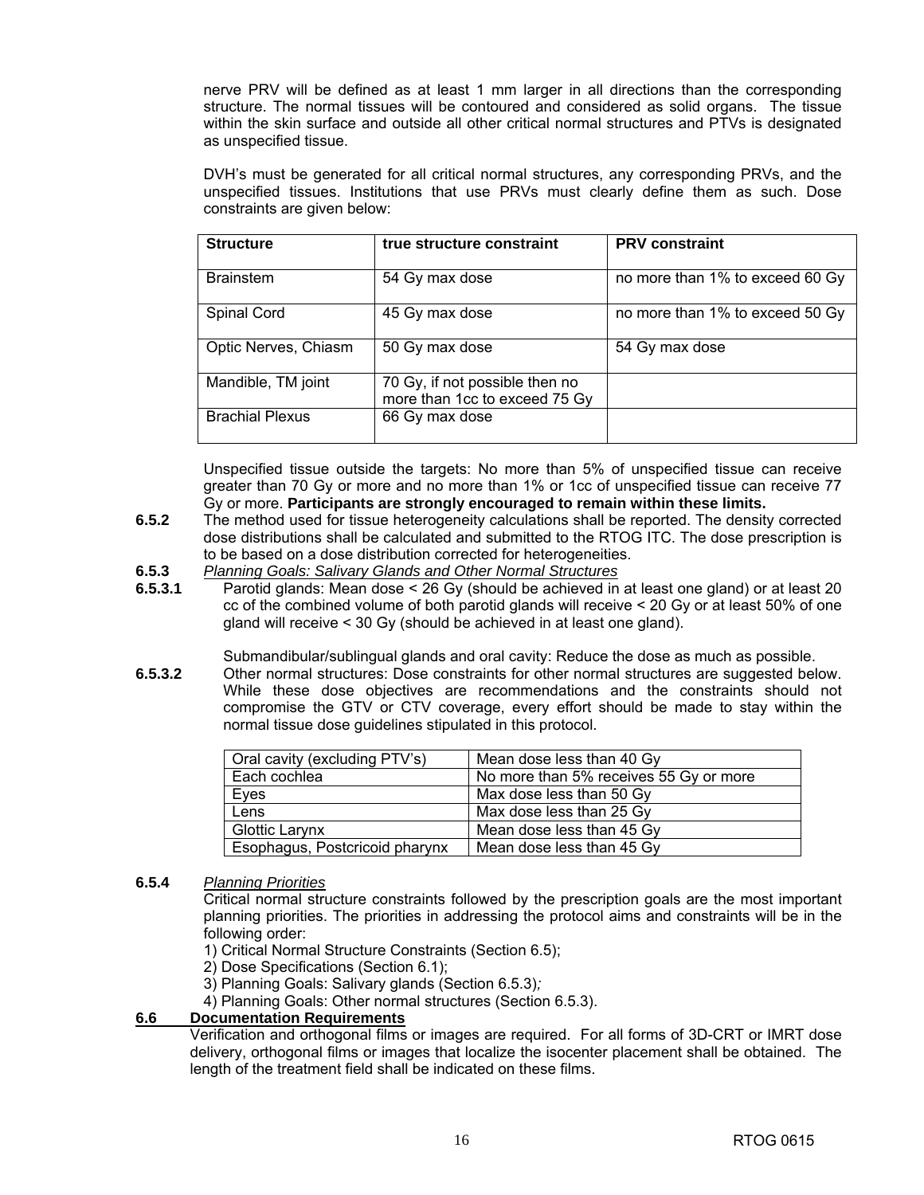nerve PRV will be defined as at least 1 mm larger in all directions than the corresponding structure. The normal tissues will be contoured and considered as solid organs. The tissue within the skin surface and outside all other critical normal structures and PTVs is designated as unspecified tissue.

 DVH's must be generated for all critical normal structures, any corresponding PRVs, and the unspecified tissues. Institutions that use PRVs must clearly define them as such. Dose constraints are given below:

| <b>Structure</b>       | true structure constraint                                       | <b>PRV</b> constraint           |
|------------------------|-----------------------------------------------------------------|---------------------------------|
|                        |                                                                 |                                 |
| <b>Brainstem</b>       | 54 Gy max dose                                                  | no more than 1% to exceed 60 Gy |
| Spinal Cord            | 45 Gy max dose                                                  | no more than 1% to exceed 50 Gy |
| Optic Nerves, Chiasm   | 50 Gy max dose                                                  | 54 Gy max dose                  |
| Mandible, TM joint     | 70 Gy, if not possible then no<br>more than 1cc to exceed 75 Gy |                                 |
| <b>Brachial Plexus</b> | 66 Gy max dose                                                  |                                 |

Unspecified tissue outside the targets: No more than 5% of unspecified tissue can receive greater than 70 Gy or more and no more than 1% or 1cc of unspecified tissue can receive 77 Gy or more. **Participants are strongly encouraged to remain within these limits.** 

- **6.5.2** The method used for tissue heterogeneity calculations shall be reported. The density corrected dose distributions shall be calculated and submitted to the RTOG ITC. The dose prescription is to be based on a dose distribution corrected for heterogeneities.
- **6.5.3** *Planning Goals: Salivary Glands and Other Normal Structures*
- **6.5.3.1** Parotid glands: Mean dose < 26 Gy (should be achieved in at least one gland) or at least 20 cc of the combined volume of both parotid glands will receive < 20 Gy or at least 50% of one gland will receive < 30 Gy (should be achieved in at least one gland).

Submandibular/sublingual glands and oral cavity: Reduce the dose as much as possible.

**6.5.3.2** Other normal structures: Dose constraints for other normal structures are suggested below. While these dose objectives are recommendations and the constraints should not compromise the GTV or CTV coverage, every effort should be made to stay within the normal tissue dose guidelines stipulated in this protocol.

| Oral cavity (excluding PTV's)  | Mean dose less than 40 Gy              |
|--------------------------------|----------------------------------------|
| Each cochlea                   | No more than 5% receives 55 Gy or more |
| Eyes                           | Max dose less than 50 Gy               |
| Lens                           | Max dose less than 25 Gy               |
| <b>Glottic Larynx</b>          | Mean dose less than 45 Gy              |
| Esophagus, Postcricoid pharynx | Mean dose less than 45 Gy              |

**6.5.4** *Planning Priorities*

 Critical normal structure constraints followed by the prescription goals are the most important planning priorities. The priorities in addressing the protocol aims and constraints will be in the following order:

- 1) Critical Normal Structure Constraints (Section 6.5);
- 2) Dose Specifications (Section 6.1);
- 3) Planning Goals: Salivary glands (Section 6.5.3)*;*
- 4) Planning Goals: Other normal structures (Section 6.5.3).

#### **6.6 Documentation Requirements**

 Verification and orthogonal films or images are required. For all forms of 3D-CRT or IMRT dose delivery, orthogonal films or images that localize the isocenter placement shall be obtained. The length of the treatment field shall be indicated on these films.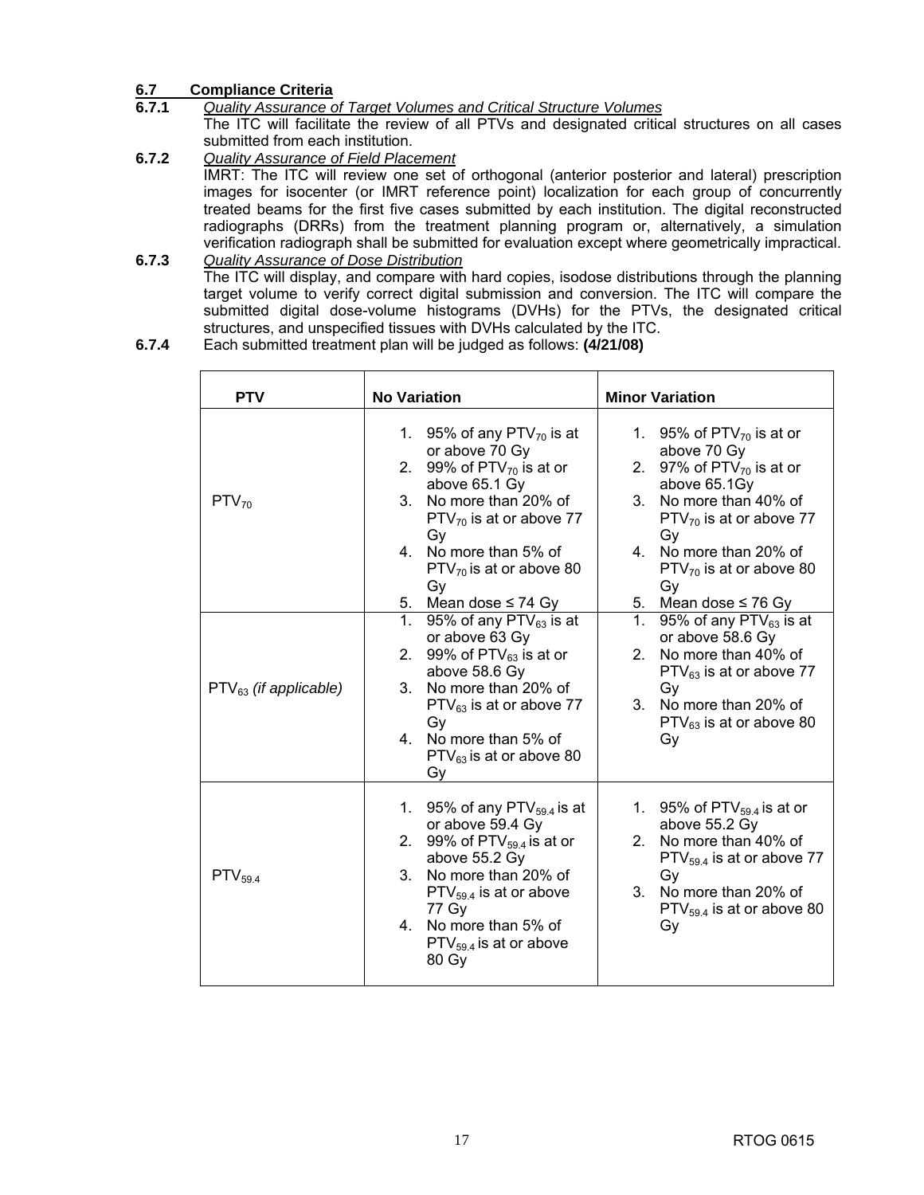#### **6.7 Compliance Criteria**

**6.7.1** *Quality Assurance of Target Volumes and Critical Structure Volumes*

 The ITC will facilitate the review of all PTVs and designated critical structures on all cases submitted from each institution.

- **6.7.2** *Quality Assurance of Field Placement* IMRT: The ITC will review one set of orthogonal (anterior posterior and lateral) prescription images for isocenter (or IMRT reference point) localization for each group of concurrently treated beams for the first five cases submitted by each institution. The digital reconstructed radiographs (DRRs) from the treatment planning program or, alternatively, a simulation verification radiograph shall be submitted for evaluation except where geometrically impractical. **6.7.3** *Quality Assurance of Dose Distribution*
- The ITC will display, and compare with hard copies, isodose distributions through the planning target volume to verify correct digital submission and conversion. The ITC will compare the submitted digital dose-volume histograms (DVHs) for the PTVs, the designated critical structures, and unspecified tissues with DVHs calculated by the ITC.
- **6.7.4** Each submitted treatment plan will be judged as follows: **(4/21/08)**

| <b>PTV</b>                 | <b>No Variation</b>                                                                                                                                                                                                                                               | <b>Minor Variation</b>                                                                                                                                                                                                         |
|----------------------------|-------------------------------------------------------------------------------------------------------------------------------------------------------------------------------------------------------------------------------------------------------------------|--------------------------------------------------------------------------------------------------------------------------------------------------------------------------------------------------------------------------------|
| $PTV_{70}$                 | 95% of any PTV $_{70}$ is at<br>1.<br>or above 70 Gy<br>2. 99% of $PTV_{70}$ is at or<br>above 65.1 Gy<br>3. No more than 20% of<br>$PTV_{70}$ is at or above 77<br>Gy<br>4. No more than 5% of<br>$PTV_{70}$ is at or above 80<br>Gy                             | 1. 95% of PTV $_{70}$ is at or<br>above 70 Gy<br>2. 97% of $PTV_{70}$ is at or<br>above 65.1Gy<br>3. No more than 40% of<br>$PTV_{70}$ is at or above 77<br>Gy<br>4. No more than 20% of<br>$PTV_{70}$ is at or above 80<br>Gy |
| $PTV_{63}$ (if applicable) | 5. Mean dose $\leq$ 74 Gy<br>1.<br>95% of any $PTV_{63}$ is at<br>or above 63 Gy<br>2. 99% of $PTV_{63}$ is at or<br>above 58.6 Gy<br>3. No more than 20% of<br>$PTV_{63}$ is at or above 77<br>Gy<br>4. No more than 5% of<br>$PTV_{63}$ is at or above 80<br>Gy | 5. Mean dose $\leq 76$ Gy<br>1.<br>95% of any $PTV_{63}$ is at<br>or above 58.6 Gy<br>2. No more than 40% of<br>$PTV_{63}$ is at or above 77<br>Gy<br>3. No more than 20% of<br>$PTV_{63}$ is at or above 80<br>Gy             |
| $PTV_{59.4}$               | 1. 95% of any PTV $_{59.4}$ is at<br>or above 59.4 Gy<br>2. 99% of PTV $_{59,4}$ is at or<br>above 55.2 Gy<br>3. No more than 20% of<br>$PTV_{59,4}$ is at or above<br>77 Gy<br>4. No more than 5% of<br>$PTV_{59.4}$ is at or above<br>80 Gy                     | 1. 95% of $PTV_{59,4}$ is at or<br>above 55.2 Gy<br>No more than 40% of<br>$2^{\circ}$<br>$PTV_{59.4}$ is at or above 77<br>Gy<br>3. No more than 20% of<br>$PTV_{59,4}$ is at or above 80<br>Gy                               |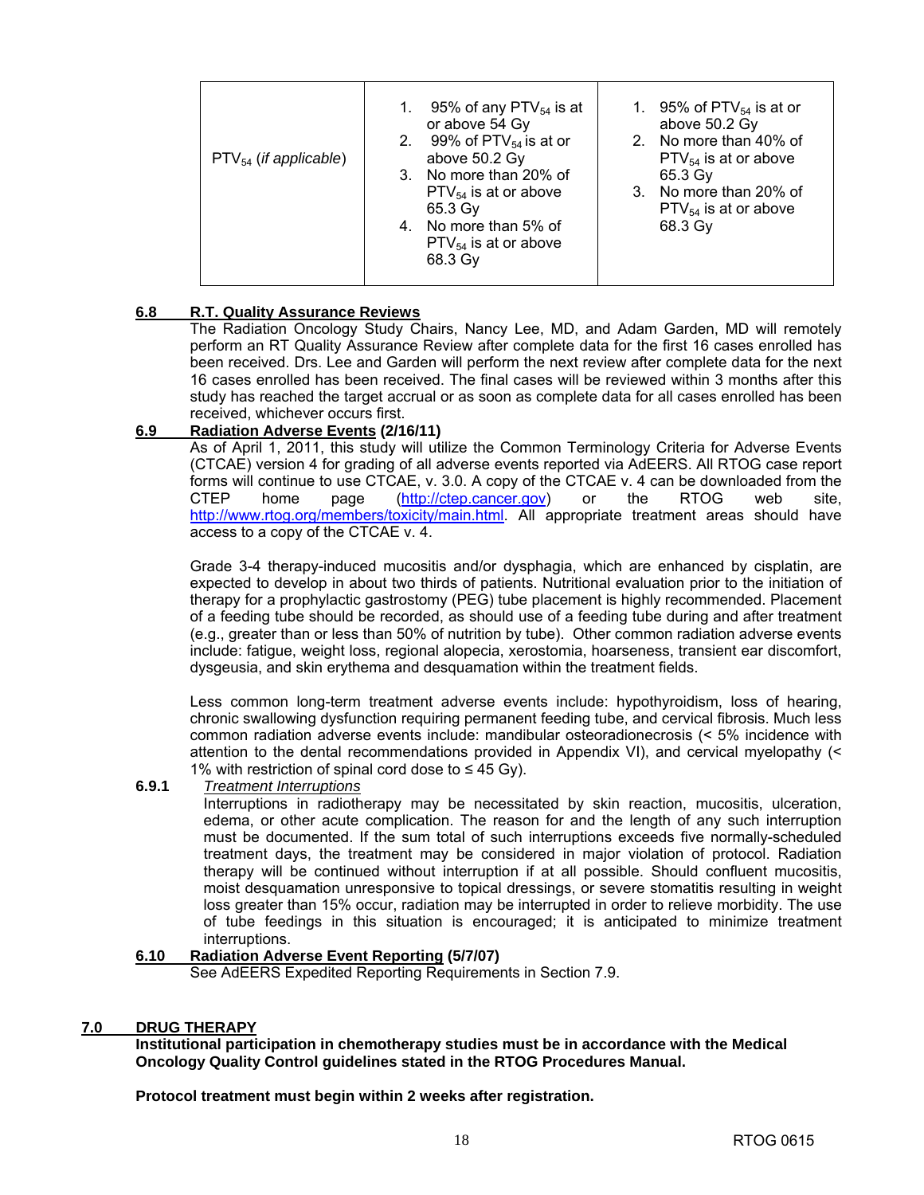| 95% of any PTV $_{54}$ is at<br>or above 54 Gy<br>2. 99% of $PTV_{54}$ is at or<br>above 50.2 Gy<br>$PTV_{54}$ (if applicable)<br>3. No more than 20% of<br>$PTV_{54}$ is at or above<br>65.3 Gy<br>4. No more than 5% of<br>$PTV_{54}$ is at or above<br>68.3 Gy | 1. 95% of PTV $_{54}$ is at or<br>above 50.2 Gy<br>2. No more than 40% of<br>$PTV_{54}$ is at or above<br>65.3 Gv<br>3. No more than 20% of<br>$PTV_{54}$ is at or above<br>68.3 Gy |
|-------------------------------------------------------------------------------------------------------------------------------------------------------------------------------------------------------------------------------------------------------------------|-------------------------------------------------------------------------------------------------------------------------------------------------------------------------------------|
|-------------------------------------------------------------------------------------------------------------------------------------------------------------------------------------------------------------------------------------------------------------------|-------------------------------------------------------------------------------------------------------------------------------------------------------------------------------------|

#### **6.8 R.T. Quality Assurance Reviews**

The Radiation Oncology Study Chairs, Nancy Lee, MD, and Adam Garden, MD will remotely perform an RT Quality Assurance Review after complete data for the first 16 cases enrolled has been received. Drs. Lee and Garden will perform the next review after complete data for the next 16 cases enrolled has been received. The final cases will be reviewed within 3 months after this study has reached the target accrual or as soon as complete data for all cases enrolled has been received, whichever occurs first.

#### **6.9 Radiation Adverse Events (2/16/11)**

 As of April 1, 2011, this study will utilize the Common Terminology Criteria for Adverse Events (CTCAE) version 4 for grading of all adverse events reported via AdEERS. All RTOG case report forms will continue to use CTCAE, v. 3.0. A copy of the CTCAE v. 4 can be downloaded from the CTEP home page [\(http://ctep.cancer.gov\)](http://ctep.cancer.gov) or the RTOG web site, [http://www.rtog.org/members/toxicity/main.html.](http://www.rtog.org/members/toxicity/main.html) All appropriate treatment areas should have access to a copy of the CTCAE v. 4.

 Grade 3-4 therapy-induced mucositis and/or dysphagia, which are enhanced by cisplatin, are expected to develop in about two thirds of patients. Nutritional evaluation prior to the initiation of therapy for a prophylactic gastrostomy (PEG) tube placement is highly recommended. Placement of a feeding tube should be recorded, as should use of a feeding tube during and after treatment (e.g., greater than or less than 50% of nutrition by tube). Other common radiation adverse events include: fatigue, weight loss, regional alopecia, xerostomia, hoarseness, transient ear discomfort, dysgeusia, and skin erythema and desquamation within the treatment fields.

 Less common long-term treatment adverse events include: hypothyroidism, loss of hearing, chronic swallowing dysfunction requiring permanent feeding tube, and cervical fibrosis. Much less common radiation adverse events include: mandibular osteoradionecrosis (< 5% incidence with attention to the dental recommendations provided in Appendix VI), and cervical myelopathy (< 1% with restriction of spinal cord dose to  $\leq 45$  Gy).

#### **6.9.1** *Treatment Interruptions*

 Interruptions in radiotherapy may be necessitated by skin reaction, mucositis, ulceration, edema, or other acute complication. The reason for and the length of any such interruption must be documented. If the sum total of such interruptions exceeds five normally-scheduled treatment days, the treatment may be considered in major violation of protocol. Radiation therapy will be continued without interruption if at all possible. Should confluent mucositis, moist desquamation unresponsive to topical dressings, or severe stomatitis resulting in weight loss greater than 15% occur, radiation may be interrupted in order to relieve morbidity. The use of tube feedings in this situation is encouraged; it is anticipated to minimize treatment interruptions.

#### **6.10 Radiation Adverse Event Reporting (5/7/07)**

See AdEERS Expedited Reporting Requirements in Section 7.9.

#### **7.0 DRUG THERAPY**

**Institutional participation in chemotherapy studies must be in accordance with the Medical Oncology Quality Control guidelines stated in the RTOG Procedures Manual.** 

**Protocol treatment must begin within 2 weeks after registration.**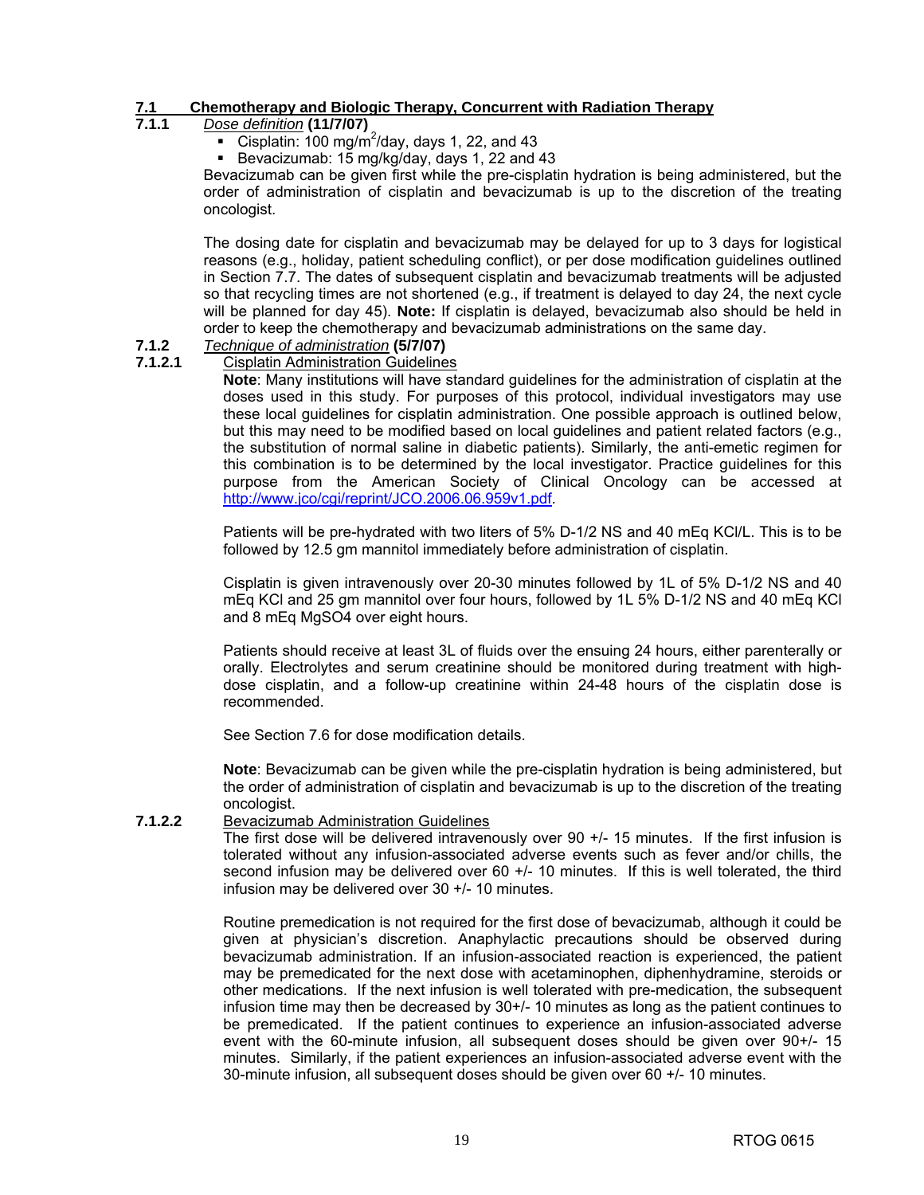### **7.1 Chemotherapy and Biologic Therapy, Concurrent with Radiation Therapy**

#### **7.1.1** *Dose definition* **(11/7/07)**

- Cisplatin:  $100 \text{ mg/m}^2$ /day, days 1, 22, and 43
- Bevacizumab: 15 mg/kg/day, days 1, 22 and 43

Bevacizumab can be given first while the pre-cisplatin hydration is being administered, but the order of administration of cisplatin and bevacizumab is up to the discretion of the treating oncologist.

The dosing date for cisplatin and bevacizumab may be delayed for up to 3 days for logistical reasons (e.g., holiday, patient scheduling conflict), or per dose modification guidelines outlined in Section 7.7. The dates of subsequent cisplatin and bevacizumab treatments will be adjusted so that recycling times are not shortened (e.g., if treatment is delayed to day 24, the next cycle will be planned for day 45). **Note:** If cisplatin is delayed, bevacizumab also should be held in order to keep the chemotherapy and bevacizumab administrations on the same day.

#### **7.1.2** *Technique of administration* **(5/7/07)**

**7.1.2.1** Cisplatin Administration Guidelines

**Note**: Many institutions will have standard guidelines for the administration of cisplatin at the doses used in this study. For purposes of this protocol, individual investigators may use these local guidelines for cisplatin administration. One possible approach is outlined below, but this may need to be modified based on local guidelines and patient related factors (e.g., the substitution of normal saline in diabetic patients). Similarly, the anti-emetic regimen for this combination is to be determined by the local investigator. Practice guidelines for this purpose from the American Society of Clinical Oncology can be accessed at [http://www.jco/cgi/reprint/JCO.2006.06.959v1.pdf.](http://www.jco/cgi/reprint/JCO.2006.06.959v1.pdf) 

 Patients will be pre-hydrated with two liters of 5% D-1/2 NS and 40 mEq KCl/L. This is to be followed by 12.5 gm mannitol immediately before administration of cisplatin.

 Cisplatin is given intravenously over 20-30 minutes followed by 1L of 5% D-1/2 NS and 40 mEq KCl and 25 gm mannitol over four hours, followed by 1L 5% D-1/2 NS and 40 mEq KCl and 8 mEq MgSO4 over eight hours.

 Patients should receive at least 3L of fluids over the ensuing 24 hours, either parenterally or orally. Electrolytes and serum creatinine should be monitored during treatment with highdose cisplatin, and a follow-up creatinine within 24-48 hours of the cisplatin dose is recommended.

See Section 7.6 for dose modification details.

 **Note**: Bevacizumab can be given while the pre-cisplatin hydration is being administered, but the order of administration of cisplatin and bevacizumab is up to the discretion of the treating oncologist.

#### **7.1.2.2** Bevacizumab Administration Guidelines

 The first dose will be delivered intravenously over 90 +/- 15 minutes. If the first infusion is tolerated without any infusion-associated adverse events such as fever and/or chills, the second infusion may be delivered over 60 +/- 10 minutes. If this is well tolerated, the third infusion may be delivered over 30 +/- 10 minutes.

 Routine premedication is not required for the first dose of bevacizumab, although it could be given at physician's discretion. Anaphylactic precautions should be observed during bevacizumab administration. If an infusion-associated reaction is experienced, the patient may be premedicated for the next dose with acetaminophen, diphenhydramine, steroids or other medications. If the next infusion is well tolerated with pre-medication, the subsequent infusion time may then be decreased by 30+/- 10 minutes as long as the patient continues to be premedicated. If the patient continues to experience an infusion-associated adverse event with the 60-minute infusion, all subsequent doses should be given over 90+/- 15 minutes. Similarly, if the patient experiences an infusion-associated adverse event with the 30-minute infusion, all subsequent doses should be given over 60 +/- 10 minutes.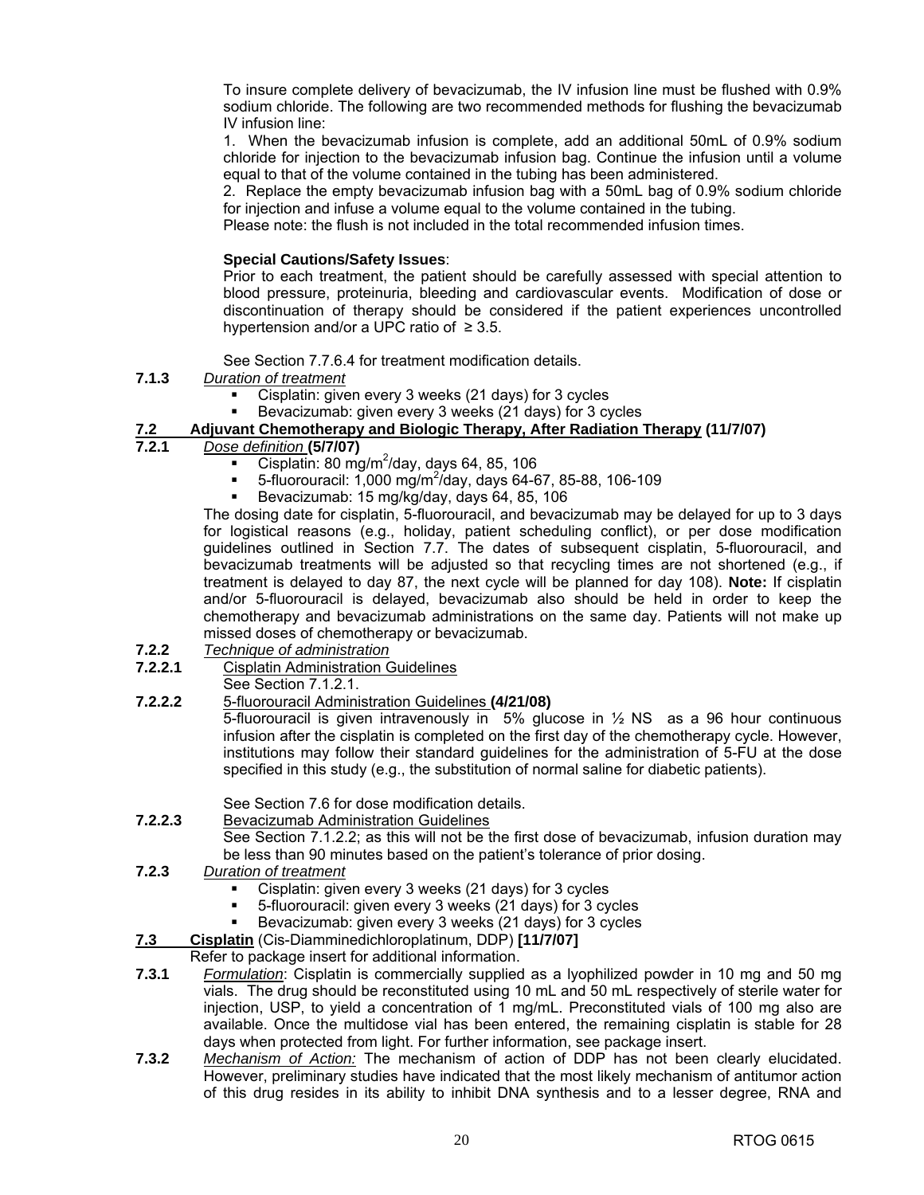To insure complete delivery of bevacizumab, the IV infusion line must be flushed with 0.9% sodium chloride. The following are two recommended methods for flushing the bevacizumab IV infusion line:

 1. When the bevacizumab infusion is complete, add an additional 50mL of 0.9% sodium chloride for injection to the bevacizumab infusion bag. Continue the infusion until a volume equal to that of the volume contained in the tubing has been administered.

 2. Replace the empty bevacizumab infusion bag with a 50mL bag of 0.9% sodium chloride for injection and infuse a volume equal to the volume contained in the tubing.

Please note: the flush is not included in the total recommended infusion times.

#### **Special Cautions/Safety Issues**:

 Prior to each treatment, the patient should be carefully assessed with special attention to blood pressure, proteinuria, bleeding and cardiovascular events. Modification of dose or discontinuation of therapy should be considered if the patient experiences uncontrolled hypertension and/or a UPC ratio of  $\geq$  3.5.

See Section 7.7.6.4 for treatment modification details.

#### **7.1.3** *Duration of treatment*

- Cisplatin: given every 3 weeks (21 days) for 3 cycles
- Bevacizumab: given every 3 weeks (21 days) for 3 cycles

# **7.2 Adjuvant Chemotherapy and Biologic Therapy, After Radiation Therapy (11/7/07)**

- **7.2.1** *Dose definition* **(5/7/07)**
	- Cisplatin: 80 mg/m<sup>2</sup>/day, days 64, 85, 106
	- 5-fluorouracil: 1,000 mg/m<sup>2</sup>/day, days 64-67, 85-88, 106-109
	- Bevacizumab: 15 mg/kg/day, days 64, 85, 106

 The dosing date for cisplatin, 5-fluorouracil, and bevacizumab may be delayed for up to 3 days for logistical reasons (e.g., holiday, patient scheduling conflict), or per dose modification guidelines outlined in Section 7.7. The dates of subsequent cisplatin, 5-fluorouracil, and bevacizumab treatments will be adjusted so that recycling times are not shortened (e.g., if treatment is delayed to day 87, the next cycle will be planned for day 108). **Note:** If cisplatin and/or 5-fluorouracil is delayed, bevacizumab also should be held in order to keep the chemotherapy and bevacizumab administrations on the same day. Patients will not make up missed doses of chemotherapy or bevacizumab.

- **7.2.2** *Technique of administration*
- **7.2.2.1** Cisplatin Administration Guidelines
	- See Section 7.1.2.1.
- **7.2.2.2** 5-fluorouracil Administration Guidelines **(4/21/08)**

5-fluorouracil is given intravenously in 5% glucose in  $\frac{1}{2}$  NS as a 96 hour continuous infusion after the cisplatin is completed on the first day of the chemotherapy cycle. However, institutions may follow their standard guidelines for the administration of 5-FU at the dose specified in this study (e.g., the substitution of normal saline for diabetic patients).

See Section 7.6 for dose modification details.

**7.2.2.3** Bevacizumab Administration Guidelines

 See Section 7.1.2.2; as this will not be the first dose of bevacizumab, infusion duration may be less than 90 minutes based on the patient's tolerance of prior dosing.

- **7.2.3** *Duration of treatment*
	- Cisplatin: given every 3 weeks (21 days) for 3 cycles
	- 5-fluorouracil: given every 3 weeks (21 days) for 3 cycles
	- Bevacizumab: given every 3 weeks (21 days) for 3 cycles
- **7.3 Cisplatin** (Cis-Diamminedichloroplatinum, DDP) **[11/7/07]**

#### Refer to package insert for additional information.

- **7.3.1** *Formulation*: Cisplatin is commercially supplied as a lyophilized powder in 10 mg and 50 mg vials. The drug should be reconstituted using 10 mL and 50 mL respectively of sterile water for injection, USP, to yield a concentration of 1 mg/mL. Preconstituted vials of 100 mg also are available. Once the multidose vial has been entered, the remaining cisplatin is stable for 28 days when protected from light. For further information, see package insert.
- **7.3.2** *Mechanism of Action:* The mechanism of action of DDP has not been clearly elucidated. However, preliminary studies have indicated that the most likely mechanism of antitumor action of this drug resides in its ability to inhibit DNA synthesis and to a lesser degree, RNA and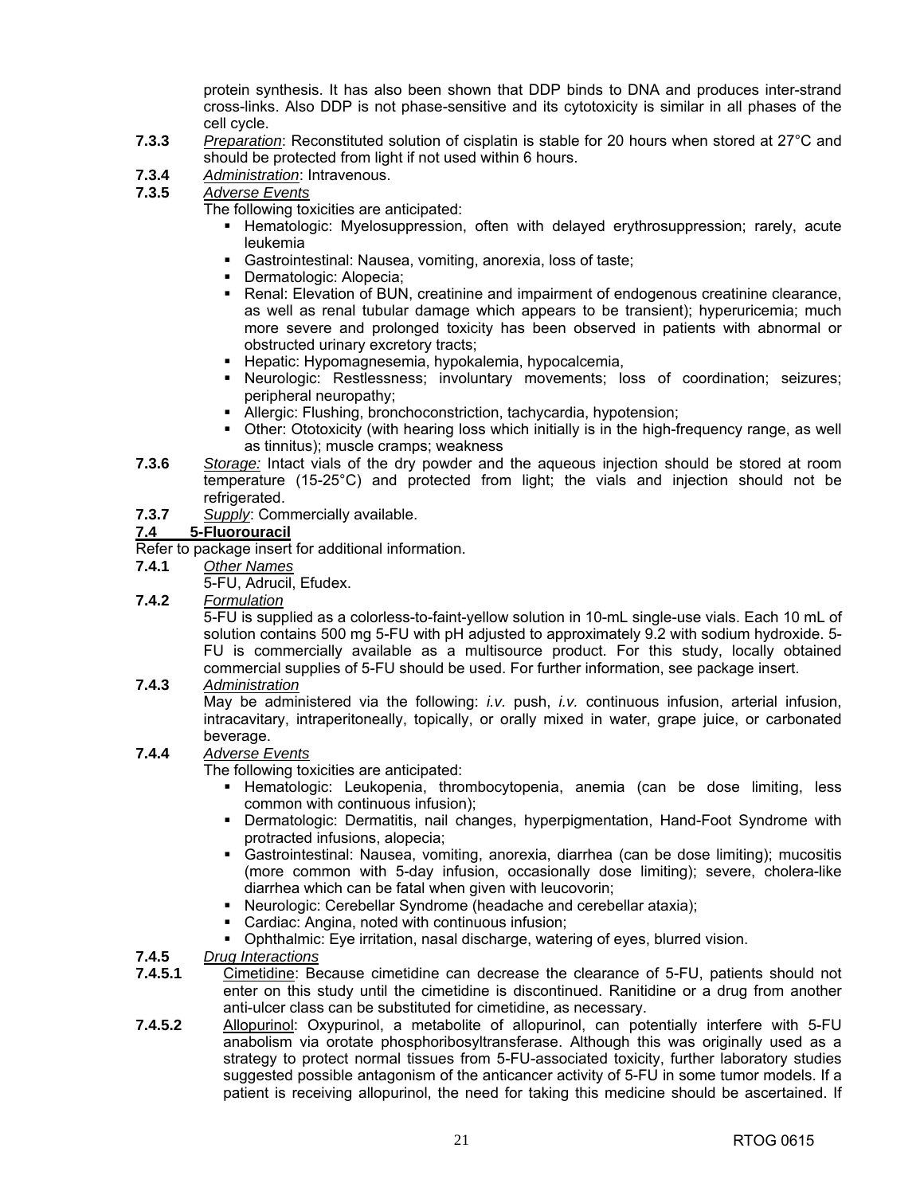protein synthesis. It has also been shown that DDP binds to DNA and produces inter-strand cross-links. Also DDP is not phase-sensitive and its cytotoxicity is similar in all phases of the cell cycle.

- **7.3.3** *Preparation*: Reconstituted solution of cisplatin is stable for 20 hours when stored at 27°C and should be protected from light if not used within 6 hours.
- **7.3.4** *Administration*: Intravenous.
- **7.3.5** *Adverse Events*

The following toxicities are anticipated:

- **Hematologic: Myelosuppression, often with delayed erythrosuppression; rarely, acute** leukemia
- Gastrointestinal: Nausea, vomiting, anorexia, loss of taste;
- **-** Dermatologic: Alopecia;
- **Renal: Elevation of BUN, creatinine and impairment of endogenous creatinine clearance,** as well as renal tubular damage which appears to be transient); hyperuricemia; much more severe and prolonged toxicity has been observed in patients with abnormal or obstructed urinary excretory tracts;
- **Hepatic: Hypomagnesemia, hypokalemia, hypocalcemia,**
- Neurologic: Restlessness; involuntary movements; loss of coordination; seizures; peripheral neuropathy;
- Allergic: Flushing, bronchoconstriction, tachycardia, hypotension;
- Other: Ototoxicity (with hearing loss which initially is in the high-frequency range, as well as tinnitus); muscle cramps; weakness
- **7.3.6** *Storage:* Intact vials of the dry powder and the aqueous injection should be stored at room temperature (15-25°C) and protected from light; the vials and injection should not be refrigerated.
- **7.3.7** *Supply*: Commercially available.

#### **7.4 5-Fluorouracil**

Refer to package insert for additional information.

- **7.4.1** *Other Names*
	- 5-FU, Adrucil, Efudex.
- **7.4.2** *Formulation*

 5-FU is supplied as a colorless-to-faint-yellow solution in 10-mL single-use vials. Each 10 mL of solution contains 500 mg 5-FU with pH adjusted to approximately 9.2 with sodium hydroxide. 5- FU is commercially available as a multisource product. For this study, locally obtained commercial supplies of 5-FU should be used. For further information, see package insert.

#### **7.4.3** *Administration*

May be administered via the following: *i.v.* push, *i.v.* continuous infusion, arterial infusion, intracavitary, intraperitoneally, topically, or orally mixed in water, grape juice, or carbonated beverage.

#### **7.4.4** *Adverse Events*

The following toxicities are anticipated:

- **Hematologic: Leukopenia, thrombocytopenia, anemia (can be dose limiting, less** common with continuous infusion);
- Dermatologic: Dermatitis, nail changes, hyperpigmentation, Hand-Foot Syndrome with protracted infusions, alopecia;
- Gastrointestinal: Nausea, vomiting, anorexia, diarrhea (can be dose limiting); mucositis (more common with 5-day infusion, occasionally dose limiting); severe, cholera-like diarrhea which can be fatal when given with leucovorin;
- Neurologic: Cerebellar Syndrome (headache and cerebellar ataxia);
- Cardiac: Angina, noted with continuous infusion;
- Ophthalmic: Eye irritation, nasal discharge, watering of eyes, blurred vision.
- **7.4.5** *Drug Interactions*
- **7.4.5.1** Cimetidine: Because cimetidine can decrease the clearance of 5-FU, patients should not enter on this study until the cimetidine is discontinued. Ranitidine or a drug from another anti-ulcer class can be substituted for cimetidine, as necessary.
- **7.4.5.2** Allopurinol: Oxypurinol, a metabolite of allopurinol, can potentially interfere with 5-FU anabolism via orotate phosphoribosyltransferase. Although this was originally used as a strategy to protect normal tissues from 5-FU-associated toxicity, further laboratory studies suggested possible antagonism of the anticancer activity of 5-FU in some tumor models. If a patient is receiving allopurinol, the need for taking this medicine should be ascertained. If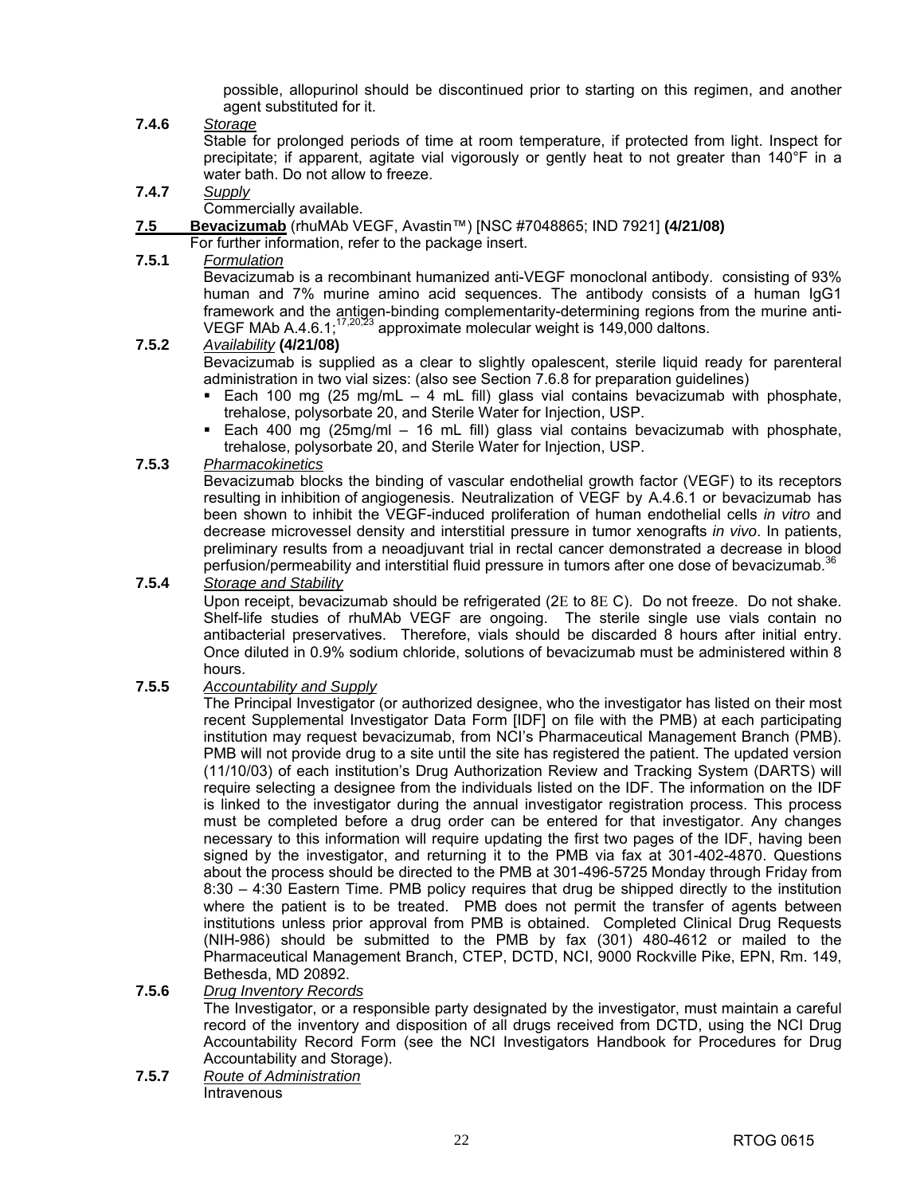possible, allopurinol should be discontinued prior to starting on this regimen, and another agent substituted for it.

#### **7.4.6** *Storage*

Stable for prolonged periods of time at room temperature, if protected from light. Inspect for precipitate; if apparent, agitate vial vigorously or gently heat to not greater than 140°F in a water bath. Do not allow to freeze.

**7.4.7** *Supply*

Commercially available.

**7.5 Bevacizumab** (rhuMAb VEGF, Avastin™) [NSC #7048865; IND 7921] **(4/21/08)**

For further information, refer to the package insert.

#### **7.5.1** *Formulation*

 Bevacizumab is a recombinant humanized anti-VEGF monoclonal antibody. consisting of 93% human and 7% murine amino acid sequences. The antibody consists of a human IgG1 framework and the antigen-binding complementarity-determining regions from the murine anti-VEGF MAb A.4.6.1;<sup>17,20,23</sup> approximate molecular weight is 149,000 daltons.

#### **7.5.2** *Availability* **(4/21/08)**

 Bevacizumab is supplied as a clear to slightly opalescent, sterile liquid ready for parenteral administration in two vial sizes: (also see Section 7.6.8 for preparation guidelines)

- Each 100 mg (25 mg/mL  $-$  4 mL fill) glass vial contains bevacizumab with phosphate, trehalose, polysorbate 20, and Sterile Water for Injection, USP.
- Each 400 mg (25mg/ml 16 mL fill) glass vial contains bevacizumab with phosphate, trehalose, polysorbate 20, and Sterile Water for Injection, USP.
- **7.5.3** *Pharmacokinetics*

 Bevacizumab blocks the binding of vascular endothelial growth factor (VEGF) to its receptors resulting in inhibition of angiogenesis. Neutralization of VEGF by A.4.6.1 or bevacizumab has been shown to inhibit the VEGF-induced proliferation of human endothelial cells *in vitro* and decrease microvessel density and interstitial pressure in tumor xenografts *in vivo*. In patients, preliminary results from a neoadjuvant trial in rectal cancer demonstrated a decrease in blood perfusion/permeability and interstitial fluid pressure in tumors after one dose of bevacizumab.<sup>36</sup>

#### **7.5.4** *Storage and Stability*

 Upon receipt, bevacizumab should be refrigerated (2Ε to 8Ε C). Do not freeze. Do not shake. Shelf-life studies of rhuMAb VEGF are ongoing. The sterile single use vials contain no antibacterial preservatives. Therefore, vials should be discarded 8 hours after initial entry. Once diluted in 0.9% sodium chloride, solutions of bevacizumab must be administered within 8 hours.

#### **7.5.5** *Accountability and Supply*

 The Principal Investigator (or authorized designee, who the investigator has listed on their most recent Supplemental Investigator Data Form [IDF] on file with the PMB) at each participating institution may request bevacizumab, from NCI's Pharmaceutical Management Branch (PMB). PMB will not provide drug to a site until the site has registered the patient. The updated version (11/10/03) of each institution's Drug Authorization Review and Tracking System (DARTS) will require selecting a designee from the individuals listed on the IDF. The information on the IDF is linked to the investigator during the annual investigator registration process. This process must be completed before a drug order can be entered for that investigator. Any changes necessary to this information will require updating the first two pages of the IDF, having been signed by the investigator, and returning it to the PMB via fax at 301-402-4870. Questions about the process should be directed to the PMB at 301-496-5725 Monday through Friday from 8:30 – 4:30 Eastern Time. PMB policy requires that drug be shipped directly to the institution where the patient is to be treated. PMB does not permit the transfer of agents between institutions unless prior approval from PMB is obtained. Completed Clinical Drug Requests (NIH-986) should be submitted to the PMB by fax (301) 480-4612 or mailed to the Pharmaceutical Management Branch, CTEP, DCTD, NCI, 9000 Rockville Pike, EPN, Rm. 149, Bethesda, MD 20892.

#### **7.5.6** *Drug Inventory Records*

 The Investigator, or a responsible party designated by the investigator, must maintain a careful record of the inventory and disposition of all drugs received from DCTD, using the NCI Drug Accountability Record Form (see the NCI Investigators Handbook for Procedures for Drug Accountability and Storage).

**7.5.7** *Route of Administration* Intravenous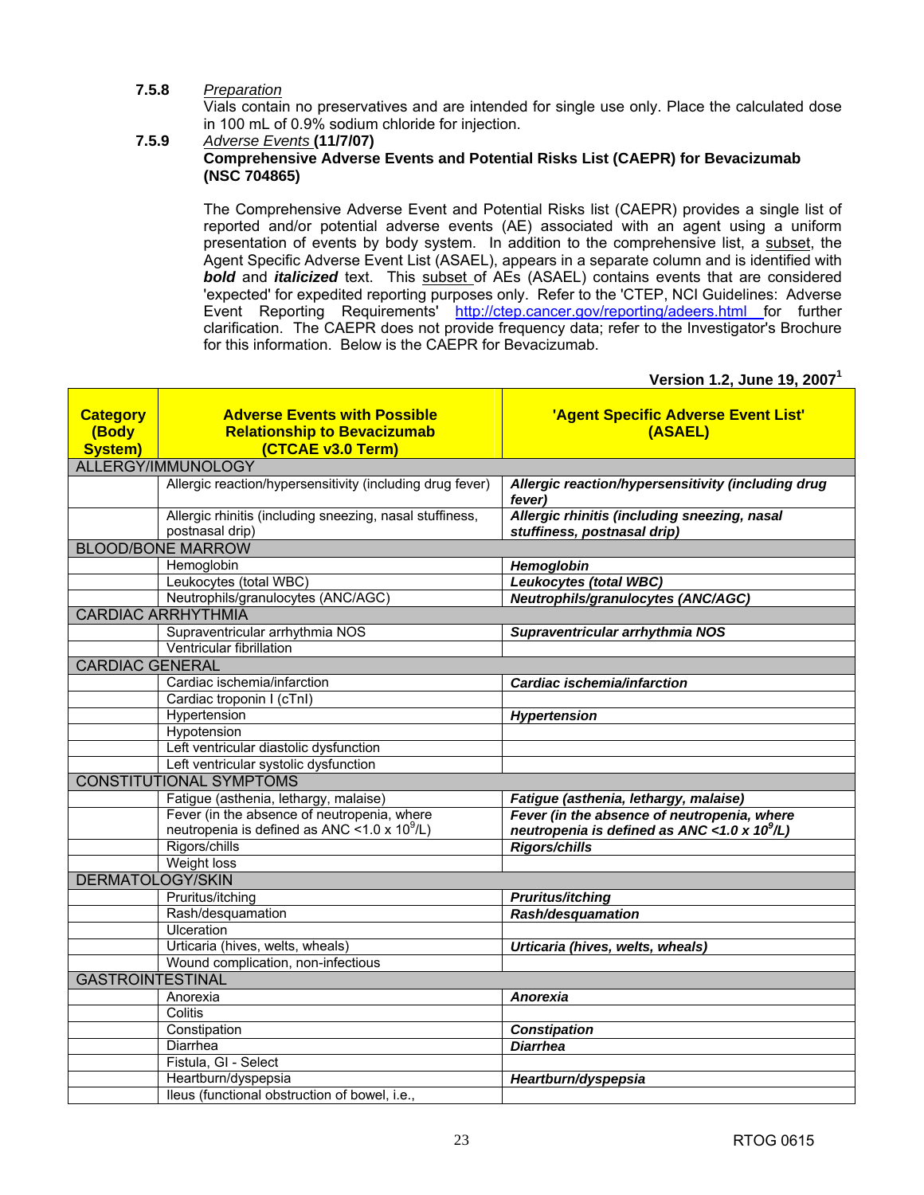#### **7.5.8** *Preparation*

 Vials contain no preservatives and are intended for single use only. Place the calculated dose in 100 mL of 0.9% sodium chloride for injection.

#### **7.5.9** *Adverse Events* **(11/7/07) Comprehensive Adverse Events and Potential Risks List (CAEPR) for Bevacizumab (NSC 704865)**

 The Comprehensive Adverse Event and Potential Risks list (CAEPR) provides a single list of reported and/or potential adverse events (AE) associated with an agent using a uniform presentation of events by body system. In addition to the comprehensive list, a subset, the Agent Specific Adverse Event List (ASAEL), appears in a separate column and is identified with **bold** and *italicized* text. This subset of AEs (ASAEL) contains events that are considered 'expected' for expedited reporting purposes only. Refer to the 'CTEP, NCI Guidelines: Adverse Event Reporting Requirements' <http://ctep.cancer.gov/reporting/adeers.html>for further clarification. The CAEPR does not provide frequency data; refer to the Investigator's Brochure for this information. Below is the CAEPR for Bevacizumab.

**Version 1.2, June 19, 2007<sup>1</sup>**

| <b>Category</b><br>(Body<br><b>System)</b> | <b>Adverse Events with Possible</b><br><b>Relationship to Bevacizumab</b><br>(CTCAE v3.0 Term) | 'Agent Specific Adverse Event List'<br>(ASAEL)                              |
|--------------------------------------------|------------------------------------------------------------------------------------------------|-----------------------------------------------------------------------------|
|                                            | ALLERGY/IMMUNOLOGY                                                                             |                                                                             |
|                                            | Allergic reaction/hypersensitivity (including drug fever)                                      | Allergic reaction/hypersensitivity (including drug<br>fever)                |
|                                            | Allergic rhinitis (including sneezing, nasal stuffiness,<br>postnasal drip)                    | Allergic rhinitis (including sneezing, nasal<br>stuffiness, postnasal drip) |
|                                            | <b>BLOOD/BONE MARROW</b>                                                                       |                                                                             |
|                                            | Hemoglobin                                                                                     | Hemoglobin                                                                  |
|                                            | Leukocytes (total WBC)                                                                         | Leukocytes (total WBC)                                                      |
|                                            | Neutrophils/granulocytes (ANC/AGC)                                                             | Neutrophils/granulocytes (ANC/AGC)                                          |
|                                            | <b>CARDIAC ARRHYTHMIA</b>                                                                      |                                                                             |
|                                            | Supraventricular arrhythmia NOS                                                                | Supraventricular arrhythmia NOS                                             |
|                                            | Ventricular fibrillation                                                                       |                                                                             |
| <b>CARDIAC GENERAL</b>                     |                                                                                                |                                                                             |
|                                            | Cardiac ischemia/infarction                                                                    | Cardiac ischemia/infarction                                                 |
|                                            | Cardiac troponin I (cTnI)                                                                      |                                                                             |
|                                            | Hypertension                                                                                   | Hypertension                                                                |
|                                            | Hypotension                                                                                    |                                                                             |
|                                            | Left ventricular diastolic dysfunction                                                         |                                                                             |
|                                            | Left ventricular systolic dysfunction                                                          |                                                                             |
|                                            | <b>CONSTITUTIONAL SYMPTOMS</b>                                                                 |                                                                             |
|                                            | Fatigue (asthenia, lethargy, malaise)                                                          | Fatigue (asthenia, lethargy, malaise)                                       |
|                                            | Fever (in the absence of neutropenia, where                                                    | Fever (in the absence of neutropenia, where                                 |
|                                            | neutropenia is defined as ANC < 1.0 x 10 <sup>9</sup> /L)                                      | neutropenia is defined as ANC < 1.0 x $10^9$ /L)                            |
|                                            | Rigors/chills                                                                                  | <b>Rigors/chills</b>                                                        |
|                                            | Weight loss                                                                                    |                                                                             |
| <b>DERMATOLOGY/SKIN</b>                    |                                                                                                |                                                                             |
|                                            | Pruritus/itching                                                                               | <b>Pruritus/itching</b>                                                     |
|                                            | Rash/desquamation                                                                              | Rash/desquamation                                                           |
|                                            | Ulceration                                                                                     |                                                                             |
|                                            | Urticaria (hives, welts, wheals)                                                               | Urticaria (hives, welts, wheals)                                            |
|                                            | Wound complication, non-infectious                                                             |                                                                             |
| <b>GASTROINTESTINAL</b>                    |                                                                                                |                                                                             |
|                                            | Anorexia                                                                                       | <b>Anorexia</b>                                                             |
|                                            | Colitis                                                                                        |                                                                             |
|                                            | Constipation                                                                                   | <b>Constipation</b>                                                         |
|                                            | Diarrhea                                                                                       | <b>Diarrhea</b>                                                             |
|                                            | Fistula, GI - Select                                                                           |                                                                             |
|                                            | Heartburn/dyspepsia                                                                            | Heartburn/dyspepsia                                                         |
|                                            | Ileus (functional obstruction of bowel, i.e.,                                                  |                                                                             |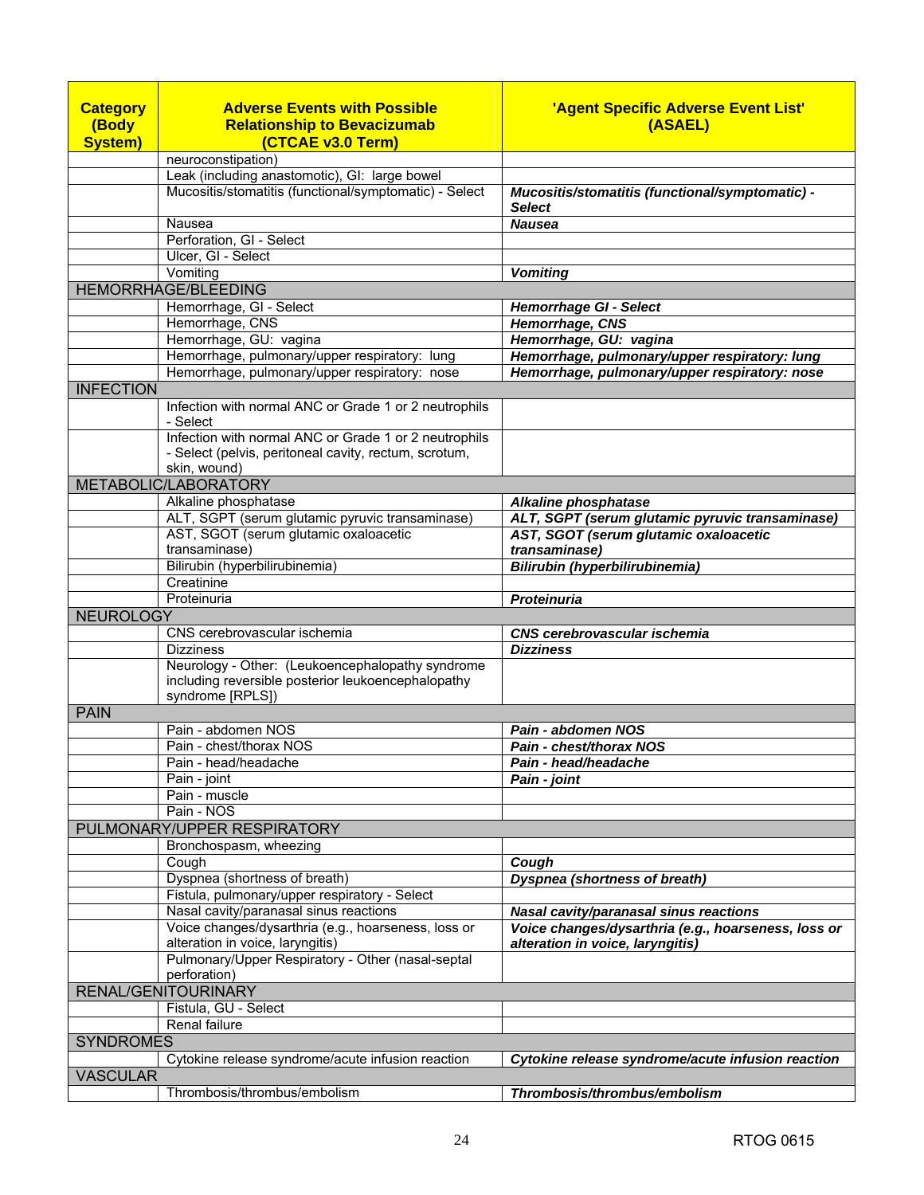| <b>Category</b>  | <b>Adverse Events with Possible</b>                                                                                        | 'Agent Specific Adverse Event List'                                                     |
|------------------|----------------------------------------------------------------------------------------------------------------------------|-----------------------------------------------------------------------------------------|
| (Body            | <b>Relationship to Bevacizumab</b>                                                                                         | (ASAEL)                                                                                 |
| <b>System)</b>   | (CTCAE v3.0 Term)                                                                                                          |                                                                                         |
|                  | neuroconstipation)                                                                                                         |                                                                                         |
|                  | Leak (including anastomotic), GI: large bowel                                                                              |                                                                                         |
|                  | Mucositis/stomatitis (functional/symptomatic) - Select                                                                     | Mucositis/stomatitis (functional/symptomatic) -<br><b>Select</b>                        |
|                  | Nausea                                                                                                                     | <b>Nausea</b>                                                                           |
|                  | Perforation, GI - Select                                                                                                   |                                                                                         |
|                  | Ulcer, GI - Select                                                                                                         |                                                                                         |
|                  | Vomiting<br><b>HEMORRHAGE/BLEEDING</b>                                                                                     | <b>Vomiting</b>                                                                         |
|                  | Hemorrhage, GI - Select                                                                                                    | <b>Hemorrhage GI - Select</b>                                                           |
|                  | Hemorrhage, CNS                                                                                                            | Hemorrhage, CNS                                                                         |
|                  | Hemorrhage, GU: vagina                                                                                                     | Hemorrhage, GU: vagina                                                                  |
|                  | Hemorrhage, pulmonary/upper respiratory: lung                                                                              | Hemorrhage, pulmonary/upper respiratory: lung                                           |
|                  | Hemorrhage, pulmonary/upper respiratory: nose                                                                              | Hemorrhage, pulmonary/upper respiratory: nose                                           |
| <b>INFECTION</b> |                                                                                                                            |                                                                                         |
|                  | Infection with normal ANC or Grade 1 or 2 neutrophils<br>- Select                                                          |                                                                                         |
|                  | Infection with normal ANC or Grade 1 or 2 neutrophils<br>- Select (pelvis, peritoneal cavity, rectum, scrotum,             |                                                                                         |
|                  | skin, wound)                                                                                                               |                                                                                         |
|                  | METABOLIC/LABORATORY                                                                                                       |                                                                                         |
|                  | Alkaline phosphatase                                                                                                       | Alkaline phosphatase                                                                    |
|                  | ALT, SGPT (serum glutamic pyruvic transaminase)                                                                            | ALT, SGPT (serum glutamic pyruvic transaminase)                                         |
|                  | AST, SGOT (serum glutamic oxaloacetic<br>transaminase)                                                                     | AST, SGOT (serum glutamic oxaloacetic<br>transaminase)                                  |
|                  | Bilirubin (hyperbilirubinemia)                                                                                             | Bilirubin (hyperbilirubinemia)                                                          |
|                  | Creatinine                                                                                                                 |                                                                                         |
|                  | Proteinuria                                                                                                                | Proteinuria                                                                             |
| <b>NEUROLOGY</b> |                                                                                                                            |                                                                                         |
|                  | CNS cerebrovascular ischemia                                                                                               | <b>CNS cerebrovascular ischemia</b>                                                     |
|                  | <b>Dizziness</b>                                                                                                           | <b>Dizziness</b>                                                                        |
|                  | Neurology - Other: (Leukoencephalopathy syndrome<br>including reversible posterior leukoencephalopathy<br>syndrome [RPLS]) |                                                                                         |
| <b>PAIN</b>      |                                                                                                                            |                                                                                         |
|                  | Pain - abdomen NOS                                                                                                         | Pain - abdomen NOS                                                                      |
|                  | Pain - chest/thorax NOS                                                                                                    | Pain - chest/thorax NOS                                                                 |
|                  | Pain - head/headache                                                                                                       | Pain - head/headache                                                                    |
|                  | Pain - joint                                                                                                               | Pain - joint                                                                            |
|                  | Pain - muscle<br>Pain - NOS                                                                                                |                                                                                         |
|                  | PULMONARY/UPPER RESPIRATORY                                                                                                |                                                                                         |
|                  | Bronchospasm, wheezing                                                                                                     |                                                                                         |
|                  | Cough                                                                                                                      | Cough                                                                                   |
|                  | Dyspnea (shortness of breath)                                                                                              | <b>Dyspnea (shortness of breath)</b>                                                    |
|                  | Fistula, pulmonary/upper respiratory - Select                                                                              |                                                                                         |
|                  | Nasal cavity/paranasal sinus reactions                                                                                     | Nasal cavity/paranasal sinus reactions                                                  |
|                  | Voice changes/dysarthria (e.g., hoarseness, loss or<br>alteration in voice, laryngitis)                                    | Voice changes/dysarthria (e.g., hoarseness, loss or<br>alteration in voice, laryngitis) |
|                  | Pulmonary/Upper Respiratory - Other (nasal-septal<br>perforation)                                                          |                                                                                         |
|                  | RENAL/GENITOURINARY                                                                                                        |                                                                                         |
|                  | Fistula, GU - Select                                                                                                       |                                                                                         |
|                  | Renal failure                                                                                                              |                                                                                         |
| <b>SYNDROMES</b> | Cytokine release syndrome/acute infusion reaction                                                                          | Cytokine release syndrome/acute infusion reaction                                       |
| <b>VASCULAR</b>  |                                                                                                                            |                                                                                         |
|                  | Thrombosis/thrombus/embolism                                                                                               | Thrombosis/thrombus/embolism                                                            |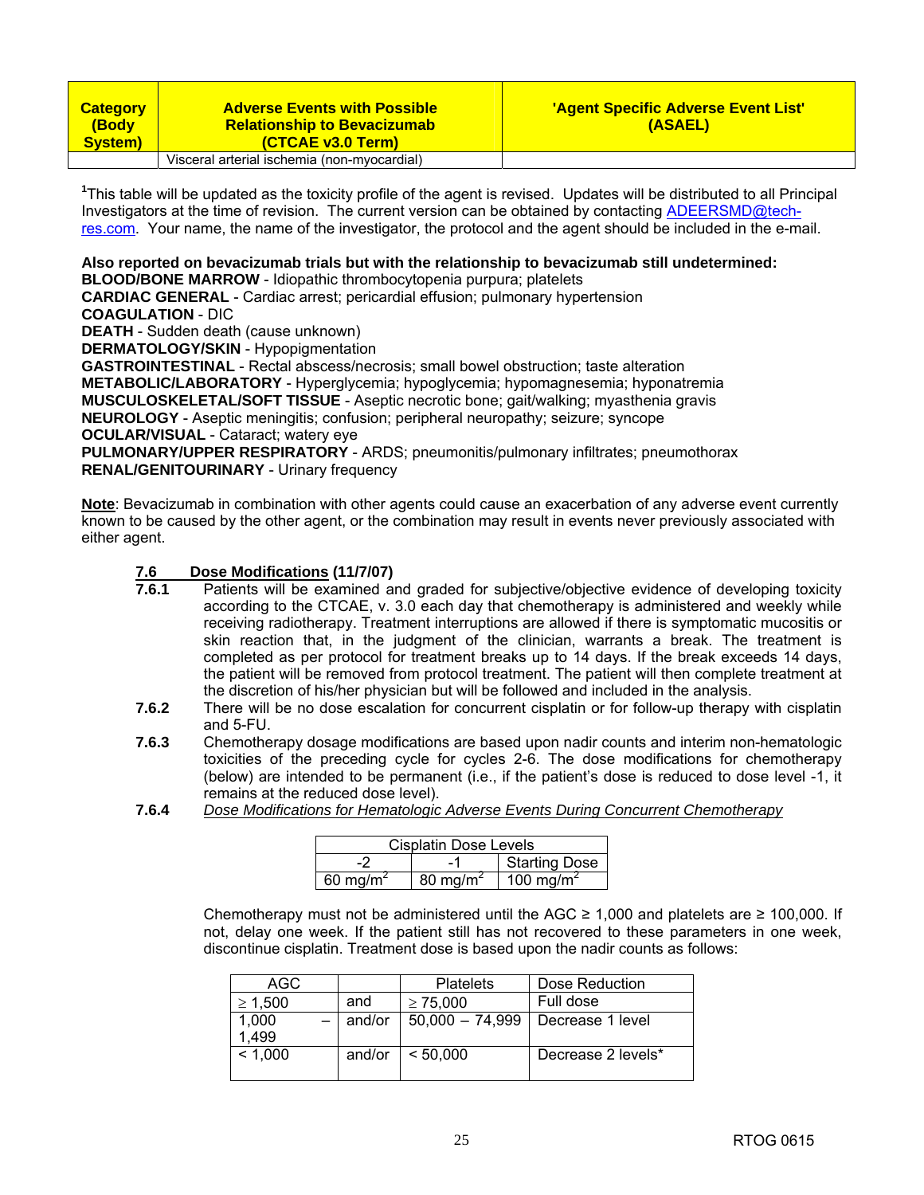| <b>Category</b><br>(Body<br>System) | <b>Adverse Events with Possible</b><br><b>Relationship to Bevacizumab</b><br>(CTCAE v3.0 Term) | 'Agent Specific Adverse Event List'<br>(ASAEL) |
|-------------------------------------|------------------------------------------------------------------------------------------------|------------------------------------------------|
|                                     | Visceral arterial ischemia (non-myocardial)                                                    |                                                |

<sup>1</sup>This table will be updated as the toxicity profile of the agent is revised. Updates will be distributed to all Principal [Investigators at the time of revision. The current version can be obtained by contacting ADEERSMD@tech](mailto:ADEERSMD@tech-res.com)res.[com.](mailto:ADEERSMD@tech-res.com) Your name, the name of the investigator, the protocol and the agent should be included in the e-mail.

### **Also reported on bevacizumab trials but with the relationship to bevacizumab still undetermined:**

**BLOOD/BONE MARROW** - Idiopathic thrombocytopenia purpura; platelets

**CARDIAC GENERAL** - Cardiac arrest; pericardial effusion; pulmonary hypertension

**COAGULATION** - DIC

**DEATH** - Sudden death (cause unknown)

**DERMATOLOGY/SKIN** - Hypopigmentation

**GASTROINTESTINAL** - Rectal abscess/necrosis; small bowel obstruction; taste alteration **METABOLIC/LABORATORY** - Hyperglycemia; hypoglycemia; hypomagnesemia; hyponatremia **MUSCULOSKELETAL/SOFT TISSUE** - Aseptic necrotic bone; gait/walking; myasthenia gravis **NEUROLOGY** - Aseptic meningitis; confusion; peripheral neuropathy; seizure; syncope **OCULAR/VISUAL** - Cataract; watery eye **PULMONARY/UPPER RESPIRATORY** - ARDS; pneumonitis/pulmonary infiltrates; pneumothorax

**RENAL/GENITOURINARY** - Urinary frequency

**Note**: Bevacizumab in combination with other agents could cause an exacerbation of any adverse event currently known to be caused by the other agent, or the combination may result in events never previously associated with either agent.

### **7.6 Dose Modifications (11/7/07)**

- Patients will be examined and graded for subjective/objective evidence of developing toxicity according to the CTCAE, v. 3.0 each day that chemotherapy is administered and weekly while receiving radiotherapy. Treatment interruptions are allowed if there is symptomatic mucositis or skin reaction that, in the judgment of the clinician, warrants a break. The treatment is completed as per protocol for treatment breaks up to 14 days. If the break exceeds 14 days, the patient will be removed from protocol treatment. The patient will then complete treatment at the discretion of his/her physician but will be followed and included in the analysis.
- **7.6.2** There will be no dose escalation for concurrent cisplatin or for follow-up therapy with cisplatin and 5-FU.
- **7.6.3** Chemotherapy dosage modifications are based upon nadir counts and interim non-hematologic toxicities of the preceding cycle for cycles 2-6. The dose modifications for chemotherapy (below) are intended to be permanent (i.e., if the patient's dose is reduced to dose level -1, it remains at the reduced dose level).
- **7.6.4** *Dose Modifications for Hematologic Adverse Events During Concurrent Chemotherapy*

| <b>Cisplatin Dose Levels</b> |                      |                       |  |
|------------------------------|----------------------|-----------------------|--|
| <b>Starting Dose</b>         |                      |                       |  |
| 60 mg/m <sup>2</sup>         | 80 mg/m <sup>2</sup> | 100 mg/m <sup>2</sup> |  |

Chemotherapy must not be administered until the AGC  $\geq$  1,000 and platelets are  $\geq$  100,000. If not, delay one week. If the patient still has not recovered to these parameters in one week, discontinue cisplatin. Treatment dose is based upon the nadir counts as follows:

| AGC          |        | <b>Platelets</b>  | Dose Reduction     |
|--------------|--------|-------------------|--------------------|
| $\geq 1,500$ | and    | $\geq 75.000$     | Full dose          |
| 1,000        | and/or | $50,000 - 74,999$ | Decrease 1 level   |
| 1,499        |        |                   |                    |
| < 1,000      | and/or | < 50.000          | Decrease 2 levels* |
|              |        |                   |                    |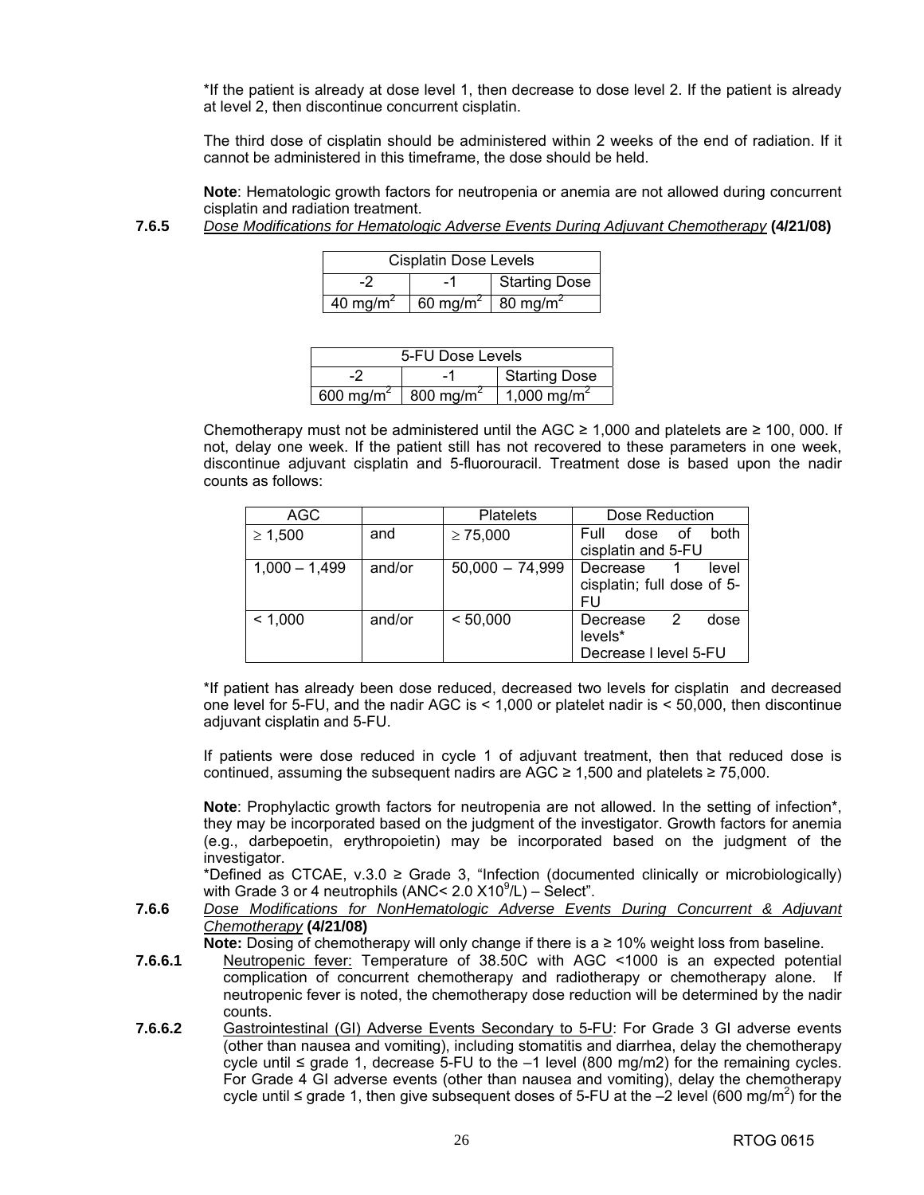\*If the patient is already at dose level 1, then decrease to dose level 2. If the patient is already at level 2, then discontinue concurrent cisplatin.

 The third dose of cisplatin should be administered within 2 weeks of the end of radiation. If it cannot be administered in this timeframe, the dose should be held.

**Note**: Hematologic growth factors for neutropenia or anemia are not allowed during concurrent cisplatin and radiation treatment.

**7.6.5** *Dose Modifications for Hematologic Adverse Events During Adjuvant Chemotherapy* **(4/21/08)** 

| <b>Cisplatin Dose Levels</b> |                                           |  |  |
|------------------------------|-------------------------------------------|--|--|
| Starting Dose<br>-1          |                                           |  |  |
| 40 mg/m <sup>2</sup>         | 60 mg/m <sup>2</sup> 80 mg/m <sup>2</sup> |  |  |

| 5-FU Dose Levels      |                      |                         |
|-----------------------|----------------------|-------------------------|
| <b>Starting Dose</b>  |                      |                         |
| 600 mg/m <sup>2</sup> | $800 \text{ mg/m}^2$ | 1,000 mg/m <sup>2</sup> |

Chemotherapy must not be administered until the AGC  $\geq$  1,000 and platelets are  $\geq$  100, 000. If not, delay one week. If the patient still has not recovered to these parameters in one week, discontinue adjuvant cisplatin and 5-fluorouracil. Treatment dose is based upon the nadir counts as follows:

| AGC             |        | <b>Platelets</b>  | Dose Reduction                                            |
|-----------------|--------|-------------------|-----------------------------------------------------------|
| $\geq 1,500$    | and    | $\geq 75,000$     | Full<br>both<br>οf<br>dose<br>cisplatin and 5-FU          |
| $1,000 - 1,499$ | and/or | $50,000 - 74,999$ | Decrease<br>level<br>cisplatin; full dose of 5-<br>FU     |
| < 1,000         | and/or | < 50,000          | 2<br>dose<br>Decrease<br>levels*<br>Decrease I level 5-FU |

 \*If patient has already been dose reduced, decreased two levels for cisplatin and decreased one level for 5-FU, and the nadir AGC is < 1,000 or platelet nadir is < 50,000, then discontinue adjuvant cisplatin and 5-FU.

 If patients were dose reduced in cycle 1 of adjuvant treatment, then that reduced dose is continued, assuming the subsequent nadirs are AGC  $\geq$  1,500 and platelets  $\geq$  75,000.

**Note**: Prophylactic growth factors for neutropenia are not allowed. In the setting of infection\*, they may be incorporated based on the judgment of the investigator. Growth factors for anemia (e.g., darbepoetin, erythropoietin) may be incorporated based on the judgment of the investigator.

\*Defined as CTCAE,  $v.3.0 \geq$  Grade 3, "Infection (documented clinically or microbiologically) with Grade 3 or 4 neutrophils (ANC<  $2.0 \times 10^9$ /L) – Select".

**7.6.6** *Dose Modifications for NonHematologic Adverse Events During Concurrent & Adjuvant Chemotherapy* **(4/21/08)** 

**Note:** Dosing of chemotherapy will only change if there is a ≥ 10% weight loss from baseline.

- **7.6.6.1** Neutropenic fever: Temperature of 38.50C with AGC <1000 is an expected potential complication of concurrent chemotherapy and radiotherapy or chemotherapy alone. If neutropenic fever is noted, the chemotherapy dose reduction will be determined by the nadir counts.
- **7.6.6.2** Gastrointestinal (GI) Adverse Events Secondary to 5-FU: For Grade 3 GI adverse events (other than nausea and vomiting), including stomatitis and diarrhea, delay the chemotherapy cycle until  $\leq$  grade 1, decrease 5-FU to the –1 level (800 mg/m2) for the remaining cycles. For Grade 4 GI adverse events (other than nausea and vomiting), delay the chemotherapy cycle until  $\leq$  grade 1, then give subsequent doses of 5-FU at the  $-2$  level (600 mg/m<sup>2</sup>) for the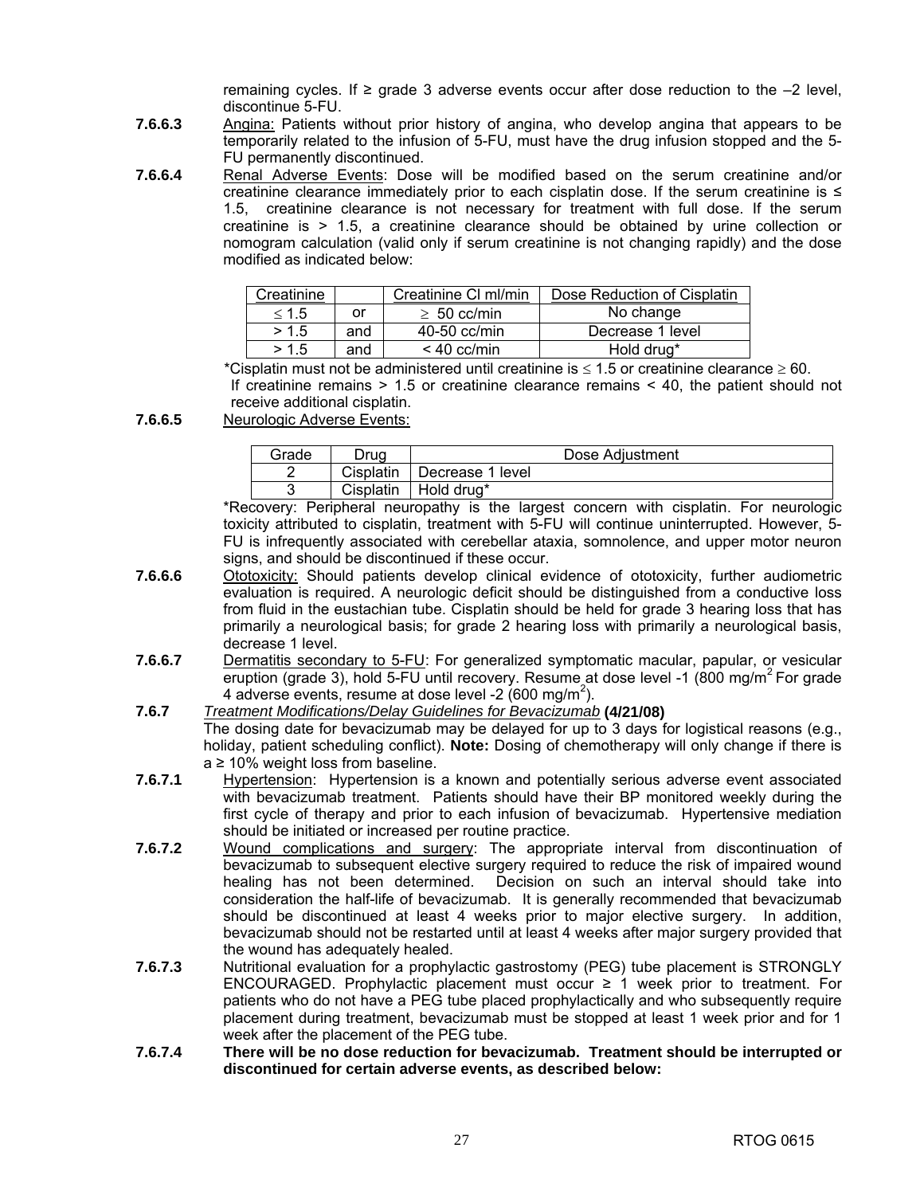remaining cycles. If  $\geq$  grade 3 adverse events occur after dose reduction to the  $-2$  level, discontinue 5-FU.

- **7.6.6.3** Angina: Patients without prior history of angina, who develop angina that appears to be temporarily related to the infusion of 5-FU, must have the drug infusion stopped and the 5- FU permanently discontinued.
- **7.6.6.4** Renal Adverse Events: Dose will be modified based on the serum creatinine and/or creatinine clearance immediately prior to each cisplatin dose. If the serum creatinine is  $\leq$ 1.5, creatinine clearance is not necessary for treatment with full dose. If the serum creatinine is > 1.5, a creatinine clearance should be obtained by urine collection or nomogram calculation (valid only if serum creatinine is not changing rapidly) and the dose modified as indicated below:

| Creatinine |     | Creatinine CI ml/min | Dose Reduction of Cisplatin |
|------------|-----|----------------------|-----------------------------|
| < 1.5      | or  | $\geq 50$ cc/min     | No change                   |
| > 1.5      | and | $40-50$ cc/min       | Decrease 1 level            |
| > 1.5      | and | $< 40$ cc/min        | Hold drug*                  |

\*Cisplatin must not be administered until creatinine is  $\leq 1.5$  or creatinine clearance  $\geq 60$ . If creatinine remains > 1.5 or creatinine clearance remains < 40, the patient should not receive additional cisplatin.

**7.6.6.5** Neurologic Adverse Events:

| Grade | Drua      | Dose Adjustment  |
|-------|-----------|------------------|
|       | Cisplatin | Decrease 1 level |
|       | Cisplatin | Hold drua*       |

 \*Recovery: Peripheral neuropathy is the largest concern with cisplatin. For neurologic toxicity attributed to cisplatin, treatment with 5-FU will continue uninterrupted. However, 5- FU is infrequently associated with cerebellar ataxia, somnolence, and upper motor neuron signs, and should be discontinued if these occur.

- **7.6.6.6** Ototoxicity: Should patients develop clinical evidence of ototoxicity, further audiometric evaluation is required. A neurologic deficit should be distinguished from a conductive loss from fluid in the eustachian tube. Cisplatin should be held for grade 3 hearing loss that has primarily a neurological basis; for grade 2 hearing loss with primarily a neurological basis, decrease 1 level.
- **7.6.6.7** Dermatitis secondary to 5-FU: For generalized symptomatic macular, papular, or vesicular eruption (grade 3), hold 5-FU until recovery. Resume at dose level -1 (800 mg/m<sup>2</sup> For grade 4 adverse events, resume at dose level -2 (600 mg/m<sup>2</sup>).
- **7.6.7** *Treatment Modifications/Delay Guidelines for Bevacizumab* **(4/21/08)**  The dosing date for bevacizumab may be delayed for up to 3 days for logistical reasons (e.g., holiday, patient scheduling conflict). **Note:** Dosing of chemotherapy will only change if there is  $a \ge 10\%$  weight loss from baseline.
- **7.6.7.1** Hypertension: Hypertension is a known and potentially serious adverse event associated with bevacizumab treatment. Patients should have their BP monitored weekly during the first cycle of therapy and prior to each infusion of bevacizumab. Hypertensive mediation should be initiated or increased per routine practice.
- **7.6.7.2** Wound complications and surgery: The appropriate interval from discontinuation of bevacizumab to subsequent elective surgery required to reduce the risk of impaired wound healing has not been determined. Decision on such an interval should take into consideration the half-life of bevacizumab. It is generally recommended that bevacizumab should be discontinued at least 4 weeks prior to major elective surgery. In addition, bevacizumab should not be restarted until at least 4 weeks after major surgery provided that the wound has adequately healed.
- **7.6.7.3** •• Nutritional evaluation for a prophylactic gastrostomy (PEG) tube placement is STRONGLY ENCOURAGED. Prophylactic placement must occur ≥ 1 week prior to treatment. For patients who do not have a PEG tube placed prophylactically and who subsequently require placement during treatment, bevacizumab must be stopped at least 1 week prior and for 1 week after the placement of the PEG tube.
- **7.6.7.4 There will be no dose reduction for bevacizumab. Treatment should be interrupted or discontinued for certain adverse events, as described below:**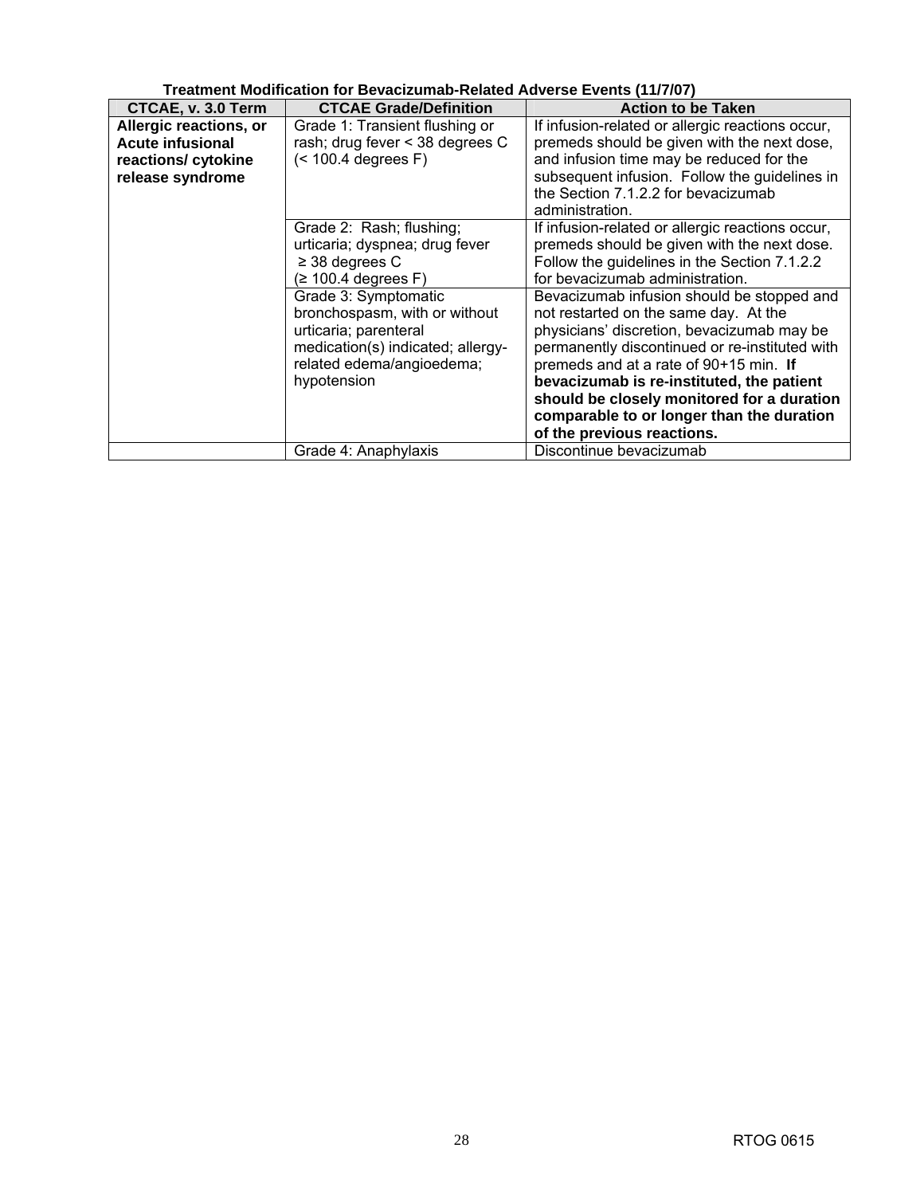| Treatment Modification for Bevacizumab-Related Adverse Events (11/7/07) |                                   |                                                  |  |
|-------------------------------------------------------------------------|-----------------------------------|--------------------------------------------------|--|
| CTCAE, v. 3.0 Term                                                      | <b>CTCAE Grade/Definition</b>     | <b>Action to be Taken</b>                        |  |
| Allergic reactions, or                                                  | Grade 1: Transient flushing or    | If infusion-related or allergic reactions occur, |  |
| <b>Acute infusional</b>                                                 | rash; drug fever < 38 degrees C   | premeds should be given with the next dose,      |  |
| reactions/ cytokine                                                     | (< 100.4 degrees F)               | and infusion time may be reduced for the         |  |
| release syndrome                                                        |                                   | subsequent infusion. Follow the guidelines in    |  |
|                                                                         |                                   | the Section 7.1.2.2 for bevacizumab              |  |
|                                                                         |                                   | administration.                                  |  |
|                                                                         | Grade 2: Rash; flushing;          | If infusion-related or allergic reactions occur, |  |
|                                                                         | urticaria; dyspnea; drug fever    | premeds should be given with the next dose.      |  |
|                                                                         | $\geq$ 38 degrees C               | Follow the guidelines in the Section 7.1.2.2     |  |
|                                                                         | $(≥ 100.4$ degrees F)             | for bevacizumab administration.                  |  |
|                                                                         | Grade 3: Symptomatic              | Bevacizumab infusion should be stopped and       |  |
|                                                                         | bronchospasm, with or without     | not restarted on the same day. At the            |  |
|                                                                         | urticaria; parenteral             | physicians' discretion, bevacizumab may be       |  |
|                                                                         | medication(s) indicated; allergy- | permanently discontinued or re-instituted with   |  |
|                                                                         | related edema/angioedema;         | premeds and at a rate of 90+15 min. If           |  |
|                                                                         | hypotension                       | bevacizumab is re-instituted, the patient        |  |
|                                                                         |                                   | should be closely monitored for a duration       |  |
|                                                                         |                                   | comparable to or longer than the duration        |  |
|                                                                         |                                   | of the previous reactions.                       |  |
|                                                                         | Grade 4: Anaphylaxis              | Discontinue bevacizumab                          |  |

**Treatment Modification for Bevacizumab-Related Adverse Events (11/7/07)**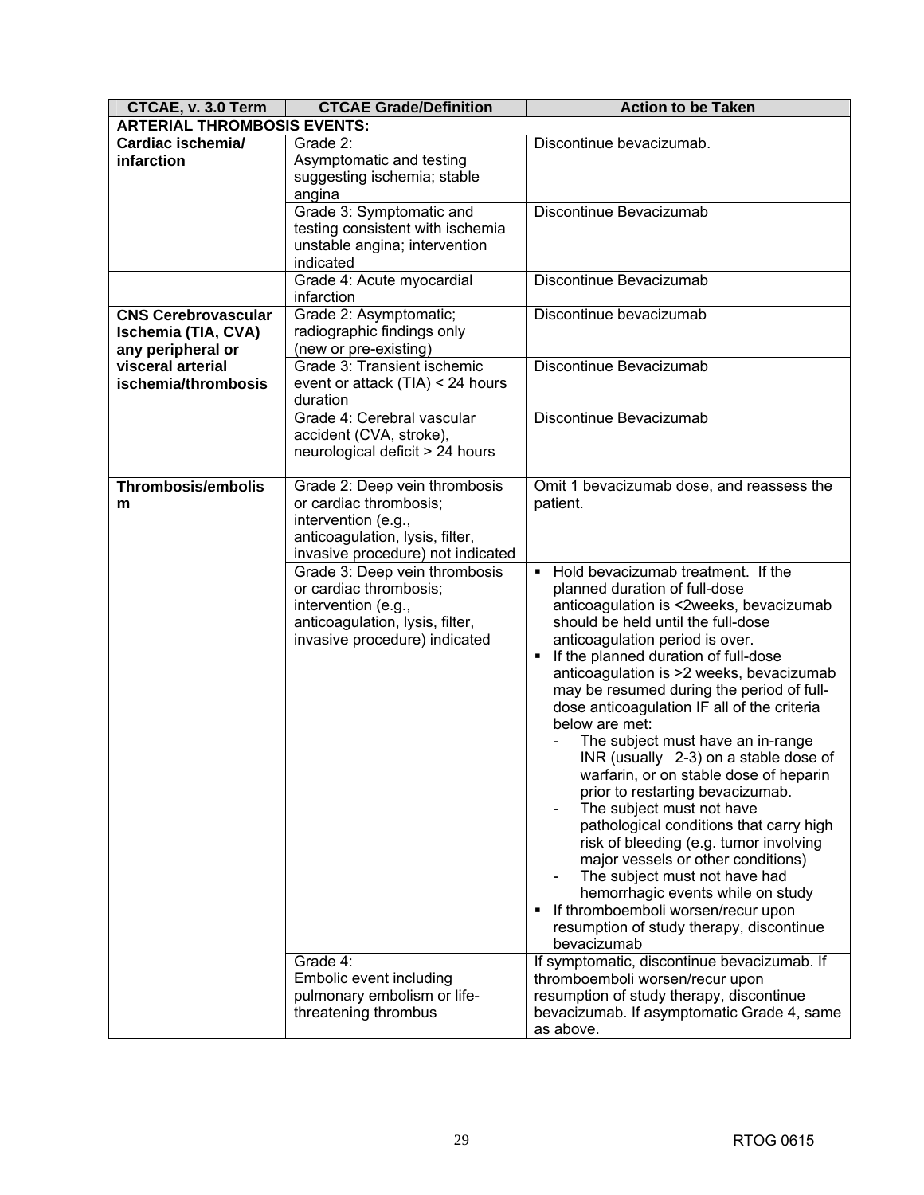| CTCAE, v. 3.0 Term                                                     | <b>CTCAE Grade/Definition</b>                                                                                                                          | <b>Action to be Taken</b>                                                                                                                                                                                                                                                                                                                                                                                                                                                                                                                                                                                                                                                                                                                                                                                                                                                                                        |
|------------------------------------------------------------------------|--------------------------------------------------------------------------------------------------------------------------------------------------------|------------------------------------------------------------------------------------------------------------------------------------------------------------------------------------------------------------------------------------------------------------------------------------------------------------------------------------------------------------------------------------------------------------------------------------------------------------------------------------------------------------------------------------------------------------------------------------------------------------------------------------------------------------------------------------------------------------------------------------------------------------------------------------------------------------------------------------------------------------------------------------------------------------------|
| <b>ARTERIAL THROMBOSIS EVENTS:</b>                                     |                                                                                                                                                        |                                                                                                                                                                                                                                                                                                                                                                                                                                                                                                                                                                                                                                                                                                                                                                                                                                                                                                                  |
| Cardiac ischemia/<br>infarction                                        | Grade 2:<br>Asymptomatic and testing<br>suggesting ischemia; stable<br>angina                                                                          | Discontinue bevacizumab.                                                                                                                                                                                                                                                                                                                                                                                                                                                                                                                                                                                                                                                                                                                                                                                                                                                                                         |
|                                                                        | Grade 3: Symptomatic and<br>testing consistent with ischemia<br>unstable angina; intervention<br>indicated                                             | Discontinue Bevacizumab                                                                                                                                                                                                                                                                                                                                                                                                                                                                                                                                                                                                                                                                                                                                                                                                                                                                                          |
|                                                                        | Grade 4: Acute myocardial<br>infarction                                                                                                                | Discontinue Bevacizumab                                                                                                                                                                                                                                                                                                                                                                                                                                                                                                                                                                                                                                                                                                                                                                                                                                                                                          |
| <b>CNS Cerebrovascular</b><br>Ischemia (TIA, CVA)<br>any peripheral or | Grade 2: Asymptomatic;<br>radiographic findings only<br>(new or pre-existing)                                                                          | Discontinue bevacizumab                                                                                                                                                                                                                                                                                                                                                                                                                                                                                                                                                                                                                                                                                                                                                                                                                                                                                          |
| visceral arterial<br>ischemia/thrombosis                               | Grade 3: Transient ischemic<br>event or attack (TIA) < 24 hours<br>duration                                                                            | Discontinue Bevacizumab                                                                                                                                                                                                                                                                                                                                                                                                                                                                                                                                                                                                                                                                                                                                                                                                                                                                                          |
|                                                                        | Grade 4: Cerebral vascular<br>accident (CVA, stroke),<br>neurological deficit > 24 hours                                                               | Discontinue Bevacizumab                                                                                                                                                                                                                                                                                                                                                                                                                                                                                                                                                                                                                                                                                                                                                                                                                                                                                          |
| <b>Thrombosis/embolis</b><br>m                                         | Grade 2: Deep vein thrombosis<br>or cardiac thrombosis;<br>intervention (e.g.,<br>anticoagulation, lysis, filter,<br>invasive procedure) not indicated | Omit 1 bevacizumab dose, and reassess the<br>patient.                                                                                                                                                                                                                                                                                                                                                                                                                                                                                                                                                                                                                                                                                                                                                                                                                                                            |
|                                                                        | Grade 3: Deep vein thrombosis<br>or cardiac thrombosis;<br>intervention (e.g.,<br>anticoagulation, lysis, filter,<br>invasive procedure) indicated     | Hold bevacizumab treatment. If the<br>$\blacksquare$<br>planned duration of full-dose<br>anticoagulation is <2weeks, bevacizumab<br>should be held until the full-dose<br>anticoagulation period is over.<br>If the planned duration of full-dose<br>٠<br>anticoagulation is >2 weeks, bevacizumab<br>may be resumed during the period of full-<br>dose anticoagulation IF all of the criteria<br>below are met:<br>The subject must have an in-range<br>INR (usually 2-3) on a stable dose of<br>warfarin, or on stable dose of heparin<br>prior to restarting bevacizumab.<br>The subject must not have<br>pathological conditions that carry high<br>risk of bleeding (e.g. tumor involving<br>major vessels or other conditions)<br>The subject must not have had<br>hemorrhagic events while on study<br>If thromboemboli worsen/recur upon<br>٠<br>resumption of study therapy, discontinue<br>bevacizumab |
|                                                                        | Grade 4:<br>Embolic event including<br>pulmonary embolism or life-<br>threatening thrombus                                                             | If symptomatic, discontinue bevacizumab. If<br>thromboemboli worsen/recur upon<br>resumption of study therapy, discontinue<br>bevacizumab. If asymptomatic Grade 4, same<br>as above.                                                                                                                                                                                                                                                                                                                                                                                                                                                                                                                                                                                                                                                                                                                            |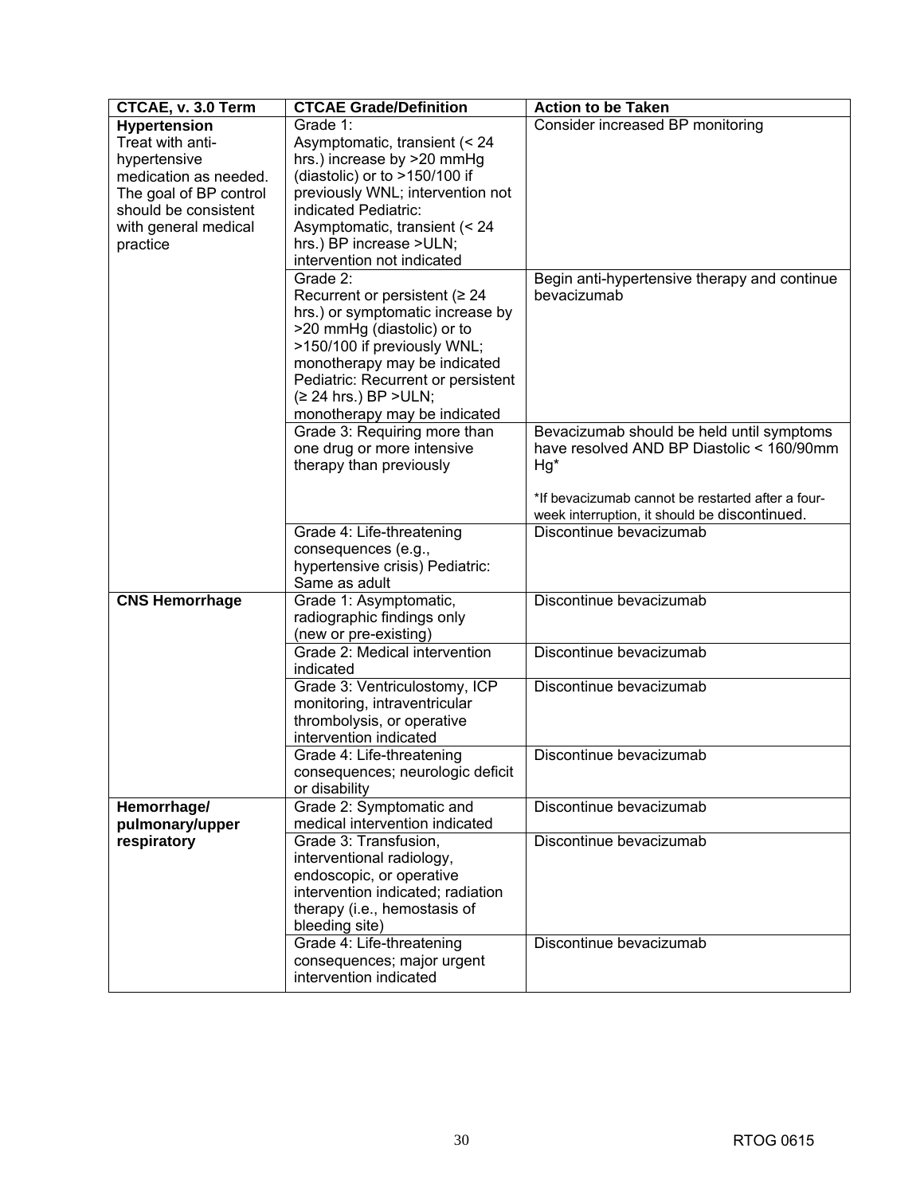| CTCAE, v. 3.0 Term     | <b>CTCAE Grade/Definition</b>              | <b>Action to be Taken</b>                         |
|------------------------|--------------------------------------------|---------------------------------------------------|
| <b>Hypertension</b>    | Grade 1:                                   | Consider increased BP monitoring                  |
| Treat with anti-       | Asymptomatic, transient (< 24              |                                                   |
| hypertensive           | hrs.) increase by >20 mmHg                 |                                                   |
| medication as needed.  | (diastolic) or to $>150/100$ if            |                                                   |
| The goal of BP control | previously WNL; intervention not           |                                                   |
| should be consistent   | indicated Pediatric:                       |                                                   |
| with general medical   | Asymptomatic, transient (< 24              |                                                   |
| practice               | hrs.) BP increase >ULN;                    |                                                   |
|                        | intervention not indicated                 |                                                   |
|                        | Grade 2:                                   | Begin anti-hypertensive therapy and continue      |
|                        | Recurrent or persistent ( $\geq 24$        | bevacizumab                                       |
|                        | hrs.) or symptomatic increase by           |                                                   |
|                        | >20 mmHg (diastolic) or to                 |                                                   |
|                        | >150/100 if previously WNL;                |                                                   |
|                        | monotherapy may be indicated               |                                                   |
|                        | Pediatric: Recurrent or persistent         |                                                   |
|                        | (≥ 24 hrs.) BP > ULN;                      |                                                   |
|                        | monotherapy may be indicated               |                                                   |
|                        | Grade 3: Requiring more than               | Bevacizumab should be held until symptoms         |
|                        | one drug or more intensive                 | have resolved AND BP Diastolic < 160/90mm         |
|                        | therapy than previously                    | Hg*                                               |
|                        |                                            |                                                   |
|                        |                                            | *If bevacizumab cannot be restarted after a four- |
|                        |                                            | week interruption, it should be discontinued.     |
|                        | Grade 4: Life-threatening                  | Discontinue bevacizumab                           |
|                        | consequences (e.g.,                        |                                                   |
|                        | hypertensive crisis) Pediatric:            |                                                   |
|                        | Same as adult                              |                                                   |
| <b>CNS Hemorrhage</b>  | Grade 1: Asymptomatic,                     | Discontinue bevacizumab                           |
|                        | radiographic findings only                 |                                                   |
|                        | (new or pre-existing)                      |                                                   |
|                        | Grade 2: Medical intervention              | Discontinue bevacizumab                           |
|                        | indicated<br>Grade 3: Ventriculostomy, ICP | Discontinue bevacizumab                           |
|                        | monitoring, intraventricular               |                                                   |
|                        | thrombolysis, or operative                 |                                                   |
|                        | intervention indicated                     |                                                   |
|                        | Grade 4: Life-threatening                  | Discontinue bevacizumab                           |
|                        | consequences; neurologic deficit           |                                                   |
|                        | or disability                              |                                                   |
| Hemorrhage/            | Grade 2: Symptomatic and                   | Discontinue bevacizumab                           |
| pulmonary/upper        | medical intervention indicated             |                                                   |
| respiratory            | Grade 3: Transfusion,                      | Discontinue bevacizumab                           |
|                        | interventional radiology,                  |                                                   |
|                        | endoscopic, or operative                   |                                                   |
|                        | intervention indicated; radiation          |                                                   |
|                        | therapy (i.e., hemostasis of               |                                                   |
|                        | bleeding site)                             |                                                   |
|                        | Grade 4: Life-threatening                  | Discontinue bevacizumab                           |
|                        | consequences; major urgent                 |                                                   |
|                        | intervention indicated                     |                                                   |
|                        |                                            |                                                   |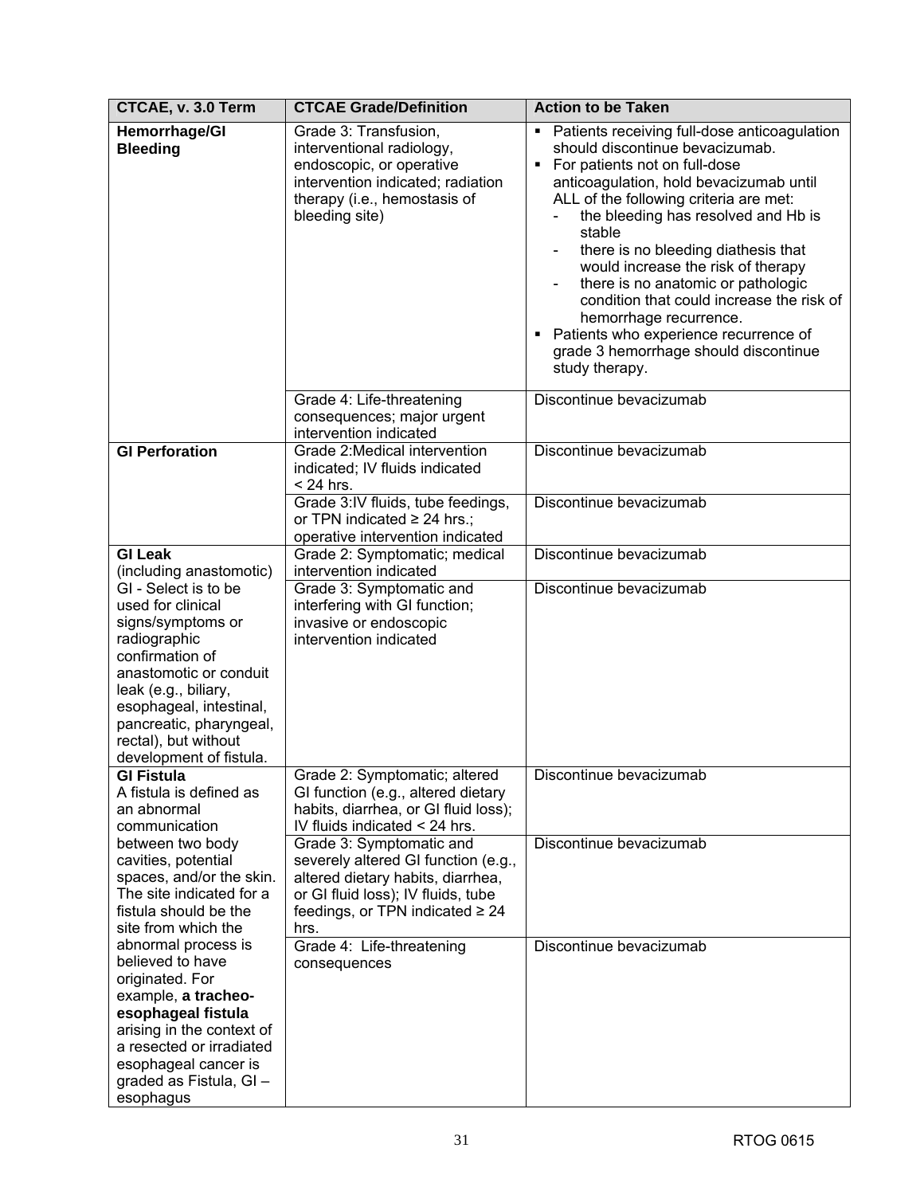| CTCAE, v. 3.0 Term                                                                                                                                                                                                                                                                      | <b>CTCAE Grade/Definition</b>                                                                                                                                                              | <b>Action to be Taken</b>                                                                                                                                                                                                                                                                                                                                                                                                                                                                                                                                  |
|-----------------------------------------------------------------------------------------------------------------------------------------------------------------------------------------------------------------------------------------------------------------------------------------|--------------------------------------------------------------------------------------------------------------------------------------------------------------------------------------------|------------------------------------------------------------------------------------------------------------------------------------------------------------------------------------------------------------------------------------------------------------------------------------------------------------------------------------------------------------------------------------------------------------------------------------------------------------------------------------------------------------------------------------------------------------|
| <b>Hemorrhage/GI</b><br><b>Bleeding</b>                                                                                                                                                                                                                                                 | Grade 3: Transfusion,<br>interventional radiology,<br>endoscopic, or operative<br>intervention indicated; radiation<br>therapy (i.e., hemostasis of<br>bleeding site)                      | • Patients receiving full-dose anticoagulation<br>should discontinue bevacizumab.<br>• For patients not on full-dose<br>anticoagulation, hold bevacizumab until<br>ALL of the following criteria are met:<br>the bleeding has resolved and Hb is<br>stable<br>there is no bleeding diathesis that<br>would increase the risk of therapy<br>there is no anatomic or pathologic<br>condition that could increase the risk of<br>hemorrhage recurrence.<br>• Patients who experience recurrence of<br>grade 3 hemorrhage should discontinue<br>study therapy. |
|                                                                                                                                                                                                                                                                                         | Grade 4: Life-threatening<br>consequences; major urgent<br>intervention indicated                                                                                                          | Discontinue bevacizumab                                                                                                                                                                                                                                                                                                                                                                                                                                                                                                                                    |
| <b>GI Perforation</b>                                                                                                                                                                                                                                                                   | Grade 2: Medical intervention<br>indicated; IV fluids indicated<br>$<$ 24 hrs.                                                                                                             | Discontinue bevacizumab                                                                                                                                                                                                                                                                                                                                                                                                                                                                                                                                    |
|                                                                                                                                                                                                                                                                                         | Grade 3:IV fluids, tube feedings,<br>or TPN indicated $\geq$ 24 hrs.;<br>operative intervention indicated                                                                                  | Discontinue bevacizumab                                                                                                                                                                                                                                                                                                                                                                                                                                                                                                                                    |
| <b>GI Leak</b>                                                                                                                                                                                                                                                                          | Grade 2: Symptomatic; medical                                                                                                                                                              | Discontinue bevacizumab                                                                                                                                                                                                                                                                                                                                                                                                                                                                                                                                    |
| (including anastomotic)<br>GI - Select is to be<br>used for clinical<br>signs/symptoms or<br>radiographic<br>confirmation of<br>anastomotic or conduit<br>leak (e.g., biliary,<br>esophageal, intestinal,<br>pancreatic, pharyngeal,<br>rectal), but without<br>development of fistula. | intervention indicated<br>Grade 3: Symptomatic and<br>interfering with GI function;<br>invasive or endoscopic<br>intervention indicated                                                    | Discontinue bevacizumab                                                                                                                                                                                                                                                                                                                                                                                                                                                                                                                                    |
| <b>GI Fistula</b><br>A fistula is defined as<br>an abnormal<br>communication                                                                                                                                                                                                            | Grade 2: Symptomatic; altered<br>GI function (e.g., altered dietary<br>habits, diarrhea, or GI fluid loss);<br>IV fluids indicated < 24 hrs.                                               | Discontinue bevacizumab                                                                                                                                                                                                                                                                                                                                                                                                                                                                                                                                    |
| between two body<br>cavities, potential<br>spaces, and/or the skin.<br>The site indicated for a<br>fistula should be the<br>site from which the                                                                                                                                         | Grade 3: Symptomatic and<br>severely altered GI function (e.g.,<br>altered dietary habits, diarrhea,<br>or GI fluid loss); IV fluids, tube<br>feedings, or TPN indicated $\geq 24$<br>hrs. | Discontinue bevacizumab                                                                                                                                                                                                                                                                                                                                                                                                                                                                                                                                    |
| abnormal process is<br>believed to have<br>originated. For<br>example, a tracheo-<br>esophageal fistula<br>arising in the context of<br>a resected or irradiated<br>esophageal cancer is<br>graded as Fistula, GI-<br>esophagus                                                         | Grade 4: Life-threatening<br>consequences                                                                                                                                                  | Discontinue bevacizumab                                                                                                                                                                                                                                                                                                                                                                                                                                                                                                                                    |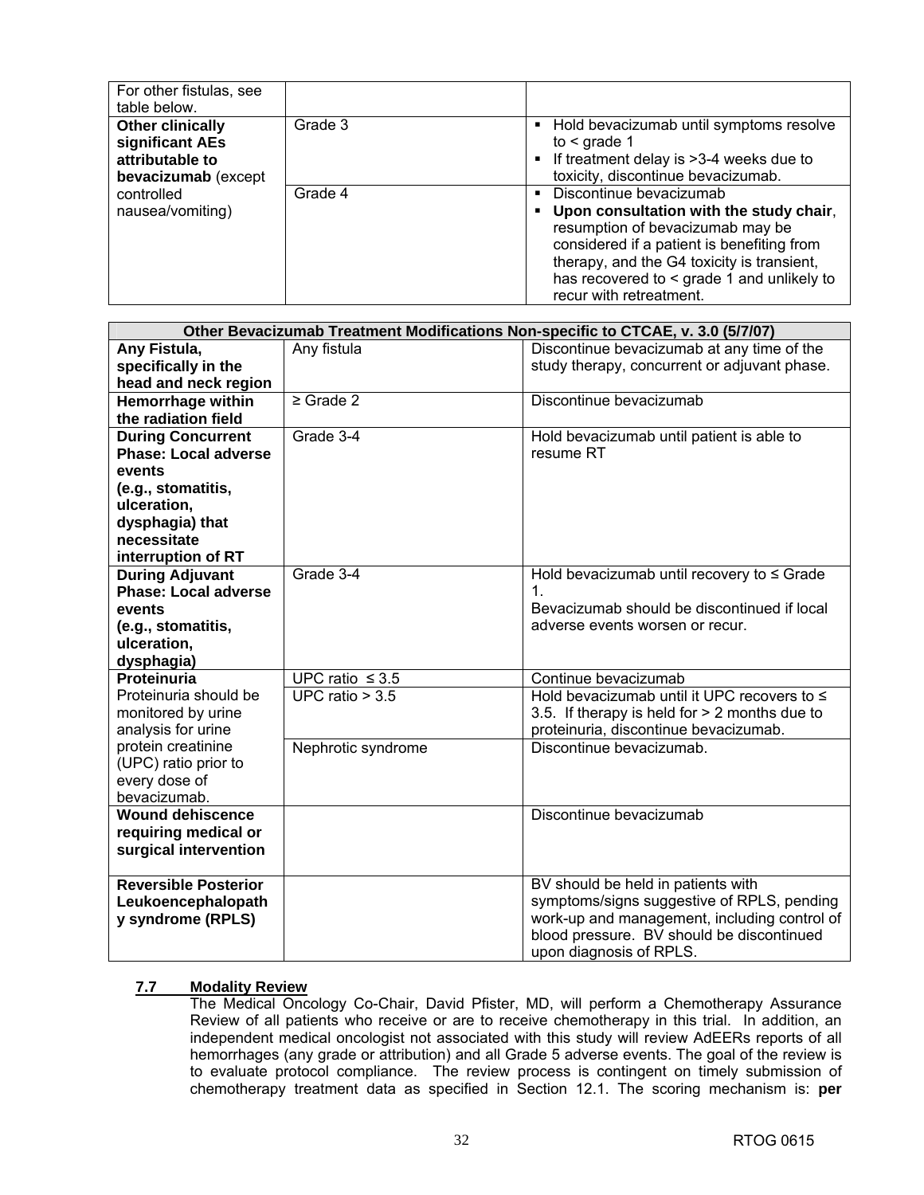| For other fistulas, see<br>table below.                                              |         |                                                                                                                                                                                                                                                                                                 |
|--------------------------------------------------------------------------------------|---------|-------------------------------------------------------------------------------------------------------------------------------------------------------------------------------------------------------------------------------------------------------------------------------------------------|
| <b>Other clinically</b><br>significant AEs<br>attributable to<br>bevacizumab (except | Grade 3 | • Hold bevacizumab until symptoms resolve<br>to $\leq$ grade 1<br>• If treatment delay is >3-4 weeks due to<br>toxicity, discontinue bevacizumab.                                                                                                                                               |
| controlled<br>nausea/vomiting)                                                       | Grade 4 | Discontinue bevacizumab<br>$\blacksquare$<br>. Upon consultation with the study chair,<br>resumption of bevacizumab may be<br>considered if a patient is benefiting from<br>therapy, and the G4 toxicity is transient,<br>has recovered to < grade 1 and unlikely to<br>recur with retreatment. |

|                             |                      | Other Bevacizumab Treatment Modifications Non-specific to CTCAE, v. 3.0 (5/7/07) |
|-----------------------------|----------------------|----------------------------------------------------------------------------------|
| Any Fistula,                | Any fistula          | Discontinue bevacizumab at any time of the                                       |
| specifically in the         |                      | study therapy, concurrent or adjuvant phase.                                     |
| head and neck region        |                      |                                                                                  |
| <b>Hemorrhage within</b>    | $\geq$ Grade 2       | Discontinue bevacizumab                                                          |
| the radiation field         |                      |                                                                                  |
| <b>During Concurrent</b>    | Grade 3-4            | Hold bevacizumab until patient is able to                                        |
| <b>Phase: Local adverse</b> |                      | resume RT                                                                        |
| events                      |                      |                                                                                  |
| (e.g., stomatitis,          |                      |                                                                                  |
| ulceration,                 |                      |                                                                                  |
| dysphagia) that             |                      |                                                                                  |
| necessitate                 |                      |                                                                                  |
| interruption of RT          |                      |                                                                                  |
| <b>During Adjuvant</b>      | Grade 3-4            | Hold bevacizumab until recovery to $\leq$ Grade                                  |
| <b>Phase: Local adverse</b> |                      | 1 <sub>1</sub><br>Bevacizumab should be discontinued if local                    |
| events                      |                      |                                                                                  |
| (e.g., stomatitis,          |                      | adverse events worsen or recur.                                                  |
| ulceration,                 |                      |                                                                                  |
| dysphagia)<br>Proteinuria   | UPC ratio $\leq 3.5$ | Continue bevacizumab                                                             |
| Proteinuria should be       | UPC ratio $> 3.5$    | Hold bevacizumab until it UPC recovers to $\leq$                                 |
| monitored by urine          |                      | 3.5. If therapy is held for > 2 months due to                                    |
| analysis for urine          |                      | proteinuria, discontinue bevacizumab.                                            |
| protein creatinine          | Nephrotic syndrome   | Discontinue bevacizumab.                                                         |
| (UPC) ratio prior to        |                      |                                                                                  |
| every dose of               |                      |                                                                                  |
| bevacizumab.                |                      |                                                                                  |
| <b>Wound dehiscence</b>     |                      | Discontinue bevacizumab                                                          |
| requiring medical or        |                      |                                                                                  |
| surgical intervention       |                      |                                                                                  |
|                             |                      |                                                                                  |
| <b>Reversible Posterior</b> |                      | BV should be held in patients with                                               |
| Leukoencephalopath          |                      | symptoms/signs suggestive of RPLS, pending                                       |
| y syndrome (RPLS)           |                      | work-up and management, including control of                                     |
|                             |                      | blood pressure. BV should be discontinued                                        |
|                             |                      | upon diagnosis of RPLS.                                                          |

### **7.7 Modality Review**

The Medical Oncology Co-Chair, David Pfister, MD, will perform a Chemotherapy Assurance Review of all patients who receive or are to receive chemotherapy in this trial. In addition, an independent medical oncologist not associated with this study will review AdEERs reports of all hemorrhages (any grade or attribution) and all Grade 5 adverse events. The goal of the review is to evaluate protocol compliance. The review process is contingent on timely submission of chemotherapy treatment data as specified in Section 12.1. The scoring mechanism is: **per**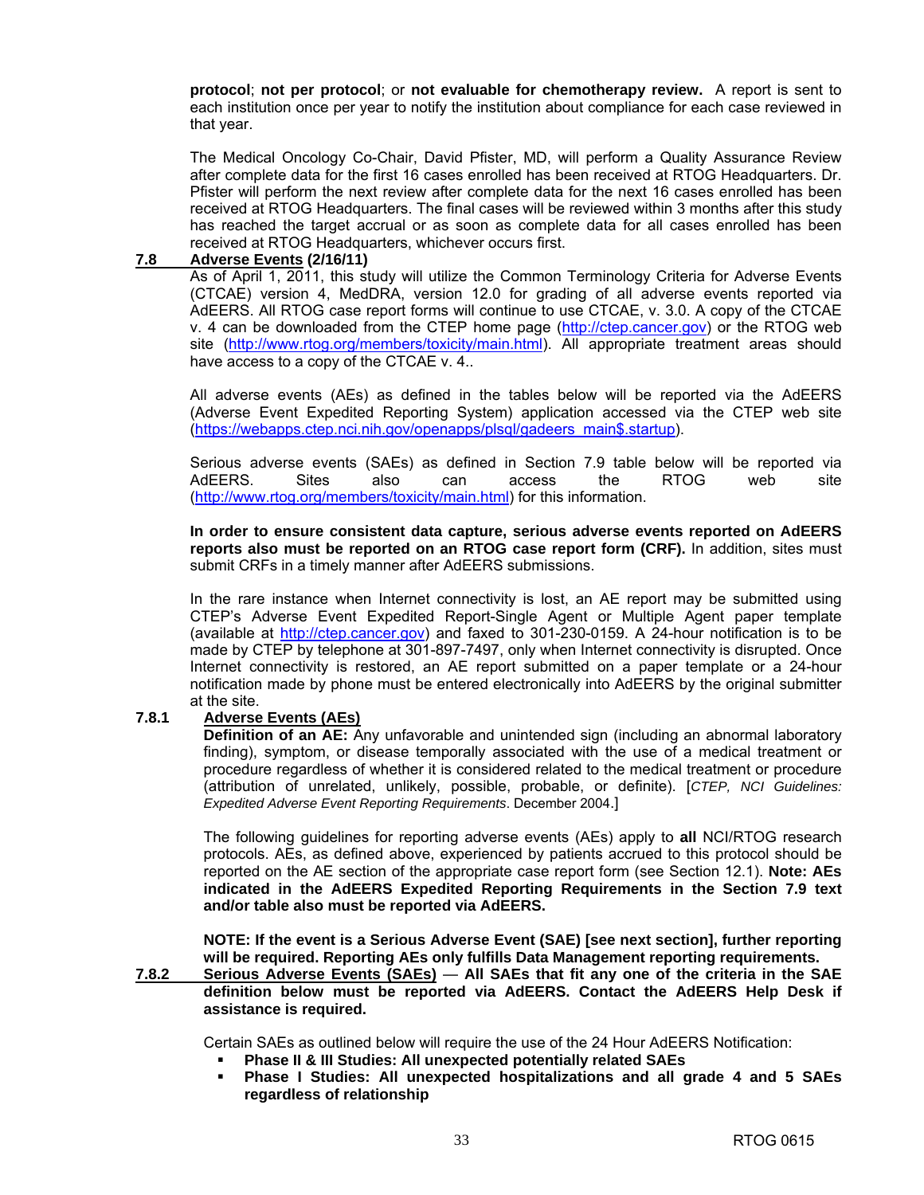**protocol**; **not per protocol**; or **not evaluable for chemotherapy review.** A report is sent to each institution once per year to notify the institution about compliance for each case reviewed in that year.

The Medical Oncology Co-Chair, David Pfister, MD, will perform a Quality Assurance Review after complete data for the first 16 cases enrolled has been received at RTOG Headquarters. Dr. Pfister will perform the next review after complete data for the next 16 cases enrolled has been received at RTOG Headquarters. The final cases will be reviewed within 3 months after this study has reached the target accrual or as soon as complete data for all cases enrolled has been received at RTOG Headquarters, whichever occurs first.

#### **7.8 Adverse Events (2/16/11)**

As of April 1, 2011, this study will utilize the Common Terminology Criteria for Adverse Events (CTCAE) version 4, MedDRA, version 12.0 for grading of all adverse events reported via AdEERS. All RTOG case report forms will continue to use CTCAE, v. 3.0. A copy of the CTCAE v. 4 can be downloaded from the CTEP home page ([http://ctep.cancer.gov\)](http://ctep.cancer.gov) or the RTOG web site ([http://www.rtog.org/members/toxicity/main.html\). A](http://www.rtog.org/members/toxicity/main.html)ll appropriate treatment areas should have access to a copy of the CTCAE v. 4..

All adverse events (AEs) as defined in the tables below will be reported via the AdEERS (Adverse Event Expedited Reporting System) application accessed via the CTEP web site [\(https://webapps.ctep.nci.nih.gov/openapps/plsql/gadeers\\_main\\$.startup\).](https://webapps.ctep.nci.nih.gov/openapps/plsql/gadeers_main$.startup) 

Serious adverse events (SAEs) as defined in Section 7.9 table below will be reported via AdEERS. Sites also can access the RTOG web site [\(http://www.rtog.org/members/toxicity/main.html\)](http://www.rtog.org/members/toxicity/main.html) for this information.

**In order to ensure consistent data capture, serious adverse events reported on AdEERS reports also must be reported on an RTOG case report form (CRF).** In addition, sites must submit CRFs in a timely manner after AdEERS submissions.

In the rare instance when Internet connectivity is lost, an AE report may be submitted using CTEP's Adverse Event Expedited Report-Single Agent or Multiple Agent paper template (available at [http://ctep.cancer.gov\)](http://ctep.cancer.gov) and faxed to 301-230-0159. A 24-hour notification is to be made by CTEP by telephone at 301-897-7497, only when Internet connectivity is disrupted. Once Internet connectivity is restored, an AE report submitted on a paper template or a 24-hour notification made by phone must be entered electronically into AdEERS by the original submitter at the site.

### **7.8.1 Adverse Events (AEs)**

**Definition of an AE:** Any unfavorable and unintended sign (including an abnormal laboratory finding), symptom, or disease temporally associated with the use of a medical treatment or procedure regardless of whether it is considered related to the medical treatment or procedure (attribution of unrelated, unlikely, possible, probable, or definite). [*CTEP, NCI Guidelines: Expedited Adverse Event Reporting Requirements*. December 2004.]

The following guidelines for reporting adverse events (AEs) apply to **all** NCI/RTOG research protocols. AEs, as defined above, experienced by patients accrued to this protocol should be reported on the AE section of the appropriate case report form (see Section 12.1). **Note: AEs indicated in the AdEERS Expedited Reporting Requirements in the Section 7.9 text and/or table also must be reported via AdEERS.** 

 **NOTE: If the event is a Serious Adverse Event (SAE) [see next section], further reporting will be required. Reporting AEs only fulfills Data Management reporting requirements.** 

**7.8.2 Serious Adverse Events (SAEs)** — **All SAEs that fit any one of the criteria in the SAE definition below must be reported via AdEERS. Contact the AdEERS Help Desk if assistance is required.**

Certain SAEs as outlined below will require the use of the 24 Hour AdEERS Notification:

- **Phase II & III Studies: All unexpected potentially related SAEs**
- **Phase I Studies: All unexpected hospitalizations and all grade 4 and 5 SAEs regardless of relationship**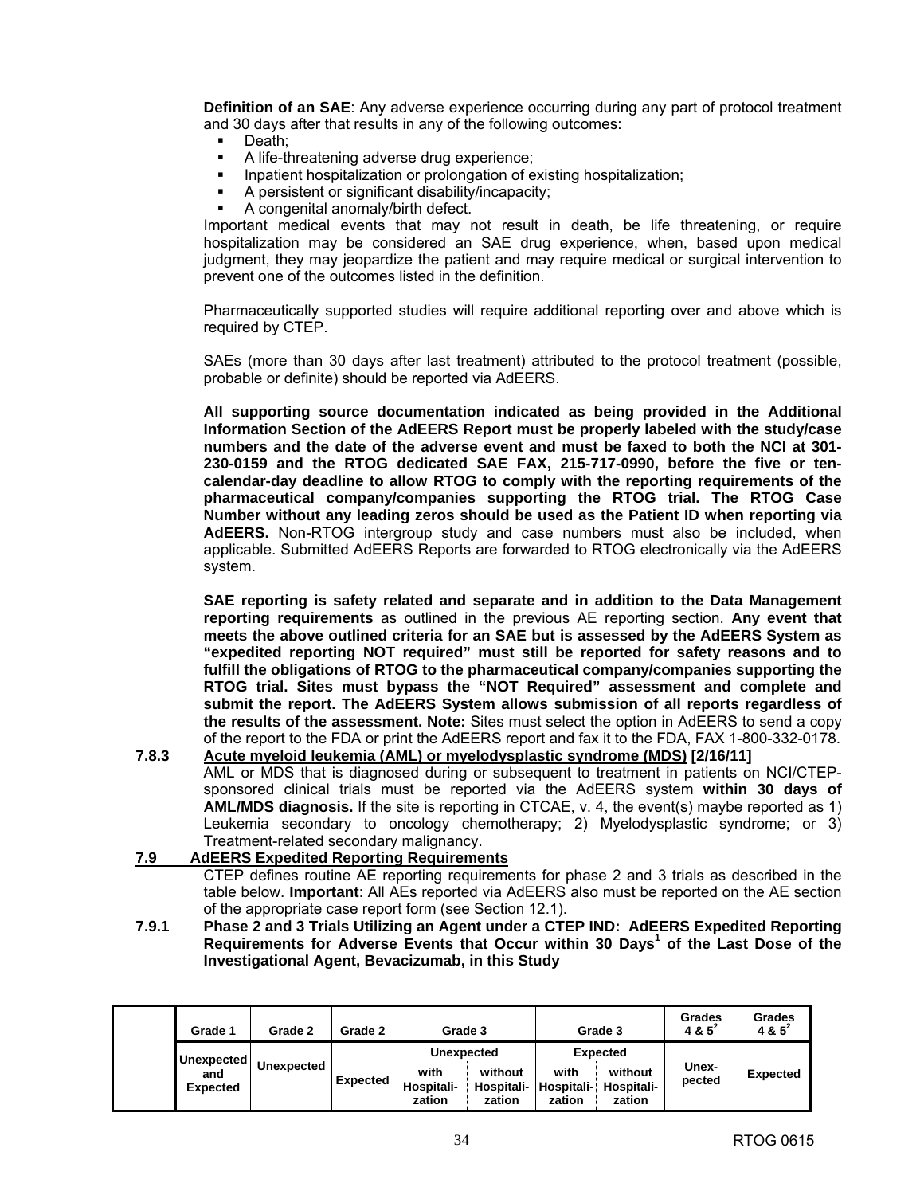**Definition of an SAE:** Any adverse experience occurring during any part of protocol treatment and 30 days after that results in any of the following outcomes:

- Death;
- A life-threatening adverse drug experience;
- Inpatient hospitalization or prolongation of existing hospitalization;
- A persistent or significant disability/incapacity;
- A congenital anomaly/birth defect.

 Important medical events that may not result in death, be life threatening, or require hospitalization may be considered an SAE drug experience, when, based upon medical judgment, they may jeopardize the patient and may require medical or surgical intervention to prevent one of the outcomes listed in the definition.

 Pharmaceutically supported studies will require additional reporting over and above which is required by CTEP.

 SAEs (more than 30 days after last treatment) attributed to the protocol treatment (possible, probable or definite) should be reported via AdEERS.

**All supporting source documentation indicated as being provided in the Additional Information Section of the AdEERS Report must be properly labeled with the study/case numbers and the date of the adverse event and must be faxed to both the NCI at 301- 230-0159 and the RTOG dedicated SAE FAX, 215-717-0990, before the five or tencalendar-day deadline to allow RTOG to comply with the reporting requirements of the pharmaceutical company/companies supporting the RTOG trial. The RTOG Case Number without any leading zeros should be used as the Patient ID when reporting via AdEERS.** Non-RTOG intergroup study and case numbers must also be included, when applicable. Submitted AdEERS Reports are forwarded to RTOG electronically via the AdEERS system.

 **SAE reporting is safety related and separate and in addition to the Data Management reporting requirements** as outlined in the previous AE reporting section. **Any event that meets the above outlined criteria for an SAE but is assessed by the AdEERS System as "expedited reporting NOT required" must still be reported for safety reasons and to fulfill the obligations of RTOG to the pharmaceutical company/companies supporting the RTOG trial. Sites must bypass the "NOT Required" assessment and complete and submit the report. The AdEERS System allows submission of all reports regardless of the results of the assessment. Note:** Sites must select the option in AdEERS to send a copy of the report to the FDA or print the AdEERS report and fax it to the FDA, FAX 1-800-332-0178.

**7.8.3 Acute myeloid leukemia (AML) or myelodysplastic syndrome (MDS) [2/16/11]**  AML or MDS that is diagnosed during or subsequent to treatment in patients on NCI/CTEPsponsored clinical trials must be reported via the AdEERS system **within 30 days of AML/MDS diagnosis.** If the site is reporting in CTCAE, v. 4, the event(s) maybe reported as 1) Leukemia secondary to oncology chemotherapy; 2) Myelodysplastic syndrome; or 3) Treatment-related secondary malignancy.

### **7.9 AdEERS Expedited Reporting Requirements**

 CTEP defines routine AE reporting requirements for phase 2 and 3 trials as described in the table below. **Important**: All AEs reported via AdEERS also must be reported on the AE section of the appropriate case report form (see Section 12.1).

**7.9.1 Phase 2 and 3 Trials Utilizing an Agent under a CTEP IND: AdEERS Expedited Reporting Requirements for Adverse Events that Occur within 30 Days<sup>1</sup> of the Last Dose of the Investigational Agent, Bevacizumab, in this Study** 

| Grade 1                              | Grade 2           | Grade 2         | Grade 3                                           |                                 |                                     | Grade 3                                            | Grades<br>$485^{2}$ | <b>Grades</b><br>4 & $5^2$ |
|--------------------------------------|-------------------|-----------------|---------------------------------------------------|---------------------------------|-------------------------------------|----------------------------------------------------|---------------------|----------------------------|
| Unexpected<br>and<br><b>Expected</b> | <b>Unexpected</b> | <b>Expected</b> | <b>Unexpected</b><br>with<br>Hospitali-<br>zation | without<br>Hospitali-<br>zation | with<br><b>Hospitali-</b><br>zation | <b>Expected</b><br>without<br>Hospitali-<br>zation | Unex-<br>pected     | <b>Expected</b>            |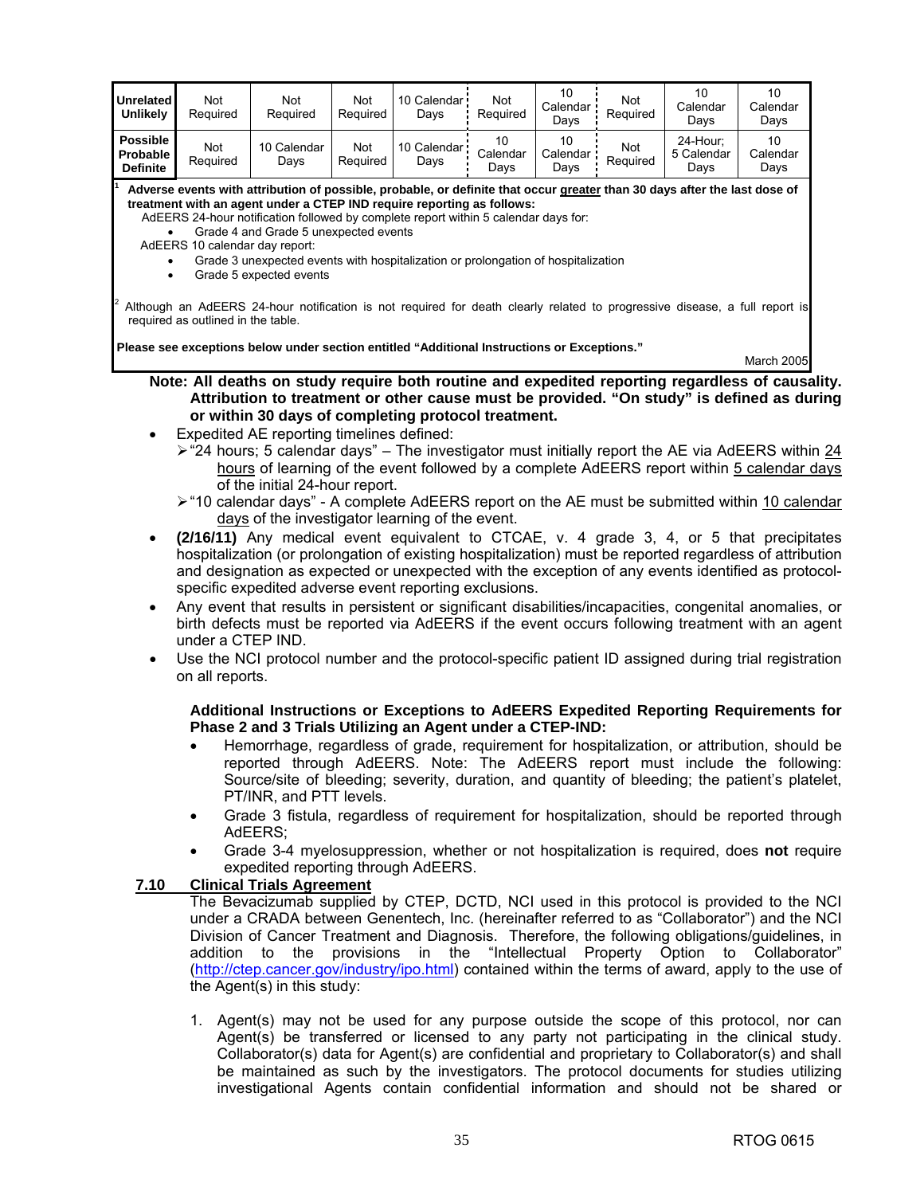| Unrelated<br><b>Unlikely</b>                   | Not<br>Required                                                                                                                                                                                                                                                                                                                                                                                                                                                                                                                                                                                                                                           | Not<br>Required                                                                                                                                                                                                                                                                                                                                                                                                                                                                 | Not<br>Required | 10 Calendar<br>Days   | Not<br>Required        | 10<br>Calendar<br>Days | Not<br>Required | 10<br>Calendar<br>Days         | 10<br>Calendar<br>Days |  |
|------------------------------------------------|-----------------------------------------------------------------------------------------------------------------------------------------------------------------------------------------------------------------------------------------------------------------------------------------------------------------------------------------------------------------------------------------------------------------------------------------------------------------------------------------------------------------------------------------------------------------------------------------------------------------------------------------------------------|---------------------------------------------------------------------------------------------------------------------------------------------------------------------------------------------------------------------------------------------------------------------------------------------------------------------------------------------------------------------------------------------------------------------------------------------------------------------------------|-----------------|-----------------------|------------------------|------------------------|-----------------|--------------------------------|------------------------|--|
| <b>Possible</b><br>Probable<br><b>Definite</b> | Not<br>Required                                                                                                                                                                                                                                                                                                                                                                                                                                                                                                                                                                                                                                           | 10 Calendar<br>Days                                                                                                                                                                                                                                                                                                                                                                                                                                                             | Not<br>Required | 10 Calendar ·<br>Days | 10<br>Calendar<br>Days | 10<br>Calendar<br>Days | Not<br>Required | 24-Hour;<br>5 Calendar<br>Days | 10<br>Calendar<br>Days |  |
| $\bullet$<br>$\bullet$                         | Adverse events with attribution of possible, probable, or definite that occur greater than 30 days after the last dose of<br>treatment with an agent under a CTEP IND require reporting as follows:<br>AdEERS 24-hour notification followed by complete report within 5 calendar days for:<br>Grade 4 and Grade 5 unexpected events<br>AdEERS 10 calendar day report:<br>Grade 3 unexpected events with hospitalization or prolongation of hospitalization<br>Grade 5 expected events<br>Although an AdEERS 24-hour notification is not required for death clearly related to progressive disease, a full report is<br>required as outlined in the table. |                                                                                                                                                                                                                                                                                                                                                                                                                                                                                 |                 |                       |                        |                        |                 |                                |                        |  |
|                                                |                                                                                                                                                                                                                                                                                                                                                                                                                                                                                                                                                                                                                                                           | Please see exceptions below under section entitled "Additional Instructions or Exceptions."                                                                                                                                                                                                                                                                                                                                                                                     |                 |                       |                        |                        |                 |                                | March 2005             |  |
|                                                |                                                                                                                                                                                                                                                                                                                                                                                                                                                                                                                                                                                                                                                           | Note: All deaths on study require both routine and expedited reporting regardless of causality.<br>Attribution to treatment or other cause must be provided. "On study" is defined as during                                                                                                                                                                                                                                                                                    |                 |                       |                        |                        |                 |                                |                        |  |
|                                                |                                                                                                                                                                                                                                                                                                                                                                                                                                                                                                                                                                                                                                                           | or within 30 days of completing protocol treatment.                                                                                                                                                                                                                                                                                                                                                                                                                             |                 |                       |                        |                        |                 |                                |                        |  |
| $\bullet$                                      |                                                                                                                                                                                                                                                                                                                                                                                                                                                                                                                                                                                                                                                           | Expedited AE reporting timelines defined:<br>$\triangleright$ "24 hours; 5 calendar days" – The investigator must initially report the AE via AdEERS within 24<br>hours of learning of the event followed by a complete AdEERS report within 5 calendar days<br>of the initial 24-hour report.                                                                                                                                                                                  |                 |                       |                        |                        |                 |                                |                        |  |
|                                                |                                                                                                                                                                                                                                                                                                                                                                                                                                                                                                                                                                                                                                                           | ≻ "10 calendar days" - A complete AdEERS report on the AE must be submitted within 10 calendar<br>days of the investigator learning of the event.                                                                                                                                                                                                                                                                                                                               |                 |                       |                        |                        |                 |                                |                        |  |
|                                                |                                                                                                                                                                                                                                                                                                                                                                                                                                                                                                                                                                                                                                                           | (2/16/11) Any medical event equivalent to CTCAE, v. 4 grade 3, 4, or 5 that precipitates<br>hospitalization (or prolongation of existing hospitalization) must be reported regardless of attribution<br>and designation as expected or unexpected with the exception of any events identified as protocol-<br>specific expedited adverse event reporting exclusions.<br>Any event that results in persistent or significant disabilities/incapacities, congenital anomalies, or |                 |                       |                        |                        |                 |                                |                        |  |
|                                                | under a CTEP IND.                                                                                                                                                                                                                                                                                                                                                                                                                                                                                                                                                                                                                                         | birth defects must be reported via AdEERS if the event occurs following treatment with an agent                                                                                                                                                                                                                                                                                                                                                                                 |                 |                       |                        |                        |                 |                                |                        |  |
| ٠                                              | on all reports.                                                                                                                                                                                                                                                                                                                                                                                                                                                                                                                                                                                                                                           | Use the NCI protocol number and the protocol-specific patient ID assigned during trial registration                                                                                                                                                                                                                                                                                                                                                                             |                 |                       |                        |                        |                 |                                |                        |  |
|                                                |                                                                                                                                                                                                                                                                                                                                                                                                                                                                                                                                                                                                                                                           | Additional Instructions or Exceptions to AdEERS Expedited Reporting Requirements for<br>Phase 2 and 3 Trials Utilizing an Agent under a CTEP-IND:                                                                                                                                                                                                                                                                                                                               |                 |                       |                        |                        |                 |                                |                        |  |
|                                                |                                                                                                                                                                                                                                                                                                                                                                                                                                                                                                                                                                                                                                                           | Hemorrhage, regardless of grade, requirement for hospitalization, or attribution, should be<br>reported through AdEERS. Note: The AdEERS report must include the following:<br>Source/site of bleeding; severity, duration, and quantity of bleeding; the patient's platelet,<br>PT/INR, and PTT levels.                                                                                                                                                                        |                 |                       |                        |                        |                 |                                |                        |  |
|                                                | $\bullet$                                                                                                                                                                                                                                                                                                                                                                                                                                                                                                                                                                                                                                                 | Grade 3 fistula, regardless of requirement for hospitalization, should be reported through<br>AdEERS;                                                                                                                                                                                                                                                                                                                                                                           |                 |                       |                        |                        |                 |                                |                        |  |
|                                                | $\bullet$                                                                                                                                                                                                                                                                                                                                                                                                                                                                                                                                                                                                                                                 | Grade 3-4 myelosuppression, whether or not hospitalization is required, does not require<br>expedited reporting through AdEERS.                                                                                                                                                                                                                                                                                                                                                 |                 |                       |                        |                        |                 |                                |                        |  |
|                                                | 7.10<br><b>Clinical Trials Agreement</b><br>The Bevacizumab supplied by CTEP, DCTD, NCI used in this protocol is provided to the NCI<br>under a CRADA between Genentech, Inc. (hereinafter referred to as "Collaborator") and the NCI<br>Division of Cancer Treatment and Diagnosis. Therefore, the following obligations/guidelines, in<br>the<br>provisions<br>in the "Intellectual Property Option to Collaborator"<br>addition to<br>(http://ctep.cancer.gov/industry/ipo.html) contained within the terms of award, apply to the use of<br>the Agent(s) in this study:                                                                               |                                                                                                                                                                                                                                                                                                                                                                                                                                                                                 |                 |                       |                        |                        |                 |                                |                        |  |
|                                                |                                                                                                                                                                                                                                                                                                                                                                                                                                                                                                                                                                                                                                                           | 1. Agent(s) may not be used for any purpose outside the scope of this protocol, nor can<br>Agent(s) be transferred or licensed to any party not participating in the clinical study.<br>Collaborator(s) data for Agent(s) are confidential and proprietary to Collaborator(s) and shall<br>be maintained as such by the investigators. The protocol documents for studies utilizing                                                                                             |                 |                       |                        |                        |                 |                                |                        |  |

investigational Agents contain confidential information and should not be shared or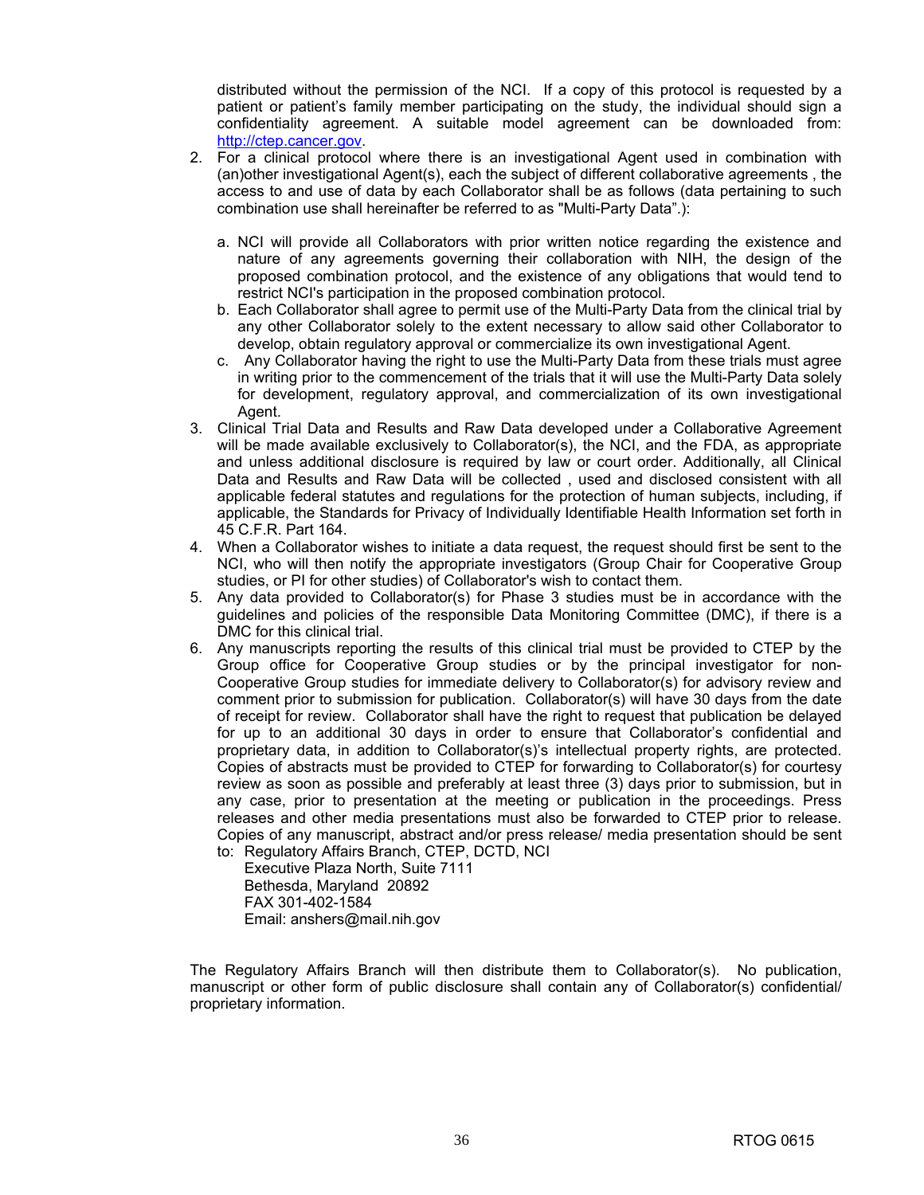distributed without the permission of the NCI. If a copy of this protocol is requested by a patient or patient's family member participating on the study, the individual should sign a confidentiality agreement. A suitable model agreement can be downloaded from: [http://ctep.cancer.gov.](http://ctep.cancer.gov) 

- 2. For a clinical protocol where there is an investigational Agent used in combination with (an)other investigational Agent(s), each the subject of different collaborative agreements , the access to and use of data by each Collaborator shall be as follows (data pertaining to such combination use shall hereinafter be referred to as "Multi-Party Data".):
	- a. NCI will provide all Collaborators with prior written notice regarding the existence and nature of any agreements governing their collaboration with NIH, the design of the proposed combination protocol, and the existence of any obligations that would tend to restrict NCI's participation in the proposed combination protocol.
	- b. Each Collaborator shall agree to permit use of the Multi-Party Data from the clinical trial by any other Collaborator solely to the extent necessary to allow said other Collaborator to develop, obtain regulatory approval or commercialize its own investigational Agent.
	- c. Any Collaborator having the right to use the Multi-Party Data from these trials must agree in writing prior to the commencement of the trials that it will use the Multi-Party Data solely for development, regulatory approval, and commercialization of its own investigational Agent.
- 3. Clinical Trial Data and Results and Raw Data developed under a Collaborative Agreement will be made available exclusively to Collaborator(s), the NCI, and the FDA, as appropriate and unless additional disclosure is required by law or court order. Additionally, all Clinical Data and Results and Raw Data will be collected , used and disclosed consistent with all applicable federal statutes and regulations for the protection of human subjects, including, if applicable, the Standards for Privacy of Individually Identifiable Health Information set forth in 45 C.F.R. Part 164.
- 4. When a Collaborator wishes to initiate a data request, the request should first be sent to the NCI, who will then notify the appropriate investigators (Group Chair for Cooperative Group studies, or PI for other studies) of Collaborator's wish to contact them.
- 5. Any data provided to Collaborator(s) for Phase 3 studies must be in accordance with the guidelines and policies of the responsible Data Monitoring Committee (DMC), if there is a DMC for this clinical trial.
- 6. Any manuscripts reporting the results of this clinical trial must be provided to CTEP by the Group office for Cooperative Group studies or by the principal investigator for non-Cooperative Group studies for immediate delivery to Collaborator(s) for advisory review and comment prior to submission for publication. Collaborator(s) will have 30 days from the date of receipt for review. Collaborator shall have the right to request that publication be delayed for up to an additional 30 days in order to ensure that Collaborator's confidential and proprietary data, in addition to Collaborator(s)'s intellectual property rights, are protected. Copies of abstracts must be provided to CTEP for forwarding to Collaborator(s) for courtesy review as soon as possible and preferably at least three (3) days prior to submission, but in any case, prior to presentation at the meeting or publication in the proceedings. Press releases and other media presentations must also be forwarded to CTEP prior to release. Copies of any manuscript, abstract and/or press release/ media presentation should be sent to: Regulatory Affairs Branch, CTEP, DCTD, NCI

 Executive Plaza North, Suite 7111 Bethesda, Maryland 20892 FAX 301-402-1584 Email: [anshers@mail.nih.gov](mailto:anshers@mail.nih.gov) 

 The Regulatory Affairs Branch will then distribute them to Collaborator(s). No publication, manuscript or other form of public disclosure shall contain any of Collaborator(s) confidential/ proprietary information.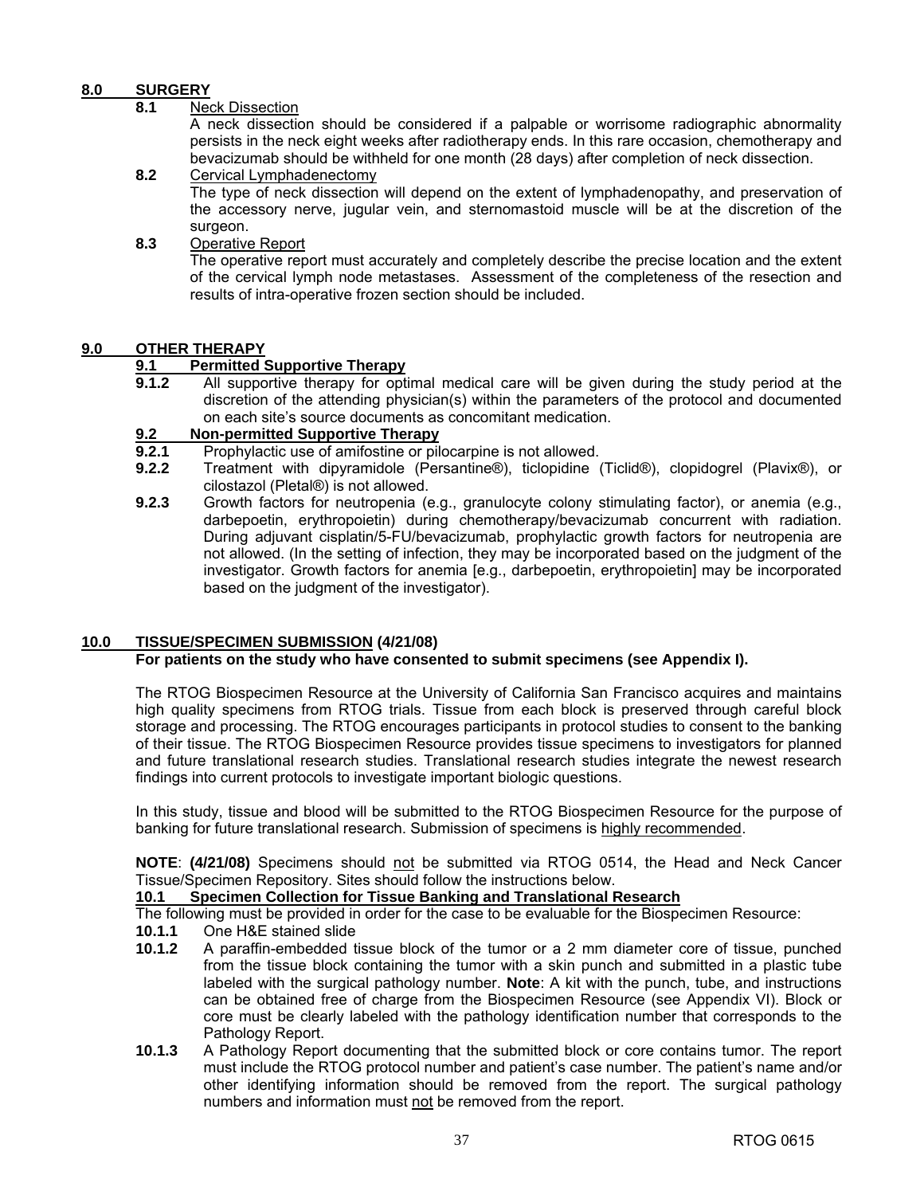### **8.0 SURGERY**

### **8.1** Neck Dissection

 A neck dissection should be considered if a palpable or worrisome radiographic abnormality persists in the neck eight weeks after radiotherapy ends. In this rare occasion, chemotherapy and bevacizumab should be withheld for one month (28 days) after completion of neck dissection.

- **8.2** Cervical Lymphadenectomy The type of neck dissection will depend on the extent of lymphadenopathy, and preservation of the accessory nerve, jugular vein, and sternomastoid muscle will be at the discretion of the surgeon.
- **8.3** Operative Report

 The operative report must accurately and completely describe the precise location and the extent of the cervical lymph node metastases. Assessment of the completeness of the resection and results of intra-operative frozen section should be included.

### **9.0 OTHER THERAPY**

### **9.1 Permitted Supportive Therapy**

**9.1.2** All supportive therapy for optimal medical care will be given during the study period at the discretion of the attending physician(s) within the parameters of the protocol and documented on each site's source documents as concomitant medication.

### **9.2 Non-permitted Supportive Therapy**

- **9.2.1** Prophylactic use of amifostine or pilocarpine is not allowed.
- **9.2.2** Treatment with dipyramidole (Persantine®), ticlopidine (Ticlid®), clopidogrel (Plavix®), or cilostazol (Pletal®) is not allowed.
- **9.2.3** Growth factors for neutropenia (e.g., granulocyte colony stimulating factor), or anemia (e.g., darbepoetin, erythropoietin) during chemotherapy/bevacizumab concurrent with radiation. During adjuvant cisplatin/5-FU/bevacizumab, prophylactic growth factors for neutropenia are not allowed. (In the setting of infection, they may be incorporated based on the judgment of the investigator. Growth factors for anemia [e.g., darbepoetin, erythropoietin] may be incorporated based on the judgment of the investigator).

### **10.0 TISSUE/SPECIMEN SUBMISSION (4/21/08)**

### **For patients on the study who have consented to submit specimens (see Appendix I).**

The RTOG Biospecimen Resource at the University of California San Francisco acquires and maintains high quality specimens from RTOG trials. Tissue from each block is preserved through careful block storage and processing. The RTOG encourages participants in protocol studies to consent to the banking of their tissue. The RTOG Biospecimen Resource provides tissue specimens to investigators for planned and future translational research studies. Translational research studies integrate the newest research findings into current protocols to investigate important biologic questions.

In this study, tissue and blood will be submitted to the RTOG Biospecimen Resource for the purpose of banking for future translational research. Submission of specimens is highly recommended.

**NOTE**: **(4/21/08)** Specimens should not be submitted via RTOG 0514, the Head and Neck Cancer Tissue/Specimen Repository. Sites should follow the instructions below.

### **10.1 Specimen Collection for Tissue Banking and Translational Research**

The following must be provided in order for the case to be evaluable for the Biospecimen Resource:

- **10.1.1** One H&E stained slide
- **10.1.2** A paraffin-embedded tissue block of the tumor or a 2 mm diameter core of tissue, punched from the tissue block containing the tumor with a skin punch and submitted in a plastic tube labeled with the surgical pathology number. **Note**: A kit with the punch, tube, and instructions can be obtained free of charge from the Biospecimen Resource (see Appendix VI). Block or core must be clearly labeled with the pathology identification number that corresponds to the Pathology Report.
- **10.1.3** A Pathology Report documenting that the submitted block or core contains tumor. The report must include the RTOG protocol number and patient's case number. The patient's name and/or other identifying information should be removed from the report. The surgical pathology numbers and information must not be removed from the report.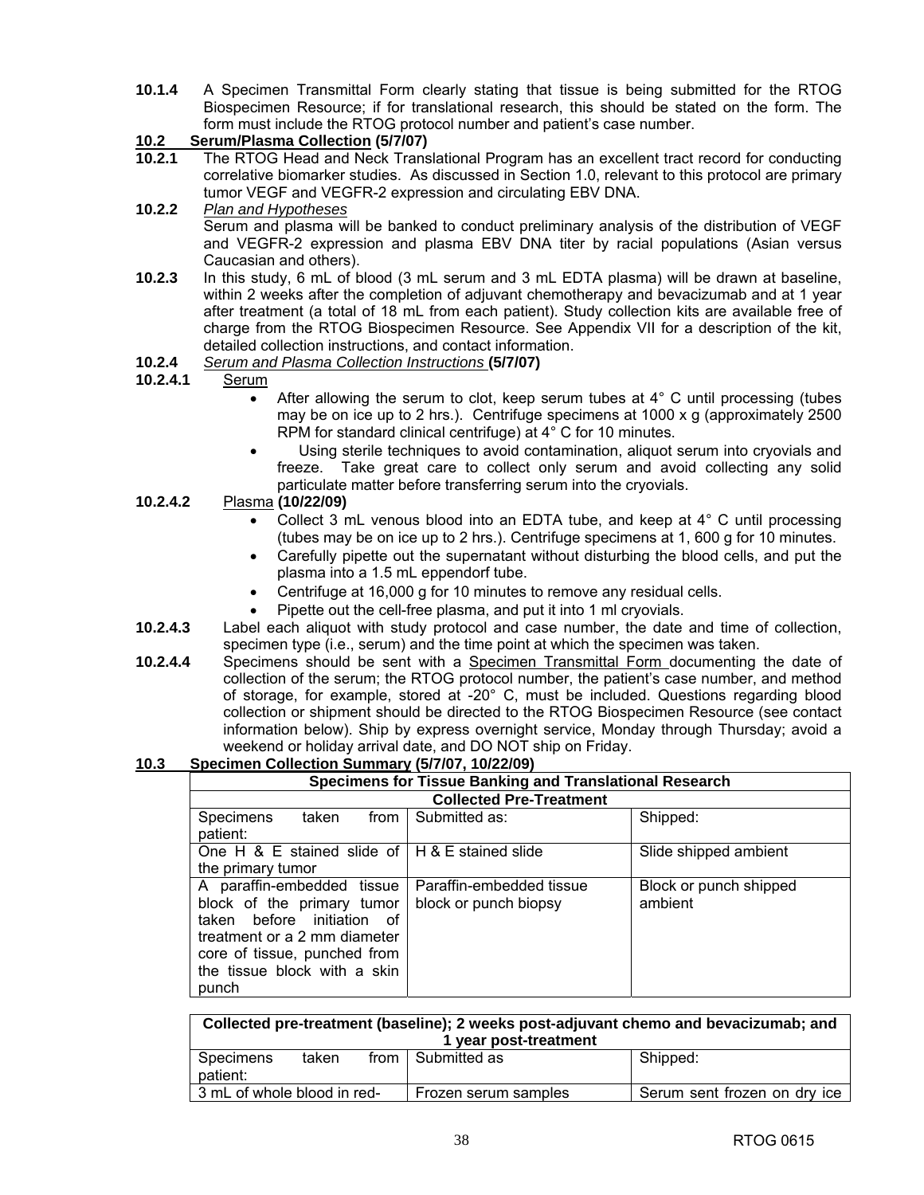**10.1.4** A Specimen Transmittal Form clearly stating that tissue is being submitted for the RTOG Biospecimen Resource; if for translational research, this should be stated on the form. The form must include the RTOG protocol number and patient's case number.

### **10.2 Serum/Plasma Collection (5/7/07)**

- **10.2.1** The RTOG Head and Neck Translational Program has an excellent tract record for conducting correlative biomarker studies. As discussed in Section 1.0, relevant to this protocol are primary tumor VEGF and VEGFR-2 expression and circulating EBV DNA.
- **10.2.2** *Plan and Hypotheses* Serum and plasma will be banked to conduct preliminary analysis of the distribution of VEGF and VEGFR-2 expression and plasma EBV DNA titer by racial populations (Asian versus Caucasian and others).
- **10.2.3** In this study, 6 mL of blood (3 mL serum and 3 mL EDTA plasma) will be drawn at baseline, within 2 weeks after the completion of adjuvant chemotherapy and bevacizumab and at 1 year after treatment (a total of 18 mL from each patient). Study collection kits are available free of charge from the RTOG Biospecimen Resource. See Appendix VII for a description of the kit, detailed collection instructions, and contact information.

### **10.2.4** *Serum and Plasma Collection Instructions* **(5/7/07)**

### **10.2.4.1** Serum

- After allowing the serum to clot, keep serum tubes at 4° C until processing (tubes may be on ice up to 2 hrs.). Centrifuge specimens at 1000 x g (approximately 2500 RPM for standard clinical centrifuge) at 4° C for 10 minutes.
- Using sterile techniques to avoid contamination, aliquot serum into cryovials and freeze. Take great care to collect only serum and avoid collecting any solid particulate matter before transferring serum into the cryovials.

### **10.2.4.2** Plasma **(10/22/09)**

- Collect 3 mL venous blood into an EDTA tube, and keep at  $4^{\circ}$  C until processing (tubes may be on ice up to 2 hrs.). Centrifuge specimens at 1, 600 g for 10 minutes.
- Carefully pipette out the supernatant without disturbing the blood cells, and put the plasma into a 1.5 mL eppendorf tube.
- Centrifuge at 16,000 g for 10 minutes to remove any residual cells.
- Pipette out the cell-free plasma, and put it into 1 ml cryovials.
- **10.2.4.3** Label each aliquot with study protocol and case number, the date and time of collection, specimen type (i.e., serum) and the time point at which the specimen was taken.
- **10.2.4.4** Specimens should be sent with a Specimen Transmittal Form documenting the date of collection of the serum; the RTOG protocol number, the patient's case number, and method of storage, for example, stored at -20° C, must be included. Questions regarding blood collection or shipment should be directed to the RTOG Biospecimen Resource (see contact information below). Ship by express overnight service, Monday through Thursday; avoid a weekend or holiday arrival date, and DO NOT ship on Friday.

### **10.3 Specimen Collection Summary (5/7/07, 10/22/09)**

| <b>Specimens for Tissue Banking and Translational Research</b>                                                                                                                                  |                                                   |                                   |  |  |  |  |
|-------------------------------------------------------------------------------------------------------------------------------------------------------------------------------------------------|---------------------------------------------------|-----------------------------------|--|--|--|--|
|                                                                                                                                                                                                 | <b>Collected Pre-Treatment</b>                    |                                   |  |  |  |  |
| Specimens<br>from L<br>taken<br>patient:                                                                                                                                                        | Submitted as:                                     | Shipped:                          |  |  |  |  |
| One H & E stained slide of $H \& E$ stained slide                                                                                                                                               |                                                   | Slide shipped ambient             |  |  |  |  |
| the primary tumor                                                                                                                                                                               |                                                   |                                   |  |  |  |  |
| A paraffin-embedded tissue<br>block of the primary tumor<br>taken before initiation of<br>treatment or a 2 mm diameter<br>core of tissue, punched from<br>the tissue block with a skin<br>punch | Paraffin-embedded tissue<br>block or punch biopsy | Block or punch shipped<br>ambient |  |  |  |  |

| Collected pre-treatment (baseline); 2 weeks post-adjuvant chemo and bevacizumab; and<br>1 year post-treatment |                                                                                     |  |  |  |  |  |
|---------------------------------------------------------------------------------------------------------------|-------------------------------------------------------------------------------------|--|--|--|--|--|
| from I Submitted as<br>Shipped:<br>Specimens<br>taken                                                         |                                                                                     |  |  |  |  |  |
| patient:                                                                                                      |                                                                                     |  |  |  |  |  |
|                                                                                                               | 3 mL of whole blood in red-<br>Serum sent frozen on dry ice<br>Frozen serum samples |  |  |  |  |  |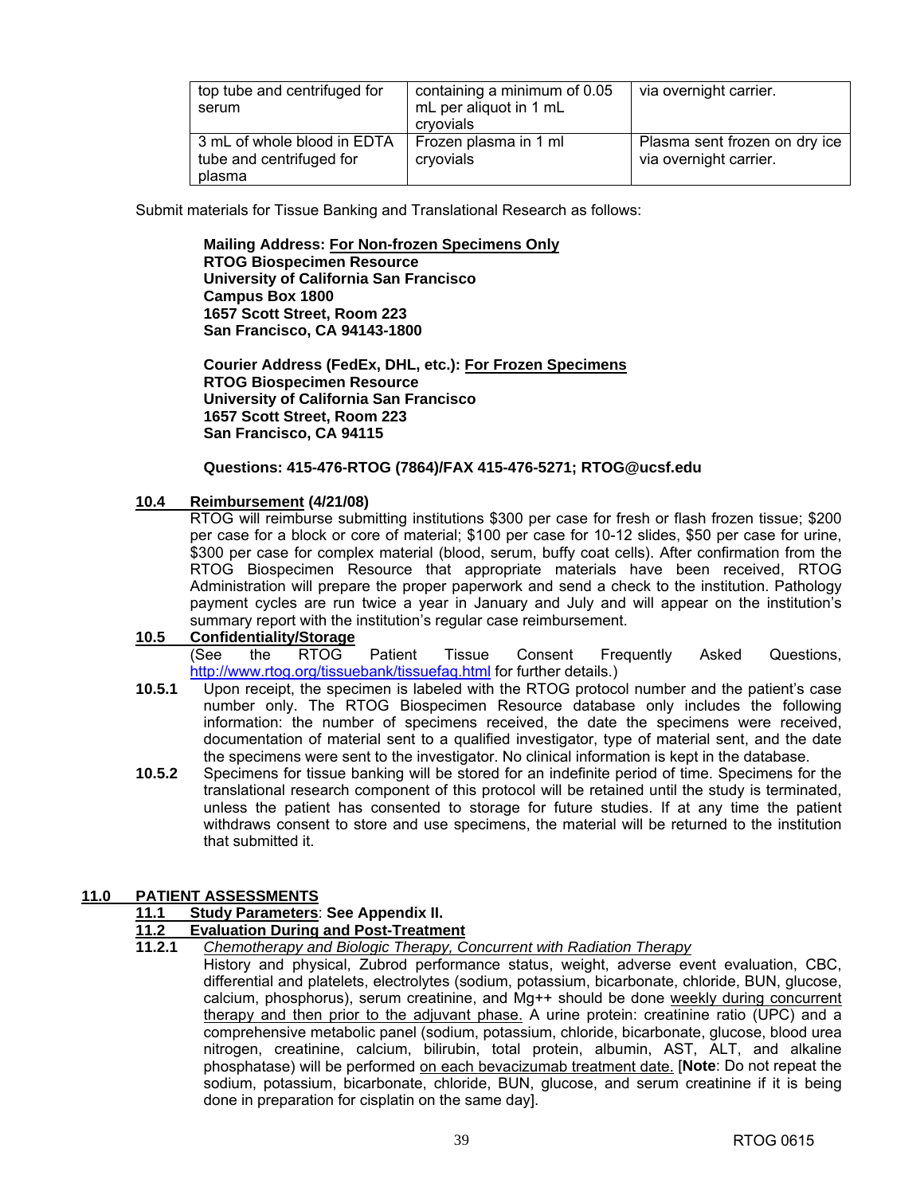| top tube and centrifuged for<br>serum                             | containing a minimum of 0.05<br>mL per aliquot in 1 mL<br>cryovials | via overnight carrier.                                  |
|-------------------------------------------------------------------|---------------------------------------------------------------------|---------------------------------------------------------|
| 3 mL of whole blood in EDTA<br>tube and centrifuged for<br>plasma | Frozen plasma in 1 ml<br>cryovials                                  | Plasma sent frozen on dry ice<br>via overnight carrier. |

Submit materials for Tissue Banking and Translational Research as follows:

**Mailing Address: For Non-frozen Specimens Only RTOG Biospecimen Resource University of California San Francisco Campus Box 1800 1657 Scott Street, Room 223 San Francisco, CA 94143-1800** 

**Courier Address (FedEx, DHL, etc.): For Frozen Specimens RTOG Biospecimen Resource University of California San Francisco 1657 Scott Street, Room 223 San Francisco, CA 94115**

### **Questions: 415-476-RTOG (7864)/FAX 415-476-5271; [RTOG@ucsf.edu](mailto:RTOG@ucsf.edu)**

### **10.4 Reimbursement (4/21/08)**

 RTOG will reimburse submitting institutions \$300 per case for fresh or flash frozen tissue; \$200 per case for a block or core of material; \$100 per case for 10-12 slides, \$50 per case for urine, \$300 per case for complex material (blood, serum, buffy coat cells). After confirmation from the RTOG Biospecimen Resource that appropriate materials have been received, RTOG Administration will prepare the proper paperwork and send a check to the institution. Pathology payment cycles are run twice a year in January and July and will appear on the institution's summary report with the institution's regular case reimbursement.

### **10.5 Confidentiality/Storage**

(See the RTOG Patient Tissue Consent Frequently Asked Questions, [http://www.rtog.org/tissuebank/tissuefaq.html fo](http://www.rtog.org/tissuebank/tissuefaq.html)r further details.)

- **10.5.1** Upon receipt, the specimen is labeled with the RTOG protocol number and the patient's case number only. The RTOG Biospecimen Resource database only includes the following information: the number of specimens received, the date the specimens were received, documentation of material sent to a qualified investigator, type of material sent, and the date the specimens were sent to the investigator. No clinical information is kept in the database.
- **10.5.2** Specimens for tissue banking will be stored for an indefinite period of time. Specimens for the translational research component of this protocol will be retained until the study is terminated, unless the patient has consented to storage for future studies. If at any time the patient withdraws consent to store and use specimens, the material will be returned to the institution that submitted it.

### **11.0 PATIENT ASSESSMENTS**

### **11.1 Study Parameters**: **See Appendix II.**

# **11.2 Evaluation During and Post-Treatment**<br>**11.2.1** Chemotherapy and Biologic Therapy, C

**11.2.1** *Chemotherapy and Biologic Therapy, Concurrent with Radiation Therapy*

 History and physical, Zubrod performance status, weight, adverse event evaluation, CBC, differential and platelets, electrolytes (sodium, potassium, bicarbonate, chloride, BUN, glucose, calcium, phosphorus), serum creatinine, and Mg++ should be done weekly during concurrent therapy and then prior to the adjuvant phase. A urine protein: creatinine ratio (UPC) and a comprehensive metabolic panel (sodium, potassium, chloride, bicarbonate, glucose, blood urea nitrogen, creatinine, calcium, bilirubin, total protein, albumin, AST, ALT, and alkaline phosphatase) will be performed on each bevacizumab treatment date. [**Note**: Do not repeat the sodium, potassium, bicarbonate, chloride, BUN, glucose, and serum creatinine if it is being done in preparation for cisplatin on the same day].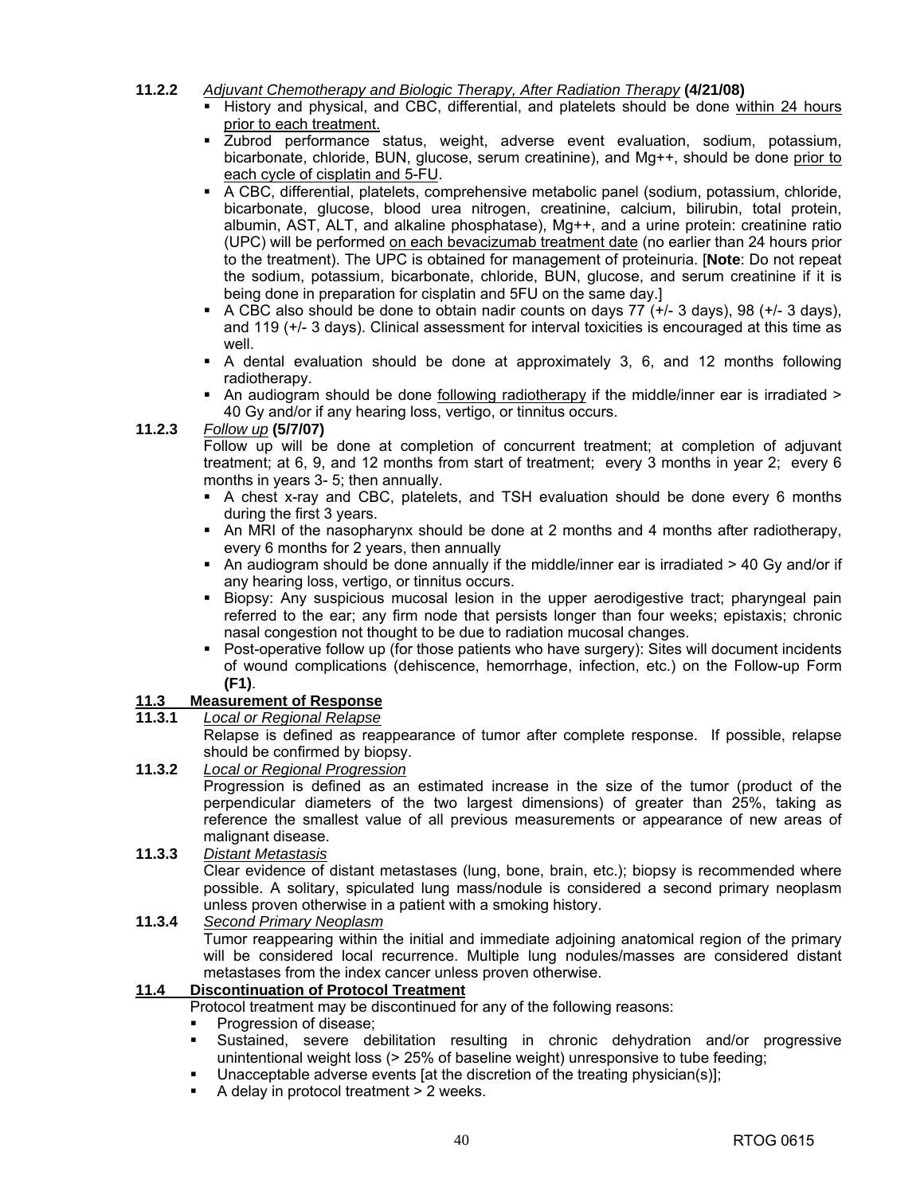### **11.2.2** *Adjuvant Chemotherapy and Biologic Therapy, After Radiation Therapy* **(4/21/08)**

- History and physical, and CBC, differential, and platelets should be done within 24 hours prior to each treatment.
- Zubrod performance status, weight, adverse event evaluation, sodium, potassium, bicarbonate, chloride, BUN, glucose, serum creatinine), and Mg++, should be done prior to each cycle of cisplatin and 5-FU.
- A CBC, differential, platelets, comprehensive metabolic panel (sodium, potassium, chloride, bicarbonate, glucose, blood urea nitrogen, creatinine, calcium, bilirubin, total protein, albumin, AST, ALT, and alkaline phosphatase), Mg++, and a urine protein: creatinine ratio (UPC) will be performed on each bevacizumab treatment date (no earlier than 24 hours prior to the treatment). The UPC is obtained for management of proteinuria. [**Note**: Do not repeat the sodium, potassium, bicarbonate, chloride, BUN, glucose, and serum creatinine if it is being done in preparation for cisplatin and 5FU on the same day.]
- A CBC also should be done to obtain nadir counts on days  $77 (+/- 3$  days), 98  $(+/- 3$  days). and 119 (+/- 3 days). Clinical assessment for interval toxicities is encouraged at this time as well.
- A dental evaluation should be done at approximately 3, 6, and 12 months following radiotherapy.
- An audiogram should be done following radiotherapy if the middle/inner ear is irradiated > 40 Gy and/or if any hearing loss, vertigo, or tinnitus occurs.

### **11.2.3** *Follow up* **(5/7/07)**

 Follow up will be done at completion of concurrent treatment; at completion of adjuvant treatment; at 6, 9, and 12 months from start of treatment; every 3 months in year 2; every 6 months in years 3- 5; then annually.

- A chest x-ray and CBC, platelets, and TSH evaluation should be done every 6 months during the first 3 years.
- An MRI of the nasopharynx should be done at 2 months and 4 months after radiotherapy, every 6 months for 2 years, then annually
- An audiogram should be done annually if the middle/inner ear is irradiated > 40 Gy and/or if any hearing loss, vertigo, or tinnitus occurs.
- Biopsy: Any suspicious mucosal lesion in the upper aerodigestive tract; pharyngeal pain referred to the ear; any firm node that persists longer than four weeks; epistaxis; chronic nasal congestion not thought to be due to radiation mucosal changes.
- Post-operative follow up (for those patients who have surgery): Sites will document incidents of wound complications (dehiscence, hemorrhage, infection, etc.) on the Follow-up Form **(F1)**.

### **11.3 Measurement of Response**

### **11.3.1** *Local or Regional Relapse*

Relapse is defined as reappearance of tumor after complete response. If possible, relapse should be confirmed by biopsy.

**11.3.2** *Local or Regional Progression* Progression is defined as an estimated increase in the size of the tumor (product of the perpendicular diameters of the two largest dimensions) of greater than 25%, taking as reference the smallest value of all previous measurements or appearance of new areas of malignant disease.

# **11.3.3** *Distant Metastasis*

Clear evidence of distant metastases (lung, bone, brain, etc.); biopsy is recommended where possible. A solitary, spiculated lung mass/nodule is considered a second primary neoplasm unless proven otherwise in a patient with a smoking history.

### **11.3.4** *Second Primary Neoplasm*

Tumor reappearing within the initial and immediate adjoining anatomical region of the primary will be considered local recurrence. Multiple lung nodules/masses are considered distant metastases from the index cancer unless proven otherwise.

### **11.4 Discontinuation of Protocol Treatment**

Protocol treatment may be discontinued for any of the following reasons:

- Progression of disease;
- Sustained, severe debilitation resulting in chronic dehydration and/or progressive unintentional weight loss (> 25% of baseline weight) unresponsive to tube feeding;
- Unacceptable adverse events [at the discretion of the treating physician(s)];
- A delay in protocol treatment > 2 weeks.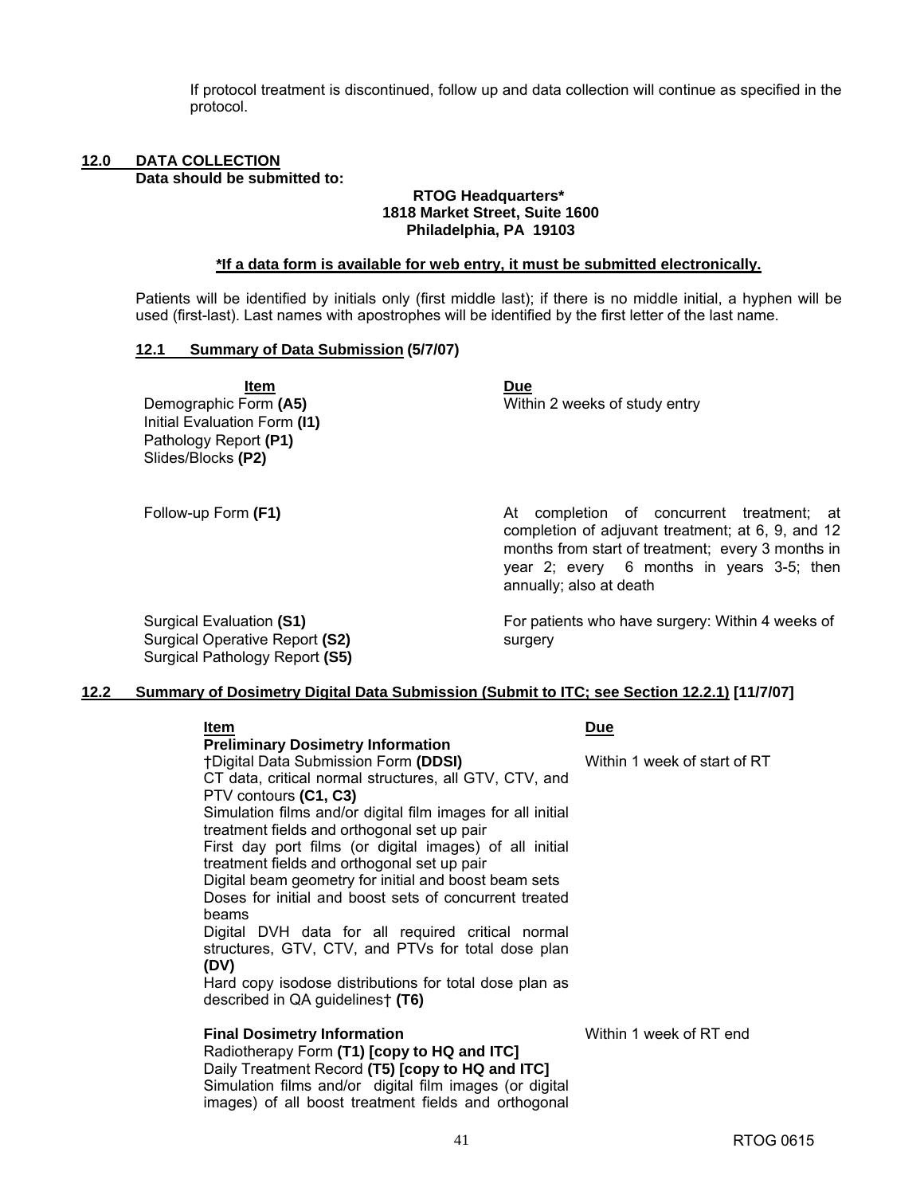If protocol treatment is discontinued, follow up and data collection will continue as specified in the protocol.

#### **12.0 DATA COLLECTION Data should be submitted to:**

#### **RTOG Headquarters\* 1818 Market Street, Suite 1600 Philadelphia, PA 19103**

#### **\*If a data form is available for web entry, it must be submitted electronically.**

Patients will be identified by initials only (first middle last); if there is no middle initial, a hyphen will be used (first-last). Last names with apostrophes will be identified by the first letter of the last name.

#### **12.1 Summary of Data Submission (5/7/07)**

**<u>Item Due</u>** Initial Evaluation Form **(I1)** Pathology Report **(P1)**  Slides/Blocks **(P2)** 

Demographic Form (A5) **Mithin 2 weeks of study entry Demographic Form (A5)** 

Follow-up Form (F1) **At completion of concurrent treatment**; at completion of adjuvant treatment; at 6, 9, and 12 months from start of treatment; every 3 months in year 2; every 6 months in years 3-5; then annually; also at death

Surgical Evaluation **(S1)**  Surgical Operative Report **(S2)**  Surgical Pathology Report **(S5)** For patients who have surgery: Within 4 weeks of surgery

### **12.2 Summary of Dosimetry Digital Data Submission (Submit to ITC; see Section 12.2.1) [11/7/07]**

| ltem                                                        | <b>Due</b>                   |
|-------------------------------------------------------------|------------------------------|
| <b>Preliminary Dosimetry Information</b>                    |                              |
| <b>†Digital Data Submission Form (DDSI)</b>                 | Within 1 week of start of RT |
| CT data, critical normal structures, all GTV, CTV, and      |                              |
| PTV contours (C1, C3)                                       |                              |
| Simulation films and/or digital film images for all initial |                              |
| treatment fields and orthogonal set up pair                 |                              |
| First day port films (or digital images) of all initial     |                              |
| treatment fields and orthogonal set up pair                 |                              |
| Digital beam geometry for initial and boost beam sets       |                              |
| Doses for initial and boost sets of concurrent treated      |                              |
| beams                                                       |                              |
| Digital DVH data for all required critical normal           |                              |
| structures, GTV, CTV, and PTVs for total dose plan          |                              |
| (DV)                                                        |                              |
| Hard copy isodose distributions for total dose plan as      |                              |
| described in QA guidelines† (T6)                            |                              |
|                                                             |                              |
| <b>Final Dosimetry Information</b>                          | Within 1 week of RT end      |
| Radiotherapy Form (T1) [copy to HQ and ITC]                 |                              |
| Daily Treatment Record (T5) [copy to HQ and ITC]            |                              |
| Simulation films and/or digital film images (or digital     |                              |

images) of all boost treatment fields and orthogonal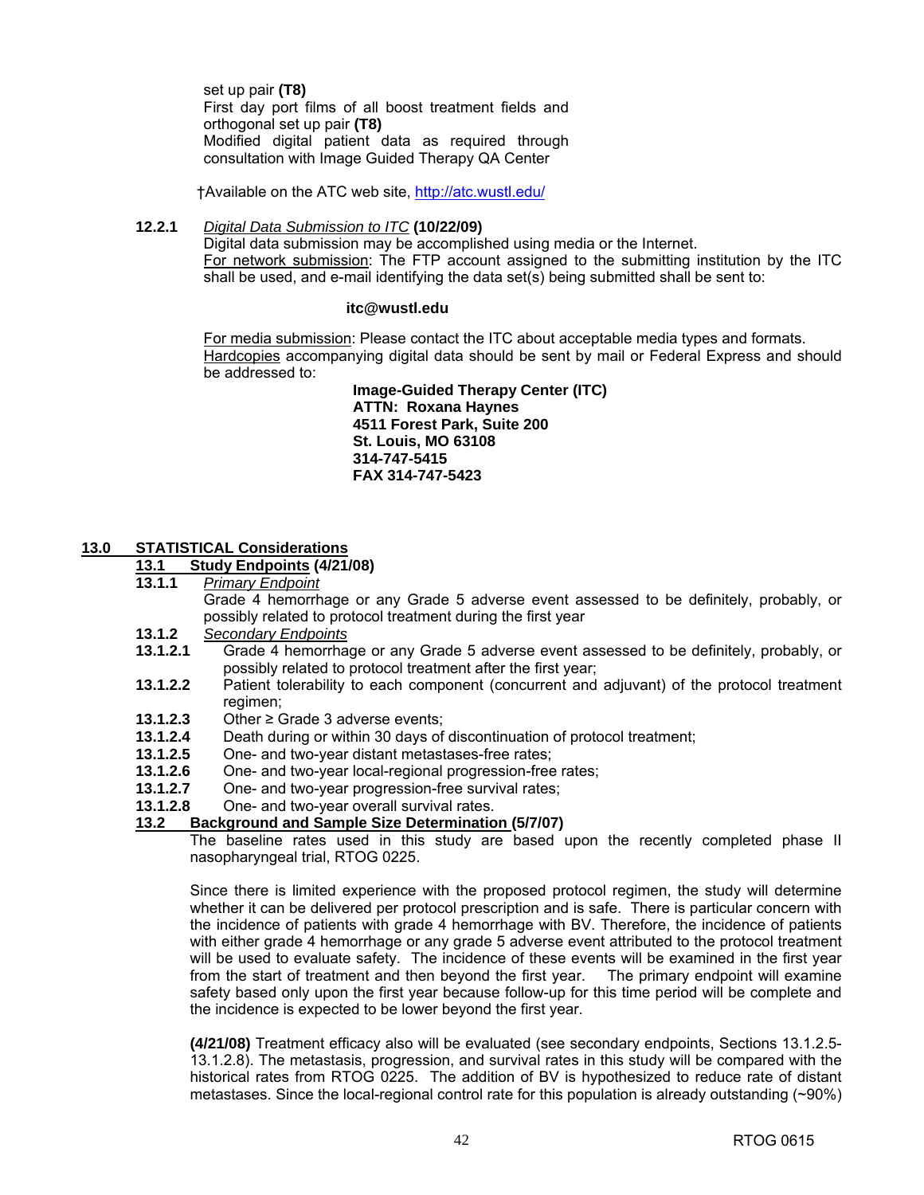set up pair **(T8)**  First day port films of all boost treatment fields and orthogonal set up pair **(T8)**  Modified digital patient data as required through consultation with Image Guided Therapy QA Center

†Available on the ATC web site, [http://atc.wustl.edu/](http://atc.wustl.edu)

### **12.2.1** *Digital Data Submission to ITC* **(10/22/09)**

Digital data submission may be accomplished using media or the Internet. For network submission: The FTP account assigned to the submitting institution by the ITC shall be used, and e-mail identifying the data set(s) being submitted shall be sent to:

### **[itc@wustl.edu](mailto:itc@wustl.edu)**

For media submission: Please contact the ITC about acceptable media types and formats. Hardcopies accompanying digital data should be sent by mail or Federal Express and should be addressed to:

> **Image-Guided Therapy Center (ITC) ATTN: Roxana Haynes 4511 Forest Park, Suite 200 St. Louis, MO 63108 314-747-5415 FAX 314-747-5423**

#### **13.0 STATISTICAL Considerations**

#### **13.1 Study Endpoints (4/21/08)**

**13.1.1** *Primary Endpoint* 

Grade 4 hemorrhage or any Grade 5 adverse event assessed to be definitely, probably, or possibly related to protocol treatment during the first year

- **13.1.2** *Secondary Endpoints*
- **13.1.2.1** Grade 4 hemorrhage or any Grade 5 adverse event assessed to be definitely, probably, or possibly related to protocol treatment after the first year;
- **13.1.2.2** Patient tolerability to each component (concurrent and adjuvant) of the protocol treatment regimen;
- **13.1.2.3** Other ≥ Grade 3 adverse events;
- **13.1.2.4** Death during or within 30 days of discontinuation of protocol treatment;
- **13.1.2.5** One- and two-year distant metastases-free rates;
- **13.1.2.6** One- and two-year local-regional progression-free rates;
- **13.1.2.7** One- and two-year progression-free survival rates;
- **13.1.2.8** One- and two-year overall survival rates.

#### **13.2 Background and Sample Size Determination (5/7/07)**

The baseline rates used in this study are based upon the recently completed phase II nasopharyngeal trial, RTOG 0225.

Since there is limited experience with the proposed protocol regimen, the study will determine whether it can be delivered per protocol prescription and is safe. There is particular concern with the incidence of patients with grade 4 hemorrhage with BV. Therefore, the incidence of patients with either grade 4 hemorrhage or any grade 5 adverse event attributed to the protocol treatment will be used to evaluate safety. The incidence of these events will be examined in the first year from the start of treatment and then beyond the first year. The primary endpoint will examine safety based only upon the first year because follow-up for this time period will be complete and the incidence is expected to be lower beyond the first year.

**(4/21/08)** Treatment efficacy also will be evaluated (see secondary endpoints, Sections 13.1.2.5- 13.1.2.8). The metastasis, progression, and survival rates in this study will be compared with the historical rates from RTOG 0225. The addition of BV is hypothesized to reduce rate of distant metastases. Since the local-regional control rate for this population is already outstanding (~90%)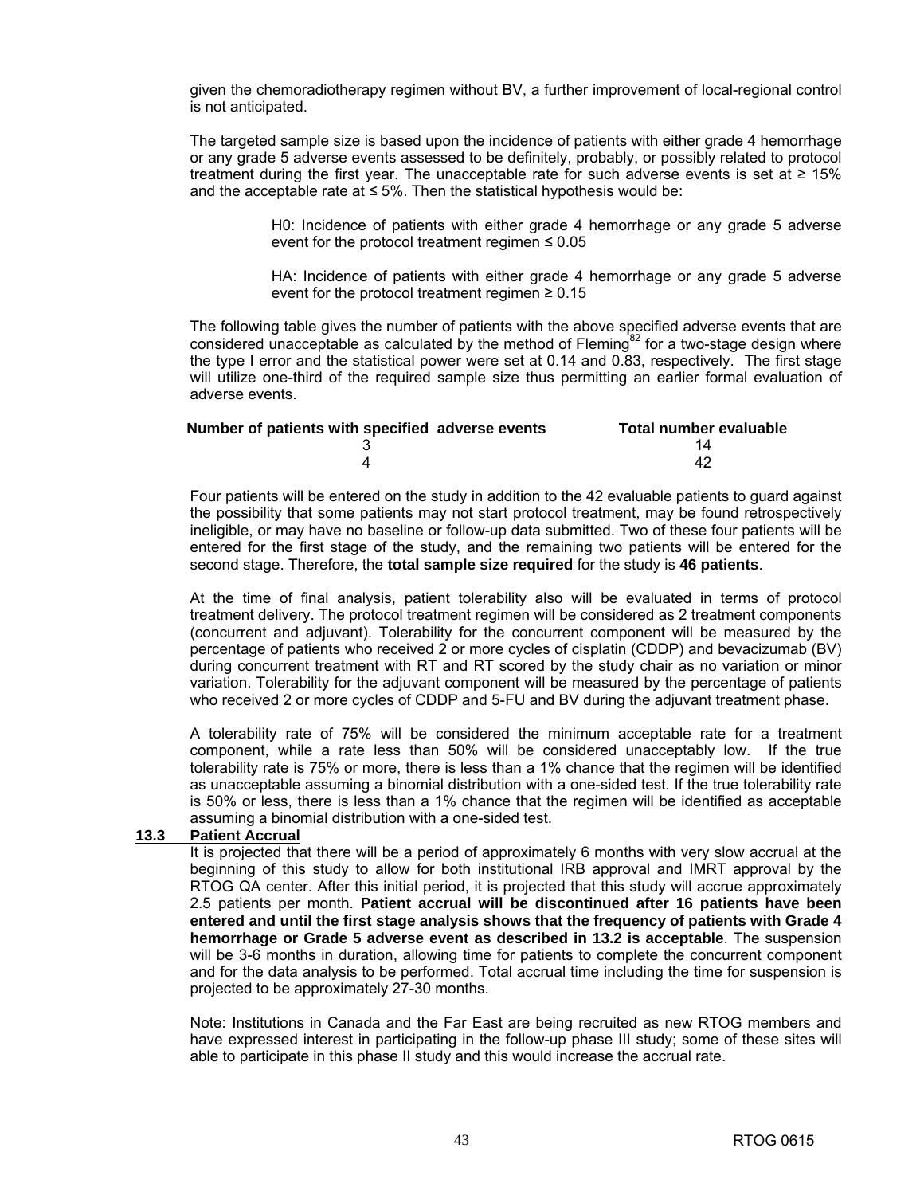given the chemoradiotherapy regimen without BV, a further improvement of local-regional control is not anticipated.

The targeted sample size is based upon the incidence of patients with either grade 4 hemorrhage or any grade 5 adverse events assessed to be definitely, probably, or possibly related to protocol treatment during the first year. The unacceptable rate for such adverse events is set at  $\geq 15\%$ and the acceptable rate at  $\leq 5\%$ . Then the statistical hypothesis would be:

> H0: Incidence of patients with either grade 4 hemorrhage or any grade 5 adverse event for the protocol treatment regimen  $\leq 0.05$

> HA: Incidence of patients with either grade 4 hemorrhage or any grade 5 adverse event for the protocol treatment regimen  $\geq 0.15$

The following table gives the number of patients with the above specified adverse events that are considered unacceptable as calculated by the method of Fleming<sup>82</sup> for a two-stage design where the type I error and the statistical power were set at 0.14 and 0.83, respectively. The first stage will utilize one-third of the required sample size thus permitting an earlier formal evaluation of adverse events.

| Number of patients with specified adverse events | Total number evaluable |
|--------------------------------------------------|------------------------|
|                                                  |                        |
|                                                  | 42                     |

 Four patients will be entered on the study in addition to the 42 evaluable patients to guard against the possibility that some patients may not start protocol treatment, may be found retrospectively ineligible, or may have no baseline or follow-up data submitted. Two of these four patients will be entered for the first stage of the study, and the remaining two patients will be entered for the second stage. Therefore, the **total sample size required** for the study is **46 patients**.

 At the time of final analysis, patient tolerability also will be evaluated in terms of protocol treatment delivery. The protocol treatment regimen will be considered as 2 treatment components (concurrent and adjuvant). Tolerability for the concurrent component will be measured by the percentage of patients who received 2 or more cycles of cisplatin (CDDP) and bevacizumab (BV) during concurrent treatment with RT and RT scored by the study chair as no variation or minor variation. Tolerability for the adjuvant component will be measured by the percentage of patients who received 2 or more cycles of CDDP and 5-FU and BV during the adjuvant treatment phase.

 A tolerability rate of 75% will be considered the minimum acceptable rate for a treatment component, while a rate less than 50% will be considered unacceptably low. If the true tolerability rate is 75% or more, there is less than a 1% chance that the regimen will be identified as unacceptable assuming a binomial distribution with a one-sided test. If the true tolerability rate is 50% or less, there is less than a 1% chance that the regimen will be identified as acceptable assuming a binomial distribution with a one-sided test.

### **13.3 Patient Accrual**

 It is projected that there will be a period of approximately 6 months with very slow accrual at the beginning of this study to allow for both institutional IRB approval and IMRT approval by the RTOG QA center. After this initial period, it is projected that this study will accrue approximately 2.5 patients per month. **Patient accrual will be discontinued after 16 patients have been entered and until the first stage analysis shows that the frequency of patients with Grade 4 hemorrhage or Grade 5 adverse event as described in 13.2 is acceptable**. The suspension will be 3-6 months in duration, allowing time for patients to complete the concurrent component and for the data analysis to be performed. Total accrual time including the time for suspension is projected to be approximately 27-30 months.

 Note: Institutions in Canada and the Far East are being recruited as new RTOG members and have expressed interest in participating in the follow-up phase III study; some of these sites will able to participate in this phase II study and this would increase the accrual rate.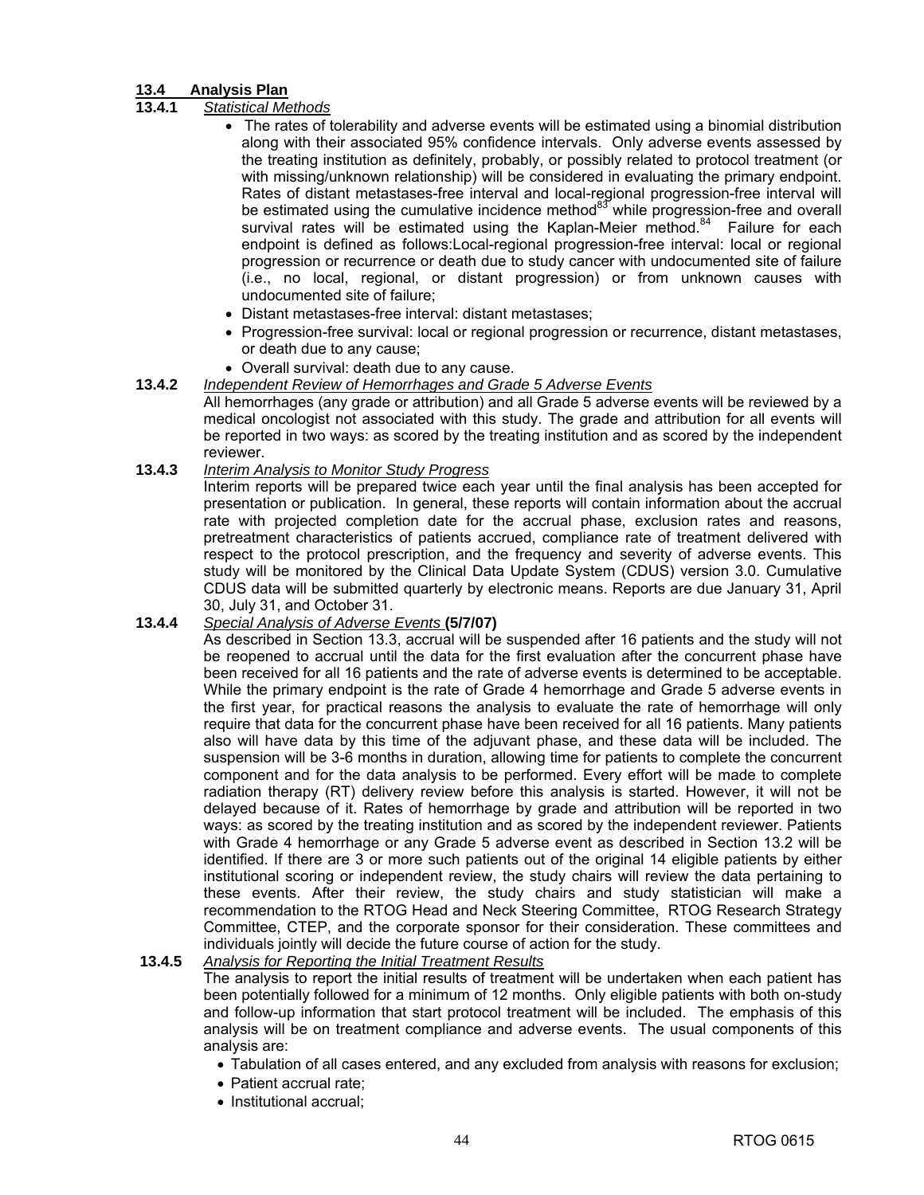### **13.4 Analysis Plan**

### **13.4.1** *Statistical Methods*

- The rates of tolerability and adverse events will be estimated using a binomial distribution along with their associated 95% confidence intervals. Only adverse events assessed by the treating institution as definitely, probably, or possibly related to protocol treatment (or with missing/unknown relationship) will be considered in evaluating the primary endpoint. Rates of distant metastases-free interval and local-regional progression-free interval will be estimated using the cumulative incidence method $^{83}$  while progression-free and overall survival rates will be estimated using the Kaplan-Meier method. $84$  Failure for each endpoint is defined as follows:Local-regional progression-free interval: local or regional progression or recurrence or death due to study cancer with undocumented site of failure (i.e., no local, regional, or distant progression) or from unknown causes with undocumented site of failure;
- Distant metastases-free interval: distant metastases;
- Progression-free survival: local or regional progression or recurrence, distant metastases, or death due to any cause;
- Overall survival: death due to any cause.

### **13.4.2** *Independent Review of Hemorrhages and Grade 5 Adverse Events*

 All hemorrhages (any grade or attribution) and all Grade 5 adverse events will be reviewed by a medical oncologist not associated with this study. The grade and attribution for all events will be reported in two ways: as scored by the treating institution and as scored by the independent reviewer.

### **13.4.3** *Interim Analysis to Monitor Study Progress*

 Interim reports will be prepared twice each year until the final analysis has been accepted for presentation or publication. In general, these reports will contain information about the accrual rate with projected completion date for the accrual phase, exclusion rates and reasons, pretreatment characteristics of patients accrued, compliance rate of treatment delivered with respect to the protocol prescription, and the frequency and severity of adverse events. This study will be monitored by the Clinical Data Update System (CDUS) version 3.0. Cumulative CDUS data will be submitted quarterly by electronic means. Reports are due January 31, April 30, July 31, and October 31.

### **13.4.4** *Special Analysis of Adverse Events* **(5/7/07)**

 As described in Section 13.3, accrual will be suspended after 16 patients and the study will not be reopened to accrual until the data for the first evaluation after the concurrent phase have been received for all 16 patients and the rate of adverse events is determined to be acceptable. While the primary endpoint is the rate of Grade 4 hemorrhage and Grade 5 adverse events in the first year, for practical reasons the analysis to evaluate the rate of hemorrhage will only require that data for the concurrent phase have been received for all 16 patients. Many patients also will have data by this time of the adjuvant phase, and these data will be included. The suspension will be 3-6 months in duration, allowing time for patients to complete the concurrent component and for the data analysis to be performed. Every effort will be made to complete radiation therapy (RT) delivery review before this analysis is started. However, it will not be delayed because of it. Rates of hemorrhage by grade and attribution will be reported in two ways: as scored by the treating institution and as scored by the independent reviewer. Patients with Grade 4 hemorrhage or any Grade 5 adverse event as described in Section 13.2 will be identified. If there are 3 or more such patients out of the original 14 eligible patients by either institutional scoring or independent review, the study chairs will review the data pertaining to these events. After their review, the study chairs and study statistician will make a recommendation to the RTOG Head and Neck Steering Committee, RTOG Research Strategy Committee, CTEP, and the corporate sponsor for their consideration. These committees and individuals jointly will decide the future course of action for the study.

### **13.4.5** *Analysis for Reporting the Initial Treatment Results*

 The analysis to report the initial results of treatment will be undertaken when each patient has been potentially followed for a minimum of 12 months. Only eligible patients with both on-study and follow-up information that start protocol treatment will be included. The emphasis of this analysis will be on treatment compliance and adverse events. The usual components of this analysis are:

- Tabulation of all cases entered, and any excluded from analysis with reasons for exclusion;
- Patient accrual rate:
- Institutional accrual;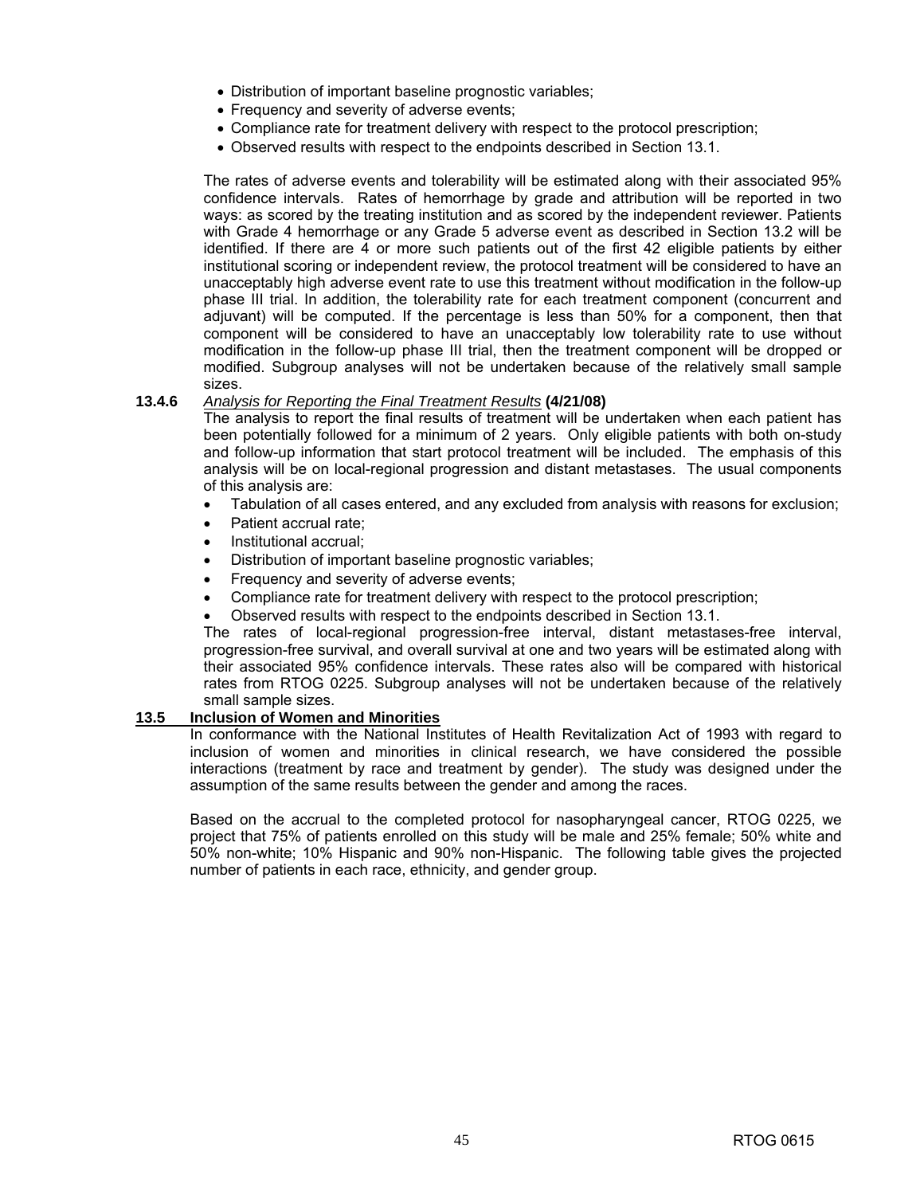- Distribution of important baseline prognostic variables;
- Frequency and severity of adverse events;
- Compliance rate for treatment delivery with respect to the protocol prescription;
- Observed results with respect to the endpoints described in Section 13.1.

 The rates of adverse events and tolerability will be estimated along with their associated 95% confidence intervals. Rates of hemorrhage by grade and attribution will be reported in two ways: as scored by the treating institution and as scored by the independent reviewer. Patients with Grade 4 hemorrhage or any Grade 5 adverse event as described in Section 13.2 will be identified. If there are 4 or more such patients out of the first 42 eligible patients by either institutional scoring or independent review, the protocol treatment will be considered to have an unacceptably high adverse event rate to use this treatment without modification in the follow-up phase III trial. In addition, the tolerability rate for each treatment component (concurrent and adjuvant) will be computed. If the percentage is less than 50% for a component, then that component will be considered to have an unacceptably low tolerability rate to use without modification in the follow-up phase III trial, then the treatment component will be dropped or modified. Subgroup analyses will not be undertaken because of the relatively small sample sizes.

### **13.4.6** *Analysis for Reporting the Final Treatment Results* **(4/21/08)**

 The analysis to report the final results of treatment will be undertaken when each patient has been potentially followed for a minimum of 2 years. Only eligible patients with both on-study and follow-up information that start protocol treatment will be included. The emphasis of this analysis will be on local-regional progression and distant metastases. The usual components of this analysis are:

- Tabulation of all cases entered, and any excluded from analysis with reasons for exclusion;
- Patient accrual rate;
- Institutional accrual;
- Distribution of important baseline prognostic variables;
- Frequency and severity of adverse events;
- Compliance rate for treatment delivery with respect to the protocol prescription;
- Observed results with respect to the endpoints described in Section 13.1.

 The rates of local-regional progression-free interval, distant metastases-free interval, progression-free survival, and overall survival at one and two years will be estimated along with their associated 95% confidence intervals. These rates also will be compared with historical rates from RTOG 0225. Subgroup analyses will not be undertaken because of the relatively small sample sizes.

### **13.5 Inclusion of Women and Minorities**

 In conformance with the National Institutes of Health Revitalization Act of 1993 with regard to inclusion of women and minorities in clinical research, we have considered the possible interactions (treatment by race and treatment by gender). The study was designed under the assumption of the same results between the gender and among the races.

 Based on the accrual to the completed protocol for nasopharyngeal cancer, RTOG 0225, we project that 75% of patients enrolled on this study will be male and 25% female; 50% white and 50% non-white; 10% Hispanic and 90% non-Hispanic. The following table gives the projected number of patients in each race, ethnicity, and gender group.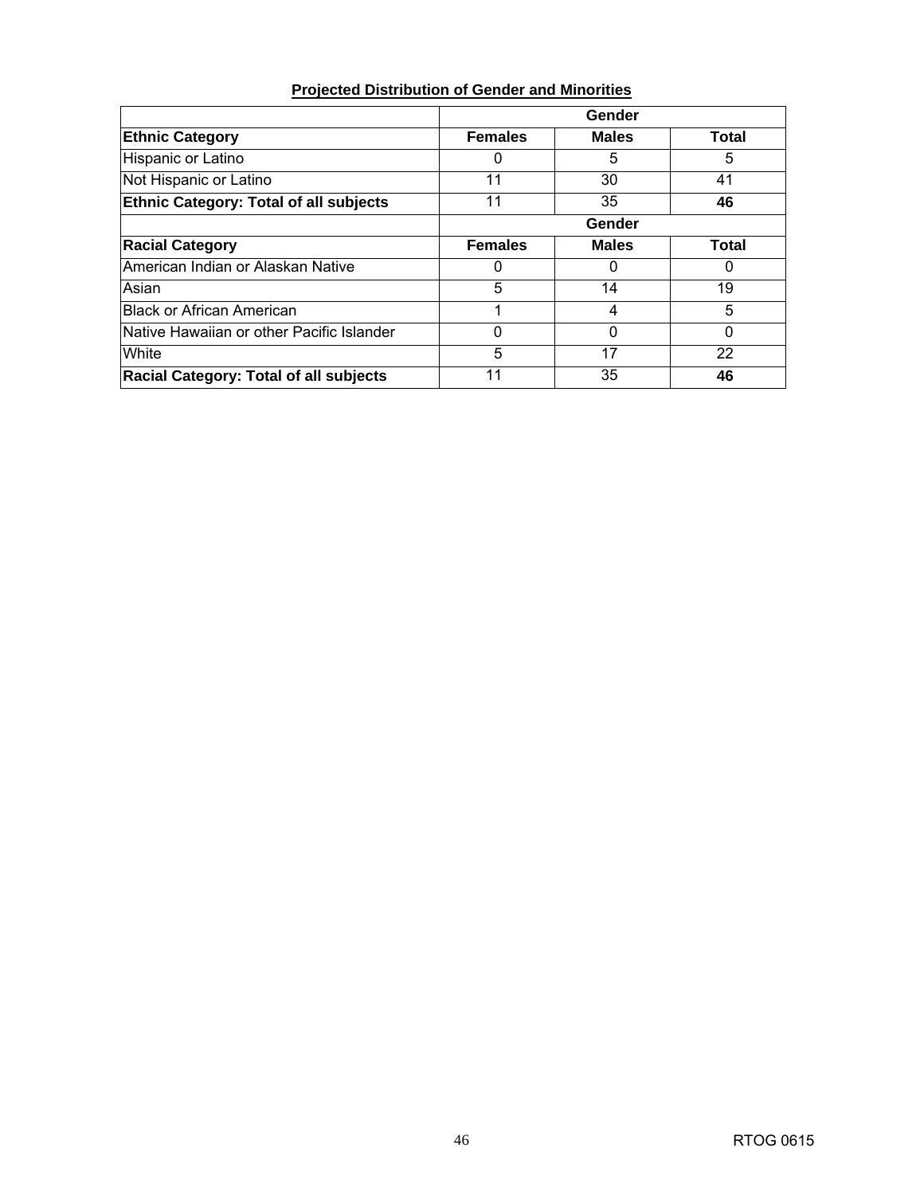| <b>Projected Distribution of Gender and Minorities</b> |  |  |
|--------------------------------------------------------|--|--|
|                                                        |  |  |

|                                               |                | Gender       |              |
|-----------------------------------------------|----------------|--------------|--------------|
| <b>Ethnic Category</b>                        | <b>Females</b> | <b>Males</b> | Total        |
| Hispanic or Latino                            | 0              | 5            | 5            |
| Not Hispanic or Latino                        | 11             | 30           | 41           |
| <b>Ethnic Category: Total of all subjects</b> | 11             | 35           | 46           |
|                                               |                | Gender       |              |
| <b>Racial Category</b>                        | <b>Females</b> | <b>Males</b> | <b>Total</b> |
| American Indian or Alaskan Native             | 0              | 0            | $\Omega$     |
| Asian                                         | 5              | 14           | 19           |
| <b>Black or African American</b>              | 1              | 4            | 5            |
| Native Hawaiian or other Pacific Islander     | 0              | 0            | $\Omega$     |
| White                                         | 5              | 17           | 22           |
| <b>Racial Category: Total of all subjects</b> | 11             | 35           | 46           |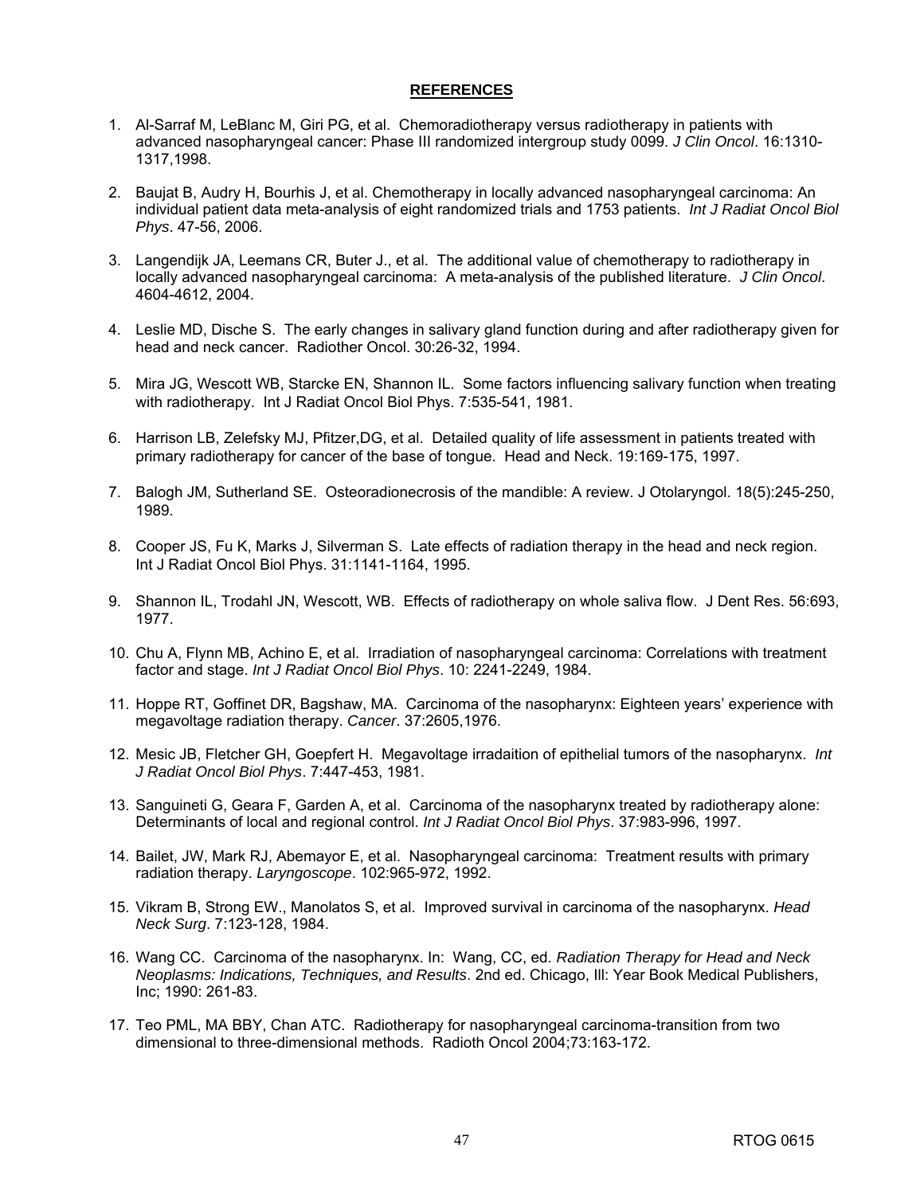### **REFERENCES**

- 1. Al-Sarraf M, LeBlanc M, Giri PG, et al. Chemoradiotherapy versus radiotherapy in patients with advanced nasopharyngeal cancer: Phase III randomized intergroup study 0099. *J Clin Oncol*. 16:1310- 1317,1998.
- 2. Baujat B, Audry H, Bourhis J, et al. Chemotherapy in locally advanced nasopharyngeal carcinoma: An individual patient data meta-analysis of eight randomized trials and 1753 patients. *Int J Radiat Oncol Biol Phys*. 47-56, 2006.
- 3. Langendijk JA, Leemans CR, Buter J., et al. The additional value of chemotherapy to radiotherapy in locally advanced nasopharyngeal carcinoma: A meta-analysis of the published literature. *J Clin Oncol*. 4604-4612, 2004.
- 4. Leslie MD, Dische S. The early changes in salivary gland function during and after radiotherapy given for head and neck cancer. Radiother Oncol. 30:26-32, 1994.
- 5. Mira JG, Wescott WB, Starcke EN, Shannon IL. Some factors influencing salivary function when treating with radiotherapy. Int J Radiat Oncol Biol Phys. 7:535-541, 1981.
- 6. Harrison LB, Zelefsky MJ, Pfitzer,DG, et al. Detailed quality of life assessment in patients treated with primary radiotherapy for cancer of the base of tongue. Head and Neck. 19:169-175, 1997.
- 7. Balogh JM, Sutherland SE. Osteoradionecrosis of the mandible: A review. J Otolaryngol. 18(5):245-250, 1989.
- 8. Cooper JS, Fu K, Marks J, Silverman S. Late effects of radiation therapy in the head and neck region. Int J Radiat Oncol Biol Phys. 31:1141-1164, 1995.
- 9. Shannon IL, Trodahl JN, Wescott, WB. Effects of radiotherapy on whole saliva flow. J Dent Res. 56:693, 1977.
- 10. Chu A, Flynn MB, Achino E, et al. Irradiation of nasopharyngeal carcinoma: Correlations with treatment factor and stage. *Int J Radiat Oncol Biol Phys*. 10: 2241-2249, 1984.
- 11. Hoppe RT, Goffinet DR, Bagshaw, MA. Carcinoma of the nasopharynx: Eighteen years' experience with megavoltage radiation therapy. *Cancer*. 37:2605,1976.
- 12. Mesic JB, Fletcher GH, Goepfert H. Megavoltage irradaition of epithelial tumors of the nasopharynx. *Int J Radiat Oncol Biol Phys*. 7:447-453, 1981.
- 13. Sanguineti G, Geara F, Garden A, et al. Carcinoma of the nasopharynx treated by radiotherapy alone: Determinants of local and regional control. *Int J Radiat Oncol Biol Phys*. 37:983-996, 1997.
- 14. Bailet, JW, Mark RJ, Abemayor E, et al. Nasopharyngeal carcinoma: Treatment results with primary radiation therapy. *Laryngoscope*. 102:965-972, 1992.
- 15. Vikram B, Strong EW., Manolatos S, et al. Improved survival in carcinoma of the nasopharynx. *Head Neck Surg*. 7:123-128, 1984.
- 16. Wang CC. Carcinoma of the nasopharynx. In: Wang, CC, ed. *Radiation Therapy for Head and Neck Neoplasms: Indications, Techniques, and Results*. 2nd ed. Chicago, Ill: Year Book Medical Publishers, Inc; 1990: 261-83.
- 17. Teo PML, MA BBY, Chan ATC. Radiotherapy for nasopharyngeal carcinoma-transition from two dimensional to three-dimensional methods. Radioth Oncol 2004;73:163-172.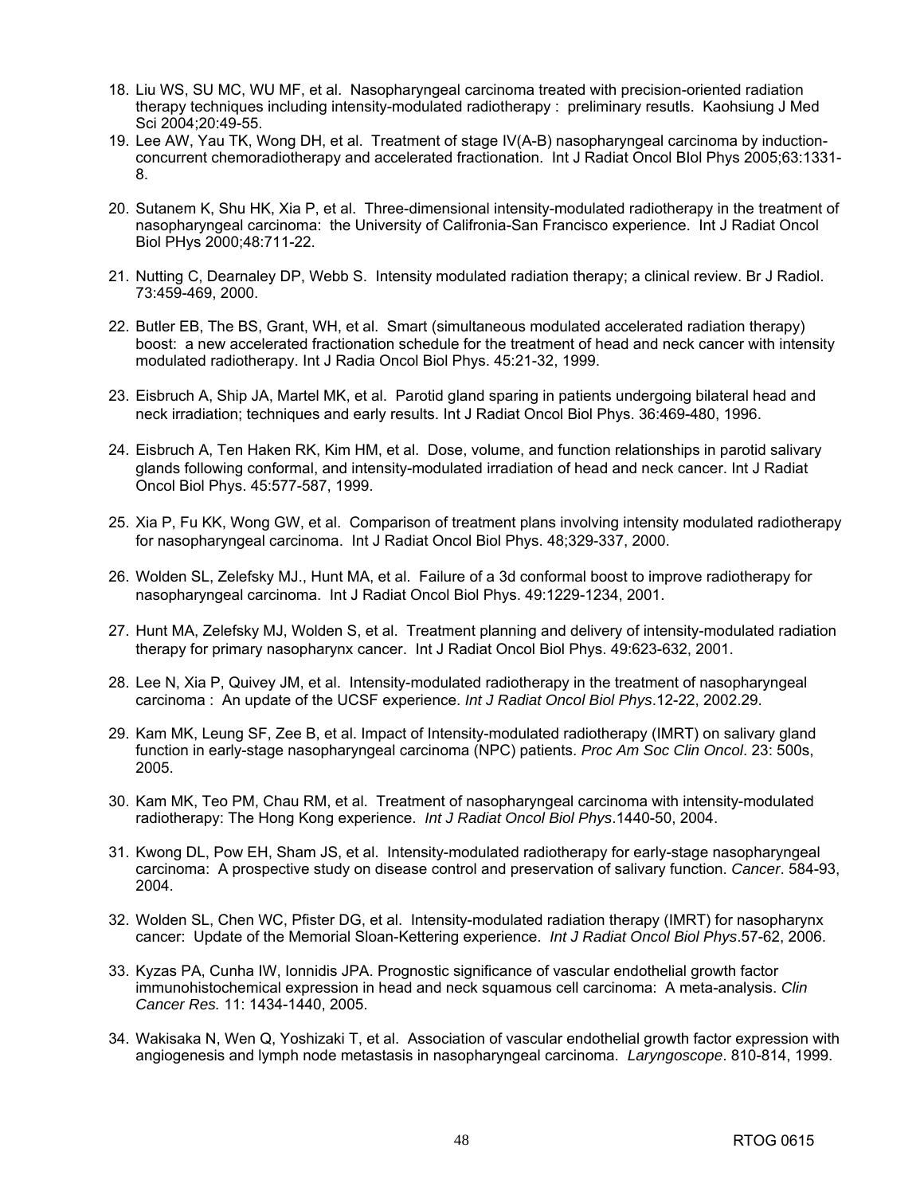- 18. Liu WS, SU MC, WU MF, et al. Nasopharyngeal carcinoma treated with precision-oriented radiation therapy techniques including intensity-modulated radiotherapy : preliminary resutls. Kaohsiung J Med Sci 2004;20:49-55.
- 19. Lee AW, Yau TK, Wong DH, et al. Treatment of stage IV(A-B) nasopharyngeal carcinoma by inductionconcurrent chemoradiotherapy and accelerated fractionation. Int J Radiat Oncol BIol Phys 2005;63:1331- 8.
- 20. Sutanem K, Shu HK, Xia P, et al. Three-dimensional intensity-modulated radiotherapy in the treatment of nasopharyngeal carcinoma: the University of Califronia-San Francisco experience. Int J Radiat Oncol Biol PHys 2000;48:711-22.
- 21. Nutting C, Dearnaley DP, Webb S. Intensity modulated radiation therapy; a clinical review. Br J Radiol. 73:459-469, 2000.
- 22. Butler EB, The BS, Grant, WH, et al. Smart (simultaneous modulated accelerated radiation therapy) boost: a new accelerated fractionation schedule for the treatment of head and neck cancer with intensity modulated radiotherapy. Int J Radia Oncol Biol Phys. 45:21-32, 1999.
- 23. Eisbruch A, Ship JA, Martel MK, et al. Parotid gland sparing in patients undergoing bilateral head and neck irradiation; techniques and early results. Int J Radiat Oncol Biol Phys. 36:469-480, 1996.
- 24. Eisbruch A, Ten Haken RK, Kim HM, et al. Dose, volume, and function relationships in parotid salivary glands following conformal, and intensity-modulated irradiation of head and neck cancer. Int J Radiat Oncol Biol Phys. 45:577-587, 1999.
- 25. Xia P, Fu KK, Wong GW, et al. Comparison of treatment plans involving intensity modulated radiotherapy for nasopharyngeal carcinoma. Int J Radiat Oncol Biol Phys. 48;329-337, 2000.
- 26. Wolden SL, Zelefsky MJ., Hunt MA, et al. Failure of a 3d conformal boost to improve radiotherapy for nasopharyngeal carcinoma. Int J Radiat Oncol Biol Phys. 49:1229-1234, 2001.
- 27. Hunt MA, Zelefsky MJ, Wolden S, et al. Treatment planning and delivery of intensity-modulated radiation therapy for primary nasopharynx cancer. Int J Radiat Oncol Biol Phys. 49:623-632, 2001.
- 28. Lee N, Xia P, Quivey JM, et al. Intensity-modulated radiotherapy in the treatment of nasopharyngeal carcinoma : An update of the UCSF experience. *Int J Radiat Oncol Biol Phys*.12-22, 2002.29.
- 29. Kam MK, Leung SF, Zee B, et al. Impact of Intensity-modulated radiotherapy (IMRT) on salivary gland function in early-stage nasopharyngeal carcinoma (NPC) patients. *Proc Am Soc Clin Oncol*. 23: 500s, 2005.
- 30. Kam MK, Teo PM, Chau RM, et al. Treatment of nasopharyngeal carcinoma with intensity-modulated radiotherapy: The Hong Kong experience. *Int J Radiat Oncol Biol Phys*.1440-50, 2004.
- 31. Kwong DL, Pow EH, Sham JS, et al. Intensity-modulated radiotherapy for early-stage nasopharyngeal carcinoma: A prospective study on disease control and preservation of salivary function. *Cancer*. 584-93, 2004.
- 32. Wolden SL, Chen WC, Pfister DG, et al. Intensity-modulated radiation therapy (IMRT) for nasopharynx cancer: Update of the Memorial Sloan-Kettering experience. *Int J Radiat Oncol Biol Phys*.57-62, 2006.
- 33. Kyzas PA, Cunha IW, Ionnidis JPA. Prognostic significance of vascular endothelial growth factor immunohistochemical expression in head and neck squamous cell carcinoma: A meta-analysis. *Clin Cancer Res.* 11: 1434-1440, 2005.
- 34. Wakisaka N, Wen Q, Yoshizaki T, et al. Association of vascular endothelial growth factor expression with angiogenesis and lymph node metastasis in nasopharyngeal carcinoma. *Laryngoscope*. 810-814, 1999.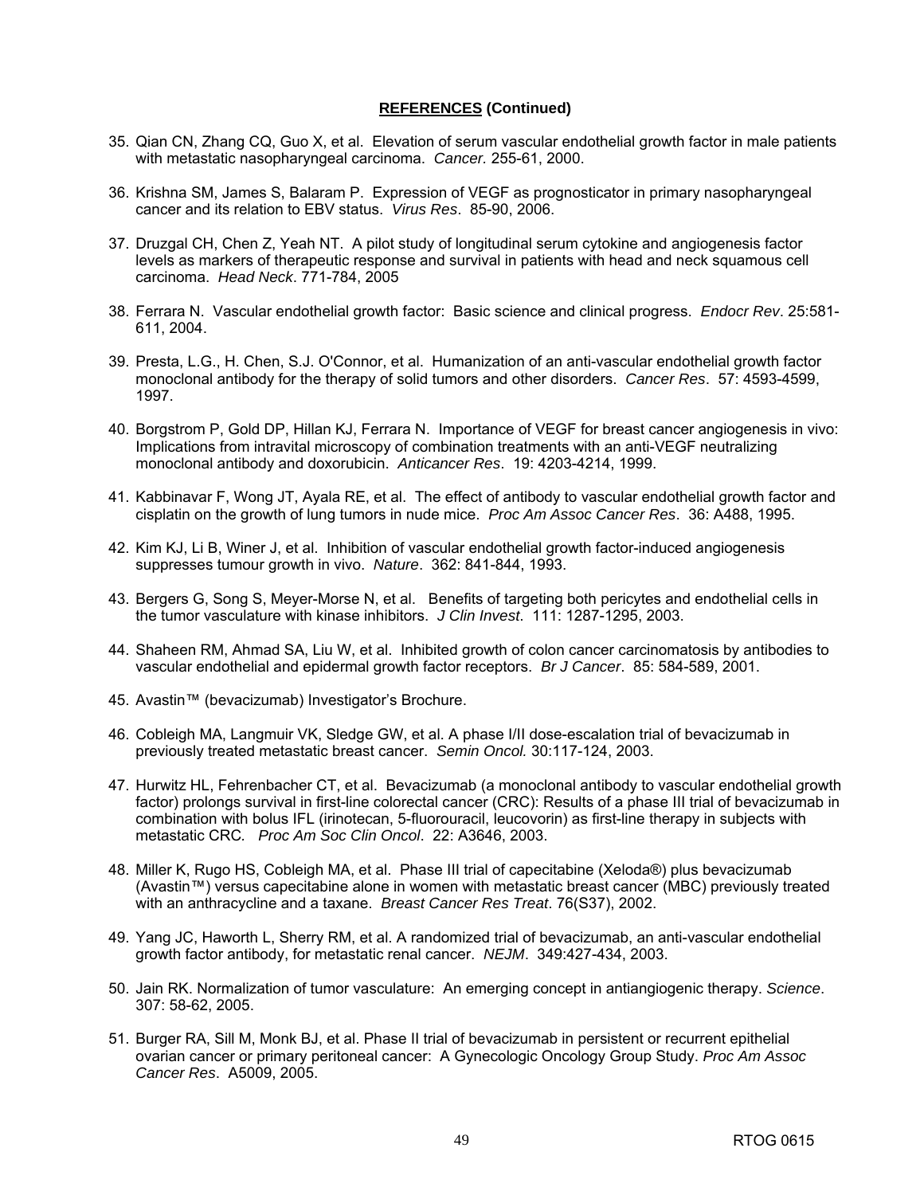### **REFERENCES (Continued)**

- 35. Qian CN, Zhang CQ, Guo X, et al. Elevation of serum vascular endothelial growth factor in male patients with metastatic nasopharyngeal carcinoma. *Cancer.* 255-61, 2000.
- 36. Krishna SM, James S, Balaram P. Expression of VEGF as prognosticator in primary nasopharyngeal cancer and its relation to EBV status. *Virus Res*. 85-90, 2006.
- 37. Druzgal CH, Chen Z, Yeah NT. A pilot study of longitudinal serum cytokine and angiogenesis factor levels as markers of therapeutic response and survival in patients with head and neck squamous cell carcinoma. *Head Neck*. 771-784, 2005
- 38. Ferrara N. Vascular endothelial growth factor: Basic science and clinical progress. *Endocr Rev*. 25:581- 611, 2004.
- 39. Presta, L.G., H. Chen, S.J. O'Connor, et al. Humanization of an anti-vascular endothelial growth factor monoclonal antibody for the therapy of solid tumors and other disorders. *Cancer Res*. 57: 4593-4599, 1997.
- 40. Borgstrom P, Gold DP, Hillan KJ, Ferrara N. Importance of VEGF for breast cancer angiogenesis in vivo: Implications from intravital microscopy of combination treatments with an anti-VEGF neutralizing monoclonal antibody and doxorubicin. *Anticancer Res*. 19: 4203-4214, 1999.
- 41. Kabbinavar F, Wong JT, Ayala RE, et al. The effect of antibody to vascular endothelial growth factor and cisplatin on the growth of lung tumors in nude mice. *Proc Am Assoc Cancer Res*. 36: A488, 1995.
- 42. Kim KJ, Li B, Winer J, et al. Inhibition of vascular endothelial growth factor-induced angiogenesis suppresses tumour growth in vivo. *Nature*. 362: 841-844, 1993.
- 43. Bergers G, Song S, Meyer-Morse N, et al. Benefits of targeting both pericytes and endothelial cells in the tumor vasculature with kinase inhibitors. *J Clin Invest*. 111: 1287-1295, 2003.
- 44. Shaheen RM, Ahmad SA, Liu W, et al. Inhibited growth of colon cancer carcinomatosis by antibodies to vascular endothelial and epidermal growth factor receptors. *Br J Cancer*. 85: 584-589, 2001.
- 45. Avastin™ (bevacizumab) Investigator's Brochure.
- 46. Cobleigh MA, Langmuir VK, Sledge GW, et al. A phase I/II dose-escalation trial of bevacizumab in previously treated metastatic breast cancer. *Semin Oncol.* 30:117-124, 2003.
- 47. Hurwitz HL, Fehrenbacher CT, et al. Bevacizumab (a monoclonal antibody to vascular endothelial growth factor) prolongs survival in first-line colorectal cancer (CRC): Results of a phase III trial of bevacizumab in combination with bolus IFL (irinotecan, 5-fluorouracil, leucovorin) as first-line therapy in subjects with metastatic CRC*. Proc Am Soc Clin Oncol*. 22: A3646, 2003.
- 48. Miller K, Rugo HS, Cobleigh MA, et al. Phase III trial of capecitabine (Xeloda®) plus bevacizumab (Avastin™) versus capecitabine alone in women with metastatic breast cancer (MBC) previously treated with an anthracycline and a taxane. *Breast Cancer Res Treat*. 76(S37), 2002.
- 49. Yang JC, Haworth L, Sherry RM, et al. A randomized trial of bevacizumab, an anti-vascular endothelial growth factor antibody, for metastatic renal cancer. *NEJM*. 349:427-434, 2003.
- 50. Jain RK. Normalization of tumor vasculature: An emerging concept in antiangiogenic therapy. *Science*. 307: 58-62, 2005.
- 51. Burger RA, Sill M, Monk BJ, et al. Phase II trial of bevacizumab in persistent or recurrent epithelial ovarian cancer or primary peritoneal cancer: A Gynecologic Oncology Group Study. *Proc Am Assoc Cancer Res*. A5009, 2005.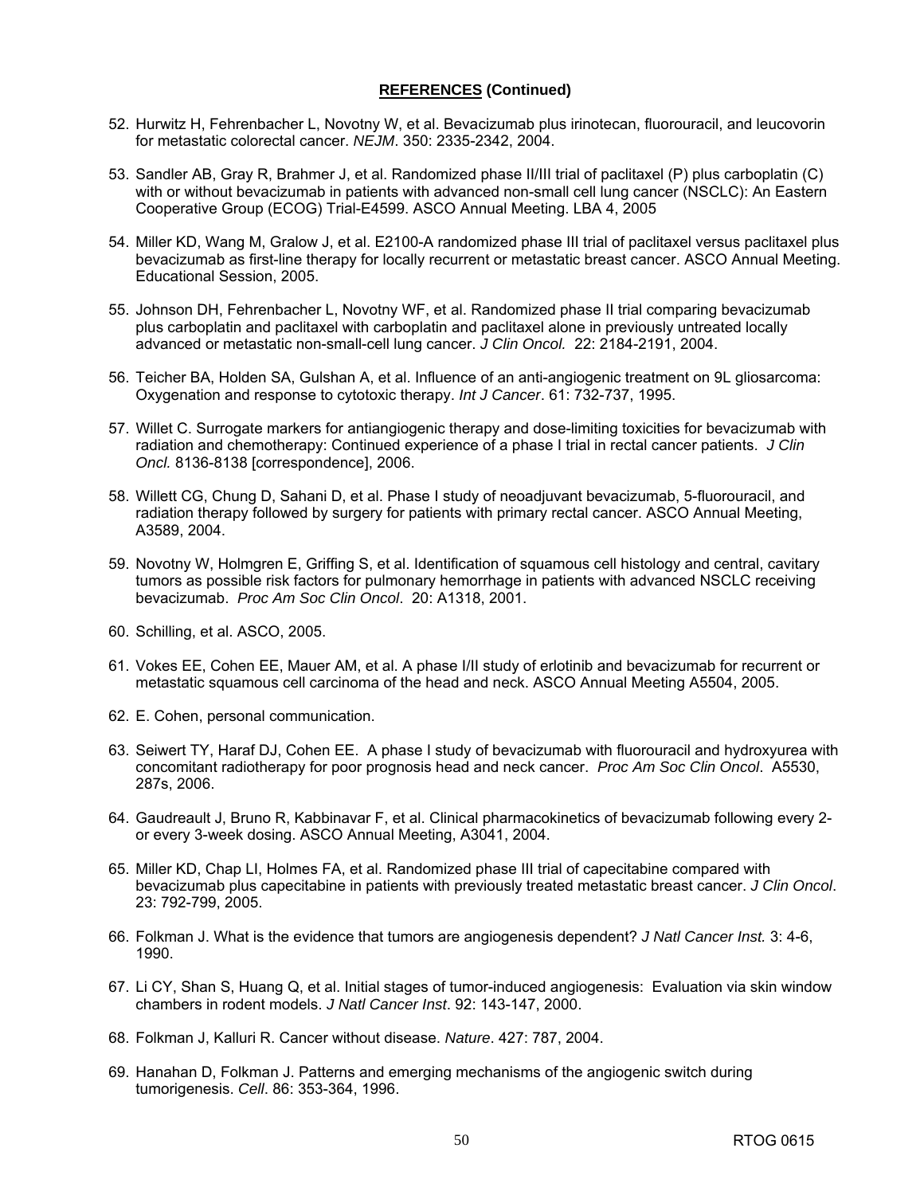### **REFERENCES (Continued)**

- 52. Hurwitz H, Fehrenbacher L, Novotny W, et al. Bevacizumab plus irinotecan, fluorouracil, and leucovorin for metastatic colorectal cancer. *NEJM*. 350: 2335-2342, 2004.
- 53. Sandler AB, Gray R, Brahmer J, et al. Randomized phase II/III trial of paclitaxel (P) plus carboplatin (C) with or without bevacizumab in patients with advanced non-small cell lung cancer (NSCLC): An Eastern Cooperative Group (ECOG) Trial-E4599. ASCO Annual Meeting. LBA 4, 2005
- 54. Miller KD, Wang M, Gralow J, et al. E2100-A randomized phase III trial of paclitaxel versus paclitaxel plus bevacizumab as first-line therapy for locally recurrent or metastatic breast cancer. ASCO Annual Meeting. Educational Session, 2005.
- 55. Johnson DH, Fehrenbacher L, Novotny WF, et al. Randomized phase II trial comparing bevacizumab plus carboplatin and paclitaxel with carboplatin and paclitaxel alone in previously untreated locally advanced or metastatic non-small-cell lung cancer. *J Clin Oncol.* 22: 2184-2191, 2004.
- 56. Teicher BA, Holden SA, Gulshan A, et al. Influence of an anti-angiogenic treatment on 9L gliosarcoma: Oxygenation and response to cytotoxic therapy. *Int J Cancer*. 61: 732-737, 1995.
- 57. Willet C. Surrogate markers for antiangiogenic therapy and dose-limiting toxicities for bevacizumab with radiation and chemotherapy: Continued experience of a phase I trial in rectal cancer patients. *J Clin Oncl.* 8136-8138 [correspondence], 2006.
- 58. Willett CG, Chung D, Sahani D, et al. Phase I study of neoadjuvant bevacizumab, 5-fluorouracil, and radiation therapy followed by surgery for patients with primary rectal cancer. ASCO Annual Meeting, A3589, 2004.
- 59. Novotny W, Holmgren E, Griffing S, et al. Identification of squamous cell histology and central, cavitary tumors as possible risk factors for pulmonary hemorrhage in patients with advanced NSCLC receiving bevacizumab. *Proc Am Soc Clin Oncol*. 20: A1318, 2001.
- 60. Schilling, et al. ASCO, 2005.
- 61. Vokes EE, Cohen EE, Mauer AM, et al. A phase I/II study of erlotinib and bevacizumab for recurrent or metastatic squamous cell carcinoma of the head and neck. ASCO Annual Meeting A5504, 2005.
- 62. E. Cohen, personal communication.
- 63. Seiwert TY, Haraf DJ, Cohen EE. A phase I study of bevacizumab with fluorouracil and hydroxyurea with concomitant radiotherapy for poor prognosis head and neck cancer. *Proc Am Soc Clin Oncol*. A5530, 287s, 2006.
- 64. Gaudreault J, Bruno R, Kabbinavar F, et al. Clinical pharmacokinetics of bevacizumab following every 2 or every 3-week dosing. ASCO Annual Meeting, A3041, 2004.
- 65. Miller KD, Chap LI, Holmes FA, et al. Randomized phase III trial of capecitabine compared with bevacizumab plus capecitabine in patients with previously treated metastatic breast cancer. *J Clin Oncol*. 23: 792-799, 2005.
- 66. Folkman J. What is the evidence that tumors are angiogenesis dependent? *J Natl Cancer Inst.* 3: 4-6, 1990.
- 67. Li CY, Shan S, Huang Q, et al. Initial stages of tumor-induced angiogenesis: Evaluation via skin window chambers in rodent models. *J Natl Cancer Inst*. 92: 143-147, 2000.
- 68. Folkman J, Kalluri R. Cancer without disease. *Nature*. 427: 787, 2004.
- 69. Hanahan D, Folkman J. Patterns and emerging mechanisms of the angiogenic switch during tumorigenesis. *Cell*. 86: 353-364, 1996.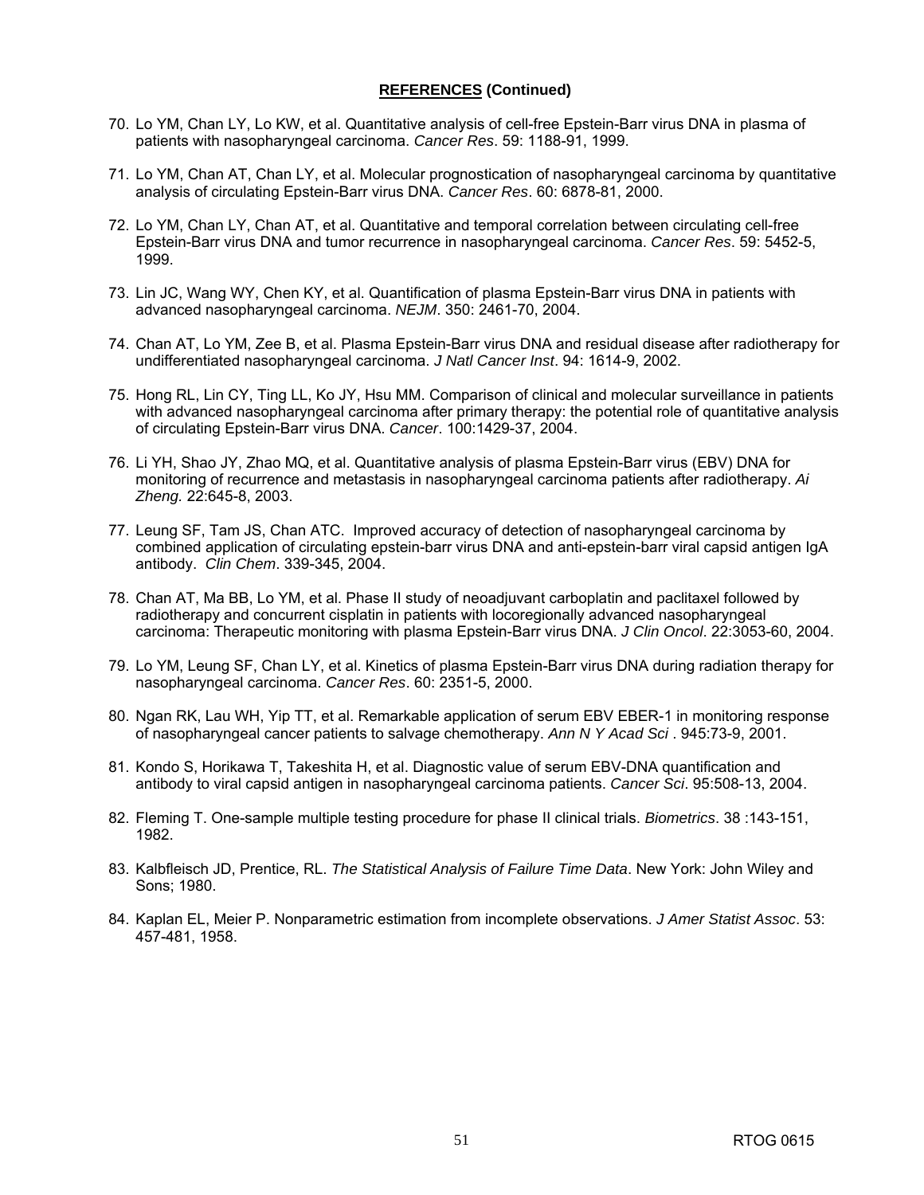### **REFERENCES (Continued)**

- 70. Lo YM, Chan LY, Lo KW, et al. Quantitative analysis of cell-free Epstein-Barr virus DNA in plasma of patients with nasopharyngeal carcinoma. *Cancer Res*. 59: 1188-91, 1999.
- 71. Lo YM, Chan AT, Chan LY, et al. Molecular prognostication of nasopharyngeal carcinoma by quantitative analysis of circulating Epstein-Barr virus DNA. *Cancer Res*. 60: 6878-81, 2000.
- 72. Lo YM, Chan LY, Chan AT, et al. Quantitative and temporal correlation between circulating cell-free Epstein-Barr virus DNA and tumor recurrence in nasopharyngeal carcinoma. *Cancer Res*. 59: 5452-5, 1999.
- 73. Lin JC, Wang WY, Chen KY, et al. Quantification of plasma Epstein-Barr virus DNA in patients with advanced nasopharyngeal carcinoma. *NEJM*. 350: 2461-70, 2004.
- 74. Chan AT, Lo YM, Zee B, et al. Plasma Epstein-Barr virus DNA and residual disease after radiotherapy for undifferentiated nasopharyngeal carcinoma. *J Natl Cancer Inst*. 94: 1614-9, 2002.
- 75. Hong RL, Lin CY, Ting LL, Ko JY, Hsu MM. Comparison of clinical and molecular surveillance in patients with advanced nasopharyngeal carcinoma after primary therapy: the potential role of quantitative analysis of circulating Epstein-Barr virus DNA. *Cancer*. 100:1429-37, 2004.
- 76. Li YH, Shao JY, Zhao MQ, et al. Quantitative analysis of plasma Epstein-Barr virus (EBV) DNA for monitoring of recurrence and metastasis in nasopharyngeal carcinoma patients after radiotherapy. *Ai Zheng.* 22:645-8, 2003.
- 77. Leung SF, Tam JS, Chan ATC. Improved accuracy of detection of nasopharyngeal carcinoma by combined application of circulating epstein-barr virus DNA and anti-epstein-barr viral capsid antigen IgA antibody. *Clin Chem*. 339-345, 2004.
- 78. Chan AT, Ma BB, Lo YM, et al. Phase II study of neoadjuvant carboplatin and paclitaxel followed by radiotherapy and concurrent cisplatin in patients with locoregionally advanced nasopharyngeal carcinoma: Therapeutic monitoring with plasma Epstein-Barr virus DNA. *J Clin Oncol*. 22:3053-60, 2004.
- 79. Lo YM, Leung SF, Chan LY, et al. Kinetics of plasma Epstein-Barr virus DNA during radiation therapy for nasopharyngeal carcinoma. *Cancer Res*. 60: 2351-5, 2000.
- 80. Ngan RK, Lau WH, Yip TT, et al. Remarkable application of serum EBV EBER-1 in monitoring response of nasopharyngeal cancer patients to salvage chemotherapy. *Ann N Y Acad Sci* . 945:73-9, 2001.
- 81. Kondo S, Horikawa T, Takeshita H, et al. Diagnostic value of serum EBV-DNA quantification and antibody to viral capsid antigen in nasopharyngeal carcinoma patients. *Cancer Sci*. 95:508-13, 2004.
- 82. Fleming T. One-sample multiple testing procedure for phase II clinical trials. *Biometrics*. 38 :143-151, 1982.
- 83. Kalbfleisch JD, Prentice, RL. *The Statistical Analysis of Failure Time Data*. New York: John Wiley and Sons; 1980.
- 84. Kaplan EL, Meier P. Nonparametric estimation from incomplete observations. *J Amer Statist Assoc*. 53: 457-481, 1958.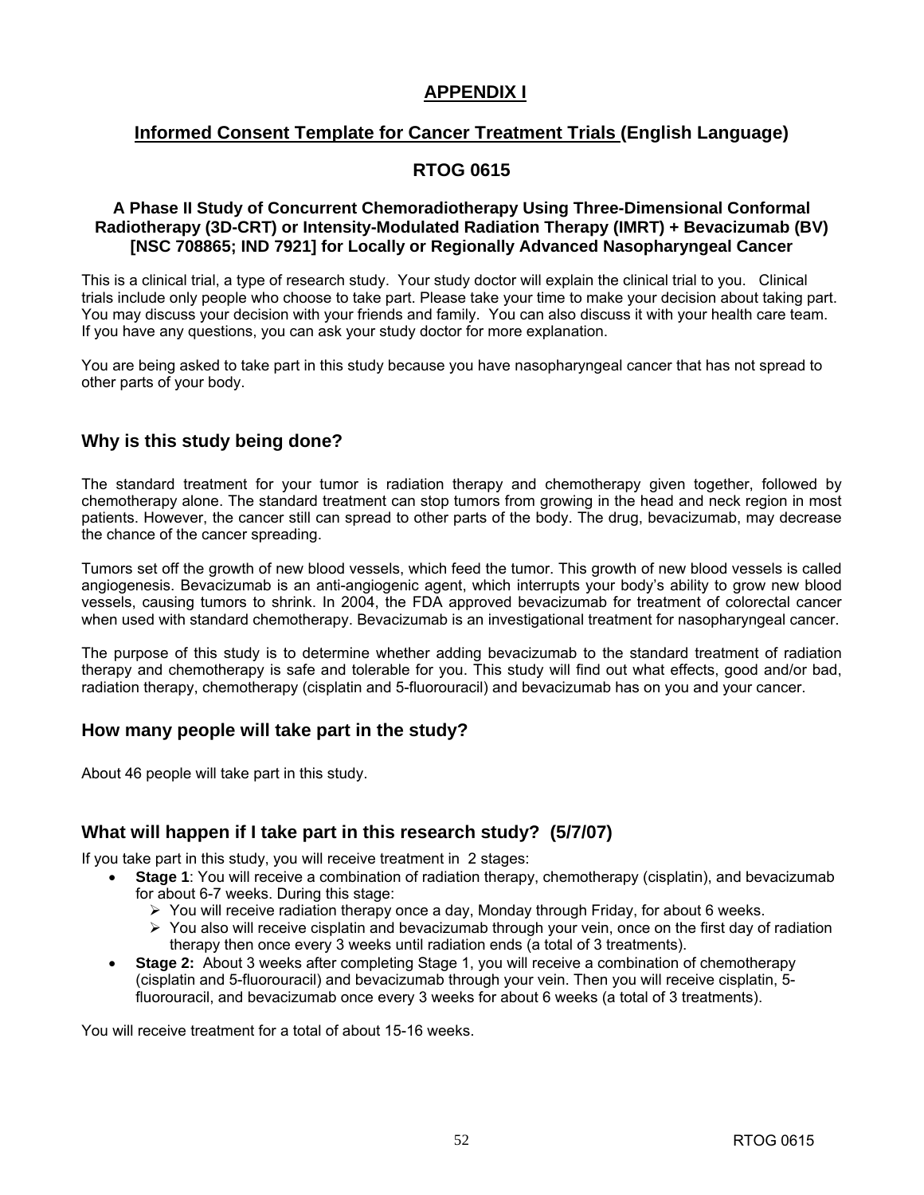# **APPENDIX I**

# **Informed Consent Template for Cancer Treatment Trials (English Language)**

# **RTOG 0615**

### **A Phase II Study of Concurrent Chemoradiotherapy Using Three-Dimensional Conformal Radiotherapy (3D-CRT) or Intensity-Modulated Radiation Therapy (IMRT) + Bevacizumab (BV) [NSC 708865; IND 7921] for Locally or Regionally Advanced Nasopharyngeal Cancer**

This is a clinical trial, a type of research study. Your study doctor will explain the clinical trial to you. Clinical trials include only people who choose to take part. Please take your time to make your decision about taking part. You may discuss your decision with your friends and family. You can also discuss it with your health care team. If you have any questions, you can ask your study doctor for more explanation.

You are being asked to take part in this study because you have nasopharyngeal cancer that has not spread to other parts of your body.

# **Why is this study being done?**

The standard treatment for your tumor is radiation therapy and chemotherapy given together, followed by chemotherapy alone. The standard treatment can stop tumors from growing in the head and neck region in most patients. However, the cancer still can spread to other parts of the body. The drug, bevacizumab, may decrease the chance of the cancer spreading.

Tumors set off the growth of new blood vessels, which feed the tumor. This growth of new blood vessels is called angiogenesis. Bevacizumab is an anti-angiogenic agent, which interrupts your body's ability to grow new blood vessels, causing tumors to shrink. In 2004, the FDA approved bevacizumab for treatment of colorectal cancer when used with standard chemotherapy. Bevacizumab is an investigational treatment for nasopharyngeal cancer.

The purpose of this study is to determine whether adding bevacizumab to the standard treatment of radiation therapy and chemotherapy is safe and tolerable for you. This study will find out what effects, good and/or bad, radiation therapy, chemotherapy (cisplatin and 5-fluorouracil) and bevacizumab has on you and your cancer.

# **How many people will take part in the study?**

About 46 people will take part in this study.

# **What will happen if I take part in this research study? (5/7/07)**

If you take part in this study, you will receive treatment in 2 stages:

- **Stage 1**: You will receive a combination of radiation therapy, chemotherapy (cisplatin), and bevacizumab for about 6-7 weeks. During this stage:
	- $\triangleright$  You will receive radiation therapy once a day, Monday through Friday, for about 6 weeks.
	- $\triangleright$  You also will receive cisplatin and bevacizumab through your vein, once on the first day of radiation therapy then once every 3 weeks until radiation ends (a total of 3 treatments).
- **Stage 2:** About 3 weeks after completing Stage 1, you will receive a combination of chemotherapy (cisplatin and 5-fluorouracil) and bevacizumab through your vein. Then you will receive cisplatin, 5 fluorouracil, and bevacizumab once every 3 weeks for about 6 weeks (a total of 3 treatments).

You will receive treatment for a total of about 15-16 weeks.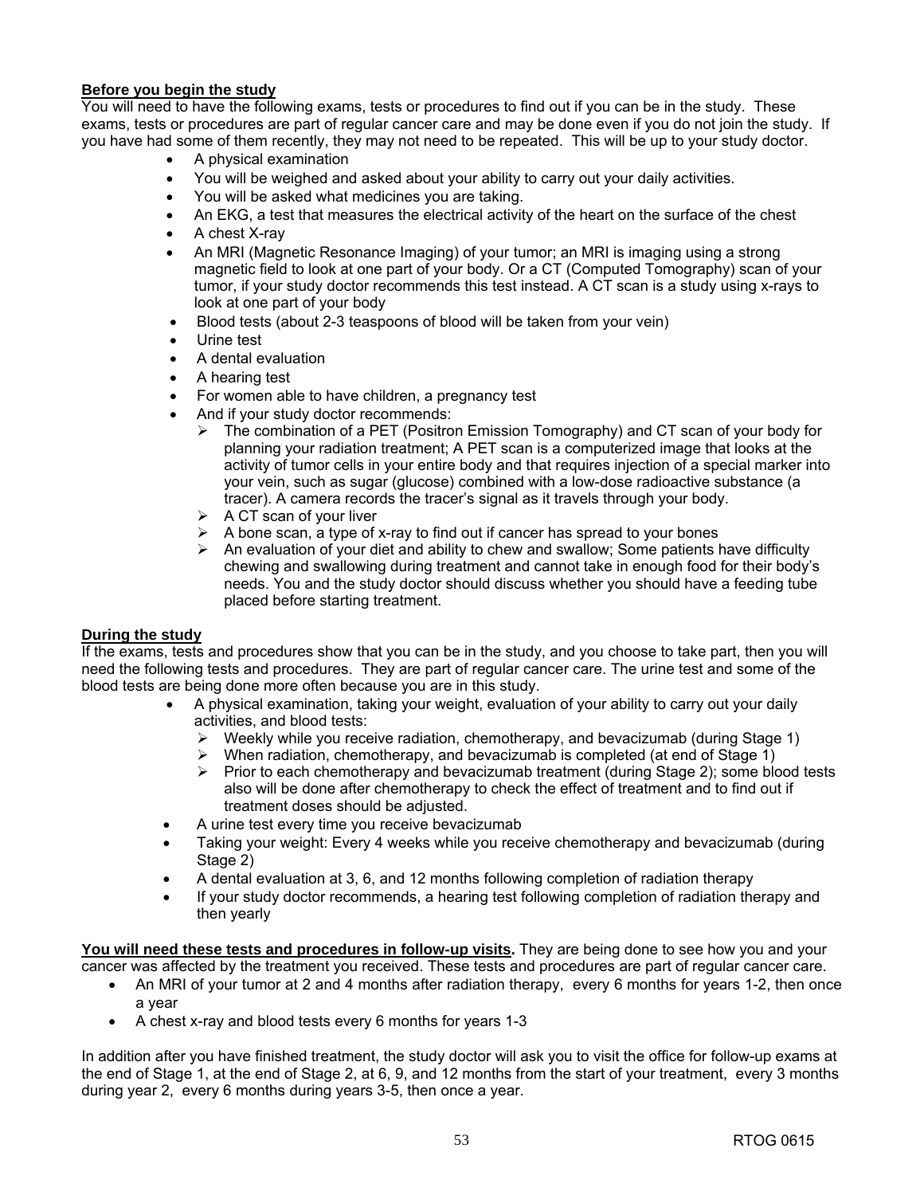### **Before you begin the study**

You will need to have the following exams, tests or procedures to find out if you can be in the study. These exams, tests or procedures are part of regular cancer care and may be done even if you do not join the study. If you have had some of them recently, they may not need to be repeated. This will be up to your study doctor.

- A physical examination
- You will be weighed and asked about your ability to carry out your daily activities.
- You will be asked what medicines you are taking.
- An EKG, a test that measures the electrical activity of the heart on the surface of the chest
- A chest X-ray
- An MRI (Magnetic Resonance Imaging) of your tumor; an MRI is imaging using a strong magnetic field to look at one part of your body. Or a CT (Computed Tomography) scan of your tumor, if your study doctor recommends this test instead. A CT scan is a study using x-rays to look at one part of your body
- Blood tests (about 2-3 teaspoons of blood will be taken from your vein)
- Urine test
- A dental evaluation
- A hearing test
- For women able to have children, a pregnancy test
- And if your study doctor recommends:
	- ¾ The combination of a PET (Positron Emission Tomography) and CT scan of your body for planning your radiation treatment; A PET scan is a computerized image that looks at the activity of tumor cells in your entire body and that requires injection of a special marker into your vein, such as sugar (glucose) combined with a low-dose radioactive substance (a tracer). A camera records the tracer's signal as it travels through your body.
	- $\triangleright$  A CT scan of your liver
	- $\triangleright$  A bone scan, a type of x-ray to find out if cancer has spread to your bones
	- $\triangleright$  An evaluation of your diet and ability to chew and swallow; Some patients have difficulty chewing and swallowing during treatment and cannot take in enough food for their body's needs. You and the study doctor should discuss whether you should have a feeding tube placed before starting treatment.

### **During the study**

If the exams, tests and procedures show that you can be in the study, and you choose to take part, then you will need the following tests and procedures. They are part of regular cancer care. The urine test and some of the blood tests are being done more often because you are in this study.

- A physical examination, taking your weight, evaluation of your ability to carry out your daily activities, and blood tests:
	- ¾ Weekly while you receive radiation, chemotherapy, and bevacizumab (during Stage 1)
	- When radiation, chemotherapy, and bevacizumab is completed (at end of Stage 1)
	- $\triangleright$  Prior to each chemotherapy and bevacizumab treatment (during Stage 2); some blood tests also will be done after chemotherapy to check the effect of treatment and to find out if treatment doses should be adjusted.
- A urine test every time you receive bevacizumab
- Taking your weight: Every 4 weeks while you receive chemotherapy and bevacizumab (during Stage 2)
- A dental evaluation at 3, 6, and 12 months following completion of radiation therapy
- If your study doctor recommends, a hearing test following completion of radiation therapy and then yearly

**You will need these tests and procedures in follow-up visits.** They are being done to see how you and your cancer was affected by the treatment you received. These tests and procedures are part of regular cancer care.

- An MRI of your tumor at 2 and 4 months after radiation therapy, every 6 months for years 1-2, then once a year
- A chest x-ray and blood tests every 6 months for years 1-3

In addition after you have finished treatment, the study doctor will ask you to visit the office for follow-up exams at the end of Stage 1, at the end of Stage 2, at 6, 9, and 12 months from the start of your treatment, every 3 months during year 2, every 6 months during years 3-5, then once a year.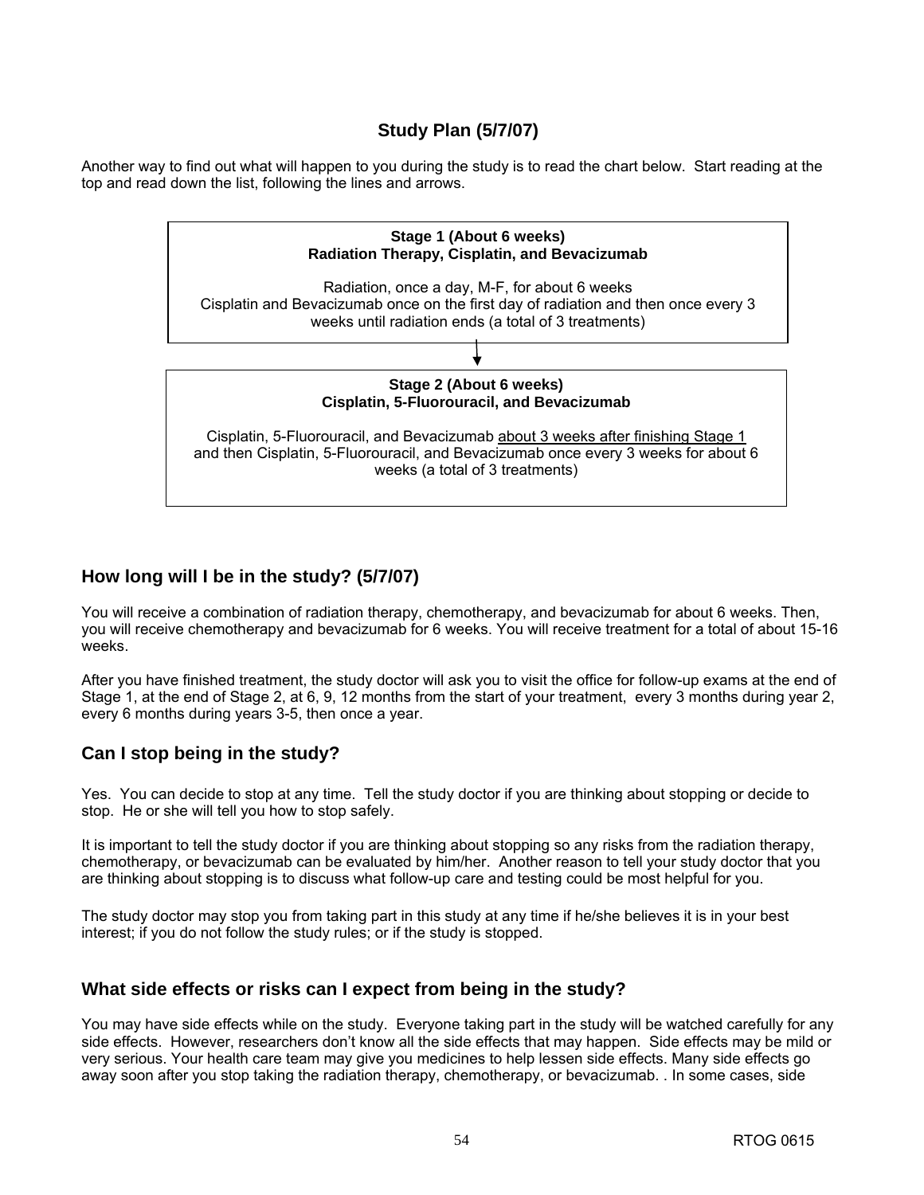# **Study Plan (5/7/07)**

Another way to find out what will happen to you during the study is to read the chart below. Start reading at the top and read down the list, following the lines and arrows.



# **How long will I be in the study? (5/7/07)**

You will receive a combination of radiation therapy, chemotherapy, and bevacizumab for about 6 weeks. Then, you will receive chemotherapy and bevacizumab for 6 weeks. You will receive treatment for a total of about 15-16 weeks.

After you have finished treatment, the study doctor will ask you to visit the office for follow-up exams at the end of Stage 1, at the end of Stage 2, at 6, 9, 12 months from the start of your treatment, every 3 months during year 2, every 6 months during years 3-5, then once a year.

# **Can I stop being in the study?**

Yes. You can decide to stop at any time. Tell the study doctor if you are thinking about stopping or decide to stop. He or she will tell you how to stop safely.

It is important to tell the study doctor if you are thinking about stopping so any risks from the radiation therapy, chemotherapy, or bevacizumab can be evaluated by him/her. Another reason to tell your study doctor that you are thinking about stopping is to discuss what follow-up care and testing could be most helpful for you.

The study doctor may stop you from taking part in this study at any time if he/she believes it is in your best interest; if you do not follow the study rules; or if the study is stopped.

# **What side effects or risks can I expect from being in the study?**

You may have side effects while on the study. Everyone taking part in the study will be watched carefully for any side effects. However, researchers don't know all the side effects that may happen. Side effects may be mild or very serious. Your health care team may give you medicines to help lessen side effects. Many side effects go away soon after you stop taking the radiation therapy, chemotherapy, or bevacizumab. . In some cases, side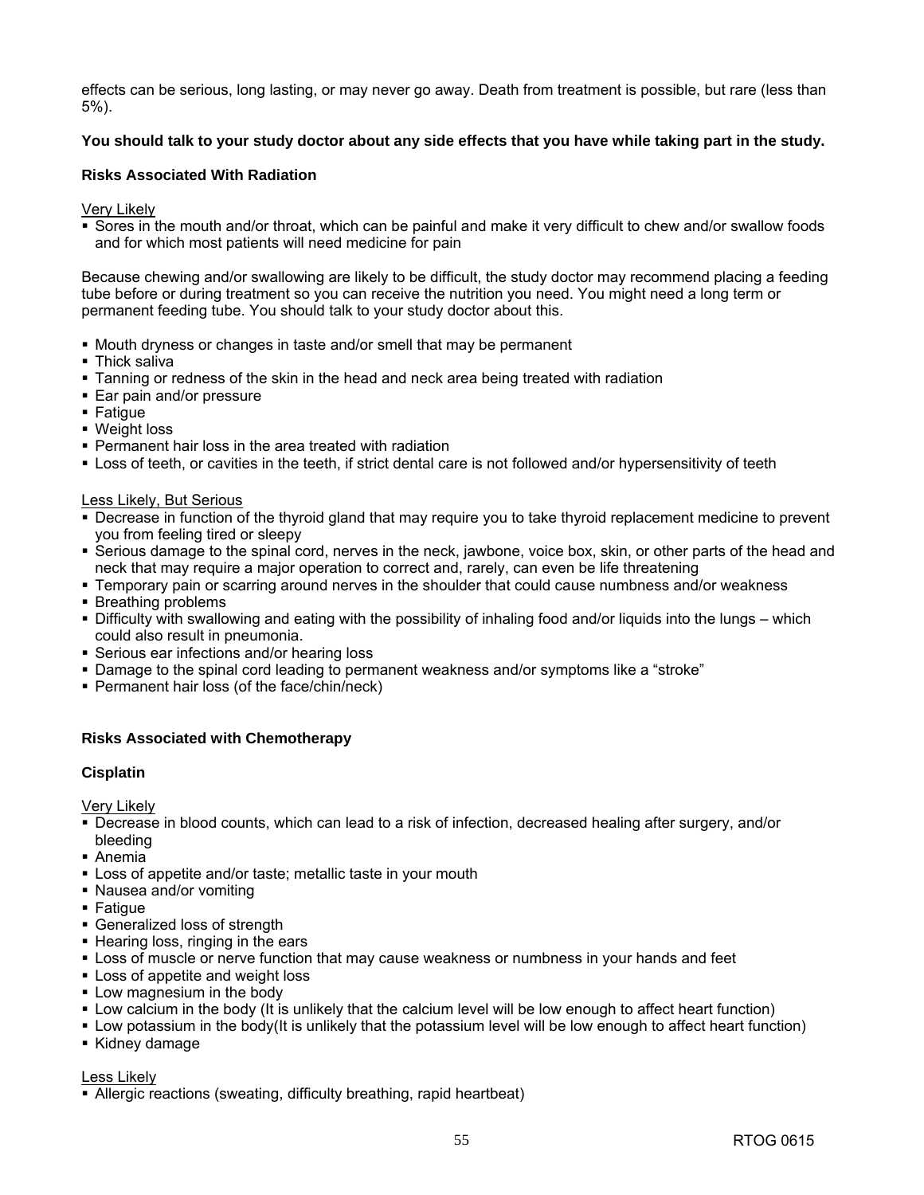effects can be serious, long lasting, or may never go away. Death from treatment is possible, but rare (less than 5%).

### **You should talk to your study doctor about any side effects that you have while taking part in the study.**

### **Risks Associated With Radiation**

Very Likely

 Sores in the mouth and/or throat, which can be painful and make it very difficult to chew and/or swallow foods and for which most patients will need medicine for pain

Because chewing and/or swallowing are likely to be difficult, the study doctor may recommend placing a feeding tube before or during treatment so you can receive the nutrition you need. You might need a long term or permanent feeding tube. You should talk to your study doctor about this.

- Mouth dryness or changes in taste and/or smell that may be permanent
- **Thick saliva**
- Tanning or redness of the skin in the head and neck area being treated with radiation
- **Ear pain and/or pressure**
- Fatigue
- Weight loss
- Permanent hair loss in the area treated with radiation
- Loss of teeth, or cavities in the teeth, if strict dental care is not followed and/or hypersensitivity of teeth

Less Likely, But Serious

- Decrease in function of the thyroid gland that may require you to take thyroid replacement medicine to prevent you from feeling tired or sleepy
- Serious damage to the spinal cord, nerves in the neck, jawbone, voice box, skin, or other parts of the head and neck that may require a major operation to correct and, rarely, can even be life threatening
- Temporary pain or scarring around nerves in the shoulder that could cause numbness and/or weakness
- Breathing problems
- Difficulty with swallowing and eating with the possibility of inhaling food and/or liquids into the lungs which could also result in pneumonia.
- Serious ear infections and/or hearing loss
- Damage to the spinal cord leading to permanent weakness and/or symptoms like a "stroke"
- **Permanent hair loss (of the face/chin/neck)**

### **Risks Associated with Chemotherapy**

### **Cisplatin**

Very Likely

- Decrease in blood counts, which can lead to a risk of infection, decreased healing after surgery, and/or bleeding
- Anemia
- Loss of appetite and/or taste; metallic taste in your mouth
- Nausea and/or vomiting
- $\blacksquare$  Fatigue
- Generalized loss of strength
- Hearing loss, ringing in the ears
- Loss of muscle or nerve function that may cause weakness or numbness in your hands and feet
- Loss of appetite and weight loss
- **Low magnesium in the body**
- Low calcium in the body (It is unlikely that the calcium level will be low enough to affect heart function)
- Low potassium in the body(It is unlikely that the potassium level will be low enough to affect heart function)
- Kidney damage

#### Less Likely

Allergic reactions (sweating, difficulty breathing, rapid heartbeat)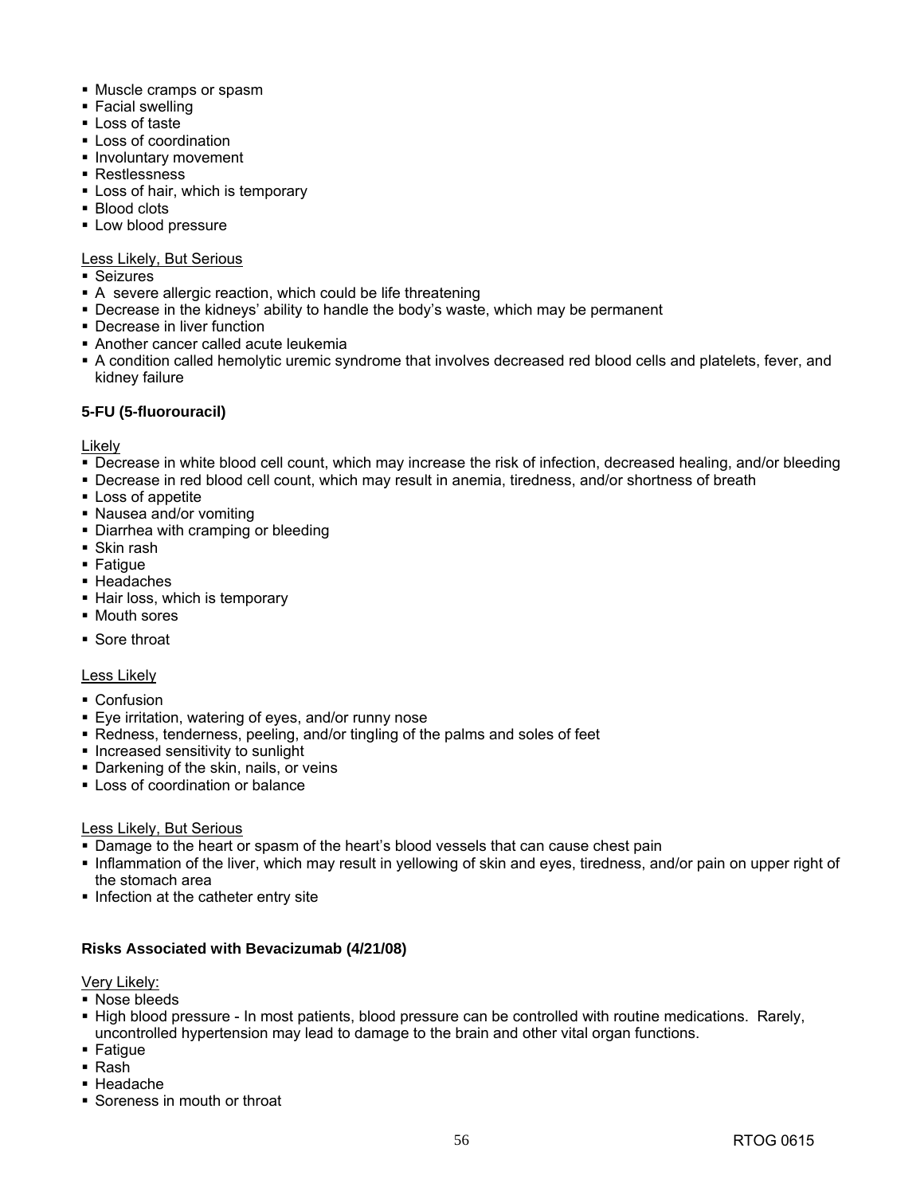- Muscle cramps or spasm
- **Facial swelling**
- **Loss of taste**
- **Loss of coordination**
- **Involuntary movement**
- Restlessness
- **-** Loss of hair, which is temporary
- Blood clots
- **Low blood pressure**

### Less Likely, But Serious

- Seizures
- A severe allergic reaction, which could be life threatening
- Decrease in the kidneys' ability to handle the body's waste, which may be permanent
- Decrease in liver function
- Another cancer called acute leukemia
- A condition called hemolytic uremic syndrome that involves decreased red blood cells and platelets, fever, and kidney failure

### **5-FU (5-fluorouracil)**

Likely

- Decrease in white blood cell count, which may increase the risk of infection, decreased healing, and/or bleeding
- Decrease in red blood cell count, which may result in anemia, tiredness, and/or shortness of breath
- **Loss of appetite**
- Nausea and/or vomiting
- Diarrhea with cramping or bleeding
- Skin rash
- Fatigue
- Headaches
- Hair loss, which is temporary
- Mouth sores
- Sore throat

### Less Likely

- Confusion
- Eye irritation, watering of eyes, and/or runny nose
- Redness, tenderness, peeling, and/or tingling of the palms and soles of feet
- **Increased sensitivity to sunlight**
- **Darkening of the skin, nails, or veins**
- **Loss of coordination or balance**

### Less Likely, But Serious

- **-** Damage to the heart or spasm of the heart's blood vessels that can cause chest pain
- Inflammation of the liver, which may result in yellowing of skin and eyes, tiredness, and/or pain on upper right of the stomach area
- Infection at the catheter entry site

### **Risks Associated with Bevacizumab (4/21/08)**

Very Likely:

- Nose bleeds
- High blood pressure In most patients, blood pressure can be controlled with routine medications. Rarely, uncontrolled hypertension may lead to damage to the brain and other vital organ functions.
- $\blacksquare$  Fatigue
- Rash
- Headache
- Soreness in mouth or throat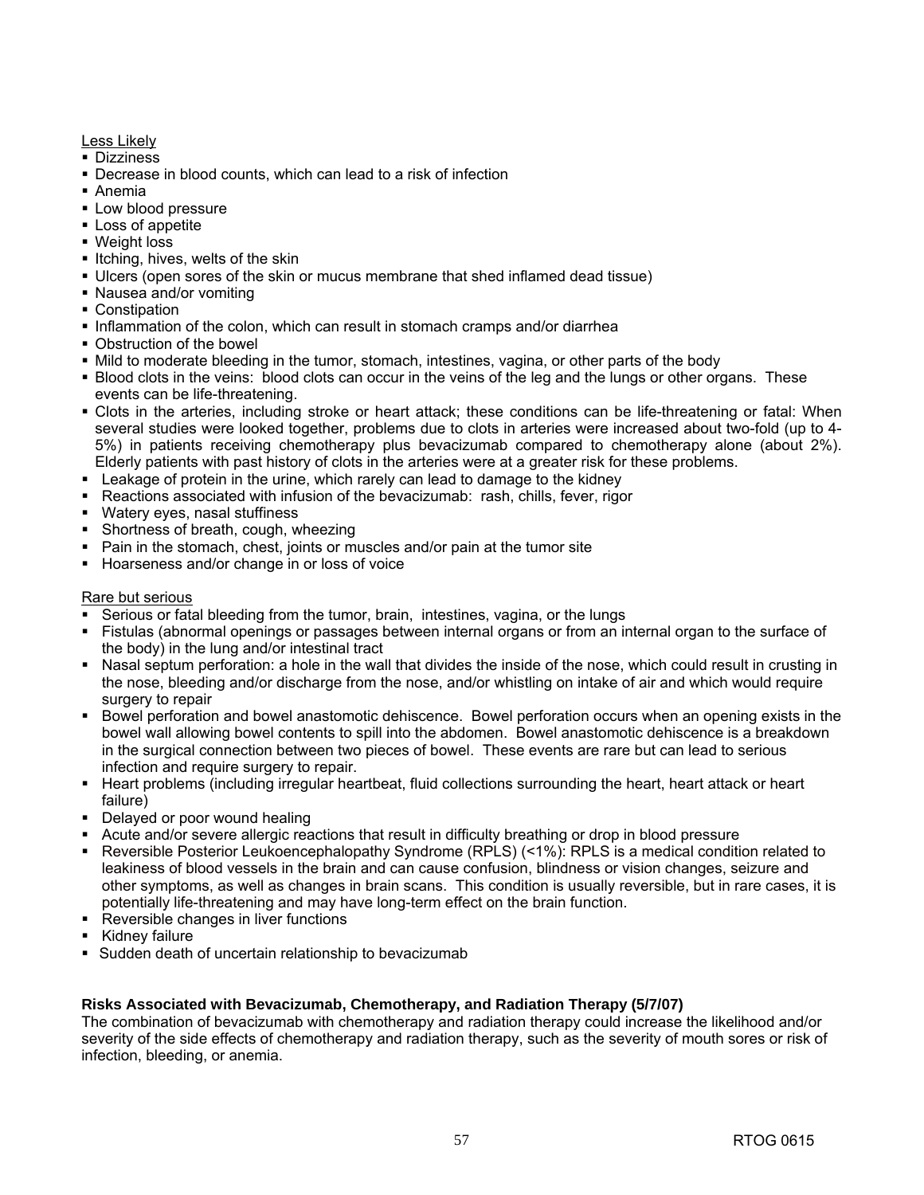Less Likely

- **Dizziness**
- Decrease in blood counts, which can lead to a risk of infection
- Anemia
- **Low blood pressure**
- **Loss of appetite**
- Weight loss
- Itching, hives, welts of the skin
- Ulcers (open sores of the skin or mucus membrane that shed inflamed dead tissue)
- Nausea and/or vomiting
- Constipation
- Inflammation of the colon, which can result in stomach cramps and/or diarrhea
- Obstruction of the bowel
- Mild to moderate bleeding in the tumor, stomach, intestines, vagina, or other parts of the body
- Blood clots in the veins: blood clots can occur in the veins of the leg and the lungs or other organs. These events can be life-threatening.
- Clots in the arteries, including stroke or heart attack; these conditions can be life-threatening or fatal: When several studies were looked together, problems due to clots in arteries were increased about two-fold (up to 4- 5%) in patients receiving chemotherapy plus bevacizumab compared to chemotherapy alone (about 2%). Elderly patients with past history of clots in the arteries were at a greater risk for these problems.
- Leakage of protein in the urine, which rarely can lead to damage to the kidney
- Reactions associated with infusion of the bevacizumab: rash, chills, fever, rigor
- Watery eyes, nasal stuffiness
- Shortness of breath, cough, wheezing
- Pain in the stomach, chest, joints or muscles and/or pain at the tumor site
- Hoarseness and/or change in or loss of voice

### Rare but serious

- Serious or fatal bleeding from the tumor, brain, intestines, vagina, or the lungs
- Fistulas (abnormal openings or passages between internal organs or from an internal organ to the surface of the body) in the lung and/or intestinal tract
- Nasal septum perforation: a hole in the wall that divides the inside of the nose, which could result in crusting in the nose, bleeding and/or discharge from the nose, and/or whistling on intake of air and which would require surgery to repair
- Bowel perforation and bowel anastomotic dehiscence. Bowel perforation occurs when an opening exists in the bowel wall allowing bowel contents to spill into the abdomen. Bowel anastomotic dehiscence is a breakdown in the surgical connection between two pieces of bowel. These events are rare but can lead to serious infection and require surgery to repair.
- Heart problems (including irregular heartbeat, fluid collections surrounding the heart, heart attack or heart failure)
- Delayed or poor wound healing
- Acute and/or severe allergic reactions that result in difficulty breathing or drop in blood pressure
- Reversible Posterior Leukoencephalopathy Syndrome (RPLS) (<1%): RPLS is a medical condition related to leakiness of blood vessels in the brain and can cause confusion, blindness or vision changes, seizure and other symptoms, as well as changes in brain scans. This condition is usually reversible, but in rare cases, it is potentially life-threatening and may have long-term effect on the brain function.
- **Reversible changes in liver functions**
- Kidney failure
- Sudden death of uncertain relationship to bevacizumab

### **Risks Associated with Bevacizumab, Chemotherapy, and Radiation Therapy (5/7/07)**

The combination of bevacizumab with chemotherapy and radiation therapy could increase the likelihood and/or severity of the side effects of chemotherapy and radiation therapy, such as the severity of mouth sores or risk of infection, bleeding, or anemia.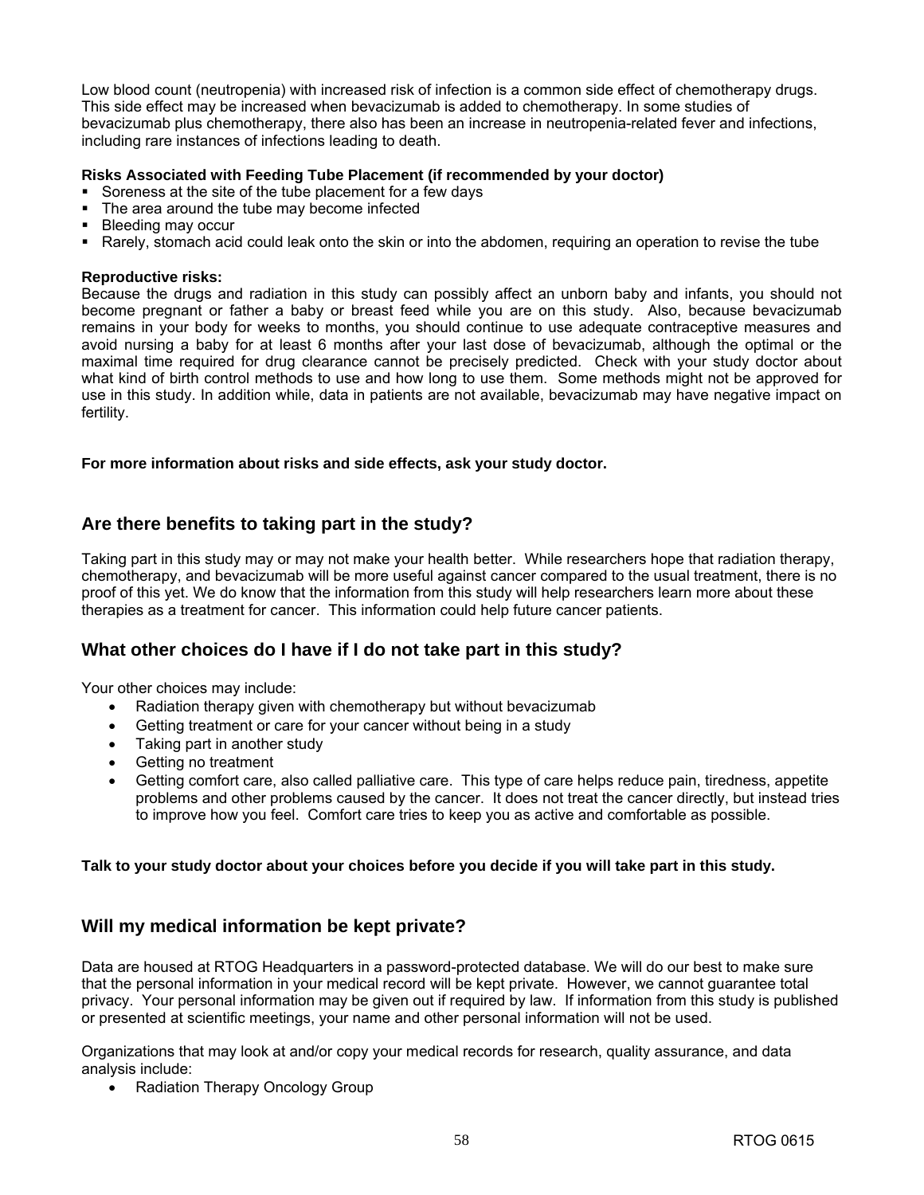Low blood count (neutropenia) with increased risk of infection is a common side effect of chemotherapy drugs. This side effect may be increased when bevacizumab is added to chemotherapy. In some studies of bevacizumab plus chemotherapy, there also has been an increase in neutropenia-related fever and infections, including rare instances of infections leading to death.

### **Risks Associated with Feeding Tube Placement (if recommended by your doctor)**

- Soreness at the site of the tube placement for a few days
- The area around the tube may become infected
- **Bleeding may occur**
- Rarely, stomach acid could leak onto the skin or into the abdomen, requiring an operation to revise the tube

#### **Reproductive risks:**

Because the drugs and radiation in this study can possibly affect an unborn baby and infants, you should not become pregnant or father a baby or breast feed while you are on this study. Also, because bevacizumab remains in your body for weeks to months, you should continue to use adequate contraceptive measures and avoid nursing a baby for at least 6 months after your last dose of bevacizumab, although the optimal or the maximal time required for drug clearance cannot be precisely predicted. Check with your study doctor about what kind of birth control methods to use and how long to use them. Some methods might not be approved for use in this study. In addition while, data in patients are not available, bevacizumab may have negative impact on fertility.

### **For more information about risks and side effects, ask your study doctor.**

# **Are there benefits to taking part in the study?**

Taking part in this study may or may not make your health better. While researchers hope that radiation therapy, chemotherapy, and bevacizumab will be more useful against cancer compared to the usual treatment, there is no proof of this yet. We do know that the information from this study will help researchers learn more about these therapies as a treatment for cancer. This information could help future cancer patients.

# **What other choices do I have if I do not take part in this study?**

Your other choices may include:

- Radiation therapy given with chemotherapy but without bevacizumab
- Getting treatment or care for your cancer without being in a study
- Taking part in another study
- Getting no treatment
- Getting comfort care, also called palliative care. This type of care helps reduce pain, tiredness, appetite problems and other problems caused by the cancer. It does not treat the cancer directly, but instead tries to improve how you feel. Comfort care tries to keep you as active and comfortable as possible.

### **Talk to your study doctor about your choices before you decide if you will take part in this study.**

# **Will my medical information be kept private?**

Data are housed at RTOG Headquarters in a password-protected database. We will do our best to make sure that the personal information in your medical record will be kept private. However, we cannot guarantee total privacy. Your personal information may be given out if required by law. If information from this study is published or presented at scientific meetings, your name and other personal information will not be used.

Organizations that may look at and/or copy your medical records for research, quality assurance, and data analysis include:

• Radiation Therapy Oncology Group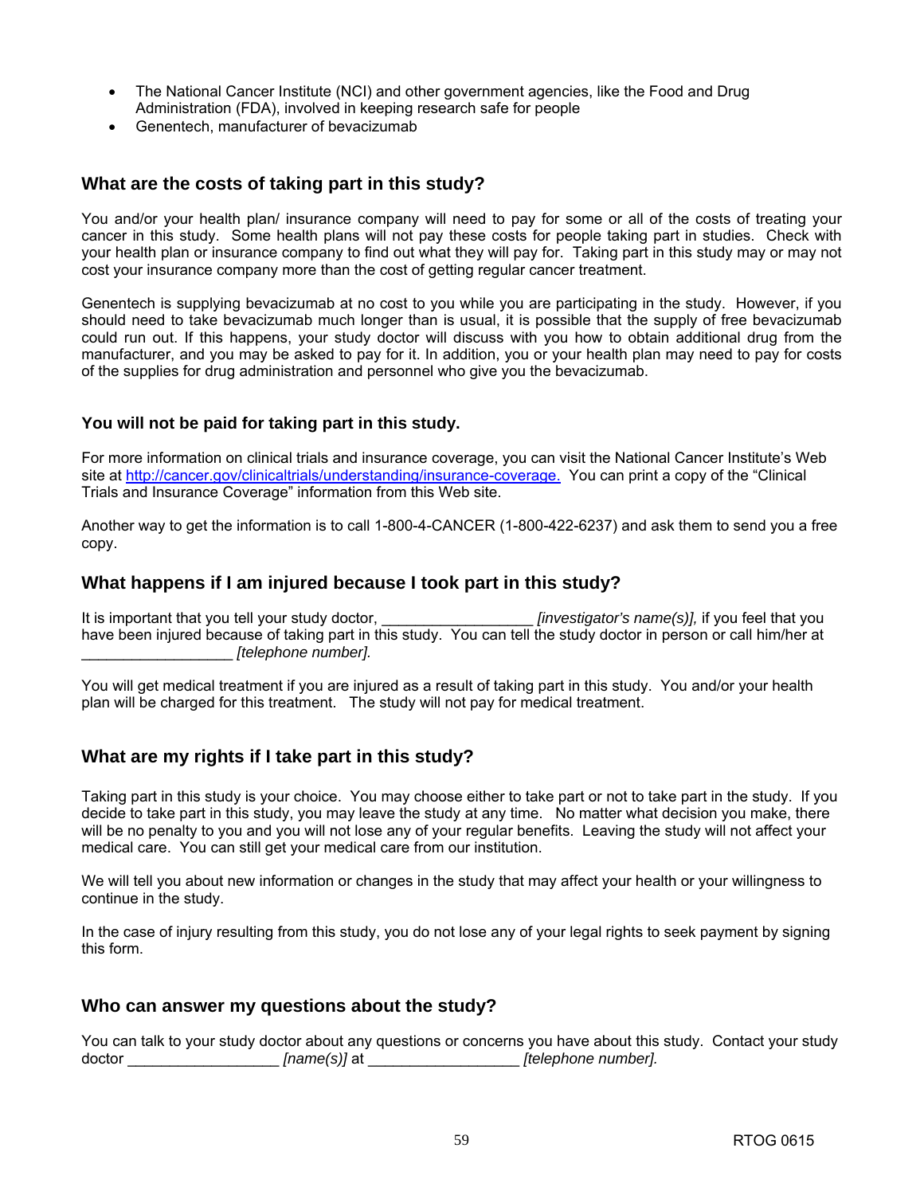- The National Cancer Institute (NCI) and other government agencies, like the Food and Drug Administration (FDA), involved in keeping research safe for people
- Genentech, manufacturer of bevacizumab

### **What are the costs of taking part in this study?**

You and/or your health plan/ insurance company will need to pay for some or all of the costs of treating your cancer in this study. Some health plans will not pay these costs for people taking part in studies. Check with your health plan or insurance company to find out what they will pay for. Taking part in this study may or may not cost your insurance company more than the cost of getting regular cancer treatment.

Genentech is supplying bevacizumab at no cost to you while you are participating in the study. However, if you should need to take bevacizumab much longer than is usual, it is possible that the supply of free bevacizumab could run out. If this happens, your study doctor will discuss with you how to obtain additional drug from the manufacturer, and you may be asked to pay for it. In addition, you or your health plan may need to pay for costs of the supplies for drug administration and personnel who give you the bevacizumab.

### **You will not be paid for taking part in this study.**

For more information on clinical trials and insurance coverage, you can visit the National Cancer Institute's Web site at [http://cancer.gov/clinicaltrials/understanding/insurance-coverage.](http://cancer.gov/clinicaltrials/understanding/insurance-coverage) You can print a copy of the "Clinical Trials and Insurance Coverage" information from this Web site.

Another way to get the information is to call 1-800-4-CANCER (1-800-422-6237) and ask them to send you a free copy.

### **What happens if I am injured because I took part in this study?**

It is important that you tell your study doctor,  $\blacksquare$  *[investigator's name(s)],* if you feel that you have been injured because of taking part in this study. You can tell the study doctor in person or call him/her at \_\_\_\_\_\_\_\_\_\_\_\_\_\_\_\_\_\_ *[telephone number].*

You will get medical treatment if you are injured as a result of taking part in this study. You and/or your health plan will be charged for this treatment. The study will not pay for medical treatment.

# **What are my rights if I take part in this study?**

Taking part in this study is your choice. You may choose either to take part or not to take part in the study. If you decide to take part in this study, you may leave the study at any time. No matter what decision you make, there will be no penalty to you and you will not lose any of your regular benefits. Leaving the study will not affect your medical care. You can still get your medical care from our institution.

We will tell you about new information or changes in the study that may affect your health or your willingness to continue in the study.

In the case of injury resulting from this study, you do not lose any of your legal rights to seek payment by signing this form.

### **Who can answer my questions about the study?**

You can talk to your study doctor about any questions or concerns you have about this study. Contact your study doctor \_\_\_\_\_\_\_\_\_\_\_\_\_\_\_\_\_\_ *[name(s)]* at \_\_\_\_\_\_\_\_\_\_\_\_\_\_\_\_\_\_ *[telephone number].*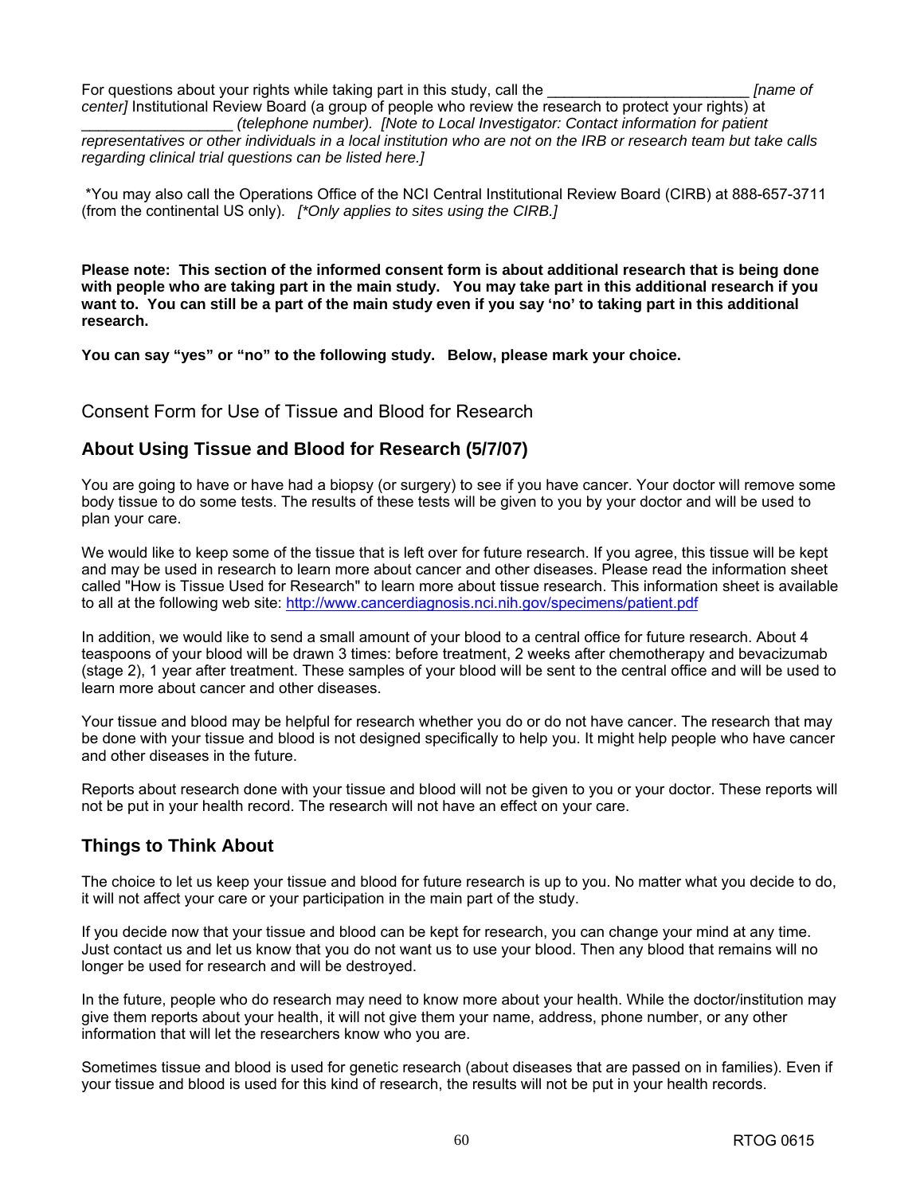For questions about your rights while taking part in this study, call the \_\_\_\_\_\_\_\_\_\_\_\_\_\_\_\_\_\_\_\_\_\_\_\_ *[name of center]* Institutional Review Board (a group of people who review the research to protect your rights) at

\_\_\_\_\_\_\_\_\_\_\_\_\_\_\_\_\_\_ *(telephone number). [Note to Local Investigator: Contact information for patient representatives or other individuals in a local institution who are not on the IRB or research team but take calls regarding clinical trial questions can be listed here.]* 

\*You may also call the Operations Office of the NCI Central Institutional Review Board (CIRB) at 888-657-3711 (from the continental US only). *[\*Only applies to sites using the CIRB.]* 

**Please note: This section of the informed consent form is about additional research that is being done with people who are taking part in the main study. You may take part in this additional research if you want to. You can still be a part of the main study even if you say 'no' to taking part in this additional research.** 

**You can say "yes" or "no" to the following study. Below, please mark your choice.** 

Consent Form for Use of Tissue and Blood for Research

# **About Using Tissue and Blood for Research (5/7/07)**

You are going to have or have had a biopsy (or surgery) to see if you have cancer. Your doctor will remove some body tissue to do some tests. The results of these tests will be given to you by your doctor and will be used to plan your care.

We would like to keep some of the tissue that is left over for future research. If you agree, this tissue will be kept and may be used in research to learn more about cancer and other diseases. Please read the information sheet called "How is Tissue Used for Research" to learn more about tissue research. This information sheet is available to all at the following web site: <http://www.cancerdiagnosis.nci.nih.gov/specimens/patient.pdf>

In addition, we would like to send a small amount of your blood to a central office for future research. About 4 teaspoons of your blood will be drawn 3 times: before treatment, 2 weeks after chemotherapy and bevacizumab (stage 2), 1 year after treatment. These samples of your blood will be sent to the central office and will be used to learn more about cancer and other diseases.

Your tissue and blood may be helpful for research whether you do or do not have cancer. The research that may be done with your tissue and blood is not designed specifically to help you. It might help people who have cancer and other diseases in the future.

Reports about research done with your tissue and blood will not be given to you or your doctor. These reports will not be put in your health record. The research will not have an effect on your care.

# **Things to Think About**

The choice to let us keep your tissue and blood for future research is up to you. No matter what you decide to do, it will not affect your care or your participation in the main part of the study.

If you decide now that your tissue and blood can be kept for research, you can change your mind at any time. Just contact us and let us know that you do not want us to use your blood. Then any blood that remains will no longer be used for research and will be destroyed.

In the future, people who do research may need to know more about your health. While the doctor/institution may give them reports about your health, it will not give them your name, address, phone number, or any other information that will let the researchers know who you are.

Sometimes tissue and blood is used for genetic research (about diseases that are passed on in families). Even if your tissue and blood is used for this kind of research, the results will not be put in your health records.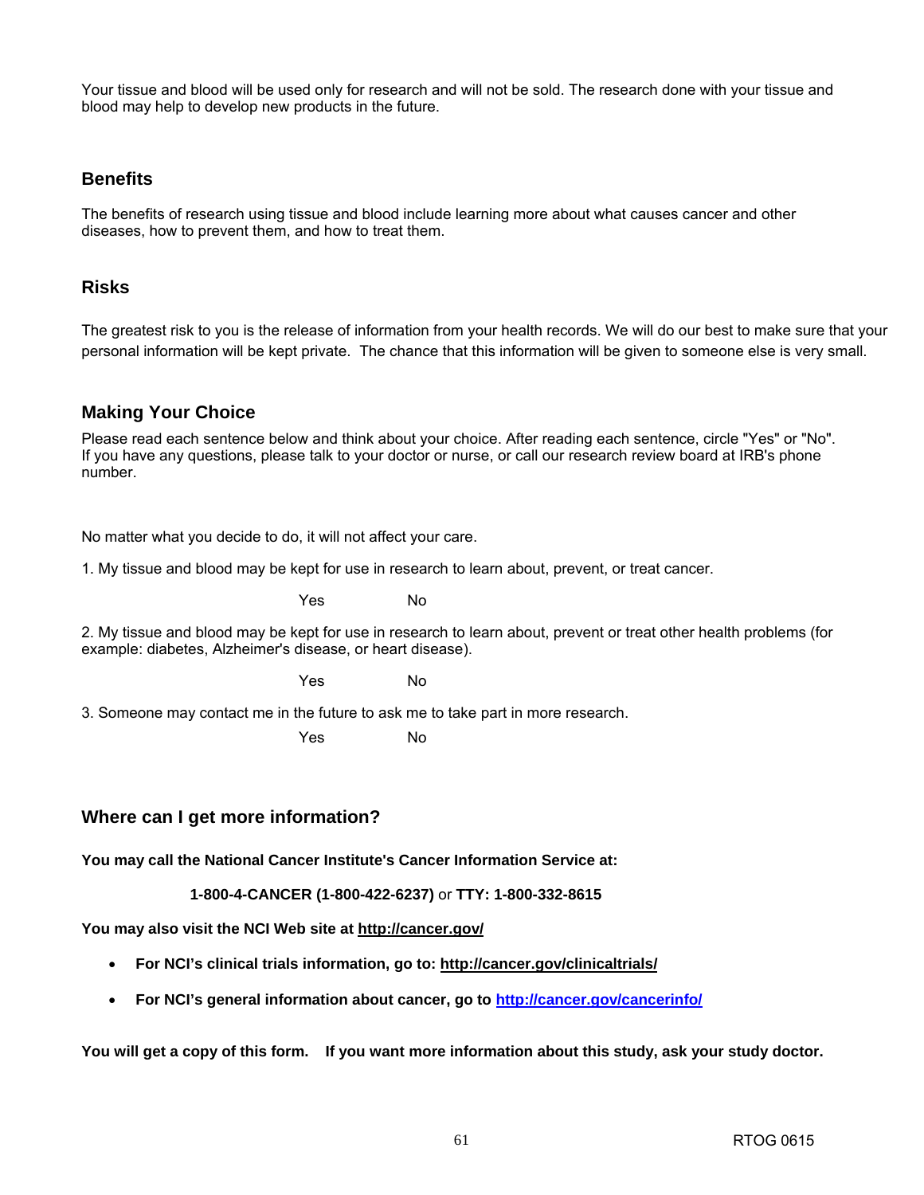Your tissue and blood will be used only for research and will not be sold. The research done with your tissue and blood may help to develop new products in the future.

# **Benefits**

The benefits of research using tissue and blood include learning more about what causes cancer and other diseases, how to prevent them, and how to treat them.

### **Risks**

The greatest risk to you is the release of information from your health records. We will do our best to make sure that your personal information will be kept private. The chance that this information will be given to someone else is very small.

# **Making Your Choice**

Please read each sentence below and think about your choice. After reading each sentence, circle "Yes" or "No". If you have any questions, please talk to your doctor or nurse, or call our research review board at IRB's phone number.

No matter what you decide to do, it will not affect your care.

1. My tissue and blood may be kept for use in research to learn about, prevent, or treat cancer.

Yes No

2. My tissue and blood may be kept for use in research to learn about, prevent or treat other health problems (for example: diabetes, Alzheimer's disease, or heart disease).

Yes No

3. Someone may contact me in the future to ask me to take part in more research.

Yes No

# **Where can I get more information?**

**You may call the National Cancer Institute's Cancer Information Service at:** 

**1-800-4-CANCER (1-800-422-6237)** or **TTY: 1-800-332-8615**

**You may also visit the NCI Web site at [http://cancer.gov/](http://cancer.gov)**

- **For NCI's clinical trials information, go to: [http://cancer.gov/clinicaltrials/](http://cancer.gov/clinicaltrials)**
- **For NCI's general information about cancer, go to [http://cancer.gov/cancerinfo/](http://cancer.gov/cancerinfo)**

**You will get a copy of this form. If you want more information about this study, ask your study doctor.**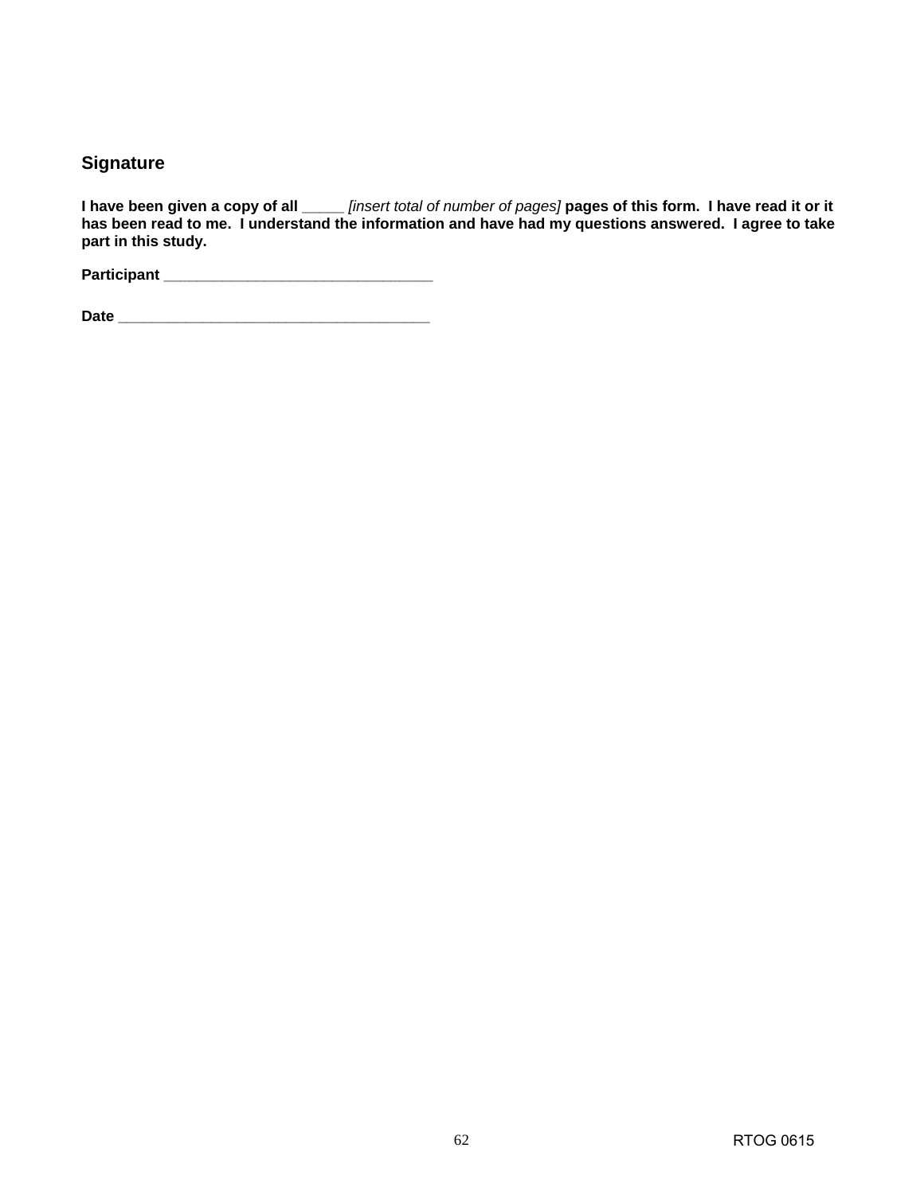# **Signature**

**I have been given a copy of all \_\_\_\_\_** *[insert total of number of pages]* **pages of this form. I have read it or it has been read to me. I understand the information and have had my questions answered. I agree to take part in this study.** 

**Participant \_\_\_\_\_\_\_\_\_\_\_\_\_\_\_\_\_\_\_\_\_\_\_\_\_\_\_\_\_\_\_\_** 

**Date \_\_\_\_\_\_\_\_\_\_\_\_\_\_\_\_\_\_\_\_\_\_\_\_\_\_\_\_\_\_\_\_\_\_\_\_\_**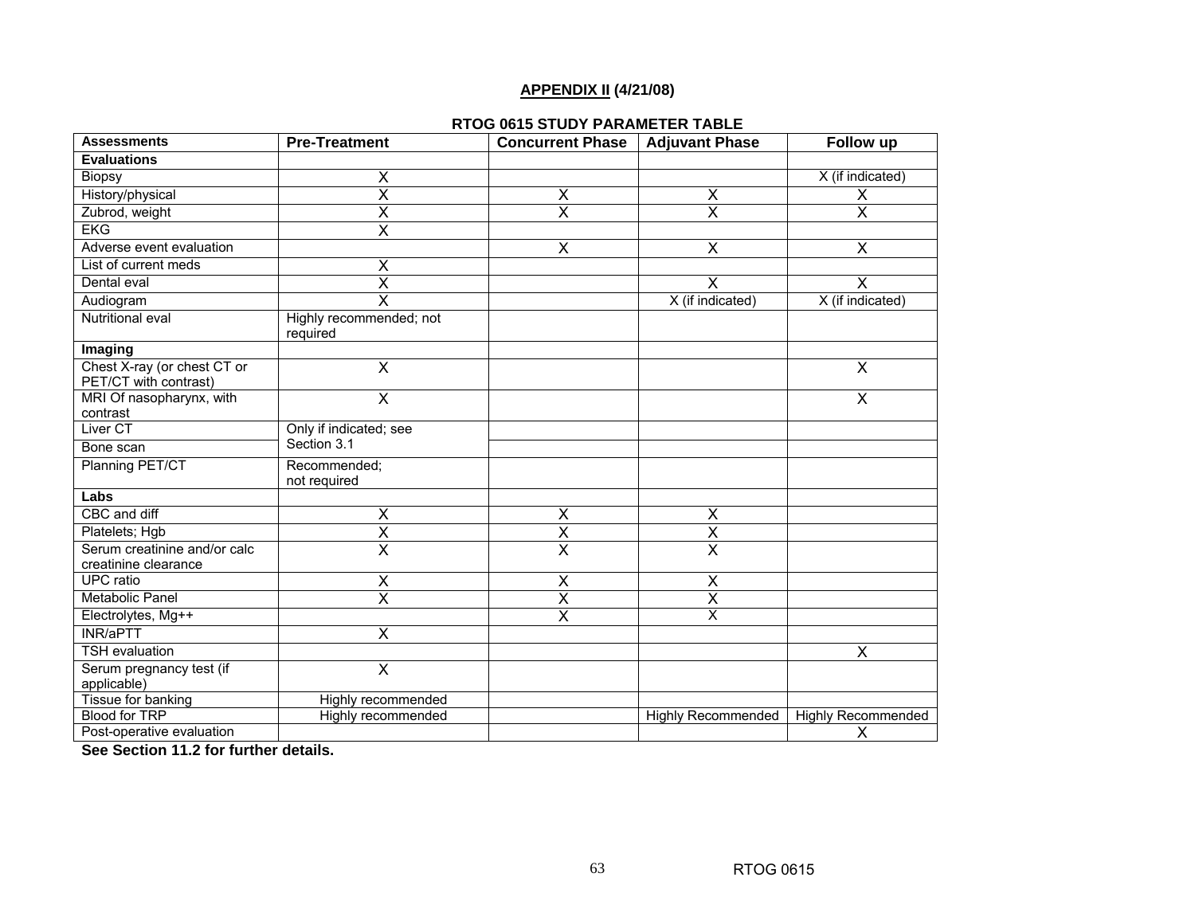# **APPENDIX II (4/21/08)**

#### **RTOG 0615 STUDY PARAMETER TABLE**

| <b>Assessments</b>                                   | <b>Pre-Treatment</b>                | <b>Concurrent Phase</b> | <b>Adjuvant Phase</b>     | Follow up                 |
|------------------------------------------------------|-------------------------------------|-------------------------|---------------------------|---------------------------|
| <b>Evaluations</b>                                   |                                     |                         |                           |                           |
| <b>Biopsy</b>                                        | Χ                                   |                         |                           | X (if indicated)          |
| History/physical                                     | $\overline{\mathsf{x}}$             | $\overline{\mathsf{x}}$ | $\overline{\mathsf{x}}$   | $\overline{X}$            |
| Zubrod, weight                                       | $\overline{\mathsf{x}}$             | $\overline{\mathsf{x}}$ | $\overline{\mathsf{x}}$   | $\overline{\mathsf{x}}$   |
| <b>EKG</b>                                           | $\overline{\mathsf{x}}$             |                         |                           |                           |
| Adverse event evaluation                             |                                     | $\overline{\mathsf{x}}$ | $\overline{\mathsf{x}}$   | $\overline{\mathsf{x}}$   |
| List of current meds                                 | $\overline{\mathsf{x}}$             |                         |                           |                           |
| Dental eval                                          | $\overline{\mathsf{x}}$             |                         | X                         | $\overline{\mathsf{x}}$   |
| Audiogram                                            | $\overline{\mathsf{x}}$             |                         | X (if indicated)          | X (if indicated)          |
| Nutritional eval                                     | Highly recommended; not<br>required |                         |                           |                           |
| Imaging                                              |                                     |                         |                           |                           |
| Chest X-ray (or chest CT or<br>PET/CT with contrast) | $\overline{\sf x}$                  |                         |                           | $\overline{\mathsf{x}}$   |
| MRI Of nasopharynx, with                             | $\overline{\mathsf{x}}$             |                         |                           | $\overline{\mathsf{x}}$   |
| contrast                                             |                                     |                         |                           |                           |
| Liver <sub>CT</sub>                                  | Only if indicated; see              |                         |                           |                           |
| Bone scan                                            | Section 3.1                         |                         |                           |                           |
| Planning PET/CT                                      | Recommended;<br>not required        |                         |                           |                           |
| Labs                                                 |                                     |                         |                           |                           |
| CBC and diff                                         | $\overline{\sf x}$                  | $\overline{\mathsf{x}}$ | $\overline{\mathsf{x}}$   |                           |
| Platelets; Hgb                                       | $\overline{\mathsf{x}}$             | $\overline{\mathsf{x}}$ | $\overline{\mathsf{x}}$   |                           |
| Serum creatinine and/or calc<br>creatinine clearance | $\overline{\mathsf{x}}$             | $\overline{\mathsf{x}}$ | $\overline{\mathsf{x}}$   |                           |
| <b>UPC</b> ratio                                     | $\overline{\mathsf{x}}$             | $\overline{\mathsf{x}}$ | $\overline{\mathsf{x}}$   |                           |
| Metabolic Panel                                      | $\overline{\mathsf{x}}$             | $\overline{\mathsf{x}}$ | $\overline{\mathsf{x}}$   |                           |
| Electrolytes, Mg++                                   |                                     | $\overline{\mathsf{x}}$ | $\overline{\mathsf{x}}$   |                           |
| <b>INR/aPTT</b>                                      | $\overline{\mathsf{x}}$             |                         |                           |                           |
| <b>TSH</b> evaluation                                |                                     |                         |                           | X                         |
| Serum pregnancy test (if                             | $\overline{\mathsf{x}}$             |                         |                           |                           |
| applicable)                                          |                                     |                         |                           |                           |
| Tissue for banking                                   | <b>Highly recommended</b>           |                         |                           |                           |
| <b>Blood for TRP</b>                                 | Highly recommended                  |                         | <b>Highly Recommended</b> | <b>Highly Recommended</b> |
| Post-operative evaluation                            |                                     |                         |                           | X                         |

**See Section 11.2 for further details.**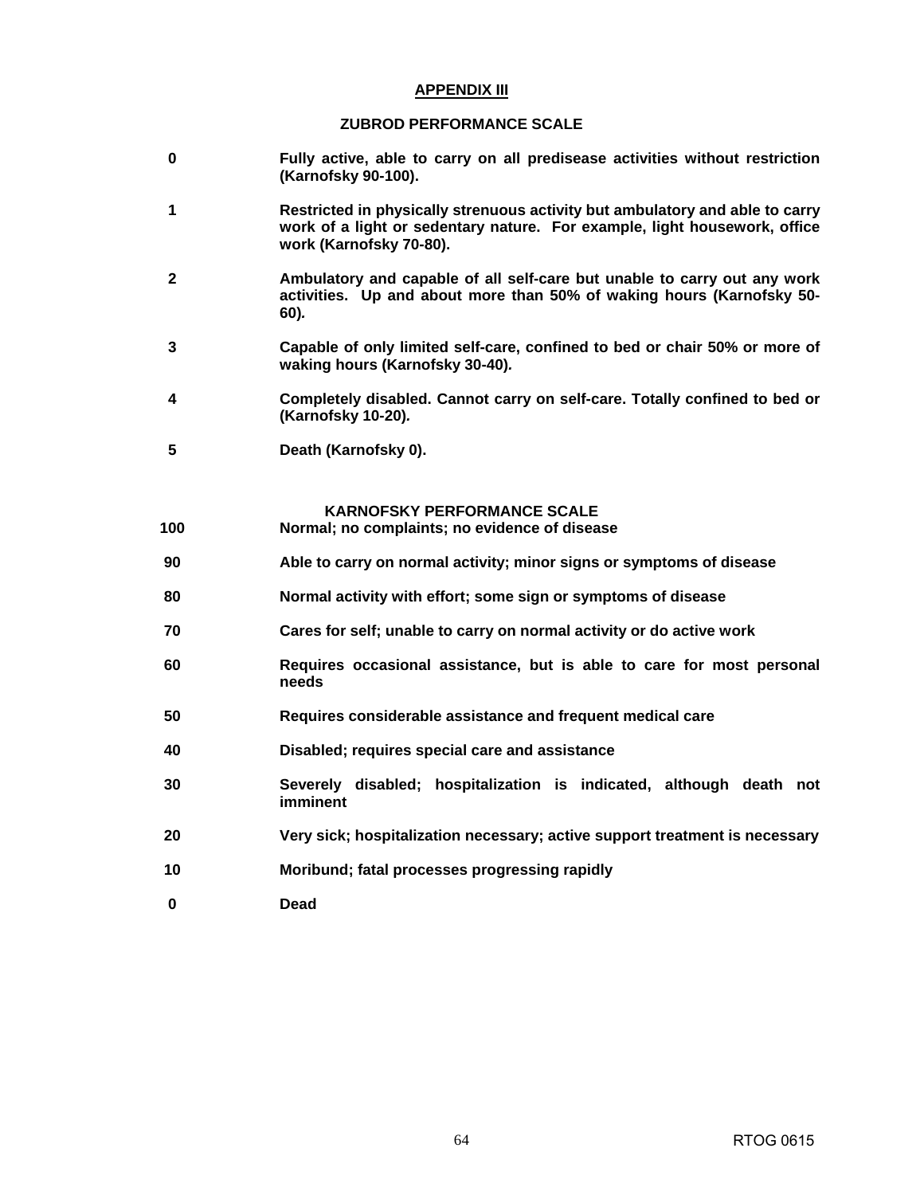#### **APPENDIX III**

#### **ZUBROD PERFORMANCE SCALE**

- **0 Fully active, able to carry on all predisease activities without restriction (Karnofsky 90-100).**
- **1 Restricted in physically strenuous activity but ambulatory and able to carry work of a light or sedentary nature. For example, light housework, office work (Karnofsky 70-80).**
- **2 Ambulatory and capable of all self-care but unable to carry out any work activities. Up and about more than 50% of waking hours (Karnofsky 50- 60)***.*
- **3 Capable of only limited self-care, confined to bed or chair 50% or more of waking hours (Karnofsky 30-40)***.*
- **4 Completely disabled. Cannot carry on self-care. Totally confined to bed or (Karnofsky 10-20)***.*
- **5 Death (Karnofsky 0).**

#### **KARNOFSKY PERFORMANCE SCALE**

- **100 Normal; no complaints; no evidence of disease**
- **90 Able to carry on normal activity; minor signs or symptoms of disease**
- **80 Normal activity with effort; some sign or symptoms of disease**
- **70 Cares for self; unable to carry on normal activity or do active work**
- **60 Requires occasional assistance, but is able to care for most personal needs**
- **50 Requires considerable assistance and frequent medical care**
- **40 Disabled; requires special care and assistance**
- **30 Severely disabled; hospitalization is indicated, although death not imminent**
- **20 Very sick; hospitalization necessary; active support treatment is necessary**
- **10 Moribund; fatal processes progressing rapidly**
- **0 Dead**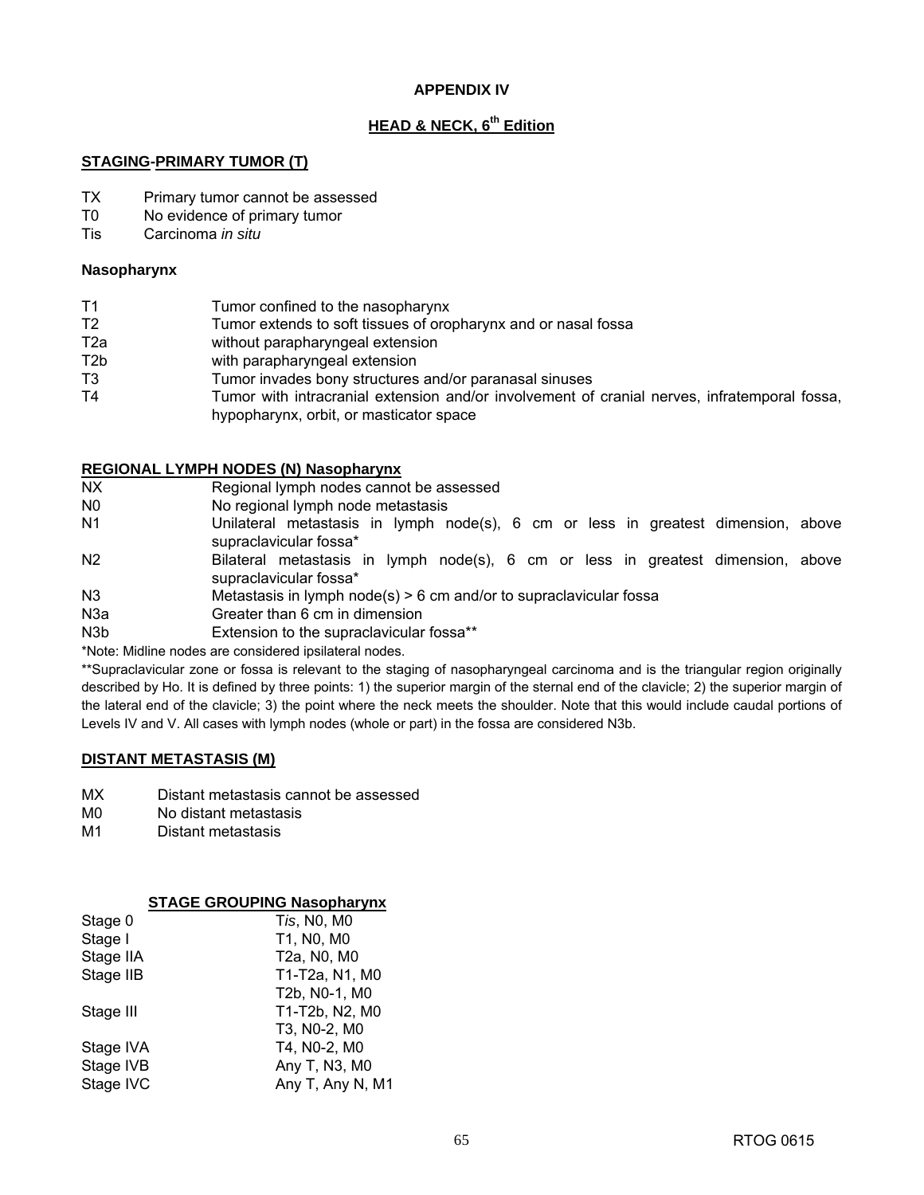### **APPENDIX IV**

# **HEAD & NECK, 6th Edition**

### **STAGING-PRIMARY TUMOR (T)**

- TX Primary tumor cannot be assessed
- T0 No evidence of primary tumor
- Tis Carcinoma *in situ*

### **Nasopharynx**

| Tumor confined to the nasopharynx | T1 |  |  |
|-----------------------------------|----|--|--|
|-----------------------------------|----|--|--|

- T2 Tumor extends to soft tissues of oropharynx and or nasal fossa
- T2a without parapharyngeal extension
- T2b with parapharyngeal extension
- T3 Tumor invades bony structures and/or paranasal sinuses
- T4 Tumor with intracranial extension and/or involvement of cranial nerves, infratemporal fossa, hypopharynx, orbit, or masticator space

### **REGIONAL LYMPH NODES (N) Nasopharynx**

- NX Regional lymph nodes cannot be assessed
- N0 No regional lymph node metastasis
- N1 Unilateral metastasis in lymph node(s), 6 cm or less in greatest dimension, above supraclavicular fossa\*
- N2 Bilateral metastasis in lymph node(s), 6 cm or less in greatest dimension, above supraclavicular fossa\*
- N3 Metastasis in lymph node(s)  $> 6$  cm and/or to supraclavicular fossa
- N3a Greater than 6 cm in dimension
- N3b Extension to the supraclavicular fossa\*\*
- \*Note: Midline nodes are considered ipsilateral nodes.

\*\*Supraclavicular zone or fossa is relevant to the staging of nasopharyngeal carcinoma and is the triangular region originally described by Ho. It is defined by three points: 1) the superior margin of the sternal end of the clavicle; 2) the superior margin of the lateral end of the clavicle; 3) the point where the neck meets the shoulder. Note that this would include caudal portions of Levels IV and V. All cases with lymph nodes (whole or part) in the fossa are considered N3b.

### **DISTANT METASTASIS (M)**

- MX Distant metastasis cannot be assessed
- M0 No distant metastasis
- M1 Distant metastasis

### **STAGE GROUPING Nasopharynx**

| Stage 0   | Tis, N0, M0      |
|-----------|------------------|
| Stage I   | T1, N0, M0       |
| Stage IIA | T2a, N0, M0      |
| Stage IIB | T1-T2a, N1, M0   |
|           | T2b, N0-1, M0    |
| Stage III | T1-T2b, N2, M0   |
|           | T3, N0-2, M0     |
| Stage IVA | T4, N0-2, M0     |
| Stage IVB | Any T, N3, M0    |
| Stage IVC | Any T, Any N, M1 |
|           |                  |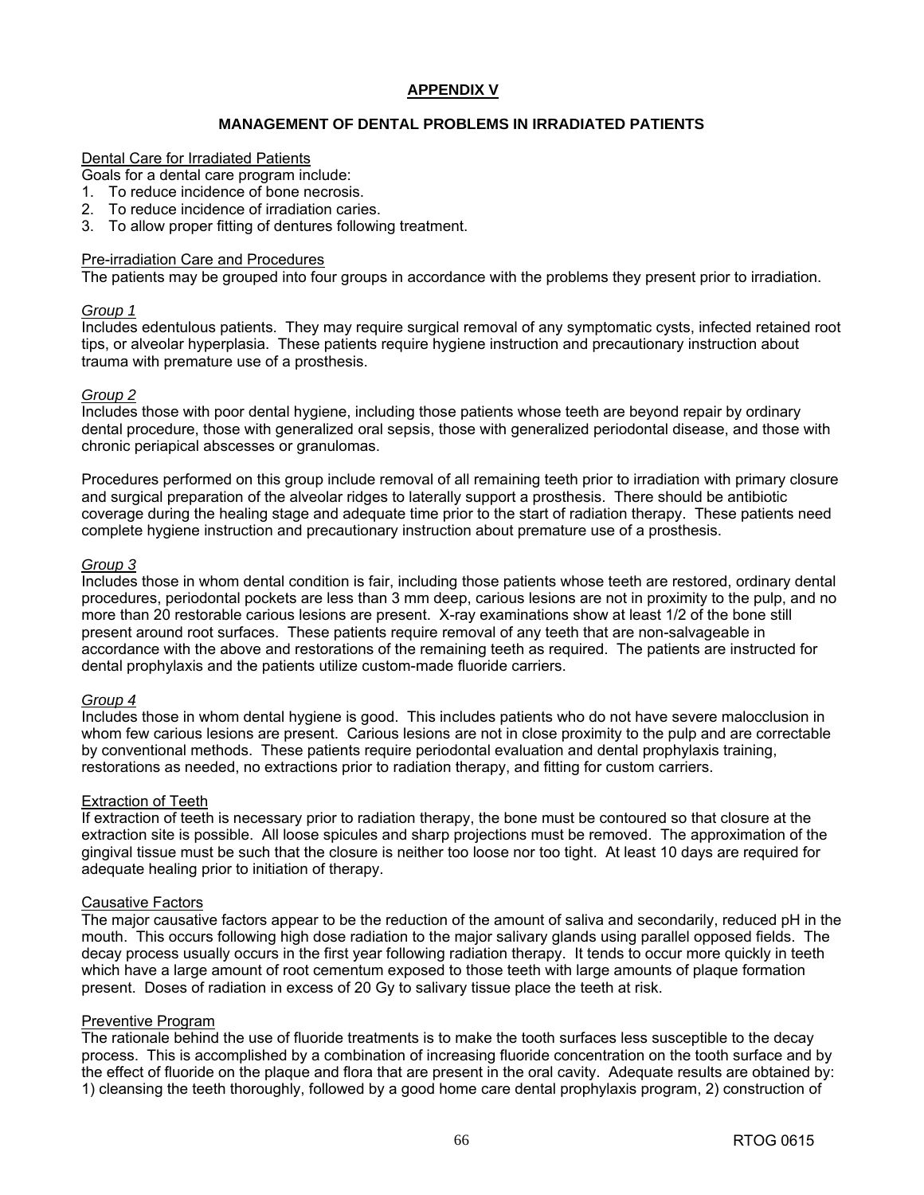### **APPENDIX V**

### **MANAGEMENT OF DENTAL PROBLEMS IN IRRADIATED PATIENTS**

#### Dental Care for Irradiated Patients

Goals for a dental care program include:

- 1. To reduce incidence of bone necrosis.
- 2. To reduce incidence of irradiation caries.
- 3. To allow proper fitting of dentures following treatment.

#### Pre-irradiation Care and Procedures

The patients may be grouped into four groups in accordance with the problems they present prior to irradiation.

#### *Group 1*

Includes edentulous patients. They may require surgical removal of any symptomatic cysts, infected retained root tips, or alveolar hyperplasia. These patients require hygiene instruction and precautionary instruction about trauma with premature use of a prosthesis.

#### *Group 2*

Includes those with poor dental hygiene, including those patients whose teeth are beyond repair by ordinary dental procedure, those with generalized oral sepsis, those with generalized periodontal disease, and those with chronic periapical abscesses or granulomas.

Procedures performed on this group include removal of all remaining teeth prior to irradiation with primary closure and surgical preparation of the alveolar ridges to laterally support a prosthesis. There should be antibiotic coverage during the healing stage and adequate time prior to the start of radiation therapy. These patients need complete hygiene instruction and precautionary instruction about premature use of a prosthesis.

### *Group 3*

Includes those in whom dental condition is fair, including those patients whose teeth are restored, ordinary dental procedures, periodontal pockets are less than 3 mm deep, carious lesions are not in proximity to the pulp, and no more than 20 restorable carious lesions are present. X-ray examinations show at least 1/2 of the bone still present around root surfaces. These patients require removal of any teeth that are non-salvageable in accordance with the above and restorations of the remaining teeth as required. The patients are instructed for dental prophylaxis and the patients utilize custom-made fluoride carriers.

#### *Group 4*

Includes those in whom dental hygiene is good. This includes patients who do not have severe malocclusion in whom few carious lesions are present. Carious lesions are not in close proximity to the pulp and are correctable by conventional methods. These patients require periodontal evaluation and dental prophylaxis training, restorations as needed, no extractions prior to radiation therapy, and fitting for custom carriers.

### Extraction of Teeth

If extraction of teeth is necessary prior to radiation therapy, the bone must be contoured so that closure at the extraction site is possible. All loose spicules and sharp projections must be removed. The approximation of the gingival tissue must be such that the closure is neither too loose nor too tight. At least 10 days are required for adequate healing prior to initiation of therapy.

#### Causative Factors

The major causative factors appear to be the reduction of the amount of saliva and secondarily, reduced pH in the mouth. This occurs following high dose radiation to the major salivary glands using parallel opposed fields. The decay process usually occurs in the first year following radiation therapy. It tends to occur more quickly in teeth which have a large amount of root cementum exposed to those teeth with large amounts of plaque formation present. Doses of radiation in excess of 20 Gy to salivary tissue place the teeth at risk.

### Preventive Program

The rationale behind the use of fluoride treatments is to make the tooth surfaces less susceptible to the decay process. This is accomplished by a combination of increasing fluoride concentration on the tooth surface and by the effect of fluoride on the plaque and flora that are present in the oral cavity. Adequate results are obtained by: 1) cleansing the teeth thoroughly, followed by a good home care dental prophylaxis program, 2) construction of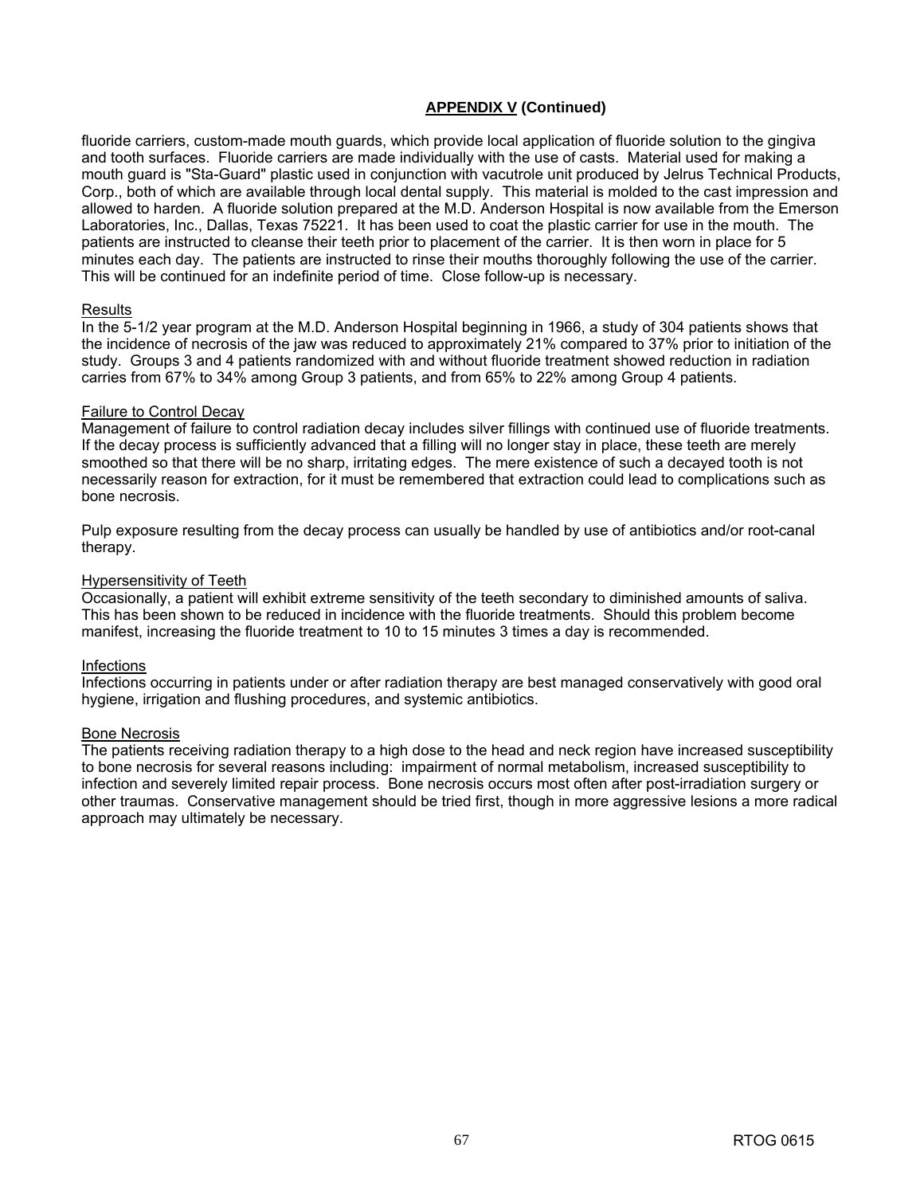# **APPENDIX V (Continued)**

fluoride carriers, custom-made mouth guards, which provide local application of fluoride solution to the gingiva and tooth surfaces. Fluoride carriers are made individually with the use of casts. Material used for making a mouth guard is "Sta-Guard" plastic used in conjunction with vacutrole unit produced by Jelrus Technical Products, Corp., both of which are available through local dental supply. This material is molded to the cast impression and allowed to harden. A fluoride solution prepared at the M.D. Anderson Hospital is now available from the Emerson Laboratories, Inc., Dallas, Texas 75221. It has been used to coat the plastic carrier for use in the mouth. The patients are instructed to cleanse their teeth prior to placement of the carrier. It is then worn in place for 5 minutes each day. The patients are instructed to rinse their mouths thoroughly following the use of the carrier. This will be continued for an indefinite period of time. Close follow-up is necessary.

### Results

In the 5-1/2 year program at the M.D. Anderson Hospital beginning in 1966, a study of 304 patients shows that the incidence of necrosis of the jaw was reduced to approximately 21% compared to 37% prior to initiation of the study. Groups 3 and 4 patients randomized with and without fluoride treatment showed reduction in radiation carries from 67% to 34% among Group 3 patients, and from 65% to 22% among Group 4 patients.

### Failure to Control Decay

Management of failure to control radiation decay includes silver fillings with continued use of fluoride treatments. If the decay process is sufficiently advanced that a filling will no longer stay in place, these teeth are merely smoothed so that there will be no sharp, irritating edges. The mere existence of such a decayed tooth is not necessarily reason for extraction, for it must be remembered that extraction could lead to complications such as bone necrosis.

Pulp exposure resulting from the decay process can usually be handled by use of antibiotics and/or root-canal therapy.

### Hypersensitivity of Teeth

Occasionally, a patient will exhibit extreme sensitivity of the teeth secondary to diminished amounts of saliva. This has been shown to be reduced in incidence with the fluoride treatments. Should this problem become manifest, increasing the fluoride treatment to 10 to 15 minutes 3 times a day is recommended.

### Infections

Infections occurring in patients under or after radiation therapy are best managed conservatively with good oral hygiene, irrigation and flushing procedures, and systemic antibiotics.

### Bone Necrosis

The patients receiving radiation therapy to a high dose to the head and neck region have increased susceptibility to bone necrosis for several reasons including: impairment of normal metabolism, increased susceptibility to infection and severely limited repair process. Bone necrosis occurs most often after post-irradiation surgery or other traumas. Conservative management should be tried first, though in more aggressive lesions a more radical approach may ultimately be necessary.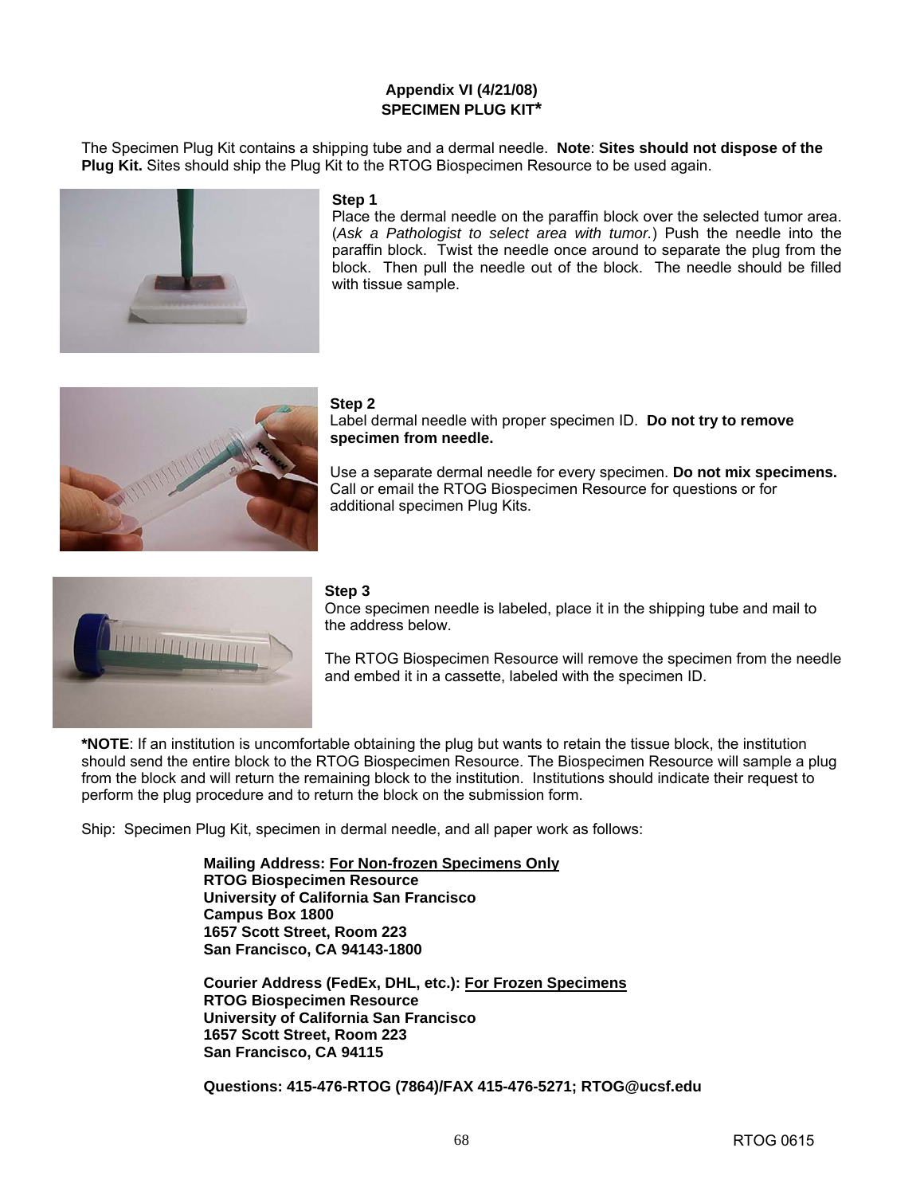# **Appendix VI (4/21/08) SPECIMEN PLUG KIT\***

The Specimen Plug Kit contains a shipping tube and a dermal needle. **Note**: **Sites should not dispose of the Plug Kit.** Sites should ship the Plug Kit to the RTOG Biospecimen Resource to be used again.



### **Step 1**

Place the dermal needle on the paraffin block over the selected tumor area. (*Ask a Pathologist to select area with tumor.*) Push the needle into the paraffin block. Twist the needle once around to separate the plug from the block. Then pull the needle out of the block. The needle should be filled with tissue sample.



### **Step 2**

Label dermal needle with proper specimen ID. **Do not try to remove specimen from needle.** 

Use a separate dermal needle for every specimen. **Do not mix specimens.** Call or email the RTOG Biospecimen Resource for questions or for additional specimen Plug Kits.



### **Step 3**

Once specimen needle is labeled, place it in the shipping tube and mail to the address below.

The RTOG Biospecimen Resource will remove the specimen from the needle and embed it in a cassette, labeled with the specimen ID.

**\*NOTE**: If an institution is uncomfortable obtaining the plug but wants to retain the tissue block, the institution should send the entire block to the RTOG Biospecimen Resource. The Biospecimen Resource will sample a plug from the block and will return the remaining block to the institution. Institutions should indicate their request to perform the plug procedure and to return the block on the submission form.

Ship: Specimen Plug Kit, specimen in dermal needle, and all paper work as follows:

**Mailing Address: For Non-frozen Specimens Only RTOG Biospecimen Resource University of California San Francisco Campus Box 1800 1657 Scott Street, Room 223 San Francisco, CA 94143-1800** 

**Courier Address (FedEx, DHL, etc.): For Frozen Specimens RTOG Biospecimen Resource University of California San Francisco 1657 Scott Street, Room 223 San Francisco, CA 94115**

**Questions: 415-476-RTOG (7864)/FAX 415-476-5271; [RTOG@ucsf.edu](mailto:RTOG@ucsf.edu)**